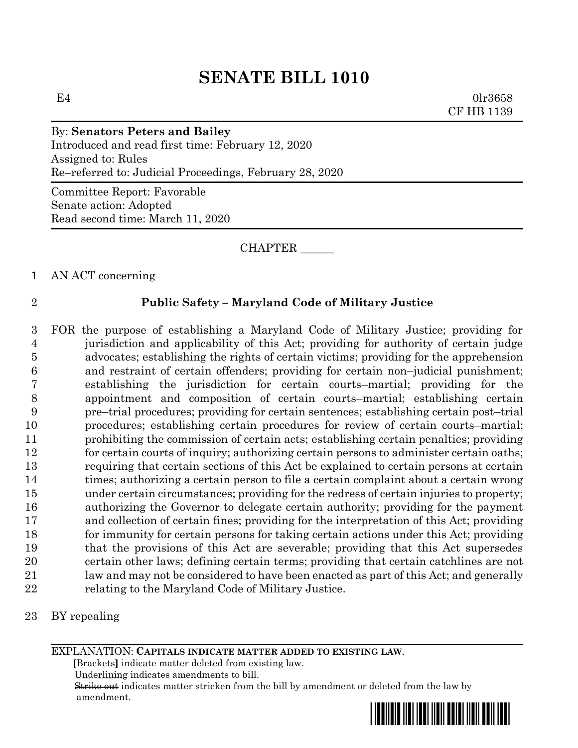# **SENATE BILL 1010**

 $E4$  0lr3658 CF HB 1139

By: **Senators Peters and Bailey** Introduced and read first time: February 12, 2020 Assigned to: Rules Re–referred to: Judicial Proceedings, February 28, 2020

Committee Report: Favorable Senate action: Adopted Read second time: March 11, 2020

#### CHAPTER \_\_\_\_\_\_

### 1 AN ACT concerning

### 2 **Public Safety – Maryland Code of Military Justice**

 FOR the purpose of establishing a Maryland Code of Military Justice; providing for jurisdiction and applicability of this Act; providing for authority of certain judge advocates; establishing the rights of certain victims; providing for the apprehension and restraint of certain offenders; providing for certain non–judicial punishment; establishing the jurisdiction for certain courts–martial; providing for the appointment and composition of certain courts–martial; establishing certain pre–trial procedures; providing for certain sentences; establishing certain post–trial procedures; establishing certain procedures for review of certain courts–martial; prohibiting the commission of certain acts; establishing certain penalties; providing 12 for certain courts of inquiry; authorizing certain persons to administer certain oaths; requiring that certain sections of this Act be explained to certain persons at certain times; authorizing a certain person to file a certain complaint about a certain wrong under certain circumstances; providing for the redress of certain injuries to property; authorizing the Governor to delegate certain authority; providing for the payment and collection of certain fines; providing for the interpretation of this Act; providing for immunity for certain persons for taking certain actions under this Act; providing that the provisions of this Act are severable; providing that this Act supersedes certain other laws; defining certain terms; providing that certain catchlines are not law and may not be considered to have been enacted as part of this Act; and generally 22 relating to the Maryland Code of Military Justice.

#### 23 BY repealing

#### EXPLANATION: **CAPITALS INDICATE MATTER ADDED TO EXISTING LAW**.

 **[**Brackets**]** indicate matter deleted from existing law.

Underlining indicates amendments to bill.

 Strike out indicates matter stricken from the bill by amendment or deleted from the law by amendment.

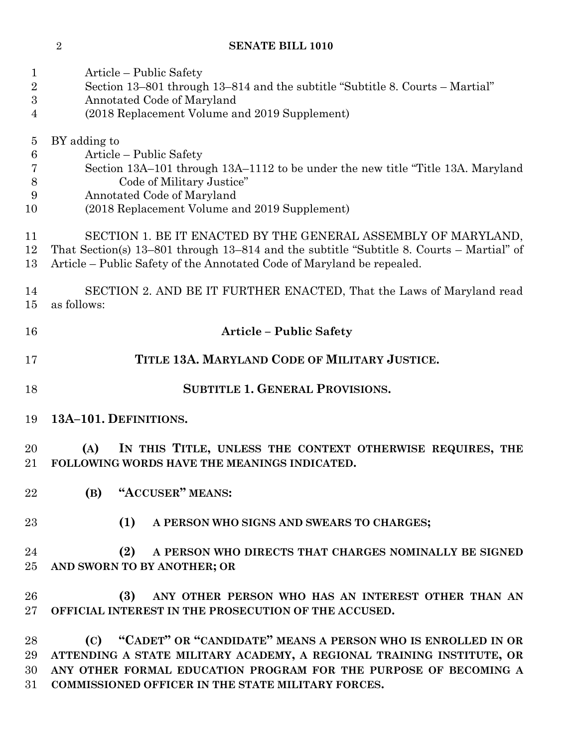# **SENATE BILL 1010**

| $\mathbf 1$<br>$\overline{2}$<br>3<br>4  | Article – Public Safety<br>Section 13–801 through 13–814 and the subtitle "Subtitle 8. Courts – Martial"<br>Annotated Code of Maryland<br>(2018 Replacement Volume and 2019 Supplement)                                                                            |  |  |  |
|------------------------------------------|--------------------------------------------------------------------------------------------------------------------------------------------------------------------------------------------------------------------------------------------------------------------|--|--|--|
| $\overline{5}$<br>6<br>7<br>8<br>9<br>10 | BY adding to<br>Article – Public Safety<br>Section 13A-101 through 13A-1112 to be under the new title "Title 13A. Maryland<br>Code of Military Justice"<br>Annotated Code of Maryland<br>(2018 Replacement Volume and 2019 Supplement)                             |  |  |  |
| 11<br>12<br>13                           | SECTION 1. BE IT ENACTED BY THE GENERAL ASSEMBLY OF MARYLAND,<br>That Section(s) 13–801 through 13–814 and the subtitle "Subtitle 8. Courts – Martial" of<br>Article – Public Safety of the Annotated Code of Maryland be repealed.                                |  |  |  |
| 14<br>15                                 | SECTION 2. AND BE IT FURTHER ENACTED, That the Laws of Maryland read<br>as follows:                                                                                                                                                                                |  |  |  |
| 16                                       | <b>Article - Public Safety</b>                                                                                                                                                                                                                                     |  |  |  |
| 17                                       | TITLE 13A. MARYLAND CODE OF MILITARY JUSTICE.                                                                                                                                                                                                                      |  |  |  |
| 18                                       | <b>SUBTITLE 1. GENERAL PROVISIONS.</b>                                                                                                                                                                                                                             |  |  |  |
| 19                                       | 13A-101. DEFINITIONS.                                                                                                                                                                                                                                              |  |  |  |
| 20<br>$21\,$                             | IN THIS TITLE, UNLESS THE CONTEXT OTHERWISE REQUIRES, THE<br>(A)<br>FOLLOWING WORDS HAVE THE MEANINGS INDICATED.                                                                                                                                                   |  |  |  |
| 22                                       | (B) "ACCUSER" MEANS:                                                                                                                                                                                                                                               |  |  |  |
| 23                                       | (1)<br>A PERSON WHO SIGNS AND SWEARS TO CHARGES;                                                                                                                                                                                                                   |  |  |  |
| 24<br>$25\,$                             | (2)<br>A PERSON WHO DIRECTS THAT CHARGES NOMINALLY BE SIGNED<br>AND SWORN TO BY ANOTHER; OR                                                                                                                                                                        |  |  |  |
| 26<br>$27\,$                             | ANY OTHER PERSON WHO HAS AN INTEREST OTHER THAN AN<br>(3)<br>OFFICIAL INTEREST IN THE PROSECUTION OF THE ACCUSED.                                                                                                                                                  |  |  |  |
| 28<br>29<br>30<br>31                     | (C) "CADET" OR "CANDIDATE" MEANS A PERSON WHO IS ENROLLED IN OR<br>ATTENDING A STATE MILITARY ACADEMY, A REGIONAL TRAINING INSTITUTE, OR<br>ANY OTHER FORMAL EDUCATION PROGRAM FOR THE PURPOSE OF BECOMING A<br>COMMISSIONED OFFICER IN THE STATE MILITARY FORCES. |  |  |  |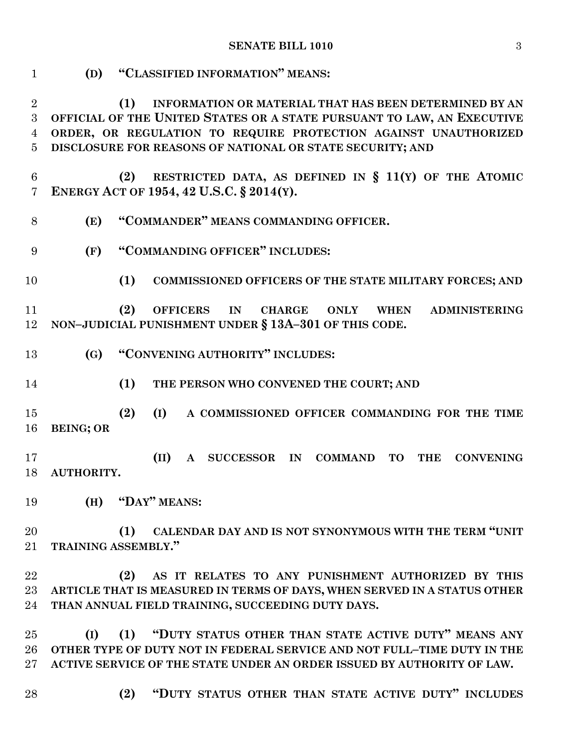**(D) "CLASSIFIED INFORMATION" MEANS:**

 **(1) INFORMATION OR MATERIAL THAT HAS BEEN DETERMINED BY AN OFFICIAL OF THE UNITED STATES OR A STATE PURSUANT TO LAW, AN EXECUTIVE ORDER, OR REGULATION TO REQUIRE PROTECTION AGAINST UNAUTHORIZED DISCLOSURE FOR REASONS OF NATIONAL OR STATE SECURITY; AND (2) RESTRICTED DATA, AS DEFINED IN § 11(Y) OF THE ATOMIC ENERGY ACT OF 1954, 42 U.S.C. § 2014(Y). (E) "COMMANDER" MEANS COMMANDING OFFICER. (F) "COMMANDING OFFICER" INCLUDES: (1) COMMISSIONED OFFICERS OF THE STATE MILITARY FORCES; AND (2) OFFICERS IN CHARGE ONLY WHEN ADMINISTERING NON–JUDICIAL PUNISHMENT UNDER § 13A–301 OF THIS CODE. (G) "CONVENING AUTHORITY" INCLUDES: (1) THE PERSON WHO CONVENED THE COURT; AND (2) (I) A COMMISSIONED OFFICER COMMANDING FOR THE TIME BEING; OR (II) A SUCCESSOR IN COMMAND TO THE CONVENING AUTHORITY. (H) "DAY" MEANS: (1) CALENDAR DAY AND IS NOT SYNONYMOUS WITH THE TERM "UNIT TRAINING ASSEMBLY." (2) AS IT RELATES TO ANY PUNISHMENT AUTHORIZED BY THIS ARTICLE THAT IS MEASURED IN TERMS OF DAYS, WHEN SERVED IN A STATUS OTHER THAN ANNUAL FIELD TRAINING, SUCCEEDING DUTY DAYS. (I) (1) "DUTY STATUS OTHER THAN STATE ACTIVE DUTY" MEANS ANY OTHER TYPE OF DUTY NOT IN FEDERAL SERVICE AND NOT FULL–TIME DUTY IN THE ACTIVE SERVICE OF THE STATE UNDER AN ORDER ISSUED BY AUTHORITY OF LAW. (2) "DUTY STATUS OTHER THAN STATE ACTIVE DUTY" INCLUDES**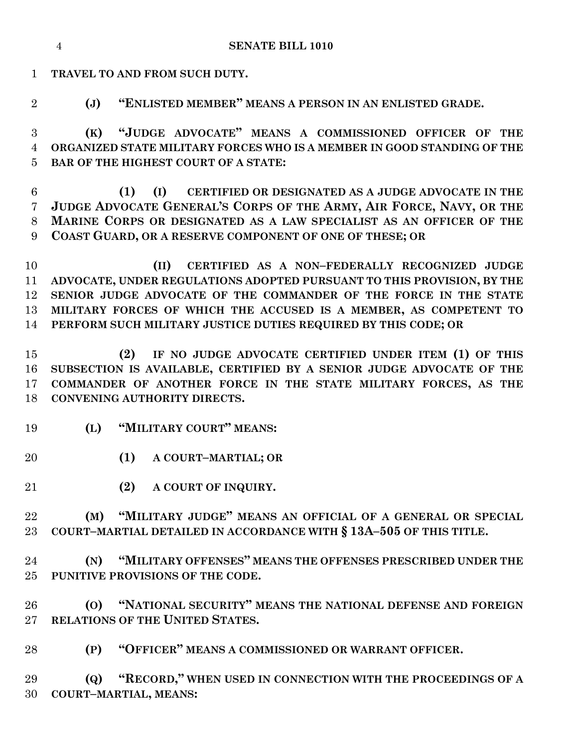**(K) "JUDGE ADVOCATE" MEANS A COMMISSIONED OFFICER OF THE (1) (I) CERTIFIED OR DESIGNATED AS A JUDGE ADVOCATE IN THE JUDGE ADVOCATE GENERAL'S CORPS OF THE ARMY, AIR FORCE, NAVY, OR THE PERFORM SUCH MILITARY JUSTICE DUTIES REQUIRED BY THIS CODE; OR (2) IF NO JUDGE ADVOCATE CERTIFIED UNDER ITEM (1) OF THIS SUBSECTION IS AVAILABLE, CERTIFIED BY A SENIOR JUDGE ADVOCATE OF THE COMMANDER OF ANOTHER FORCE IN THE STATE MILITARY FORCES, AS THE CONVENING AUTHORITY DIRECTS. (L) "MILITARY COURT" MEANS: (1) A COURT–MARTIAL; OR (2) A COURT OF INQUIRY. (M) "MILITARY JUDGE" MEANS AN OFFICIAL OF A GENERAL OR SPECIAL COURT–MARTIAL DETAILED IN ACCORDANCE WITH § 13A–505 OF THIS TITLE. (N) "MILITARY OFFENSES" MEANS THE OFFENSES PRESCRIBED UNDER THE PUNITIVE PROVISIONS OF THE CODE. (O) "NATIONAL SECURITY" MEANS THE NATIONAL DEFENSE AND FOREIGN RELATIONS OF THE UNITED STATES. (P) "OFFICER" MEANS A COMMISSIONED OR WARRANT OFFICER. (Q) "RECORD," WHEN USED IN CONNECTION WITH THE PROCEEDINGS OF A COURT–MARTIAL, MEANS:**

 **(II) CERTIFIED AS A NON–FEDERALLY RECOGNIZED JUDGE ADVOCATE, UNDER REGULATIONS ADOPTED PURSUANT TO THIS PROVISION, BY THE SENIOR JUDGE ADVOCATE OF THE COMMANDER OF THE FORCE IN THE STATE MILITARY FORCES OF WHICH THE ACCUSED IS A MEMBER, AS COMPETENT TO** 

 **MARINE CORPS OR DESIGNATED AS A LAW SPECIALIST AS AN OFFICER OF THE COAST GUARD, OR A RESERVE COMPONENT OF ONE OF THESE; OR**

 **ORGANIZED STATE MILITARY FORCES WHO IS A MEMBER IN GOOD STANDING OF THE BAR OF THE HIGHEST COURT OF A STATE:**

**(J) "ENLISTED MEMBER" MEANS A PERSON IN AN ENLISTED GRADE.**

**TRAVEL TO AND FROM SUCH DUTY.**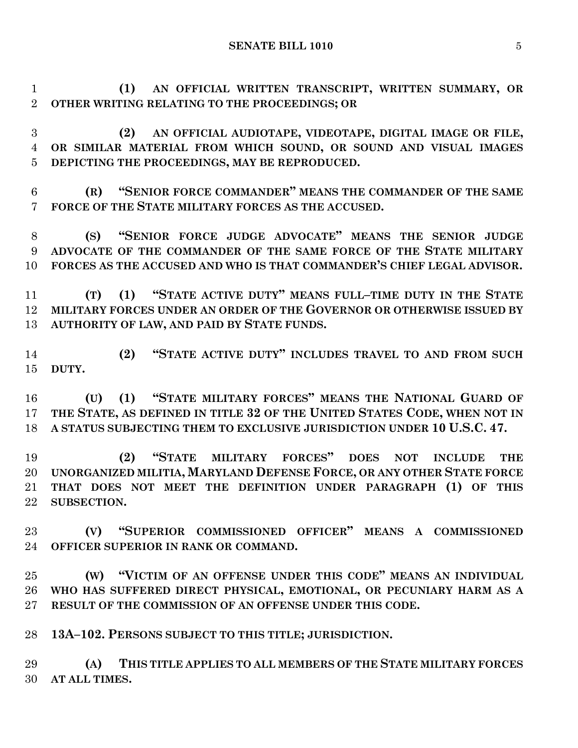**(1) AN OFFICIAL WRITTEN TRANSCRIPT, WRITTEN SUMMARY, OR OTHER WRITING RELATING TO THE PROCEEDINGS; OR**

 **(2) AN OFFICIAL AUDIOTAPE, VIDEOTAPE, DIGITAL IMAGE OR FILE, OR SIMILAR MATERIAL FROM WHICH SOUND, OR SOUND AND VISUAL IMAGES DEPICTING THE PROCEEDINGS, MAY BE REPRODUCED.**

 **(R) "SENIOR FORCE COMMANDER" MEANS THE COMMANDER OF THE SAME FORCE OF THE STATE MILITARY FORCES AS THE ACCUSED.**

 **(S) "SENIOR FORCE JUDGE ADVOCATE" MEANS THE SENIOR JUDGE ADVOCATE OF THE COMMANDER OF THE SAME FORCE OF THE STATE MILITARY FORCES AS THE ACCUSED AND WHO IS THAT COMMANDER'S CHIEF LEGAL ADVISOR.**

 **(T) (1) "STATE ACTIVE DUTY" MEANS FULL–TIME DUTY IN THE STATE MILITARY FORCES UNDER AN ORDER OF THE GOVERNOR OR OTHERWISE ISSUED BY AUTHORITY OF LAW, AND PAID BY STATE FUNDS.**

 **(2) "STATE ACTIVE DUTY" INCLUDES TRAVEL TO AND FROM SUCH DUTY.**

 **(U) (1) "STATE MILITARY FORCES" MEANS THE NATIONAL GUARD OF THE STATE, AS DEFINED IN TITLE 32 OF THE UNITED STATES CODE, WHEN NOT IN A STATUS SUBJECTING THEM TO EXCLUSIVE JURISDICTION UNDER 10 U.S.C. 47.**

 **(2) "STATE MILITARY FORCES" DOES NOT INCLUDE THE UNORGANIZED MILITIA, MARYLAND DEFENSE FORCE, OR ANY OTHER STATE FORCE THAT DOES NOT MEET THE DEFINITION UNDER PARAGRAPH (1) OF THIS SUBSECTION.**

 **(V) "SUPERIOR COMMISSIONED OFFICER" MEANS A COMMISSIONED OFFICER SUPERIOR IN RANK OR COMMAND.**

 **(W) "VICTIM OF AN OFFENSE UNDER THIS CODE" MEANS AN INDIVIDUAL WHO HAS SUFFERED DIRECT PHYSICAL, EMOTIONAL, OR PECUNIARY HARM AS A RESULT OF THE COMMISSION OF AN OFFENSE UNDER THIS CODE.**

**13A–102. PERSONS SUBJECT TO THIS TITLE; JURISDICTION.**

 **(A) THIS TITLE APPLIES TO ALL MEMBERS OF THE STATE MILITARY FORCES AT ALL TIMES.**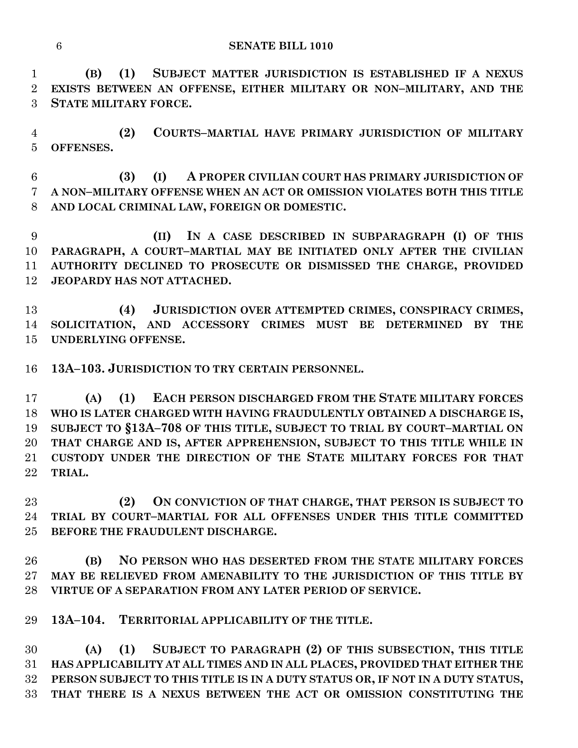**(B) (1) SUBJECT MATTER JURISDICTION IS ESTABLISHED IF A NEXUS EXISTS BETWEEN AN OFFENSE, EITHER MILITARY OR NON–MILITARY, AND THE STATE MILITARY FORCE.**

 **(2) COURTS–MARTIAL HAVE PRIMARY JURISDICTION OF MILITARY OFFENSES.**

 **(3) (I) A PROPER CIVILIAN COURT HAS PRIMARY JURISDICTION OF A NON–MILITARY OFFENSE WHEN AN ACT OR OMISSION VIOLATES BOTH THIS TITLE AND LOCAL CRIMINAL LAW, FOREIGN OR DOMESTIC.**

 **(II) IN A CASE DESCRIBED IN SUBPARAGRAPH (I) OF THIS PARAGRAPH, A COURT–MARTIAL MAY BE INITIATED ONLY AFTER THE CIVILIAN AUTHORITY DECLINED TO PROSECUTE OR DISMISSED THE CHARGE, PROVIDED JEOPARDY HAS NOT ATTACHED.**

 **(4) JURISDICTION OVER ATTEMPTED CRIMES, CONSPIRACY CRIMES, SOLICITATION, AND ACCESSORY CRIMES MUST BE DETERMINED BY THE UNDERLYING OFFENSE.**

**13A–103. JURISDICTION TO TRY CERTAIN PERSONNEL.**

 **(A) (1) EACH PERSON DISCHARGED FROM THE STATE MILITARY FORCES WHO IS LATER CHARGED WITH HAVING FRAUDULENTLY OBTAINED A DISCHARGE IS, SUBJECT TO §13A–708 OF THIS TITLE, SUBJECT TO TRIAL BY COURT–MARTIAL ON THAT CHARGE AND IS, AFTER APPREHENSION, SUBJECT TO THIS TITLE WHILE IN CUSTODY UNDER THE DIRECTION OF THE STATE MILITARY FORCES FOR THAT TRIAL.**

 **(2) ON CONVICTION OF THAT CHARGE, THAT PERSON IS SUBJECT TO TRIAL BY COURT–MARTIAL FOR ALL OFFENSES UNDER THIS TITLE COMMITTED BEFORE THE FRAUDULENT DISCHARGE.**

 **(B) NO PERSON WHO HAS DESERTED FROM THE STATE MILITARY FORCES MAY BE RELIEVED FROM AMENABILITY TO THE JURISDICTION OF THIS TITLE BY VIRTUE OF A SEPARATION FROM ANY LATER PERIOD OF SERVICE.**

**13A–104. TERRITORIAL APPLICABILITY OF THE TITLE.**

 **(A) (1) SUBJECT TO PARAGRAPH (2) OF THIS SUBSECTION, THIS TITLE HAS APPLICABILITY AT ALL TIMES AND IN ALL PLACES, PROVIDED THAT EITHER THE PERSON SUBJECT TO THIS TITLE IS IN A DUTY STATUS OR, IF NOT IN A DUTY STATUS, THAT THERE IS A NEXUS BETWEEN THE ACT OR OMISSION CONSTITUTING THE**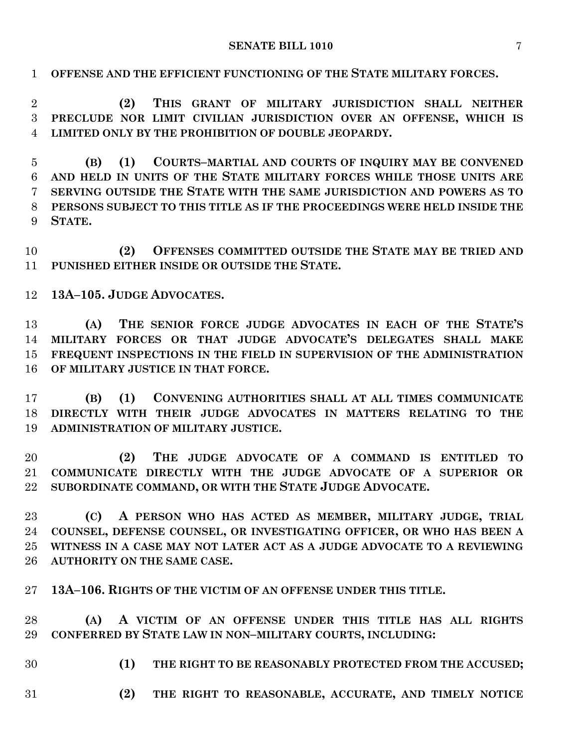**OFFENSE AND THE EFFICIENT FUNCTIONING OF THE STATE MILITARY FORCES.**

 **(2) THIS GRANT OF MILITARY JURISDICTION SHALL NEITHER PRECLUDE NOR LIMIT CIVILIAN JURISDICTION OVER AN OFFENSE, WHICH IS LIMITED ONLY BY THE PROHIBITION OF DOUBLE JEOPARDY.**

 **(B) (1) COURTS–MARTIAL AND COURTS OF INQUIRY MAY BE CONVENED AND HELD IN UNITS OF THE STATE MILITARY FORCES WHILE THOSE UNITS ARE SERVING OUTSIDE THE STATE WITH THE SAME JURISDICTION AND POWERS AS TO PERSONS SUBJECT TO THIS TITLE AS IF THE PROCEEDINGS WERE HELD INSIDE THE STATE.**

 **(2) OFFENSES COMMITTED OUTSIDE THE STATE MAY BE TRIED AND PUNISHED EITHER INSIDE OR OUTSIDE THE STATE.**

**13A–105. JUDGE ADVOCATES.**

 **(A) THE SENIOR FORCE JUDGE ADVOCATES IN EACH OF THE STATE'S MILITARY FORCES OR THAT JUDGE ADVOCATE'S DELEGATES SHALL MAKE FREQUENT INSPECTIONS IN THE FIELD IN SUPERVISION OF THE ADMINISTRATION OF MILITARY JUSTICE IN THAT FORCE.**

 **(B) (1) CONVENING AUTHORITIES SHALL AT ALL TIMES COMMUNICATE DIRECTLY WITH THEIR JUDGE ADVOCATES IN MATTERS RELATING TO THE ADMINISTRATION OF MILITARY JUSTICE.**

 **(2) THE JUDGE ADVOCATE OF A COMMAND IS ENTITLED TO COMMUNICATE DIRECTLY WITH THE JUDGE ADVOCATE OF A SUPERIOR OR SUBORDINATE COMMAND, OR WITH THE STATE JUDGE ADVOCATE.**

 **(C) A PERSON WHO HAS ACTED AS MEMBER, MILITARY JUDGE, TRIAL COUNSEL, DEFENSE COUNSEL, OR INVESTIGATING OFFICER, OR WHO HAS BEEN A WITNESS IN A CASE MAY NOT LATER ACT AS A JUDGE ADVOCATE TO A REVIEWING AUTHORITY ON THE SAME CASE.**

**13A–106. RIGHTS OF THE VICTIM OF AN OFFENSE UNDER THIS TITLE.**

 **(A) A VICTIM OF AN OFFENSE UNDER THIS TITLE HAS ALL RIGHTS CONFERRED BY STATE LAW IN NON–MILITARY COURTS, INCLUDING:**

- **(1) THE RIGHT TO BE REASONABLY PROTECTED FROM THE ACCUSED;**
- **(2) THE RIGHT TO REASONABLE, ACCURATE, AND TIMELY NOTICE**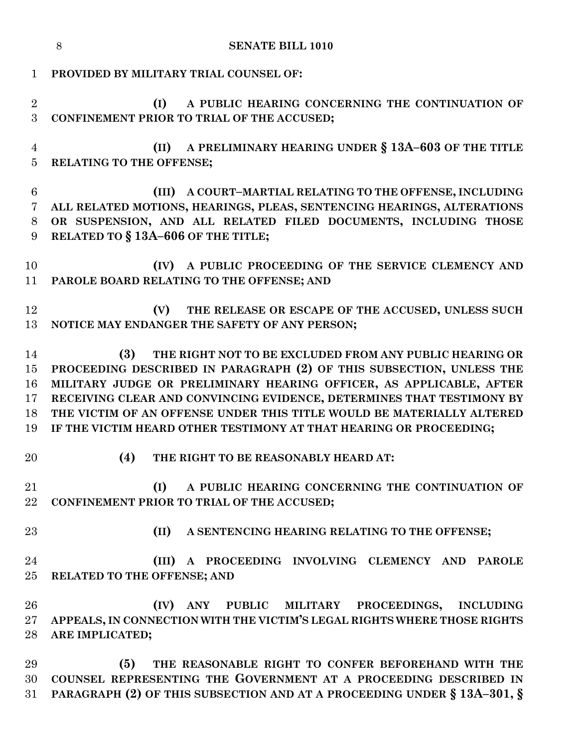|                                             | 8<br><b>SENATE BILL 1010</b>                                                                                                                                                                                                                                                                                                                                                                                                          |
|---------------------------------------------|---------------------------------------------------------------------------------------------------------------------------------------------------------------------------------------------------------------------------------------------------------------------------------------------------------------------------------------------------------------------------------------------------------------------------------------|
| $\mathbf 1$                                 | PROVIDED BY MILITARY TRIAL COUNSEL OF:                                                                                                                                                                                                                                                                                                                                                                                                |
| $\overline{2}$<br>3                         | A PUBLIC HEARING CONCERNING THE CONTINUATION OF<br>(I)<br>CONFINEMENT PRIOR TO TRIAL OF THE ACCUSED;                                                                                                                                                                                                                                                                                                                                  |
| $\overline{4}$<br>$\overline{5}$            | A PRELIMINARY HEARING UNDER § 13A-603 OF THE TITLE<br>(II)<br>RELATING TO THE OFFENSE;                                                                                                                                                                                                                                                                                                                                                |
| $6\phantom{.}6$<br>$\overline{7}$<br>8<br>9 | (III) A COURT-MARTIAL RELATING TO THE OFFENSE, INCLUDING<br>ALL RELATED MOTIONS, HEARINGS, PLEAS, SENTENCING HEARINGS, ALTERATIONS<br>OR SUSPENSION, AND ALL RELATED FILED DOCUMENTS, INCLUDING THOSE<br>RELATED TO § 13A-606 OF THE TITLE;                                                                                                                                                                                           |
| 10<br>11                                    | A PUBLIC PROCEEDING OF THE SERVICE CLEMENCY AND<br>(IV)<br>PAROLE BOARD RELATING TO THE OFFENSE; AND                                                                                                                                                                                                                                                                                                                                  |
| 12<br>13                                    | (V)<br>THE RELEASE OR ESCAPE OF THE ACCUSED, UNLESS SUCH<br>NOTICE MAY ENDANGER THE SAFETY OF ANY PERSON;                                                                                                                                                                                                                                                                                                                             |
| 14<br>15<br>16<br>17<br>18<br>19            | (3)<br>THE RIGHT NOT TO BE EXCLUDED FROM ANY PUBLIC HEARING OR<br>PROCEEDING DESCRIBED IN PARAGRAPH (2) OF THIS SUBSECTION, UNLESS THE<br>MILITARY JUDGE OR PRELIMINARY HEARING OFFICER, AS APPLICABLE, AFTER<br>RECEIVING CLEAR AND CONVINCING EVIDENCE, DETERMINES THAT TESTIMONY BY<br>THE VICTIM OF AN OFFENSE UNDER THIS TITLE WOULD BE MATERIALLY ALTERED<br>IF THE VICTIM HEARD OTHER TESTIMONY AT THAT HEARING OR PROCEEDING; |
| 20                                          | (4)<br>THE RIGHT TO BE REASONABLY HEARD AT:                                                                                                                                                                                                                                                                                                                                                                                           |
| 21<br>22                                    | (I)<br>A PUBLIC HEARING CONCERNING THE CONTINUATION OF<br>CONFINEMENT PRIOR TO TRIAL OF THE ACCUSED;                                                                                                                                                                                                                                                                                                                                  |
| 23                                          | (II)<br>A SENTENCING HEARING RELATING TO THE OFFENSE;                                                                                                                                                                                                                                                                                                                                                                                 |
| 24<br>25                                    | A PROCEEDING INVOLVING CLEMENCY AND PAROLE<br>(III)<br>RELATED TO THE OFFENSE; AND                                                                                                                                                                                                                                                                                                                                                    |
| 26<br>27<br>28                              | (IV) ANY PUBLIC MILITARY PROCEEDINGS,<br><b>INCLUDING</b><br>APPEALS, IN CONNECTION WITH THE VICTIM'S LEGAL RIGHTS WHERE THOSE RIGHTS<br>ARE IMPLICATED;                                                                                                                                                                                                                                                                              |
| 29<br>30<br>31                              | THE REASONABLE RIGHT TO CONFER BEFOREHAND WITH THE<br>(5)<br>COUNSEL REPRESENTING THE GOVERNMENT AT A PROCEEDING DESCRIBED IN<br>PARAGRAPH (2) OF THIS SUBSECTION AND AT A PROCEEDING UNDER § 13A-301, §                                                                                                                                                                                                                              |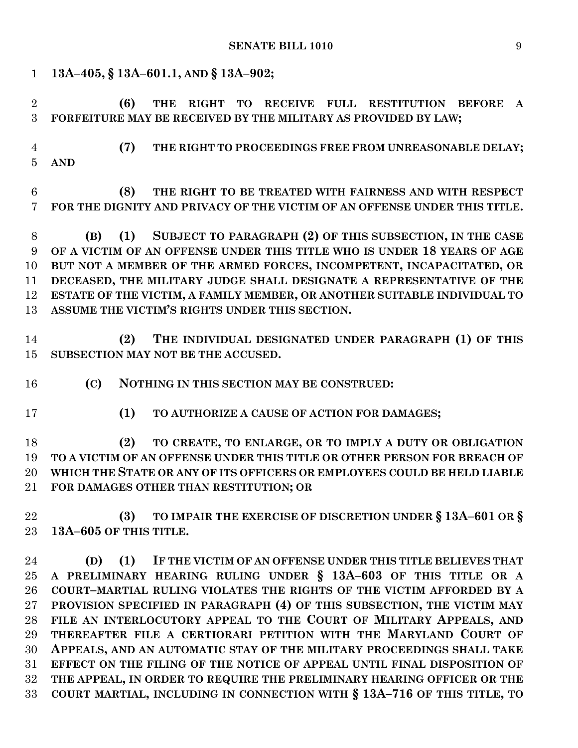| $\mathbf{1}$                     | 13A-405, § 13A-601.1, AND § 13A-902;                                                                                                                      |
|----------------------------------|-----------------------------------------------------------------------------------------------------------------------------------------------------------|
| $\overline{2}$<br>3              | TO RECEIVE FULL RESTITUTION BEFORE<br>(6)<br><b>THE</b><br><b>RIGHT</b><br>$\mathbf{A}$<br>FORFEITURE MAY BE RECEIVED BY THE MILITARY AS PROVIDED BY LAW; |
| $\overline{4}$<br>$\overline{5}$ | (7)<br>THE RIGHT TO PROCEEDINGS FREE FROM UNREASONABLE DELAY;<br><b>AND</b>                                                                               |
| $6\phantom{1}6$<br>7             | THE RIGHT TO BE TREATED WITH FAIRNESS AND WITH RESPECT<br>(8)<br>FOR THE DIGNITY AND PRIVACY OF THE VICTIM OF AN OFFENSE UNDER THIS TITLE.                |
| 8                                | (1) SUBJECT TO PARAGRAPH (2) OF THIS SUBSECTION, IN THE CASE<br>(B)                                                                                       |
| 9                                | OF A VICTIM OF AN OFFENSE UNDER THIS TITLE WHO IS UNDER 18 YEARS OF AGE                                                                                   |
| 10                               | BUT NOT A MEMBER OF THE ARMED FORCES, INCOMPETENT, INCAPACITATED, OR                                                                                      |
| 11                               | DECEASED, THE MILITARY JUDGE SHALL DESIGNATE A REPRESENTATIVE OF THE                                                                                      |
| 12                               | ESTATE OF THE VICTIM, A FAMILY MEMBER, OR ANOTHER SUITABLE INDIVIDUAL TO                                                                                  |
| 13                               | ASSUME THE VICTIM'S RIGHTS UNDER THIS SECTION.                                                                                                            |
| 14<br>15                         | THE INDIVIDUAL DESIGNATED UNDER PARAGRAPH (1) OF THIS<br>(2)<br>SUBSECTION MAY NOT BE THE ACCUSED.                                                        |
| 16                               | (C)<br>NOTHING IN THIS SECTION MAY BE CONSTRUED:                                                                                                          |
| 17                               | (1)<br>TO AUTHORIZE A CAUSE OF ACTION FOR DAMAGES;                                                                                                        |
| 18                               | TO CREATE, TO ENLARGE, OR TO IMPLY A DUTY OR OBLIGATION<br>(2)                                                                                            |
| 19                               | TO A VICTIM OF AN OFFENSE UNDER THIS TITLE OR OTHER PERSON FOR BREACH OF                                                                                  |
| 20                               | WHICH THE STATE OR ANY OF ITS OFFICERS OR EMPLOYEES COULD BE HELD LIABLE                                                                                  |
| 21                               | FOR DAMAGES OTHER THAN RESTITUTION; OR                                                                                                                    |
| 22<br>23                         | TO IMPAIR THE EXERCISE OF DISCRETION UNDER § 13A-601 OR §<br>(3)<br>13A-605 OF THIS TITLE.                                                                |
|                                  |                                                                                                                                                           |
| 24                               | (1)<br>IF THE VICTIM OF AN OFFENSE UNDER THIS TITLE BELIEVES THAT<br>(D)                                                                                  |
| 25                               | A PRELIMINARY HEARING RULING UNDER § 13A-603 OF THIS TITLE OR A                                                                                           |
| 26                               | COURT-MARTIAL RULING VIOLATES THE RIGHTS OF THE VICTIM AFFORDED BY A                                                                                      |
| 27                               | PROVISION SPECIFIED IN PARAGRAPH (4) OF THIS SUBSECTION, THE VICTIM MAY                                                                                   |
| 28                               | FILE AN INTERLOCUTORY APPEAL TO THE COURT OF MILITARY APPEALS, AND                                                                                        |
| 29                               | THEREAFTER FILE A CERTIORARI PETITION WITH THE MARYLAND COURT OF                                                                                          |
| 30<br>31                         | APPEALS, AND AN AUTOMATIC STAY OF THE MILITARY PROCEEDINGS SHALL TAKE<br>EFFECT ON THE FILING OF THE NOTICE OF APPEAL UNTIL FINAL DISPOSITION OF          |
| 32                               | THE APPEAL, IN ORDER TO REQUIRE THE PRELIMINARY HEARING OFFICER OR THE                                                                                    |
| 33                               | COURT MARTIAL, INCLUDING IN CONNECTION WITH § 13A-716 OF THIS TITLE, TO                                                                                   |
|                                  |                                                                                                                                                           |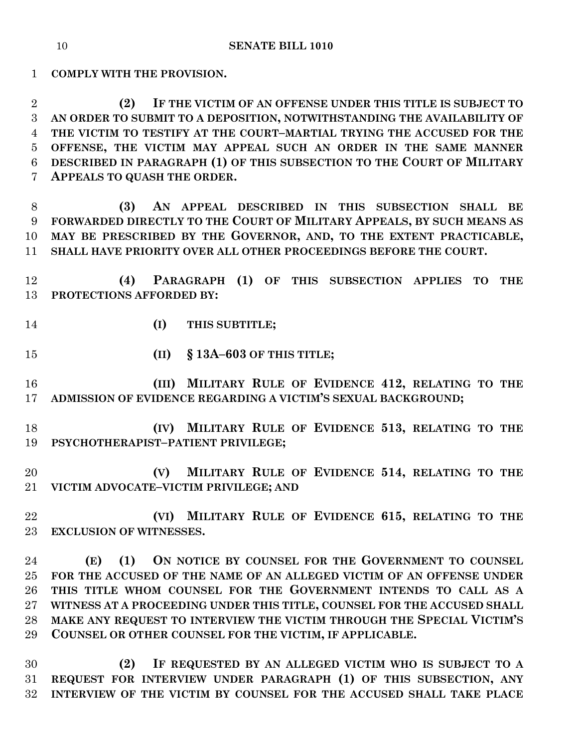**COMPLY WITH THE PROVISION.**

 **(2) IF THE VICTIM OF AN OFFENSE UNDER THIS TITLE IS SUBJECT TO AN ORDER TO SUBMIT TO A DEPOSITION, NOTWITHSTANDING THE AVAILABILITY OF THE VICTIM TO TESTIFY AT THE COURT–MARTIAL TRYING THE ACCUSED FOR THE OFFENSE, THE VICTIM MAY APPEAL SUCH AN ORDER IN THE SAME MANNER DESCRIBED IN PARAGRAPH (1) OF THIS SUBSECTION TO THE COURT OF MILITARY APPEALS TO QUASH THE ORDER.**

 **(3) AN APPEAL DESCRIBED IN THIS SUBSECTION SHALL BE FORWARDED DIRECTLY TO THE COURT OF MILITARY APPEALS, BY SUCH MEANS AS MAY BE PRESCRIBED BY THE GOVERNOR, AND, TO THE EXTENT PRACTICABLE, SHALL HAVE PRIORITY OVER ALL OTHER PROCEEDINGS BEFORE THE COURT.**

 **(4) PARAGRAPH (1) OF THIS SUBSECTION APPLIES TO THE PROTECTIONS AFFORDED BY:**

- **(I) THIS SUBTITLE;**
- **(II) § 13A–603 OF THIS TITLE;**

 **(III) MILITARY RULE OF EVIDENCE 412, RELATING TO THE ADMISSION OF EVIDENCE REGARDING A VICTIM'S SEXUAL BACKGROUND;**

- **(IV) MILITARY RULE OF EVIDENCE 513, RELATING TO THE PSYCHOTHERAPIST–PATIENT PRIVILEGE;**
- **(V) MILITARY RULE OF EVIDENCE 514, RELATING TO THE VICTIM ADVOCATE–VICTIM PRIVILEGE; AND**
- **(VI) MILITARY RULE OF EVIDENCE 615, RELATING TO THE EXCLUSION OF WITNESSES.**

 **(E) (1) ON NOTICE BY COUNSEL FOR THE GOVERNMENT TO COUNSEL FOR THE ACCUSED OF THE NAME OF AN ALLEGED VICTIM OF AN OFFENSE UNDER THIS TITLE WHOM COUNSEL FOR THE GOVERNMENT INTENDS TO CALL AS A WITNESS AT A PROCEEDING UNDER THIS TITLE, COUNSEL FOR THE ACCUSED SHALL MAKE ANY REQUEST TO INTERVIEW THE VICTIM THROUGH THE SPECIAL VICTIM'S COUNSEL OR OTHER COUNSEL FOR THE VICTIM, IF APPLICABLE.**

 **(2) IF REQUESTED BY AN ALLEGED VICTIM WHO IS SUBJECT TO A REQUEST FOR INTERVIEW UNDER PARAGRAPH (1) OF THIS SUBSECTION, ANY INTERVIEW OF THE VICTIM BY COUNSEL FOR THE ACCUSED SHALL TAKE PLACE**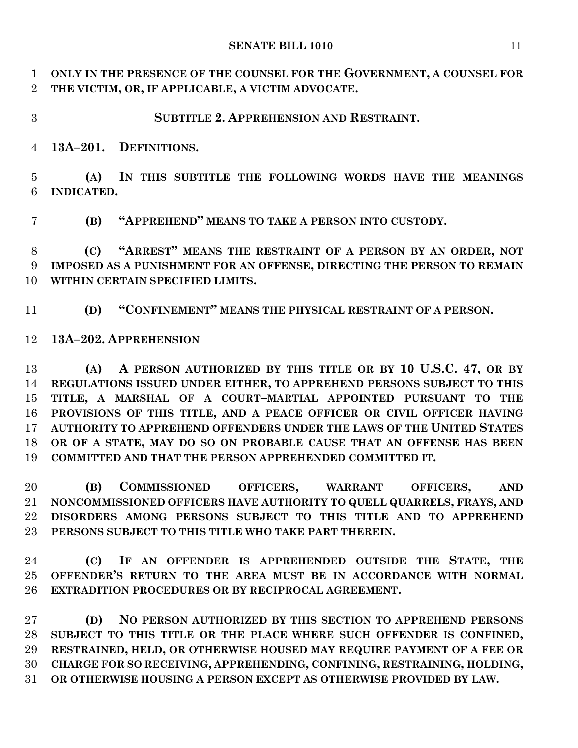**ONLY IN THE PRESENCE OF THE COUNSEL FOR THE GOVERNMENT, A COUNSEL FOR THE VICTIM, OR, IF APPLICABLE, A VICTIM ADVOCATE.**

# **SUBTITLE 2. APPREHENSION AND RESTRAINT.**

**13A–201. DEFINITIONS.**

 **(A) IN THIS SUBTITLE THE FOLLOWING WORDS HAVE THE MEANINGS INDICATED.**

**(B) "APPREHEND" MEANS TO TAKE A PERSON INTO CUSTODY.**

 **(C) "ARREST" MEANS THE RESTRAINT OF A PERSON BY AN ORDER, NOT IMPOSED AS A PUNISHMENT FOR AN OFFENSE, DIRECTING THE PERSON TO REMAIN WITHIN CERTAIN SPECIFIED LIMITS.**

**(D) "CONFINEMENT" MEANS THE PHYSICAL RESTRAINT OF A PERSON.**

**13A–202. APPREHENSION**

 **(A) A PERSON AUTHORIZED BY THIS TITLE OR BY 10 U.S.C. 47, OR BY REGULATIONS ISSUED UNDER EITHER, TO APPREHEND PERSONS SUBJECT TO THIS TITLE, A MARSHAL OF A COURT–MARTIAL APPOINTED PURSUANT TO THE PROVISIONS OF THIS TITLE, AND A PEACE OFFICER OR CIVIL OFFICER HAVING AUTHORITY TO APPREHEND OFFENDERS UNDER THE LAWS OF THE UNITED STATES OR OF A STATE, MAY DO SO ON PROBABLE CAUSE THAT AN OFFENSE HAS BEEN COMMITTED AND THAT THE PERSON APPREHENDED COMMITTED IT.**

 **(B) COMMISSIONED OFFICERS, WARRANT OFFICERS, AND NONCOMMISSIONED OFFICERS HAVE AUTHORITY TO QUELL QUARRELS, FRAYS, AND DISORDERS AMONG PERSONS SUBJECT TO THIS TITLE AND TO APPREHEND PERSONS SUBJECT TO THIS TITLE WHO TAKE PART THEREIN.**

 **(C) IF AN OFFENDER IS APPREHENDED OUTSIDE THE STATE, THE OFFENDER'S RETURN TO THE AREA MUST BE IN ACCORDANCE WITH NORMAL EXTRADITION PROCEDURES OR BY RECIPROCAL AGREEMENT.**

 **(D) NO PERSON AUTHORIZED BY THIS SECTION TO APPREHEND PERSONS SUBJECT TO THIS TITLE OR THE PLACE WHERE SUCH OFFENDER IS CONFINED, RESTRAINED, HELD, OR OTHERWISE HOUSED MAY REQUIRE PAYMENT OF A FEE OR CHARGE FOR SO RECEIVING, APPREHENDING, CONFINING, RESTRAINING, HOLDING, OR OTHERWISE HOUSING A PERSON EXCEPT AS OTHERWISE PROVIDED BY LAW.**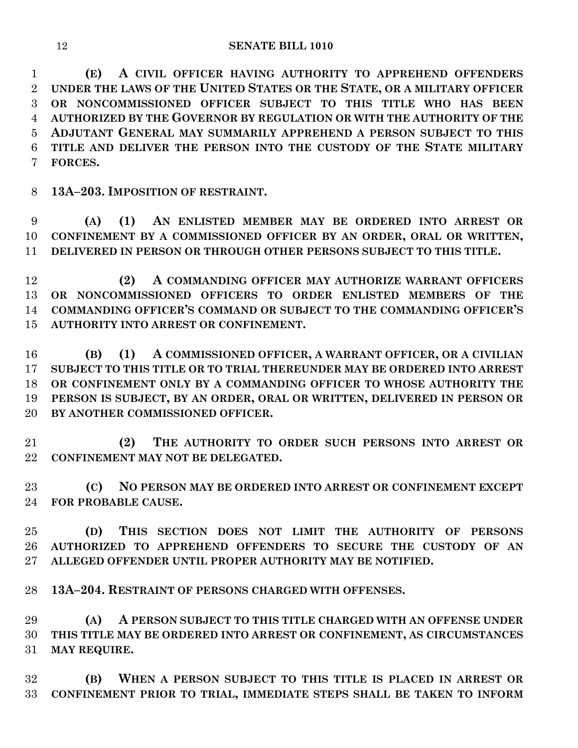**(E) A CIVIL OFFICER HAVING AUTHORITY TO APPREHEND OFFENDERS UNDER THE LAWS OF THE UNITED STATES OR THE STATE, OR A MILITARY OFFICER OR NONCOMMISSIONED OFFICER SUBJECT TO THIS TITLE WHO HAS BEEN AUTHORIZED BY THE GOVERNOR BY REGULATION OR WITH THE AUTHORITY OF THE ADJUTANT GENERAL MAY SUMMARILY APPREHEND A PERSON SUBJECT TO THIS TITLE AND DELIVER THE PERSON INTO THE CUSTODY OF THE STATE MILITARY FORCES.**

**13A–203. IMPOSITION OF RESTRAINT.**

 **(A) (1) AN ENLISTED MEMBER MAY BE ORDERED INTO ARREST OR CONFINEMENT BY A COMMISSIONED OFFICER BY AN ORDER, ORAL OR WRITTEN, DELIVERED IN PERSON OR THROUGH OTHER PERSONS SUBJECT TO THIS TITLE.**

 **(2) A COMMANDING OFFICER MAY AUTHORIZE WARRANT OFFICERS OR NONCOMMISSIONED OFFICERS TO ORDER ENLISTED MEMBERS OF THE COMMANDING OFFICER'S COMMAND OR SUBJECT TO THE COMMANDING OFFICER'S AUTHORITY INTO ARREST OR CONFINEMENT.**

 **(B) (1) A COMMISSIONED OFFICER, A WARRANT OFFICER, OR A CIVILIAN SUBJECT TO THIS TITLE OR TO TRIAL THEREUNDER MAY BE ORDERED INTO ARREST OR CONFINEMENT ONLY BY A COMMANDING OFFICER TO WHOSE AUTHORITY THE PERSON IS SUBJECT, BY AN ORDER, ORAL OR WRITTEN, DELIVERED IN PERSON OR BY ANOTHER COMMISSIONED OFFICER.**

 **(2) THE AUTHORITY TO ORDER SUCH PERSONS INTO ARREST OR CONFINEMENT MAY NOT BE DELEGATED.**

 **(C) NO PERSON MAY BE ORDERED INTO ARREST OR CONFINEMENT EXCEPT FOR PROBABLE CAUSE.**

 **(D) THIS SECTION DOES NOT LIMIT THE AUTHORITY OF PERSONS AUTHORIZED TO APPREHEND OFFENDERS TO SECURE THE CUSTODY OF AN ALLEGED OFFENDER UNTIL PROPER AUTHORITY MAY BE NOTIFIED.**

**13A–204. RESTRAINT OF PERSONS CHARGED WITH OFFENSES.**

 **(A) A PERSON SUBJECT TO THIS TITLE CHARGED WITH AN OFFENSE UNDER THIS TITLE MAY BE ORDERED INTO ARREST OR CONFINEMENT, AS CIRCUMSTANCES MAY REQUIRE.**

 **(B) WHEN A PERSON SUBJECT TO THIS TITLE IS PLACED IN ARREST OR CONFINEMENT PRIOR TO TRIAL, IMMEDIATE STEPS SHALL BE TAKEN TO INFORM**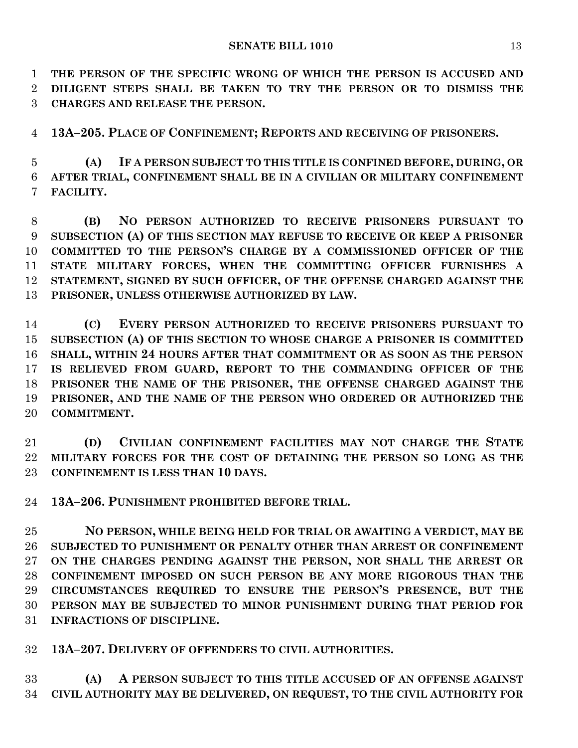**THE PERSON OF THE SPECIFIC WRONG OF WHICH THE PERSON IS ACCUSED AND DILIGENT STEPS SHALL BE TAKEN TO TRY THE PERSON OR TO DISMISS THE CHARGES AND RELEASE THE PERSON.**

**13A–205. PLACE OF CONFINEMENT; REPORTS AND RECEIVING OF PRISONERS.**

 **(A) IF A PERSON SUBJECT TO THIS TITLE IS CONFINED BEFORE, DURING, OR AFTER TRIAL, CONFINEMENT SHALL BE IN A CIVILIAN OR MILITARY CONFINEMENT FACILITY.**

 **(B) NO PERSON AUTHORIZED TO RECEIVE PRISONERS PURSUANT TO SUBSECTION (A) OF THIS SECTION MAY REFUSE TO RECEIVE OR KEEP A PRISONER COMMITTED TO THE PERSON'S CHARGE BY A COMMISSIONED OFFICER OF THE STATE MILITARY FORCES, WHEN THE COMMITTING OFFICER FURNISHES A STATEMENT, SIGNED BY SUCH OFFICER, OF THE OFFENSE CHARGED AGAINST THE PRISONER, UNLESS OTHERWISE AUTHORIZED BY LAW.**

 **(C) EVERY PERSON AUTHORIZED TO RECEIVE PRISONERS PURSUANT TO SUBSECTION (A) OF THIS SECTION TO WHOSE CHARGE A PRISONER IS COMMITTED SHALL, WITHIN 24 HOURS AFTER THAT COMMITMENT OR AS SOON AS THE PERSON IS RELIEVED FROM GUARD, REPORT TO THE COMMANDING OFFICER OF THE PRISONER THE NAME OF THE PRISONER, THE OFFENSE CHARGED AGAINST THE PRISONER, AND THE NAME OF THE PERSON WHO ORDERED OR AUTHORIZED THE COMMITMENT.**

 **(D) CIVILIAN CONFINEMENT FACILITIES MAY NOT CHARGE THE STATE MILITARY FORCES FOR THE COST OF DETAINING THE PERSON SO LONG AS THE CONFINEMENT IS LESS THAN 10 DAYS.**

**13A–206. PUNISHMENT PROHIBITED BEFORE TRIAL.**

 **NO PERSON, WHILE BEING HELD FOR TRIAL OR AWAITING A VERDICT, MAY BE SUBJECTED TO PUNISHMENT OR PENALTY OTHER THAN ARREST OR CONFINEMENT ON THE CHARGES PENDING AGAINST THE PERSON, NOR SHALL THE ARREST OR CONFINEMENT IMPOSED ON SUCH PERSON BE ANY MORE RIGOROUS THAN THE CIRCUMSTANCES REQUIRED TO ENSURE THE PERSON'S PRESENCE, BUT THE PERSON MAY BE SUBJECTED TO MINOR PUNISHMENT DURING THAT PERIOD FOR INFRACTIONS OF DISCIPLINE.**

**13A–207. DELIVERY OF OFFENDERS TO CIVIL AUTHORITIES.**

 **(A) A PERSON SUBJECT TO THIS TITLE ACCUSED OF AN OFFENSE AGAINST CIVIL AUTHORITY MAY BE DELIVERED, ON REQUEST, TO THE CIVIL AUTHORITY FOR**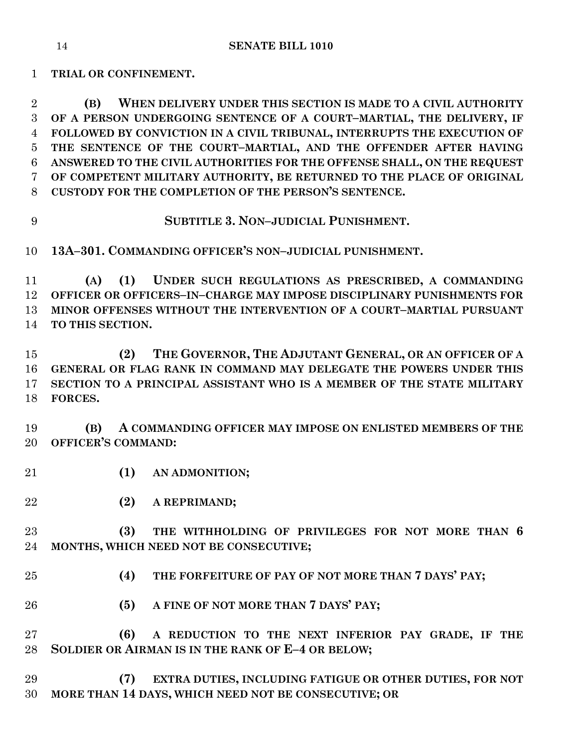**TRIAL OR CONFINEMENT.**

 **(B) WHEN DELIVERY UNDER THIS SECTION IS MADE TO A CIVIL AUTHORITY OF A PERSON UNDERGOING SENTENCE OF A COURT–MARTIAL, THE DELIVERY, IF FOLLOWED BY CONVICTION IN A CIVIL TRIBUNAL, INTERRUPTS THE EXECUTION OF THE SENTENCE OF THE COURT–MARTIAL, AND THE OFFENDER AFTER HAVING ANSWERED TO THE CIVIL AUTHORITIES FOR THE OFFENSE SHALL, ON THE REQUEST OF COMPETENT MILITARY AUTHORITY, BE RETURNED TO THE PLACE OF ORIGINAL CUSTODY FOR THE COMPLETION OF THE PERSON'S SENTENCE.**

**SUBTITLE 3. NON–JUDICIAL PUNISHMENT.**

**13A–301. COMMANDING OFFICER'S NON–JUDICIAL PUNISHMENT.**

 **(A) (1) UNDER SUCH REGULATIONS AS PRESCRIBED, A COMMANDING OFFICER OR OFFICERS–IN–CHARGE MAY IMPOSE DISCIPLINARY PUNISHMENTS FOR MINOR OFFENSES WITHOUT THE INTERVENTION OF A COURT–MARTIAL PURSUANT TO THIS SECTION.**

 **(2) THE GOVERNOR, THE ADJUTANT GENERAL, OR AN OFFICER OF A GENERAL OR FLAG RANK IN COMMAND MAY DELEGATE THE POWERS UNDER THIS SECTION TO A PRINCIPAL ASSISTANT WHO IS A MEMBER OF THE STATE MILITARY FORCES.**

 **(B) A COMMANDING OFFICER MAY IMPOSE ON ENLISTED MEMBERS OF THE OFFICER'S COMMAND:**

- **(1) AN ADMONITION;**
- **(2) A REPRIMAND;**

 **(3) THE WITHHOLDING OF PRIVILEGES FOR NOT MORE THAN 6 MONTHS, WHICH NEED NOT BE CONSECUTIVE;**

- **(4) THE FORFEITURE OF PAY OF NOT MORE THAN 7 DAYS' PAY;**
- **(5) A FINE OF NOT MORE THAN 7 DAYS' PAY;**

 **(6) A REDUCTION TO THE NEXT INFERIOR PAY GRADE, IF THE SOLDIER OR AIRMAN IS IN THE RANK OF E–4 OR BELOW;**

 **(7) EXTRA DUTIES, INCLUDING FATIGUE OR OTHER DUTIES, FOR NOT MORE THAN 14 DAYS, WHICH NEED NOT BE CONSECUTIVE; OR**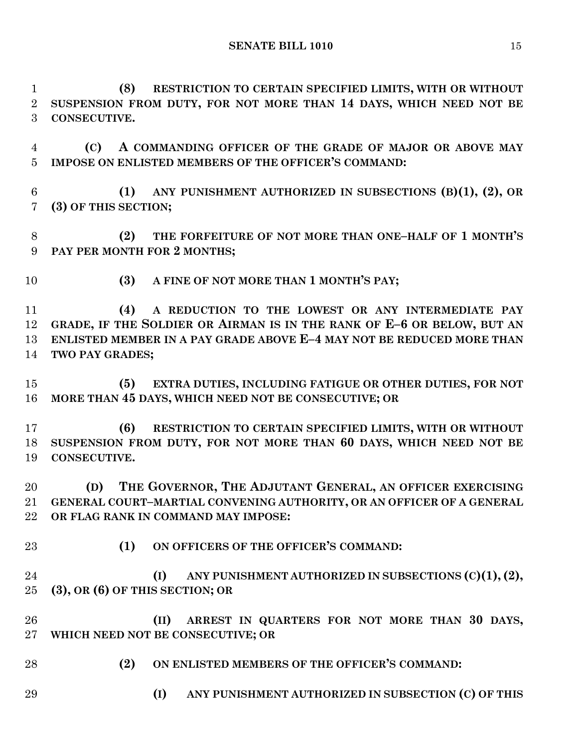**(8) RESTRICTION TO CERTAIN SPECIFIED LIMITS, WITH OR WITHOUT SUSPENSION FROM DUTY, FOR NOT MORE THAN 14 DAYS, WHICH NEED NOT BE CONSECUTIVE.**

 **(C) A COMMANDING OFFICER OF THE GRADE OF MAJOR OR ABOVE MAY IMPOSE ON ENLISTED MEMBERS OF THE OFFICER'S COMMAND:**

 **(1) ANY PUNISHMENT AUTHORIZED IN SUBSECTIONS (B)(1), (2), OR (3) OF THIS SECTION;**

 **(2) THE FORFEITURE OF NOT MORE THAN ONE–HALF OF 1 MONTH'S PAY PER MONTH FOR 2 MONTHS;**

**(3) A FINE OF NOT MORE THAN 1 MONTH'S PAY;**

 **(4) A REDUCTION TO THE LOWEST OR ANY INTERMEDIATE PAY GRADE, IF THE SOLDIER OR AIRMAN IS IN THE RANK OF E–6 OR BELOW, BUT AN ENLISTED MEMBER IN A PAY GRADE ABOVE E–4 MAY NOT BE REDUCED MORE THAN TWO PAY GRADES;**

 **(5) EXTRA DUTIES, INCLUDING FATIGUE OR OTHER DUTIES, FOR NOT MORE THAN 45 DAYS, WHICH NEED NOT BE CONSECUTIVE; OR**

 **(6) RESTRICTION TO CERTAIN SPECIFIED LIMITS, WITH OR WITHOUT SUSPENSION FROM DUTY, FOR NOT MORE THAN 60 DAYS, WHICH NEED NOT BE CONSECUTIVE.**

 **(D) THE GOVERNOR, THE ADJUTANT GENERAL, AN OFFICER EXERCISING GENERAL COURT–MARTIAL CONVENING AUTHORITY, OR AN OFFICER OF A GENERAL OR FLAG RANK IN COMMAND MAY IMPOSE:**

**(1) ON OFFICERS OF THE OFFICER'S COMMAND:**

 **(I) ANY PUNISHMENT AUTHORIZED IN SUBSECTIONS (C)(1),(2), (3), OR (6) OF THIS SECTION; OR**

 **(II) ARREST IN QUARTERS FOR NOT MORE THAN 30 DAYS, WHICH NEED NOT BE CONSECUTIVE; OR**

- **(2) ON ENLISTED MEMBERS OF THE OFFICER'S COMMAND:**
- **(I) ANY PUNISHMENT AUTHORIZED IN SUBSECTION (C) OF THIS**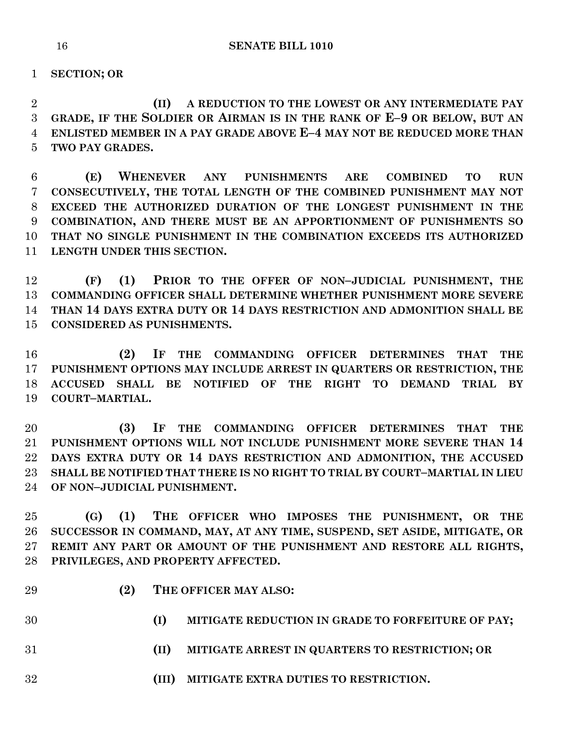**SECTION; OR**

 **(II) A REDUCTION TO THE LOWEST OR ANY INTERMEDIATE PAY GRADE, IF THE SOLDIER OR AIRMAN IS IN THE RANK OF E–9 OR BELOW, BUT AN ENLISTED MEMBER IN A PAY GRADE ABOVE E–4 MAY NOT BE REDUCED MORE THAN TWO PAY GRADES.**

 **(E) WHENEVER ANY PUNISHMENTS ARE COMBINED TO RUN CONSECUTIVELY, THE TOTAL LENGTH OF THE COMBINED PUNISHMENT MAY NOT EXCEED THE AUTHORIZED DURATION OF THE LONGEST PUNISHMENT IN THE COMBINATION, AND THERE MUST BE AN APPORTIONMENT OF PUNISHMENTS SO THAT NO SINGLE PUNISHMENT IN THE COMBINATION EXCEEDS ITS AUTHORIZED LENGTH UNDER THIS SECTION.**

 **(F) (1) PRIOR TO THE OFFER OF NON–JUDICIAL PUNISHMENT, THE COMMANDING OFFICER SHALL DETERMINE WHETHER PUNISHMENT MORE SEVERE THAN 14 DAYS EXTRA DUTY OR 14 DAYS RESTRICTION AND ADMONITION SHALL BE CONSIDERED AS PUNISHMENTS.**

 **(2) IF THE COMMANDING OFFICER DETERMINES THAT THE PUNISHMENT OPTIONS MAY INCLUDE ARREST IN QUARTERS OR RESTRICTION, THE ACCUSED SHALL BE NOTIFIED OF THE RIGHT TO DEMAND TRIAL BY COURT–MARTIAL.**

 **(3) IF THE COMMANDING OFFICER DETERMINES THAT THE PUNISHMENT OPTIONS WILL NOT INCLUDE PUNISHMENT MORE SEVERE THAN 14 DAYS EXTRA DUTY OR 14 DAYS RESTRICTION AND ADMONITION, THE ACCUSED SHALL BE NOTIFIED THAT THERE IS NO RIGHT TO TRIAL BY COURT–MARTIAL IN LIEU OF NON–JUDICIAL PUNISHMENT.**

 **(G) (1) THE OFFICER WHO IMPOSES THE PUNISHMENT, OR THE SUCCESSOR IN COMMAND, MAY, AT ANY TIME, SUSPEND, SET ASIDE, MITIGATE, OR REMIT ANY PART OR AMOUNT OF THE PUNISHMENT AND RESTORE ALL RIGHTS, PRIVILEGES, AND PROPERTY AFFECTED.**

- 
- **(2) THE OFFICER MAY ALSO:**
- **(I) MITIGATE REDUCTION IN GRADE TO FORFEITURE OF PAY;**
- **(II) MITIGATE ARREST IN QUARTERS TO RESTRICTION; OR**
- **(III) MITIGATE EXTRA DUTIES TO RESTRICTION.**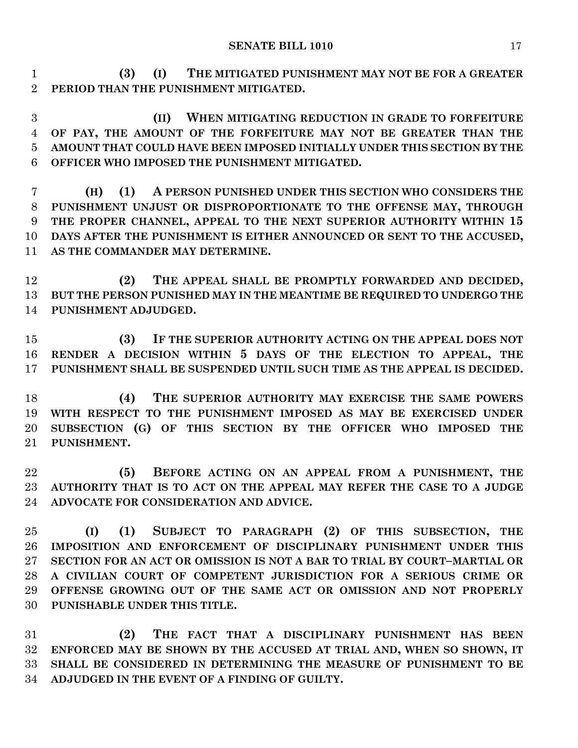**(3) (I) THE MITIGATED PUNISHMENT MAY NOT BE FOR A GREATER PERIOD THAN THE PUNISHMENT MITIGATED.**

 **(II) WHEN MITIGATING REDUCTION IN GRADE TO FORFEITURE OF PAY, THE AMOUNT OF THE FORFEITURE MAY NOT BE GREATER THAN THE AMOUNT THAT COULD HAVE BEEN IMPOSED INITIALLY UNDER THIS SECTION BY THE OFFICER WHO IMPOSED THE PUNISHMENT MITIGATED.**

 **(H) (1) A PERSON PUNISHED UNDER THIS SECTION WHO CONSIDERS THE PUNISHMENT UNJUST OR DISPROPORTIONATE TO THE OFFENSE MAY, THROUGH THE PROPER CHANNEL, APPEAL TO THE NEXT SUPERIOR AUTHORITY WITHIN 15 DAYS AFTER THE PUNISHMENT IS EITHER ANNOUNCED OR SENT TO THE ACCUSED, AS THE COMMANDER MAY DETERMINE.**

 **(2) THE APPEAL SHALL BE PROMPTLY FORWARDED AND DECIDED, BUT THE PERSON PUNISHED MAY IN THE MEANTIME BE REQUIRED TO UNDERGO THE PUNISHMENT ADJUDGED.**

 **(3) IF THE SUPERIOR AUTHORITY ACTING ON THE APPEAL DOES NOT RENDER A DECISION WITHIN 5 DAYS OF THE ELECTION TO APPEAL, THE PUNISHMENT SHALL BE SUSPENDED UNTIL SUCH TIME AS THE APPEAL IS DECIDED.**

 **(4) THE SUPERIOR AUTHORITY MAY EXERCISE THE SAME POWERS WITH RESPECT TO THE PUNISHMENT IMPOSED AS MAY BE EXERCISED UNDER SUBSECTION (G) OF THIS SECTION BY THE OFFICER WHO IMPOSED THE PUNISHMENT.**

 **(5) BEFORE ACTING ON AN APPEAL FROM A PUNISHMENT, THE AUTHORITY THAT IS TO ACT ON THE APPEAL MAY REFER THE CASE TO A JUDGE ADVOCATE FOR CONSIDERATION AND ADVICE.**

 **(I) (1) SUBJECT TO PARAGRAPH (2) OF THIS SUBSECTION, THE IMPOSITION AND ENFORCEMENT OF DISCIPLINARY PUNISHMENT UNDER THIS SECTION FOR AN ACT OR OMISSION IS NOT A BAR TO TRIAL BY COURT–MARTIAL OR A CIVILIAN COURT OF COMPETENT JURISDICTION FOR A SERIOUS CRIME OR OFFENSE GROWING OUT OF THE SAME ACT OR OMISSION AND NOT PROPERLY PUNISHABLE UNDER THIS TITLE.**

 **(2) THE FACT THAT A DISCIPLINARY PUNISHMENT HAS BEEN ENFORCED MAY BE SHOWN BY THE ACCUSED AT TRIAL AND, WHEN SO SHOWN, IT SHALL BE CONSIDERED IN DETERMINING THE MEASURE OF PUNISHMENT TO BE ADJUDGED IN THE EVENT OF A FINDING OF GUILTY.**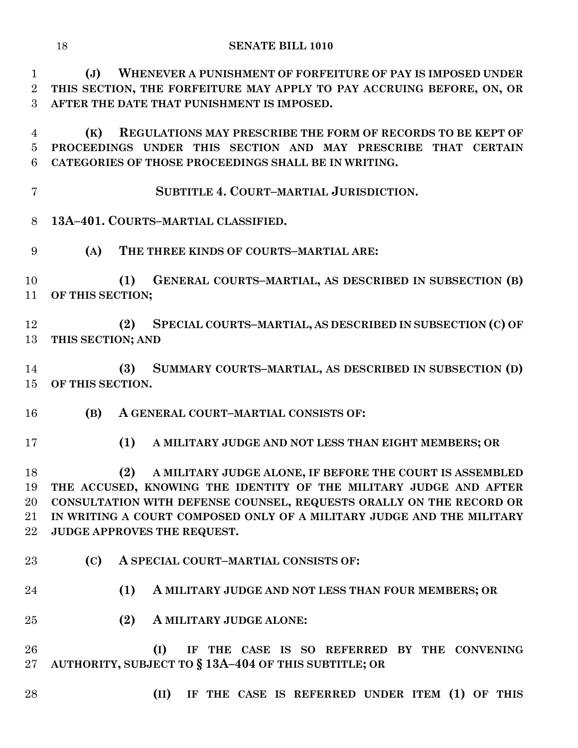**(J) WHENEVER A PUNISHMENT OF FORFEITURE OF PAY IS IMPOSED UNDER THIS SECTION, THE FORFEITURE MAY APPLY TO PAY ACCRUING BEFORE, ON, OR AFTER THE DATE THAT PUNISHMENT IS IMPOSED.**

 **(K) REGULATIONS MAY PRESCRIBE THE FORM OF RECORDS TO BE KEPT OF PROCEEDINGS UNDER THIS SECTION AND MAY PRESCRIBE THAT CERTAIN CATEGORIES OF THOSE PROCEEDINGS SHALL BE IN WRITING.**

**SUBTITLE 4. COURT–MARTIAL JURISDICTION.**

**13A–401. COURTS–MARTIAL CLASSIFIED.**

**(A) THE THREE KINDS OF COURTS–MARTIAL ARE:**

 **(1) GENERAL COURTS–MARTIAL, AS DESCRIBED IN SUBSECTION (B) OF THIS SECTION;**

 **(2) SPECIAL COURTS–MARTIAL, AS DESCRIBED IN SUBSECTION (C) OF THIS SECTION; AND**

 **(3) SUMMARY COURTS–MARTIAL, AS DESCRIBED IN SUBSECTION (D) OF THIS SECTION.**

**(B) A GENERAL COURT–MARTIAL CONSISTS OF:**

**(1) A MILITARY JUDGE AND NOT LESS THAN EIGHT MEMBERS; OR**

 **(2) A MILITARY JUDGE ALONE, IF BEFORE THE COURT IS ASSEMBLED THE ACCUSED, KNOWING THE IDENTITY OF THE MILITARY JUDGE AND AFTER CONSULTATION WITH DEFENSE COUNSEL, REQUESTS ORALLY ON THE RECORD OR IN WRITING A COURT COMPOSED ONLY OF A MILITARY JUDGE AND THE MILITARY JUDGE APPROVES THE REQUEST.**

- **(C) A SPECIAL COURT–MARTIAL CONSISTS OF:**
- **(1) A MILITARY JUDGE AND NOT LESS THAN FOUR MEMBERS; OR**
- **(2) A MILITARY JUDGE ALONE:**

 **(I) IF THE CASE IS SO REFERRED BY THE CONVENING AUTHORITY, SUBJECT TO § 13A–404 OF THIS SUBTITLE; OR**

- 
- **(II) IF THE CASE IS REFERRED UNDER ITEM (1) OF THIS**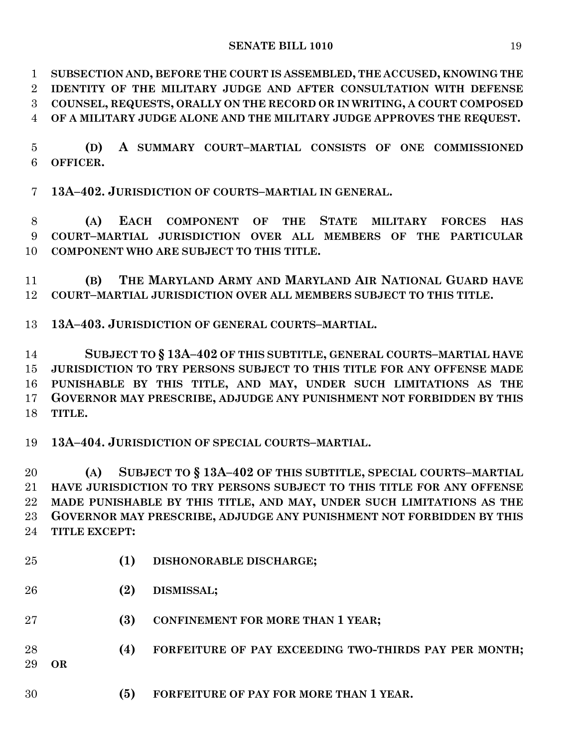**SUBSECTION AND, BEFORE THE COURT IS ASSEMBLED, THE ACCUSED, KNOWING THE IDENTITY OF THE MILITARY JUDGE AND AFTER CONSULTATION WITH DEFENSE COUNSEL, REQUESTS, ORALLY ON THE RECORD OR IN WRITING, A COURT COMPOSED OF A MILITARY JUDGE ALONE AND THE MILITARY JUDGE APPROVES THE REQUEST.**

 **(D) A SUMMARY COURT–MARTIAL CONSISTS OF ONE COMMISSIONED OFFICER.**

**13A–402. JURISDICTION OF COURTS–MARTIAL IN GENERAL.**

 **(A) EACH COMPONENT OF THE STATE MILITARY FORCES HAS COURT–MARTIAL JURISDICTION OVER ALL MEMBERS OF THE PARTICULAR COMPONENT WHO ARE SUBJECT TO THIS TITLE.**

 **(B) THE MARYLAND ARMY AND MARYLAND AIR NATIONAL GUARD HAVE COURT–MARTIAL JURISDICTION OVER ALL MEMBERS SUBJECT TO THIS TITLE.**

**13A–403. JURISDICTION OF GENERAL COURTS–MARTIAL.**

 **SUBJECT TO § 13A–402 OF THIS SUBTITLE, GENERAL COURTS–MARTIAL HAVE JURISDICTION TO TRY PERSONS SUBJECT TO THIS TITLE FOR ANY OFFENSE MADE PUNISHABLE BY THIS TITLE, AND MAY, UNDER SUCH LIMITATIONS AS THE GOVERNOR MAY PRESCRIBE, ADJUDGE ANY PUNISHMENT NOT FORBIDDEN BY THIS TITLE.**

**13A–404. JURISDICTION OF SPECIAL COURTS–MARTIAL.**

 **(A) SUBJECT TO § 13A–402 OF THIS SUBTITLE, SPECIAL COURTS–MARTIAL HAVE JURISDICTION TO TRY PERSONS SUBJECT TO THIS TITLE FOR ANY OFFENSE MADE PUNISHABLE BY THIS TITLE, AND MAY, UNDER SUCH LIMITATIONS AS THE GOVERNOR MAY PRESCRIBE, ADJUDGE ANY PUNISHMENT NOT FORBIDDEN BY THIS TITLE EXCEPT:**

- **(1) DISHONORABLE DISCHARGE;**
- **(2) DISMISSAL;**
- **(3) CONFINEMENT FOR MORE THAN 1 YEAR;**
- **(4) FORFEITURE OF PAY EXCEEDING TWO-THIRDS PAY PER MONTH;**
- **OR**
- **(5) FORFEITURE OF PAY FOR MORE THAN 1 YEAR.**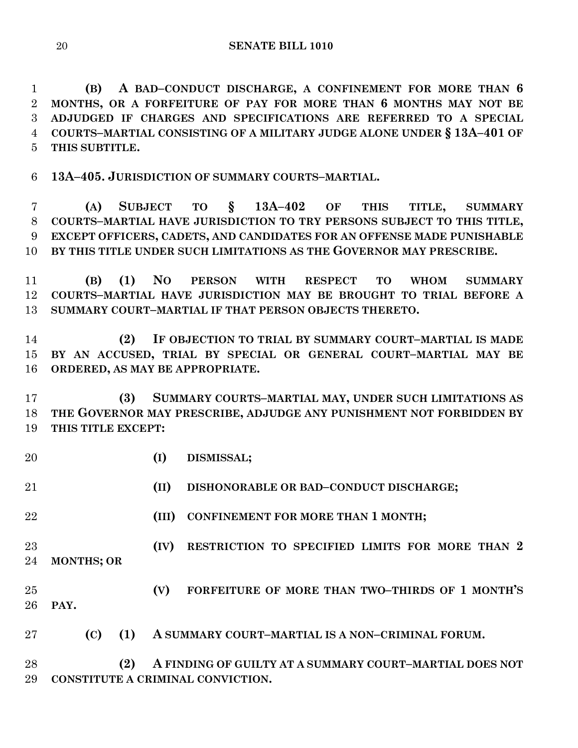**(B) A BAD–CONDUCT DISCHARGE, A CONFINEMENT FOR MORE THAN 6 MONTHS, OR A FORFEITURE OF PAY FOR MORE THAN 6 MONTHS MAY NOT BE ADJUDGED IF CHARGES AND SPECIFICATIONS ARE REFERRED TO A SPECIAL COURTS–MARTIAL CONSISTING OF A MILITARY JUDGE ALONE UNDER § 13A–401 OF THIS SUBTITLE.**

**13A–405. JURISDICTION OF SUMMARY COURTS–MARTIAL.**

 **(A) SUBJECT TO § 13A–402 OF THIS TITLE, SUMMARY COURTS–MARTIAL HAVE JURISDICTION TO TRY PERSONS SUBJECT TO THIS TITLE, EXCEPT OFFICERS, CADETS, AND CANDIDATES FOR AN OFFENSE MADE PUNISHABLE BY THIS TITLE UNDER SUCH LIMITATIONS AS THE GOVERNOR MAY PRESCRIBE.**

 **(B) (1) NO PERSON WITH RESPECT TO WHOM SUMMARY COURTS–MARTIAL HAVE JURISDICTION MAY BE BROUGHT TO TRIAL BEFORE A SUMMARY COURT–MARTIAL IF THAT PERSON OBJECTS THERETO.**

 **(2) IF OBJECTION TO TRIAL BY SUMMARY COURT–MARTIAL IS MADE BY AN ACCUSED, TRIAL BY SPECIAL OR GENERAL COURT–MARTIAL MAY BE ORDERED, AS MAY BE APPROPRIATE.**

 **(3) SUMMARY COURTS–MARTIAL MAY, UNDER SUCH LIMITATIONS AS THE GOVERNOR MAY PRESCRIBE, ADJUDGE ANY PUNISHMENT NOT FORBIDDEN BY THIS TITLE EXCEPT:**

**(I) DISMISSAL;**

**(II) DISHONORABLE OR BAD–CONDUCT DISCHARGE;**

**(III) CONFINEMENT FOR MORE THAN 1 MONTH;**

 **(IV) RESTRICTION TO SPECIFIED LIMITS FOR MORE THAN 2 MONTHS; OR** 

 **(V) FORFEITURE OF MORE THAN TWO–THIRDS OF 1 MONTH'S PAY.**

**(C) (1) A SUMMARY COURT–MARTIAL IS A NON–CRIMINAL FORUM.**

 **(2) A FINDING OF GUILTY AT A SUMMARY COURT–MARTIAL DOES NOT CONSTITUTE A CRIMINAL CONVICTION.**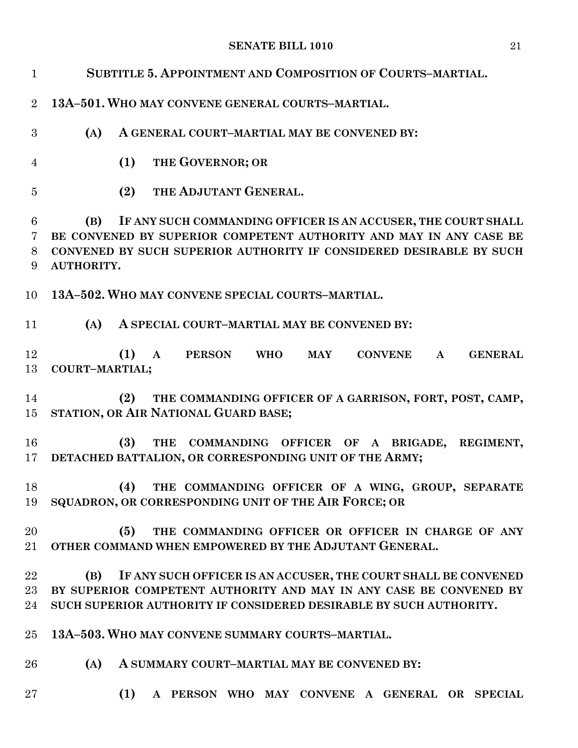| $\mathbf{1}$     | SUBTITLE 5. APPOINTMENT AND COMPOSITION OF COURTS-MARTIAL.                                                                                                                                                                      |
|------------------|---------------------------------------------------------------------------------------------------------------------------------------------------------------------------------------------------------------------------------|
| $\overline{2}$   | 13A-501. WHO MAY CONVENE GENERAL COURTS-MARTIAL.                                                                                                                                                                                |
| 3                | (A)<br>A GENERAL COURT-MARTIAL MAY BE CONVENED BY:                                                                                                                                                                              |
| $\overline{4}$   | THE GOVERNOR; OR<br>(1)                                                                                                                                                                                                         |
| $\overline{5}$   | THE ADJUTANT GENERAL.<br>(2)                                                                                                                                                                                                    |
| 6<br>7<br>8<br>9 | IF ANY SUCH COMMANDING OFFICER IS AN ACCUSER, THE COURT SHALL<br>(B)<br>BE CONVENED BY SUPERIOR COMPETENT AUTHORITY AND MAY IN ANY CASE BE<br>CONVENED BY SUCH SUPERIOR AUTHORITY IF CONSIDERED DESIRABLE BY SUCH<br>AUTHORITY. |
| 10               | 13A-502. WHO MAY CONVENE SPECIAL COURTS-MARTIAL.                                                                                                                                                                                |
| 11               | (A)<br>A SPECIAL COURT-MARTIAL MAY BE CONVENED BY:                                                                                                                                                                              |
| 12<br>13         | (1)<br>PERSON WHO<br><b>CONVENE</b><br><b>GENERAL</b><br><b>MAY</b><br>$\mathbf{A}$<br>$\mathbf{A}$<br>COURT-MARTIAL;                                                                                                           |
| 14<br>15         | (2)<br>THE COMMANDING OFFICER OF A GARRISON, FORT, POST, CAMP,<br>STATION, OR AIR NATIONAL GUARD BASE;                                                                                                                          |
| 16<br>17         | (3)<br>THE COMMANDING OFFICER OF A BRIGADE, REGIMENT,<br>DETACHED BATTALION, OR CORRESPONDING UNIT OF THE ARMY;                                                                                                                 |
| 18<br>19         | (4)<br>THE COMMANDING OFFICER OF A WING, GROUP, SEPARATE<br>SQUADRON, OR CORRESPONDING UNIT OF THE AIR FORCE; OR                                                                                                                |
| 20<br>21         | THE COMMANDING OFFICER OR OFFICER IN CHARGE OF ANY<br>(5)<br>OTHER COMMAND WHEN EMPOWERED BY THE ADJUTANT GENERAL.                                                                                                              |
| 22<br>23<br>24   | (B)<br>IF ANY SUCH OFFICER IS AN ACCUSER, THE COURT SHALL BE CONVENED<br>BY SUPERIOR COMPETENT AUTHORITY AND MAY IN ANY CASE BE CONVENED BY<br>SUCH SUPERIOR AUTHORITY IF CONSIDERED DESIRABLE BY SUCH AUTHORITY.               |
| 25 <sub>1</sub>  | 13A-503. WHO MAY CONVENE SUMMARY COURTS-MARTIAL.                                                                                                                                                                                |
| 26               | (A)<br>A SUMMARY COURT-MARTIAL MAY BE CONVENED BY:                                                                                                                                                                              |
| $27\,$           | (1) A PERSON WHO MAY CONVENE A GENERAL OR SPECIAL                                                                                                                                                                               |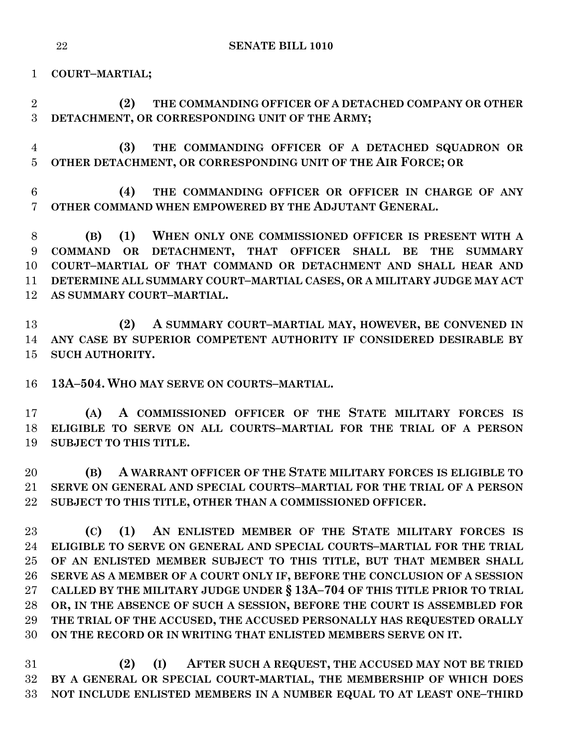**COURT–MARTIAL;**

 **(2) THE COMMANDING OFFICER OF A DETACHED COMPANY OR OTHER DETACHMENT, OR CORRESPONDING UNIT OF THE ARMY;**

 **(3) THE COMMANDING OFFICER OF A DETACHED SQUADRON OR OTHER DETACHMENT, OR CORRESPONDING UNIT OF THE AIR FORCE; OR**

 **(4) THE COMMANDING OFFICER OR OFFICER IN CHARGE OF ANY OTHER COMMAND WHEN EMPOWERED BY THE ADJUTANT GENERAL.**

 **(B) (1) WHEN ONLY ONE COMMISSIONED OFFICER IS PRESENT WITH A COMMAND OR DETACHMENT, THAT OFFICER SHALL BE THE SUMMARY COURT–MARTIAL OF THAT COMMAND OR DETACHMENT AND SHALL HEAR AND DETERMINE ALL SUMMARY COURT–MARTIAL CASES, OR A MILITARY JUDGE MAY ACT AS SUMMARY COURT–MARTIAL.**

 **(2) A SUMMARY COURT–MARTIAL MAY, HOWEVER, BE CONVENED IN ANY CASE BY SUPERIOR COMPETENT AUTHORITY IF CONSIDERED DESIRABLE BY SUCH AUTHORITY.**

**13A–504. WHO MAY SERVE ON COURTS–MARTIAL.**

 **(A) A COMMISSIONED OFFICER OF THE STATE MILITARY FORCES IS ELIGIBLE TO SERVE ON ALL COURTS–MARTIAL FOR THE TRIAL OF A PERSON SUBJECT TO THIS TITLE.**

 **(B) A WARRANT OFFICER OF THE STATE MILITARY FORCES IS ELIGIBLE TO SERVE ON GENERAL AND SPECIAL COURTS–MARTIAL FOR THE TRIAL OF A PERSON SUBJECT TO THIS TITLE, OTHER THAN A COMMISSIONED OFFICER.**

 **(C) (1) AN ENLISTED MEMBER OF THE STATE MILITARY FORCES IS ELIGIBLE TO SERVE ON GENERAL AND SPECIAL COURTS–MARTIAL FOR THE TRIAL OF AN ENLISTED MEMBER SUBJECT TO THIS TITLE, BUT THAT MEMBER SHALL SERVE AS A MEMBER OF A COURT ONLY IF, BEFORE THE CONCLUSION OF A SESSION CALLED BY THE MILITARY JUDGE UNDER § 13A–704 OF THIS TITLE PRIOR TO TRIAL OR, IN THE ABSENCE OF SUCH A SESSION, BEFORE THE COURT IS ASSEMBLED FOR THE TRIAL OF THE ACCUSED, THE ACCUSED PERSONALLY HAS REQUESTED ORALLY ON THE RECORD OR IN WRITING THAT ENLISTED MEMBERS SERVE ON IT.**

 **(2) (I) AFTER SUCH A REQUEST, THE ACCUSED MAY NOT BE TRIED BY A GENERAL OR SPECIAL COURT-MARTIAL, THE MEMBERSHIP OF WHICH DOES NOT INCLUDE ENLISTED MEMBERS IN A NUMBER EQUAL TO AT LEAST ONE–THIRD**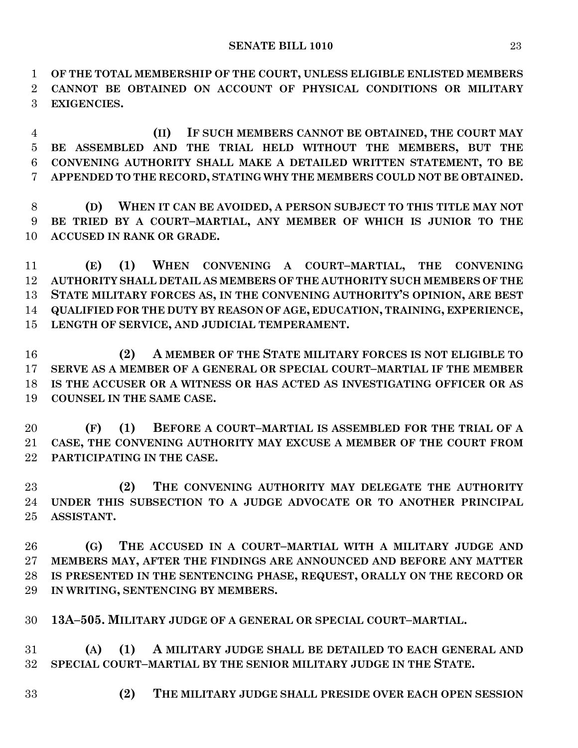**OF THE TOTAL MEMBERSHIP OF THE COURT, UNLESS ELIGIBLE ENLISTED MEMBERS CANNOT BE OBTAINED ON ACCOUNT OF PHYSICAL CONDITIONS OR MILITARY EXIGENCIES.**

 **(II) IF SUCH MEMBERS CANNOT BE OBTAINED, THE COURT MAY BE ASSEMBLED AND THE TRIAL HELD WITHOUT THE MEMBERS, BUT THE CONVENING AUTHORITY SHALL MAKE A DETAILED WRITTEN STATEMENT, TO BE APPENDED TO THE RECORD, STATING WHY THE MEMBERS COULD NOT BE OBTAINED.**

 **(D) WHEN IT CAN BE AVOIDED, A PERSON SUBJECT TO THIS TITLE MAY NOT BE TRIED BY A COURT–MARTIAL, ANY MEMBER OF WHICH IS JUNIOR TO THE ACCUSED IN RANK OR GRADE.**

 **(E) (1) WHEN CONVENING A COURT–MARTIAL, THE CONVENING AUTHORITY SHALL DETAIL AS MEMBERS OF THE AUTHORITY SUCH MEMBERS OF THE STATE MILITARY FORCES AS, IN THE CONVENING AUTHORITY'S OPINION, ARE BEST QUALIFIED FOR THE DUTY BY REASON OF AGE, EDUCATION, TRAINING, EXPERIENCE, LENGTH OF SERVICE, AND JUDICIAL TEMPERAMENT.**

 **(2) A MEMBER OF THE STATE MILITARY FORCES IS NOT ELIGIBLE TO SERVE AS A MEMBER OF A GENERAL OR SPECIAL COURT–MARTIAL IF THE MEMBER IS THE ACCUSER OR A WITNESS OR HAS ACTED AS INVESTIGATING OFFICER OR AS COUNSEL IN THE SAME CASE.**

 **(F) (1) BEFORE A COURT–MARTIAL IS ASSEMBLED FOR THE TRIAL OF A CASE, THE CONVENING AUTHORITY MAY EXCUSE A MEMBER OF THE COURT FROM PARTICIPATING IN THE CASE.**

 **(2) THE CONVENING AUTHORITY MAY DELEGATE THE AUTHORITY UNDER THIS SUBSECTION TO A JUDGE ADVOCATE OR TO ANOTHER PRINCIPAL ASSISTANT.**

 **(G) THE ACCUSED IN A COURT–MARTIAL WITH A MILITARY JUDGE AND MEMBERS MAY, AFTER THE FINDINGS ARE ANNOUNCED AND BEFORE ANY MATTER IS PRESENTED IN THE SENTENCING PHASE, REQUEST, ORALLY ON THE RECORD OR IN WRITING, SENTENCING BY MEMBERS.**

**13A–505. MILITARY JUDGE OF A GENERAL OR SPECIAL COURT–MARTIAL.**

 **(A) (1) A MILITARY JUDGE SHALL BE DETAILED TO EACH GENERAL AND SPECIAL COURT–MARTIAL BY THE SENIOR MILITARY JUDGE IN THE STATE.**

**(2) THE MILITARY JUDGE SHALL PRESIDE OVER EACH OPEN SESSION**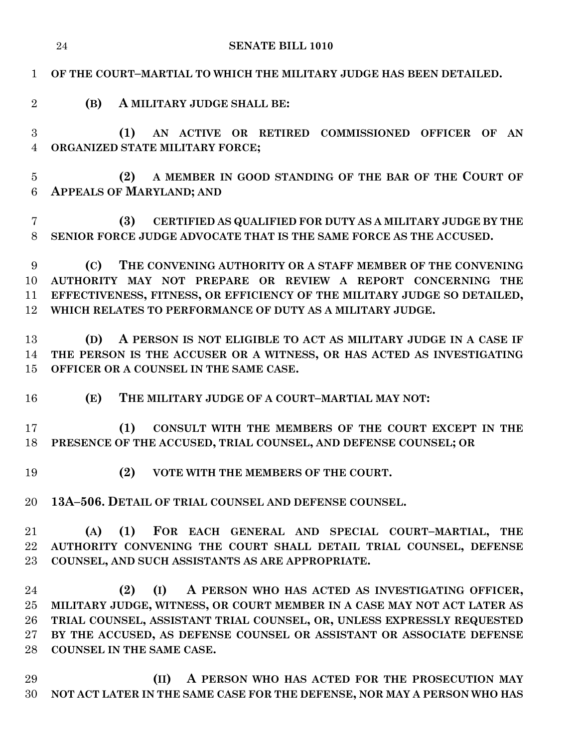| 24                         |     | <b>SENATE BILL 1010</b>                                                                                                                                                                                                                                                                                                         |
|----------------------------|-----|---------------------------------------------------------------------------------------------------------------------------------------------------------------------------------------------------------------------------------------------------------------------------------------------------------------------------------|
| $\mathbf{1}$               |     | OF THE COURT-MARTIAL TO WHICH THE MILITARY JUDGE HAS BEEN DETAILED.                                                                                                                                                                                                                                                             |
| $\overline{2}$             | (B) | A MILITARY JUDGE SHALL BE:                                                                                                                                                                                                                                                                                                      |
| 3<br>$\overline{4}$        |     | (1)<br>AN ACTIVE OR RETIRED COMMISSIONED OFFICER OF<br>AN<br>ORGANIZED STATE MILITARY FORCE;                                                                                                                                                                                                                                    |
| $\overline{5}$<br>6        |     | A MEMBER IN GOOD STANDING OF THE BAR OF THE COURT OF<br>(2)<br><b>APPEALS OF MARYLAND; AND</b>                                                                                                                                                                                                                                  |
| 7<br>8                     |     | (3)<br><b>CERTIFIED AS QUALIFIED FOR DUTY AS A MILITARY JUDGE BY THE</b><br>SENIOR FORCE JUDGE ADVOCATE THAT IS THE SAME FORCE AS THE ACCUSED.                                                                                                                                                                                  |
| 9<br>10<br>11<br>12        | (C) | THE CONVENING AUTHORITY OR A STAFF MEMBER OF THE CONVENING<br>AUTHORITY MAY NOT PREPARE OR REVIEW A REPORT CONCERNING THE<br>EFFECTIVENESS, FITNESS, OR EFFICIENCY OF THE MILITARY JUDGE SO DETAILED,<br>WHICH RELATES TO PERFORMANCE OF DUTY AS A MILITARY JUDGE.                                                              |
| 13<br>14<br>15             | (D) | A PERSON IS NOT ELIGIBLE TO ACT AS MILITARY JUDGE IN A CASE IF<br>THE PERSON IS THE ACCUSER OR A WITNESS, OR HAS ACTED AS INVESTIGATING<br>OFFICER OR A COUNSEL IN THE SAME CASE.                                                                                                                                               |
| 16                         | (E) | THE MILITARY JUDGE OF A COURT-MARTIAL MAY NOT:                                                                                                                                                                                                                                                                                  |
| 17<br>18                   |     | (1)<br>CONSULT WITH THE MEMBERS OF THE COURT EXCEPT IN THE<br>PRESENCE OF THE ACCUSED, TRIAL COUNSEL, AND DEFENSE COUNSEL; OR                                                                                                                                                                                                   |
| 19                         |     | (2)<br>VOTE WITH THE MEMBERS OF THE COURT.                                                                                                                                                                                                                                                                                      |
| 20                         |     | 13A-506. DETAIL OF TRIAL COUNSEL AND DEFENSE COUNSEL.                                                                                                                                                                                                                                                                           |
| 21<br>22<br>23             | (A) | (1) FOR EACH GENERAL AND SPECIAL COURT-MARTIAL, THE<br>AUTHORITY CONVENING THE COURT SHALL DETAIL TRIAL COUNSEL, DEFENSE<br>COUNSEL, AND SUCH ASSISTANTS AS ARE APPROPRIATE.                                                                                                                                                    |
| 24<br>25<br>26<br>27<br>28 |     | (2)<br>(I)<br>A PERSON WHO HAS ACTED AS INVESTIGATING OFFICER,<br>MILITARY JUDGE, WITNESS, OR COURT MEMBER IN A CASE MAY NOT ACT LATER AS<br>TRIAL COUNSEL, ASSISTANT TRIAL COUNSEL, OR, UNLESS EXPRESSLY REQUESTED<br>BY THE ACCUSED, AS DEFENSE COUNSEL OR ASSISTANT OR ASSOCIATE DEFENSE<br><b>COUNSEL IN THE SAME CASE.</b> |
| 29<br>30                   |     | A PERSON WHO HAS ACTED FOR THE PROSECUTION MAY<br>(II)<br>NOT ACT LATER IN THE SAME CASE FOR THE DEFENSE, NOR MAY A PERSON WHO HAS                                                                                                                                                                                              |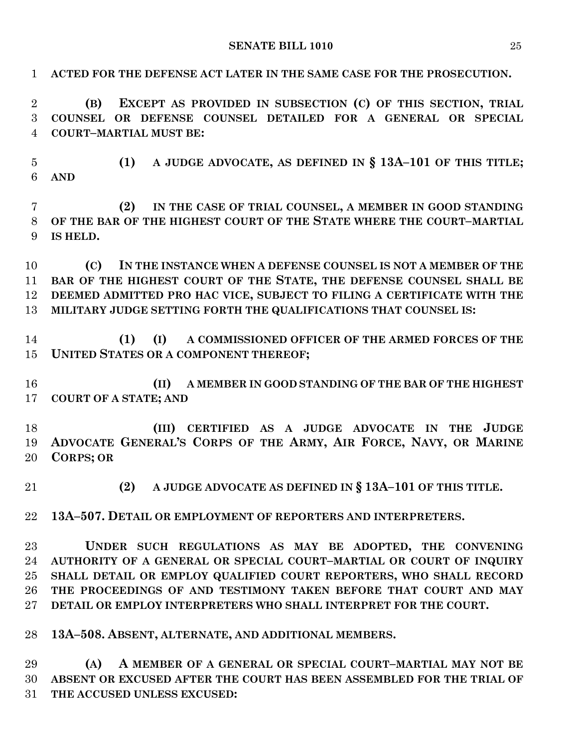**ACTED FOR THE DEFENSE ACT LATER IN THE SAME CASE FOR THE PROSECUTION. (B) EXCEPT AS PROVIDED IN SUBSECTION (C) OF THIS SECTION, TRIAL COUNSEL OR DEFENSE COUNSEL DETAILED FOR A GENERAL OR SPECIAL COURT–MARTIAL MUST BE: (1) A JUDGE ADVOCATE, AS DEFINED IN § 13A–101 OF THIS TITLE; AND (2) IN THE CASE OF TRIAL COUNSEL, A MEMBER IN GOOD STANDING OF THE BAR OF THE HIGHEST COURT OF THE STATE WHERE THE COURT–MARTIAL IS HELD. (C) IN THE INSTANCE WHEN A DEFENSE COUNSEL IS NOT A MEMBER OF THE BAR OF THE HIGHEST COURT OF THE STATE, THE DEFENSE COUNSEL SHALL BE DEEMED ADMITTED PRO HAC VICE, SUBJECT TO FILING A CERTIFICATE WITH THE MILITARY JUDGE SETTING FORTH THE QUALIFICATIONS THAT COUNSEL IS: (1) (I) A COMMISSIONED OFFICER OF THE ARMED FORCES OF THE UNITED STATES OR A COMPONENT THEREOF; (II) A MEMBER IN GOOD STANDING OF THE BAR OF THE HIGHEST COURT OF A STATE; AND (III) CERTIFIED AS A JUDGE ADVOCATE IN THE JUDGE ADVOCATE GENERAL'S CORPS OF THE ARMY, AIR FORCE, NAVY, OR MARINE CORPS; OR (2) A JUDGE ADVOCATE AS DEFINED IN § 13A–101 OF THIS TITLE. 13A–507. DETAIL OR EMPLOYMENT OF REPORTERS AND INTERPRETERS. UNDER SUCH REGULATIONS AS MAY BE ADOPTED, THE CONVENING AUTHORITY OF A GENERAL OR SPECIAL COURT–MARTIAL OR COURT OF INQUIRY SHALL DETAIL OR EMPLOY QUALIFIED COURT REPORTERS, WHO SHALL RECORD THE PROCEEDINGS OF AND TESTIMONY TAKEN BEFORE THAT COURT AND MAY DETAIL OR EMPLOY INTERPRETERS WHO SHALL INTERPRET FOR THE COURT. 13A–508. ABSENT, ALTERNATE, AND ADDITIONAL MEMBERS. (A) A MEMBER OF A GENERAL OR SPECIAL COURT–MARTIAL MAY NOT BE ABSENT OR EXCUSED AFTER THE COURT HAS BEEN ASSEMBLED FOR THE TRIAL OF** 

**THE ACCUSED UNLESS EXCUSED:**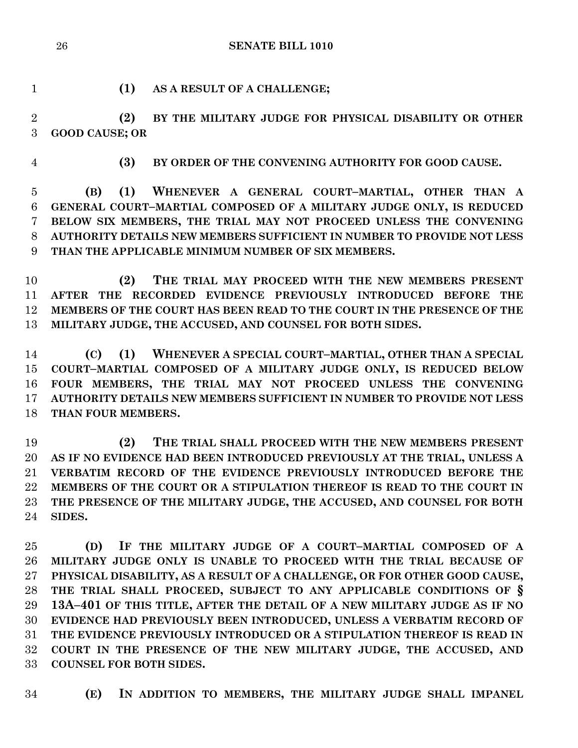**SENATE BILL 1010**

**(1) AS A RESULT OF A CHALLENGE;**

 **(2) BY THE MILITARY JUDGE FOR PHYSICAL DISABILITY OR OTHER GOOD CAUSE; OR**

**(3) BY ORDER OF THE CONVENING AUTHORITY FOR GOOD CAUSE.**

 **(B) (1) WHENEVER A GENERAL COURT–MARTIAL, OTHER THAN A GENERAL COURT–MARTIAL COMPOSED OF A MILITARY JUDGE ONLY, IS REDUCED BELOW SIX MEMBERS, THE TRIAL MAY NOT PROCEED UNLESS THE CONVENING AUTHORITY DETAILS NEW MEMBERS SUFFICIENT IN NUMBER TO PROVIDE NOT LESS THAN THE APPLICABLE MINIMUM NUMBER OF SIX MEMBERS.**

 **(2) THE TRIAL MAY PROCEED WITH THE NEW MEMBERS PRESENT AFTER THE RECORDED EVIDENCE PREVIOUSLY INTRODUCED BEFORE THE MEMBERS OF THE COURT HAS BEEN READ TO THE COURT IN THE PRESENCE OF THE MILITARY JUDGE, THE ACCUSED, AND COUNSEL FOR BOTH SIDES.**

 **(C) (1) WHENEVER A SPECIAL COURT–MARTIAL, OTHER THAN A SPECIAL COURT–MARTIAL COMPOSED OF A MILITARY JUDGE ONLY, IS REDUCED BELOW FOUR MEMBERS, THE TRIAL MAY NOT PROCEED UNLESS THE CONVENING AUTHORITY DETAILS NEW MEMBERS SUFFICIENT IN NUMBER TO PROVIDE NOT LESS THAN FOUR MEMBERS.**

 **(2) THE TRIAL SHALL PROCEED WITH THE NEW MEMBERS PRESENT AS IF NO EVIDENCE HAD BEEN INTRODUCED PREVIOUSLY AT THE TRIAL, UNLESS A VERBATIM RECORD OF THE EVIDENCE PREVIOUSLY INTRODUCED BEFORE THE MEMBERS OF THE COURT OR A STIPULATION THEREOF IS READ TO THE COURT IN THE PRESENCE OF THE MILITARY JUDGE, THE ACCUSED, AND COUNSEL FOR BOTH SIDES.**

 **(D) IF THE MILITARY JUDGE OF A COURT–MARTIAL COMPOSED OF A MILITARY JUDGE ONLY IS UNABLE TO PROCEED WITH THE TRIAL BECAUSE OF PHYSICAL DISABILITY, AS A RESULT OF A CHALLENGE, OR FOR OTHER GOOD CAUSE, THE TRIAL SHALL PROCEED, SUBJECT TO ANY APPLICABLE CONDITIONS OF § 13A–401 OF THIS TITLE, AFTER THE DETAIL OF A NEW MILITARY JUDGE AS IF NO EVIDENCE HAD PREVIOUSLY BEEN INTRODUCED, UNLESS A VERBATIM RECORD OF THE EVIDENCE PREVIOUSLY INTRODUCED OR A STIPULATION THEREOF IS READ IN COURT IN THE PRESENCE OF THE NEW MILITARY JUDGE, THE ACCUSED, AND COUNSEL FOR BOTH SIDES.**

**(E) IN ADDITION TO MEMBERS, THE MILITARY JUDGE SHALL IMPANEL**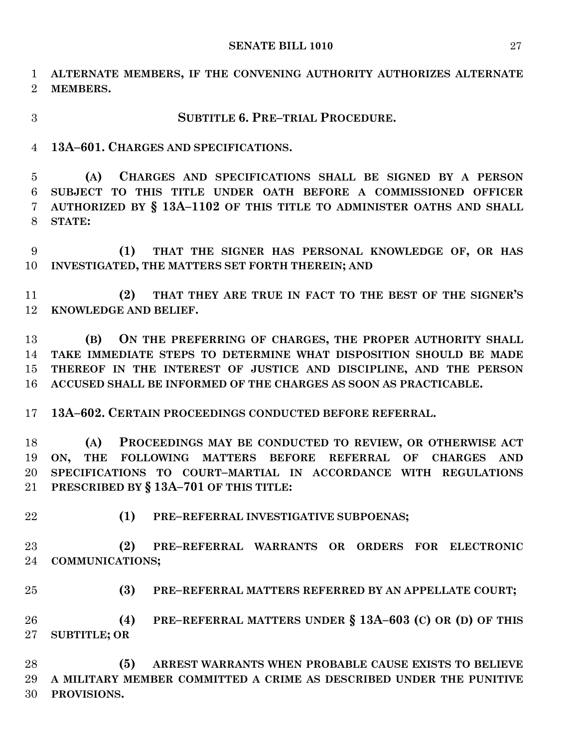**ALTERNATE MEMBERS, IF THE CONVENING AUTHORITY AUTHORIZES ALTERNATE MEMBERS.**

## **SUBTITLE 6. PRE–TRIAL PROCEDURE.**

**13A–601. CHARGES AND SPECIFICATIONS.**

 **(A) CHARGES AND SPECIFICATIONS SHALL BE SIGNED BY A PERSON SUBJECT TO THIS TITLE UNDER OATH BEFORE A COMMISSIONED OFFICER AUTHORIZED BY § 13A–1102 OF THIS TITLE TO ADMINISTER OATHS AND SHALL STATE:**

 **(1) THAT THE SIGNER HAS PERSONAL KNOWLEDGE OF, OR HAS INVESTIGATED, THE MATTERS SET FORTH THEREIN; AND**

 **(2) THAT THEY ARE TRUE IN FACT TO THE BEST OF THE SIGNER'S KNOWLEDGE AND BELIEF.**

 **(B) ON THE PREFERRING OF CHARGES, THE PROPER AUTHORITY SHALL TAKE IMMEDIATE STEPS TO DETERMINE WHAT DISPOSITION SHOULD BE MADE THEREOF IN THE INTEREST OF JUSTICE AND DISCIPLINE, AND THE PERSON ACCUSED SHALL BE INFORMED OF THE CHARGES AS SOON AS PRACTICABLE.**

**13A–602. CERTAIN PROCEEDINGS CONDUCTED BEFORE REFERRAL.**

 **(A) PROCEEDINGS MAY BE CONDUCTED TO REVIEW, OR OTHERWISE ACT ON, THE FOLLOWING MATTERS BEFORE REFERRAL OF CHARGES AND SPECIFICATIONS TO COURT–MARTIAL IN ACCORDANCE WITH REGULATIONS PRESCRIBED BY § 13A–701 OF THIS TITLE:**

**(1) PRE–REFERRAL INVESTIGATIVE SUBPOENAS;**

 **(2) PRE–REFERRAL WARRANTS OR ORDERS FOR ELECTRONIC COMMUNICATIONS;**

**(3) PRE–REFERRAL MATTERS REFERRED BY AN APPELLATE COURT;**

 **(4) PRE–REFERRAL MATTERS UNDER § 13A–603 (C) OR (D) OF THIS SUBTITLE; OR** 

 **(5) ARREST WARRANTS WHEN PROBABLE CAUSE EXISTS TO BELIEVE A MILITARY MEMBER COMMITTED A CRIME AS DESCRIBED UNDER THE PUNITIVE PROVISIONS.**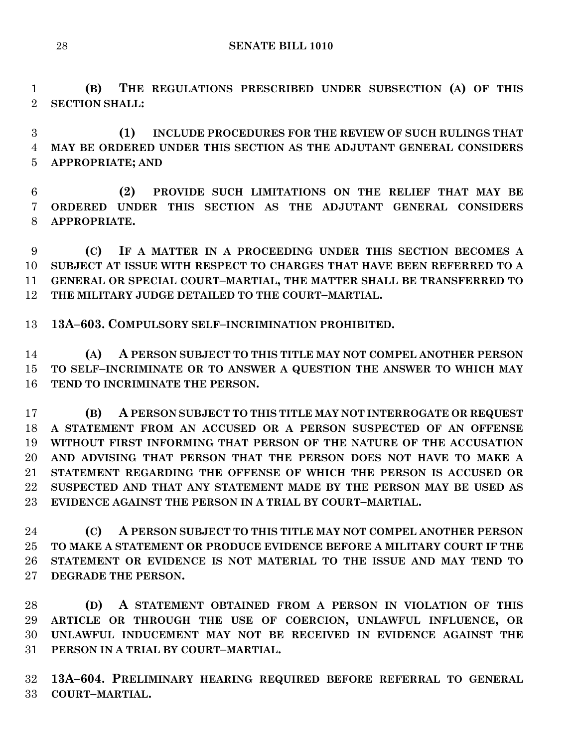**(B) THE REGULATIONS PRESCRIBED UNDER SUBSECTION (A) OF THIS SECTION SHALL:**

 **(1) INCLUDE PROCEDURES FOR THE REVIEW OF SUCH RULINGS THAT MAY BE ORDERED UNDER THIS SECTION AS THE ADJUTANT GENERAL CONSIDERS APPROPRIATE; AND**

 **(2) PROVIDE SUCH LIMITATIONS ON THE RELIEF THAT MAY BE ORDERED UNDER THIS SECTION AS THE ADJUTANT GENERAL CONSIDERS APPROPRIATE.**

 **(C) IF A MATTER IN A PROCEEDING UNDER THIS SECTION BECOMES A SUBJECT AT ISSUE WITH RESPECT TO CHARGES THAT HAVE BEEN REFERRED TO A GENERAL OR SPECIAL COURT–MARTIAL, THE MATTER SHALL BE TRANSFERRED TO THE MILITARY JUDGE DETAILED TO THE COURT–MARTIAL.**

**13A–603. COMPULSORY SELF–INCRIMINATION PROHIBITED.**

 **(A) A PERSON SUBJECT TO THIS TITLE MAY NOT COMPEL ANOTHER PERSON TO SELF–INCRIMINATE OR TO ANSWER A QUESTION THE ANSWER TO WHICH MAY TEND TO INCRIMINATE THE PERSON.**

 **(B) A PERSON SUBJECT TO THIS TITLE MAY NOT INTERROGATE OR REQUEST A STATEMENT FROM AN ACCUSED OR A PERSON SUSPECTED OF AN OFFENSE WITHOUT FIRST INFORMING THAT PERSON OF THE NATURE OF THE ACCUSATION AND ADVISING THAT PERSON THAT THE PERSON DOES NOT HAVE TO MAKE A STATEMENT REGARDING THE OFFENSE OF WHICH THE PERSON IS ACCUSED OR SUSPECTED AND THAT ANY STATEMENT MADE BY THE PERSON MAY BE USED AS EVIDENCE AGAINST THE PERSON IN A TRIAL BY COURT–MARTIAL.**

 **(C) A PERSON SUBJECT TO THIS TITLE MAY NOT COMPEL ANOTHER PERSON TO MAKE A STATEMENT OR PRODUCE EVIDENCE BEFORE A MILITARY COURT IF THE STATEMENT OR EVIDENCE IS NOT MATERIAL TO THE ISSUE AND MAY TEND TO DEGRADE THE PERSON.**

 **(D) A STATEMENT OBTAINED FROM A PERSON IN VIOLATION OF THIS ARTICLE OR THROUGH THE USE OF COERCION, UNLAWFUL INFLUENCE, OR UNLAWFUL INDUCEMENT MAY NOT BE RECEIVED IN EVIDENCE AGAINST THE PERSON IN A TRIAL BY COURT–MARTIAL.**

 **13A–604. PRELIMINARY HEARING REQUIRED BEFORE REFERRAL TO GENERAL COURT–MARTIAL.**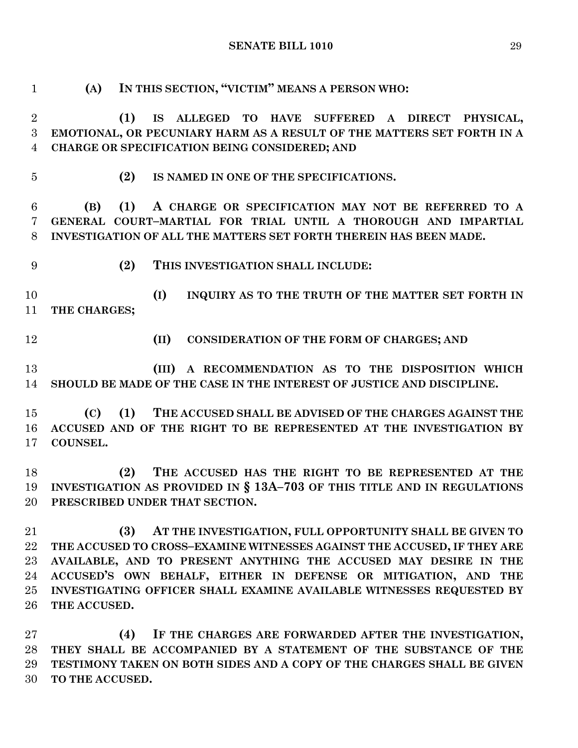**(A) IN THIS SECTION, "VICTIM" MEANS A PERSON WHO: (1) IS ALLEGED TO HAVE SUFFERED A DIRECT PHYSICAL, EMOTIONAL, OR PECUNIARY HARM AS A RESULT OF THE MATTERS SET FORTH IN A CHARGE OR SPECIFICATION BEING CONSIDERED; AND (2) IS NAMED IN ONE OF THE SPECIFICATIONS. (B) (1) A CHARGE OR SPECIFICATION MAY NOT BE REFERRED TO A GENERAL COURT–MARTIAL FOR TRIAL UNTIL A THOROUGH AND IMPARTIAL INVESTIGATION OF ALL THE MATTERS SET FORTH THEREIN HAS BEEN MADE. (2) THIS INVESTIGATION SHALL INCLUDE: (I) INQUIRY AS TO THE TRUTH OF THE MATTER SET FORTH IN THE CHARGES; (II) CONSIDERATION OF THE FORM OF CHARGES; AND (III) A RECOMMENDATION AS TO THE DISPOSITION WHICH SHOULD BE MADE OF THE CASE IN THE INTEREST OF JUSTICE AND DISCIPLINE. (C) (1) THE ACCUSED SHALL BE ADVISED OF THE CHARGES AGAINST THE ACCUSED AND OF THE RIGHT TO BE REPRESENTED AT THE INVESTIGATION BY COUNSEL. (2) THE ACCUSED HAS THE RIGHT TO BE REPRESENTED AT THE INVESTIGATION AS PROVIDED IN § 13A–703 OF THIS TITLE AND IN REGULATIONS PRESCRIBED UNDER THAT SECTION. (3) AT THE INVESTIGATION, FULL OPPORTUNITY SHALL BE GIVEN TO THE ACCUSED TO CROSS–EXAMINE WITNESSES AGAINST THE ACCUSED, IF THEY ARE AVAILABLE, AND TO PRESENT ANYTHING THE ACCUSED MAY DESIRE IN THE ACCUSED'S OWN BEHALF, EITHER IN DEFENSE OR MITIGATION, AND THE INVESTIGATING OFFICER SHALL EXAMINE AVAILABLE WITNESSES REQUESTED BY THE ACCUSED.**

 **(4) IF THE CHARGES ARE FORWARDED AFTER THE INVESTIGATION, THEY SHALL BE ACCOMPANIED BY A STATEMENT OF THE SUBSTANCE OF THE TESTIMONY TAKEN ON BOTH SIDES AND A COPY OF THE CHARGES SHALL BE GIVEN TO THE ACCUSED.**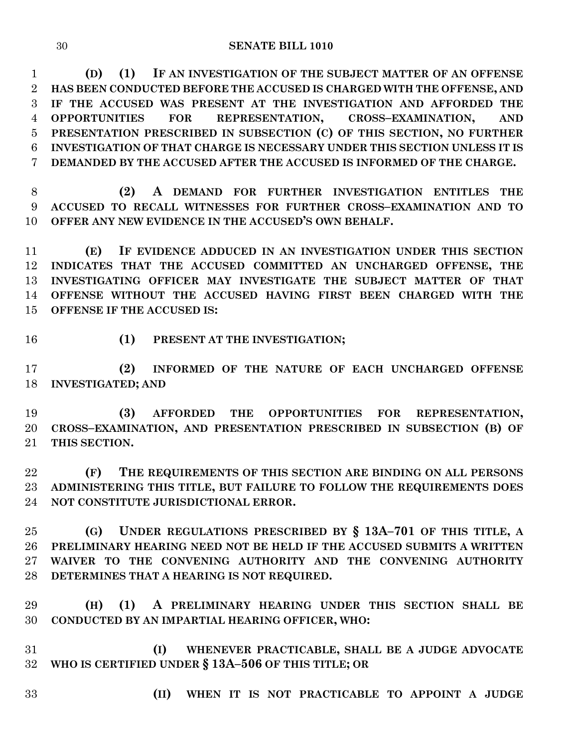**(D) (1) IF AN INVESTIGATION OF THE SUBJECT MATTER OF AN OFFENSE HAS BEEN CONDUCTED BEFORE THE ACCUSED IS CHARGED WITH THE OFFENSE, AND IF THE ACCUSED WAS PRESENT AT THE INVESTIGATION AND AFFORDED THE OPPORTUNITIES FOR REPRESENTATION, CROSS–EXAMINATION, AND PRESENTATION PRESCRIBED IN SUBSECTION (C) OF THIS SECTION, NO FURTHER INVESTIGATION OF THAT CHARGE IS NECESSARY UNDER THIS SECTION UNLESS IT IS DEMANDED BY THE ACCUSED AFTER THE ACCUSED IS INFORMED OF THE CHARGE.**

 **(2) A DEMAND FOR FURTHER INVESTIGATION ENTITLES THE ACCUSED TO RECALL WITNESSES FOR FURTHER CROSS–EXAMINATION AND TO OFFER ANY NEW EVIDENCE IN THE ACCUSED'S OWN BEHALF.**

 **(E) IF EVIDENCE ADDUCED IN AN INVESTIGATION UNDER THIS SECTION INDICATES THAT THE ACCUSED COMMITTED AN UNCHARGED OFFENSE, THE INVESTIGATING OFFICER MAY INVESTIGATE THE SUBJECT MATTER OF THAT OFFENSE WITHOUT THE ACCUSED HAVING FIRST BEEN CHARGED WITH THE OFFENSE IF THE ACCUSED IS:**

- 
- **(1) PRESENT AT THE INVESTIGATION;**

 **(2) INFORMED OF THE NATURE OF EACH UNCHARGED OFFENSE INVESTIGATED; AND**

 **(3) AFFORDED THE OPPORTUNITIES FOR REPRESENTATION, CROSS–EXAMINATION, AND PRESENTATION PRESCRIBED IN SUBSECTION (B) OF THIS SECTION.**

 **(F) THE REQUIREMENTS OF THIS SECTION ARE BINDING ON ALL PERSONS ADMINISTERING THIS TITLE, BUT FAILURE TO FOLLOW THE REQUIREMENTS DOES NOT CONSTITUTE JURISDICTIONAL ERROR.**

 **(G) UNDER REGULATIONS PRESCRIBED BY § 13A–701 OF THIS TITLE, A PRELIMINARY HEARING NEED NOT BE HELD IF THE ACCUSED SUBMITS A WRITTEN WAIVER TO THE CONVENING AUTHORITY AND THE CONVENING AUTHORITY DETERMINES THAT A HEARING IS NOT REQUIRED.**

 **(H) (1) A PRELIMINARY HEARING UNDER THIS SECTION SHALL BE CONDUCTED BY AN IMPARTIAL HEARING OFFICER, WHO:**

 **(I) WHENEVER PRACTICABLE, SHALL BE A JUDGE ADVOCATE WHO IS CERTIFIED UNDER § 13A–506 OF THIS TITLE; OR** 

- 
- **(II) WHEN IT IS NOT PRACTICABLE TO APPOINT A JUDGE**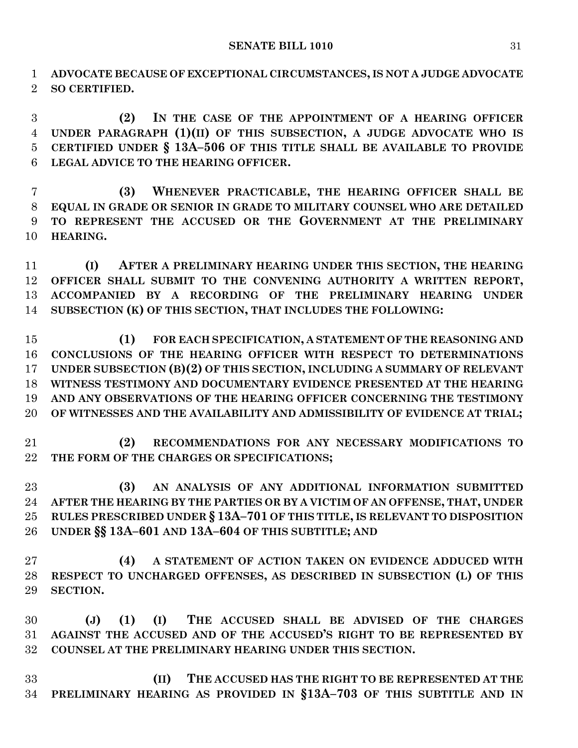**ADVOCATE BECAUSE OF EXCEPTIONAL CIRCUMSTANCES, IS NOT A JUDGE ADVOCATE SO CERTIFIED.**

 **(2) IN THE CASE OF THE APPOINTMENT OF A HEARING OFFICER UNDER PARAGRAPH (1)(II) OF THIS SUBSECTION, A JUDGE ADVOCATE WHO IS CERTIFIED UNDER § 13A–506 OF THIS TITLE SHALL BE AVAILABLE TO PROVIDE LEGAL ADVICE TO THE HEARING OFFICER.**

 **(3) WHENEVER PRACTICABLE, THE HEARING OFFICER SHALL BE EQUAL IN GRADE OR SENIOR IN GRADE TO MILITARY COUNSEL WHO ARE DETAILED TO REPRESENT THE ACCUSED OR THE GOVERNMENT AT THE PRELIMINARY HEARING.**

 **(I) AFTER A PRELIMINARY HEARING UNDER THIS SECTION, THE HEARING OFFICER SHALL SUBMIT TO THE CONVENING AUTHORITY A WRITTEN REPORT, ACCOMPANIED BY A RECORDING OF THE PRELIMINARY HEARING UNDER SUBSECTION (K) OF THIS SECTION, THAT INCLUDES THE FOLLOWING:**

 **(1) FOR EACH SPECIFICATION, A STATEMENT OF THE REASONING AND CONCLUSIONS OF THE HEARING OFFICER WITH RESPECT TO DETERMINATIONS UNDER SUBSECTION (B)(2) OF THIS SECTION, INCLUDING A SUMMARY OF RELEVANT WITNESS TESTIMONY AND DOCUMENTARY EVIDENCE PRESENTED AT THE HEARING AND ANY OBSERVATIONS OF THE HEARING OFFICER CONCERNING THE TESTIMONY OF WITNESSES AND THE AVAILABILITY AND ADMISSIBILITY OF EVIDENCE AT TRIAL;**

 **(2) RECOMMENDATIONS FOR ANY NECESSARY MODIFICATIONS TO THE FORM OF THE CHARGES OR SPECIFICATIONS;**

 **(3) AN ANALYSIS OF ANY ADDITIONAL INFORMATION SUBMITTED AFTER THE HEARING BY THE PARTIES OR BY A VICTIM OF AN OFFENSE, THAT, UNDER RULES PRESCRIBED UNDER § 13A–701 OF THIS TITLE, IS RELEVANT TO DISPOSITION UNDER §§ 13A–601 AND 13A–604 OF THIS SUBTITLE; AND**

 **(4) A STATEMENT OF ACTION TAKEN ON EVIDENCE ADDUCED WITH RESPECT TO UNCHARGED OFFENSES, AS DESCRIBED IN SUBSECTION (L) OF THIS SECTION.**

 **(J) (1) (I) THE ACCUSED SHALL BE ADVISED OF THE CHARGES AGAINST THE ACCUSED AND OF THE ACCUSED'S RIGHT TO BE REPRESENTED BY COUNSEL AT THE PRELIMINARY HEARING UNDER THIS SECTION.**

 **(II) THE ACCUSED HAS THE RIGHT TO BE REPRESENTED AT THE PRELIMINARY HEARING AS PROVIDED IN §13A–703 OF THIS SUBTITLE AND IN**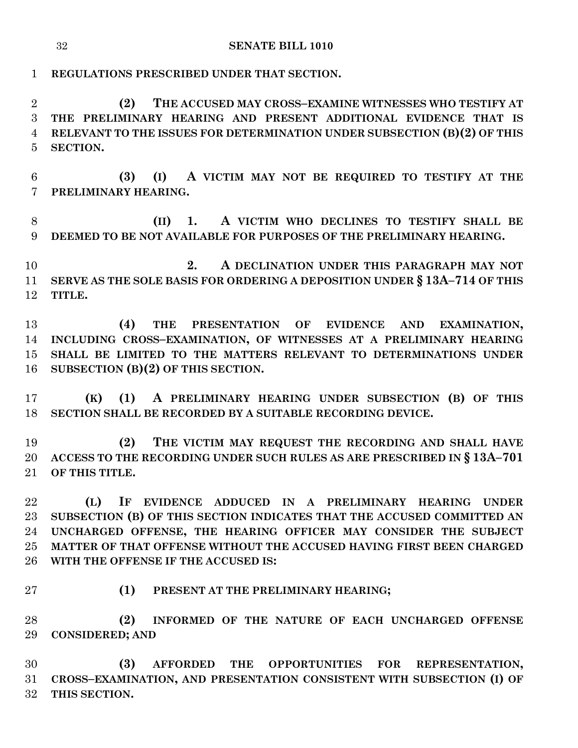**REGULATIONS PRESCRIBED UNDER THAT SECTION.**

 **(2) THE ACCUSED MAY CROSS–EXAMINE WITNESSES WHO TESTIFY AT THE PRELIMINARY HEARING AND PRESENT ADDITIONAL EVIDENCE THAT IS RELEVANT TO THE ISSUES FOR DETERMINATION UNDER SUBSECTION (B)(2) OF THIS SECTION.**

 **(3) (I) A VICTIM MAY NOT BE REQUIRED TO TESTIFY AT THE PRELIMINARY HEARING.**

 **(II) 1. A VICTIM WHO DECLINES TO TESTIFY SHALL BE DEEMED TO BE NOT AVAILABLE FOR PURPOSES OF THE PRELIMINARY HEARING.**

 **2. A DECLINATION UNDER THIS PARAGRAPH MAY NOT SERVE AS THE SOLE BASIS FOR ORDERING A DEPOSITION UNDER § 13A–714 OF THIS TITLE.**

 **(4) THE PRESENTATION OF EVIDENCE AND EXAMINATION, INCLUDING CROSS–EXAMINATION, OF WITNESSES AT A PRELIMINARY HEARING SHALL BE LIMITED TO THE MATTERS RELEVANT TO DETERMINATIONS UNDER SUBSECTION (B)(2) OF THIS SECTION.**

 **(K) (1) A PRELIMINARY HEARING UNDER SUBSECTION (B) OF THIS SECTION SHALL BE RECORDED BY A SUITABLE RECORDING DEVICE.**

 **(2) THE VICTIM MAY REQUEST THE RECORDING AND SHALL HAVE ACCESS TO THE RECORDING UNDER SUCH RULES AS ARE PRESCRIBED IN § 13A–701 OF THIS TITLE.**

 **(L) IF EVIDENCE ADDUCED IN A PRELIMINARY HEARING UNDER SUBSECTION (B) OF THIS SECTION INDICATES THAT THE ACCUSED COMMITTED AN UNCHARGED OFFENSE, THE HEARING OFFICER MAY CONSIDER THE SUBJECT MATTER OF THAT OFFENSE WITHOUT THE ACCUSED HAVING FIRST BEEN CHARGED WITH THE OFFENSE IF THE ACCUSED IS:**

- 
- **(1) PRESENT AT THE PRELIMINARY HEARING;**

 **(2) INFORMED OF THE NATURE OF EACH UNCHARGED OFFENSE CONSIDERED; AND** 

 **(3) AFFORDED THE OPPORTUNITIES FOR REPRESENTATION, CROSS–EXAMINATION, AND PRESENTATION CONSISTENT WITH SUBSECTION (I) OF THIS SECTION.**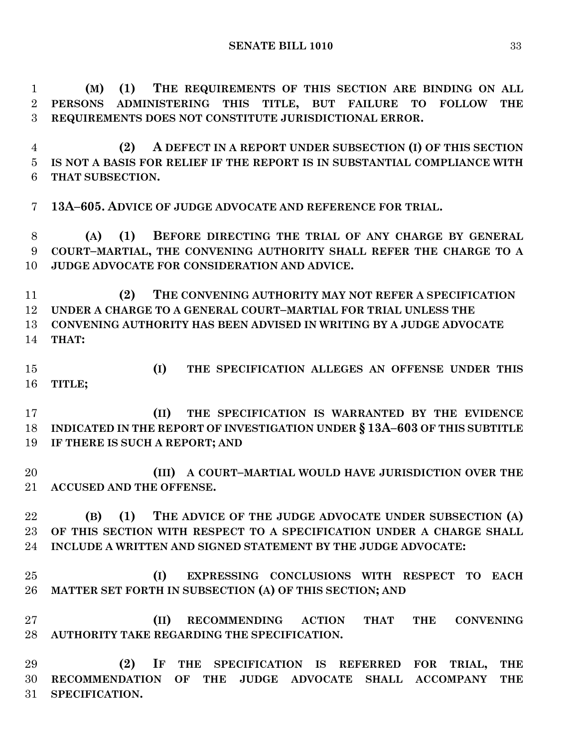**(M) (1) THE REQUIREMENTS OF THIS SECTION ARE BINDING ON ALL PERSONS ADMINISTERING THIS TITLE, BUT FAILURE TO FOLLOW THE REQUIREMENTS DOES NOT CONSTITUTE JURISDICTIONAL ERROR. (2) A DEFECT IN A REPORT UNDER SUBSECTION (I) OF THIS SECTION IS NOT A BASIS FOR RELIEF IF THE REPORT IS IN SUBSTANTIAL COMPLIANCE WITH THAT SUBSECTION. 13A–605. ADVICE OF JUDGE ADVOCATE AND REFERENCE FOR TRIAL. (A) (1) BEFORE DIRECTING THE TRIAL OF ANY CHARGE BY GENERAL COURT–MARTIAL, THE CONVENING AUTHORITY SHALL REFER THE CHARGE TO A JUDGE ADVOCATE FOR CONSIDERATION AND ADVICE. (2) THE CONVENING AUTHORITY MAY NOT REFER A SPECIFICATION UNDER A CHARGE TO A GENERAL COURT–MARTIAL FOR TRIAL UNLESS THE CONVENING AUTHORITY HAS BEEN ADVISED IN WRITING BY A JUDGE ADVOCATE THAT: (I) THE SPECIFICATION ALLEGES AN OFFENSE UNDER THIS TITLE; (II) THE SPECIFICATION IS WARRANTED BY THE EVIDENCE INDICATED IN THE REPORT OF INVESTIGATION UNDER § 13A–603 OF THIS SUBTITLE IF THERE IS SUCH A REPORT; AND (III) A COURT–MARTIAL WOULD HAVE JURISDICTION OVER THE ACCUSED AND THE OFFENSE. (B) (1) THE ADVICE OF THE JUDGE ADVOCATE UNDER SUBSECTION (A) OF THIS SECTION WITH RESPECT TO A SPECIFICATION UNDER A CHARGE SHALL INCLUDE A WRITTEN AND SIGNED STATEMENT BY THE JUDGE ADVOCATE: (I) EXPRESSING CONCLUSIONS WITH RESPECT TO EACH MATTER SET FORTH IN SUBSECTION (A) OF THIS SECTION; AND (II) RECOMMENDING ACTION THAT THE CONVENING AUTHORITY TAKE REGARDING THE SPECIFICATION. (2) IF THE SPECIFICATION IS REFERRED FOR TRIAL, THE RECOMMENDATION OF THE JUDGE ADVOCATE SHALL ACCOMPANY THE SPECIFICATION.**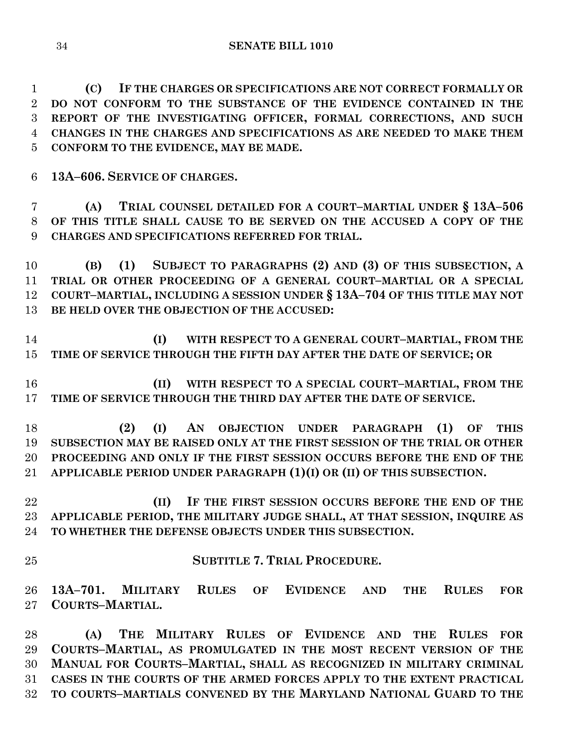**(C) IF THE CHARGES OR SPECIFICATIONS ARE NOT CORRECT FORMALLY OR DO NOT CONFORM TO THE SUBSTANCE OF THE EVIDENCE CONTAINED IN THE REPORT OF THE INVESTIGATING OFFICER, FORMAL CORRECTIONS, AND SUCH CHANGES IN THE CHARGES AND SPECIFICATIONS AS ARE NEEDED TO MAKE THEM CONFORM TO THE EVIDENCE, MAY BE MADE.**

**13A–606. SERVICE OF CHARGES.**

 **(A) TRIAL COUNSEL DETAILED FOR A COURT–MARTIAL UNDER § 13A–506 OF THIS TITLE SHALL CAUSE TO BE SERVED ON THE ACCUSED A COPY OF THE CHARGES AND SPECIFICATIONS REFERRED FOR TRIAL.**

 **(B) (1) SUBJECT TO PARAGRAPHS (2) AND (3) OF THIS SUBSECTION, A TRIAL OR OTHER PROCEEDING OF A GENERAL COURT–MARTIAL OR A SPECIAL COURT–MARTIAL, INCLUDING A SESSION UNDER § 13A–704 OF THIS TITLE MAY NOT BE HELD OVER THE OBJECTION OF THE ACCUSED:**

 **(I) WITH RESPECT TO A GENERAL COURT–MARTIAL, FROM THE TIME OF SERVICE THROUGH THE FIFTH DAY AFTER THE DATE OF SERVICE; OR** 

 **(II) WITH RESPECT TO A SPECIAL COURT–MARTIAL, FROM THE TIME OF SERVICE THROUGH THE THIRD DAY AFTER THE DATE OF SERVICE.**

 **(2) (I) AN OBJECTION UNDER PARAGRAPH (1) OF THIS SUBSECTION MAY BE RAISED ONLY AT THE FIRST SESSION OF THE TRIAL OR OTHER PROCEEDING AND ONLY IF THE FIRST SESSION OCCURS BEFORE THE END OF THE APPLICABLE PERIOD UNDER PARAGRAPH (1)(I) OR (II) OF THIS SUBSECTION.**

 **(II) IF THE FIRST SESSION OCCURS BEFORE THE END OF THE APPLICABLE PERIOD, THE MILITARY JUDGE SHALL, AT THAT SESSION, INQUIRE AS TO WHETHER THE DEFENSE OBJECTS UNDER THIS SUBSECTION.**

**SUBTITLE 7. TRIAL PROCEDURE.**

 **13A–701. MILITARY RULES OF EVIDENCE AND THE RULES FOR COURTS–MARTIAL.**

 **(A) THE MILITARY RULES OF EVIDENCE AND THE RULES FOR COURTS–MARTIAL, AS PROMULGATED IN THE MOST RECENT VERSION OF THE MANUAL FOR COURTS–MARTIAL, SHALL AS RECOGNIZED IN MILITARY CRIMINAL CASES IN THE COURTS OF THE ARMED FORCES APPLY TO THE EXTENT PRACTICAL TO COURTS–MARTIALS CONVENED BY THE MARYLAND NATIONAL GUARD TO THE**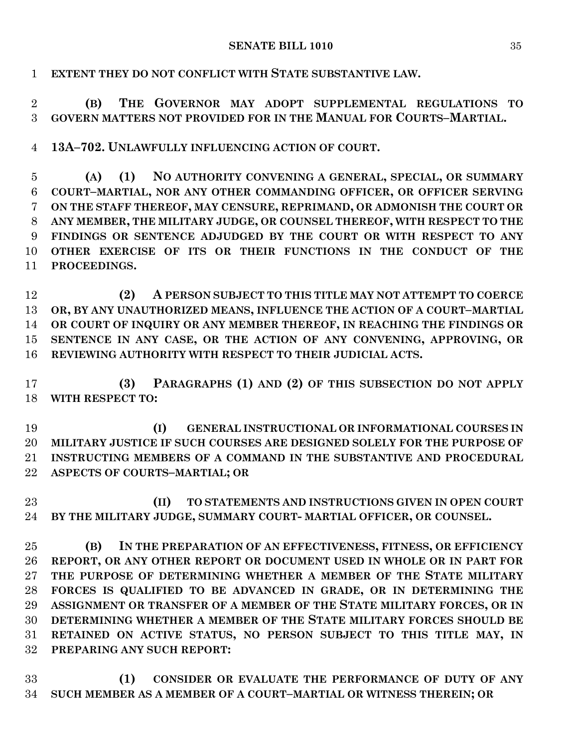**EXTENT THEY DO NOT CONFLICT WITH STATE SUBSTANTIVE LAW.**

 **(B) THE GOVERNOR MAY ADOPT SUPPLEMENTAL REGULATIONS TO GOVERN MATTERS NOT PROVIDED FOR IN THE MANUAL FOR COURTS–MARTIAL.**

**13A–702. UNLAWFULLY INFLUENCING ACTION OF COURT.**

 **(A) (1) NO AUTHORITY CONVENING A GENERAL, SPECIAL, OR SUMMARY COURT–MARTIAL, NOR ANY OTHER COMMANDING OFFICER, OR OFFICER SERVING ON THE STAFF THEREOF, MAY CENSURE, REPRIMAND, OR ADMONISH THE COURT OR ANY MEMBER, THE MILITARY JUDGE, OR COUNSEL THEREOF, WITH RESPECT TO THE FINDINGS OR SENTENCE ADJUDGED BY THE COURT OR WITH RESPECT TO ANY OTHER EXERCISE OF ITS OR THEIR FUNCTIONS IN THE CONDUCT OF THE PROCEEDINGS.**

 **(2) A PERSON SUBJECT TO THIS TITLE MAY NOT ATTEMPT TO COERCE OR, BY ANY UNAUTHORIZED MEANS, INFLUENCE THE ACTION OF A COURT–MARTIAL OR COURT OF INQUIRY OR ANY MEMBER THEREOF, IN REACHING THE FINDINGS OR SENTENCE IN ANY CASE, OR THE ACTION OF ANY CONVENING, APPROVING, OR REVIEWING AUTHORITY WITH RESPECT TO THEIR JUDICIAL ACTS.**

 **(3) PARAGRAPHS (1) AND (2) OF THIS SUBSECTION DO NOT APPLY WITH RESPECT TO:**

 **(I) GENERAL INSTRUCTIONAL OR INFORMATIONAL COURSES IN MILITARY JUSTICE IF SUCH COURSES ARE DESIGNED SOLELY FOR THE PURPOSE OF INSTRUCTING MEMBERS OF A COMMAND IN THE SUBSTANTIVE AND PROCEDURAL ASPECTS OF COURTS–MARTIAL; OR** 

 **(II) TO STATEMENTS AND INSTRUCTIONS GIVEN IN OPEN COURT BY THE MILITARY JUDGE, SUMMARY COURT- MARTIAL OFFICER, OR COUNSEL.**

 **(B) IN THE PREPARATION OF AN EFFECTIVENESS, FITNESS, OR EFFICIENCY REPORT, OR ANY OTHER REPORT OR DOCUMENT USED IN WHOLE OR IN PART FOR THE PURPOSE OF DETERMINING WHETHER A MEMBER OF THE STATE MILITARY FORCES IS QUALIFIED TO BE ADVANCED IN GRADE, OR IN DETERMINING THE ASSIGNMENT OR TRANSFER OF A MEMBER OF THE STATE MILITARY FORCES, OR IN DETERMINING WHETHER A MEMBER OF THE STATE MILITARY FORCES SHOULD BE RETAINED ON ACTIVE STATUS, NO PERSON SUBJECT TO THIS TITLE MAY, IN PREPARING ANY SUCH REPORT:**

 **(1) CONSIDER OR EVALUATE THE PERFORMANCE OF DUTY OF ANY SUCH MEMBER AS A MEMBER OF A COURT–MARTIAL OR WITNESS THEREIN; OR**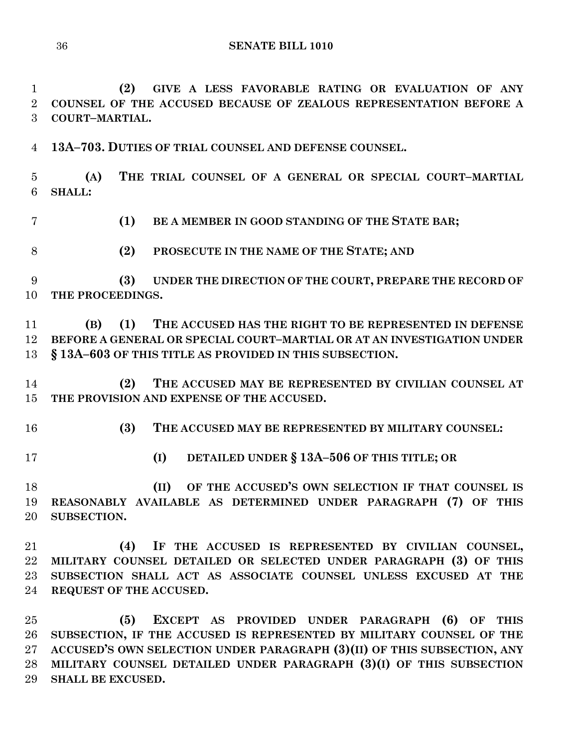**(2) GIVE A LESS FAVORABLE RATING OR EVALUATION OF ANY COUNSEL OF THE ACCUSED BECAUSE OF ZEALOUS REPRESENTATION BEFORE A COURT–MARTIAL.**

**13A–703. DUTIES OF TRIAL COUNSEL AND DEFENSE COUNSEL.**

 **(A) THE TRIAL COUNSEL OF A GENERAL OR SPECIAL COURT–MARTIAL SHALL:**

- **(1) BE A MEMBER IN GOOD STANDING OF THE STATE BAR;**
- **(2) PROSECUTE IN THE NAME OF THE STATE; AND**

 **(3) UNDER THE DIRECTION OF THE COURT, PREPARE THE RECORD OF THE PROCEEDINGS.**

 **(B) (1) THE ACCUSED HAS THE RIGHT TO BE REPRESENTED IN DEFENSE BEFORE A GENERAL OR SPECIAL COURT–MARTIAL OR AT AN INVESTIGATION UNDER § 13A–603 OF THIS TITLE AS PROVIDED IN THIS SUBSECTION.**

 **(2) THE ACCUSED MAY BE REPRESENTED BY CIVILIAN COUNSEL AT THE PROVISION AND EXPENSE OF THE ACCUSED.**

- **(3) THE ACCUSED MAY BE REPRESENTED BY MILITARY COUNSEL:**
- 
- **(I) DETAILED UNDER § 13A–506 OF THIS TITLE; OR**

 **(II) OF THE ACCUSED'S OWN SELECTION IF THAT COUNSEL IS REASONABLY AVAILABLE AS DETERMINED UNDER PARAGRAPH (7) OF THIS SUBSECTION.**

 **(4) IF THE ACCUSED IS REPRESENTED BY CIVILIAN COUNSEL, MILITARY COUNSEL DETAILED OR SELECTED UNDER PARAGRAPH (3) OF THIS SUBSECTION SHALL ACT AS ASSOCIATE COUNSEL UNLESS EXCUSED AT THE REQUEST OF THE ACCUSED.**

 **(5) EXCEPT AS PROVIDED UNDER PARAGRAPH (6) OF THIS SUBSECTION, IF THE ACCUSED IS REPRESENTED BY MILITARY COUNSEL OF THE ACCUSED'S OWN SELECTION UNDER PARAGRAPH (3)(II) OF THIS SUBSECTION, ANY MILITARY COUNSEL DETAILED UNDER PARAGRAPH (3)(I) OF THIS SUBSECTION SHALL BE EXCUSED.**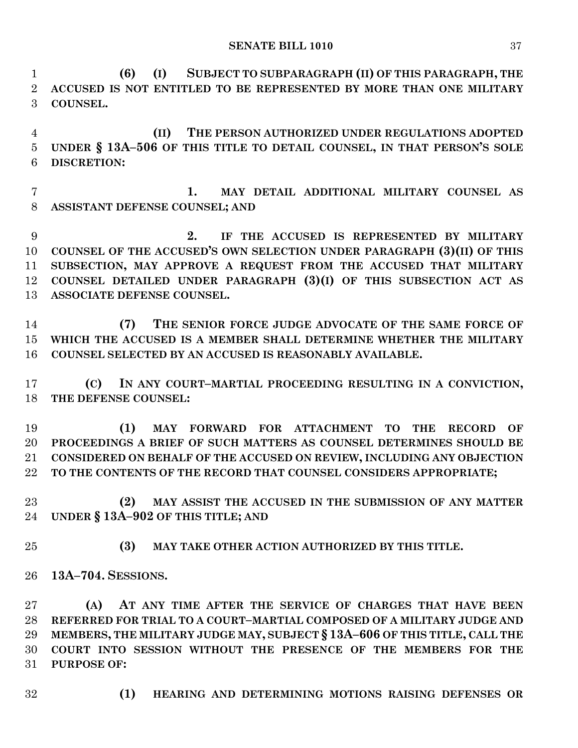**SENATE BILL 1010** 37

 **(6) (I) SUBJECT TO SUBPARAGRAPH (II) OF THIS PARAGRAPH, THE ACCUSED IS NOT ENTITLED TO BE REPRESENTED BY MORE THAN ONE MILITARY COUNSEL.**

 **(II) THE PERSON AUTHORIZED UNDER REGULATIONS ADOPTED UNDER § 13A–506 OF THIS TITLE TO DETAIL COUNSEL, IN THAT PERSON'S SOLE DISCRETION:**

 **1. MAY DETAIL ADDITIONAL MILITARY COUNSEL AS ASSISTANT DEFENSE COUNSEL; AND**

 **2. IF THE ACCUSED IS REPRESENTED BY MILITARY COUNSEL OF THE ACCUSED'S OWN SELECTION UNDER PARAGRAPH (3)(II) OF THIS SUBSECTION, MAY APPROVE A REQUEST FROM THE ACCUSED THAT MILITARY COUNSEL DETAILED UNDER PARAGRAPH (3)(I) OF THIS SUBSECTION ACT AS ASSOCIATE DEFENSE COUNSEL.**

 **(7) THE SENIOR FORCE JUDGE ADVOCATE OF THE SAME FORCE OF WHICH THE ACCUSED IS A MEMBER SHALL DETERMINE WHETHER THE MILITARY COUNSEL SELECTED BY AN ACCUSED IS REASONABLY AVAILABLE.**

 **(C) IN ANY COURT–MARTIAL PROCEEDING RESULTING IN A CONVICTION, THE DEFENSE COUNSEL:**

 **(1) MAY FORWARD FOR ATTACHMENT TO THE RECORD OF PROCEEDINGS A BRIEF OF SUCH MATTERS AS COUNSEL DETERMINES SHOULD BE CONSIDERED ON BEHALF OF THE ACCUSED ON REVIEW, INCLUDING ANY OBJECTION TO THE CONTENTS OF THE RECORD THAT COUNSEL CONSIDERS APPROPRIATE;**

 **(2) MAY ASSIST THE ACCUSED IN THE SUBMISSION OF ANY MATTER UNDER § 13A–902 OF THIS TITLE; AND**

- **(3) MAY TAKE OTHER ACTION AUTHORIZED BY THIS TITLE.**
- **13A–704. SESSIONS.**

 **(A) AT ANY TIME AFTER THE SERVICE OF CHARGES THAT HAVE BEEN REFERRED FOR TRIAL TO A COURT–MARTIAL COMPOSED OF A MILITARY JUDGE AND MEMBERS, THE MILITARY JUDGE MAY, SUBJECT § 13A–606 OF THIS TITLE, CALL THE COURT INTO SESSION WITHOUT THE PRESENCE OF THE MEMBERS FOR THE PURPOSE OF:**

- 
- **(1) HEARING AND DETERMINING MOTIONS RAISING DEFENSES OR**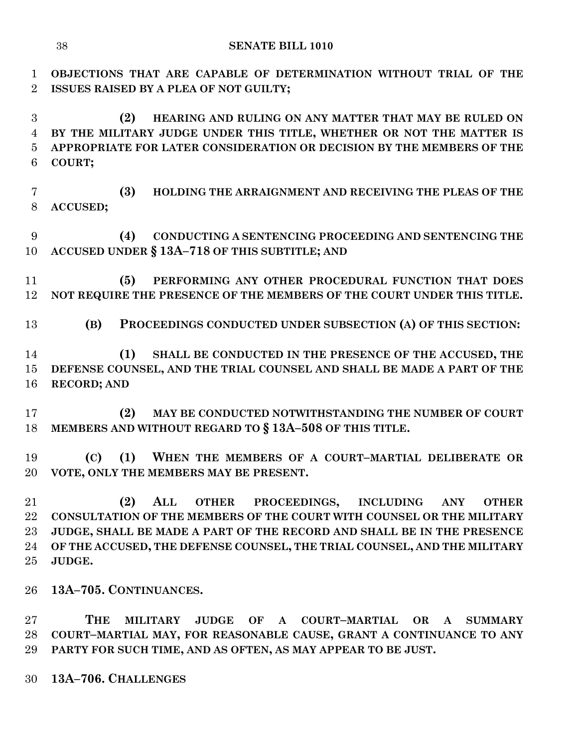**OBJECTIONS THAT ARE CAPABLE OF DETERMINATION WITHOUT TRIAL OF THE ISSUES RAISED BY A PLEA OF NOT GUILTY;**

 **(2) HEARING AND RULING ON ANY MATTER THAT MAY BE RULED ON BY THE MILITARY JUDGE UNDER THIS TITLE, WHETHER OR NOT THE MATTER IS APPROPRIATE FOR LATER CONSIDERATION OR DECISION BY THE MEMBERS OF THE COURT;**

 **(3) HOLDING THE ARRAIGNMENT AND RECEIVING THE PLEAS OF THE ACCUSED;**

 **(4) CONDUCTING A SENTENCING PROCEEDING AND SENTENCING THE ACCUSED UNDER § 13A–718 OF THIS SUBTITLE; AND**

 **(5) PERFORMING ANY OTHER PROCEDURAL FUNCTION THAT DOES NOT REQUIRE THE PRESENCE OF THE MEMBERS OF THE COURT UNDER THIS TITLE.**

**(B) PROCEEDINGS CONDUCTED UNDER SUBSECTION (A) OF THIS SECTION:**

 **(1) SHALL BE CONDUCTED IN THE PRESENCE OF THE ACCUSED, THE DEFENSE COUNSEL, AND THE TRIAL COUNSEL AND SHALL BE MADE A PART OF THE RECORD; AND** 

 **(2) MAY BE CONDUCTED NOTWITHSTANDING THE NUMBER OF COURT MEMBERS AND WITHOUT REGARD TO § 13A–508 OF THIS TITLE.**

 **(C) (1) WHEN THE MEMBERS OF A COURT–MARTIAL DELIBERATE OR VOTE, ONLY THE MEMBERS MAY BE PRESENT.**

 **(2) ALL OTHER PROCEEDINGS, INCLUDING ANY OTHER CONSULTATION OF THE MEMBERS OF THE COURT WITH COUNSEL OR THE MILITARY JUDGE, SHALL BE MADE A PART OF THE RECORD AND SHALL BE IN THE PRESENCE OF THE ACCUSED, THE DEFENSE COUNSEL, THE TRIAL COUNSEL, AND THE MILITARY JUDGE.**

**13A–705. CONTINUANCES.**

 **THE MILITARY JUDGE OF A COURT–MARTIAL OR A SUMMARY COURT–MARTIAL MAY, FOR REASONABLE CAUSE, GRANT A CONTINUANCE TO ANY PARTY FOR SUCH TIME, AND AS OFTEN, AS MAY APPEAR TO BE JUST.**

**13A–706. CHALLENGES**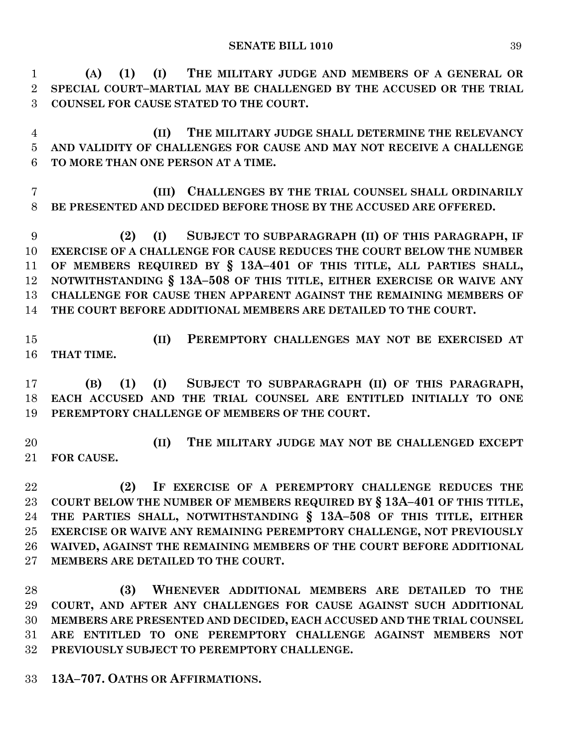**(A) (1) (I) THE MILITARY JUDGE AND MEMBERS OF A GENERAL OR SPECIAL COURT–MARTIAL MAY BE CHALLENGED BY THE ACCUSED OR THE TRIAL COUNSEL FOR CAUSE STATED TO THE COURT.**

 **(II) THE MILITARY JUDGE SHALL DETERMINE THE RELEVANCY AND VALIDITY OF CHALLENGES FOR CAUSE AND MAY NOT RECEIVE A CHALLENGE TO MORE THAN ONE PERSON AT A TIME.**

 **(III) CHALLENGES BY THE TRIAL COUNSEL SHALL ORDINARILY BE PRESENTED AND DECIDED BEFORE THOSE BY THE ACCUSED ARE OFFERED.**

 **(2) (I) SUBJECT TO SUBPARAGRAPH (II) OF THIS PARAGRAPH, IF EXERCISE OF A CHALLENGE FOR CAUSE REDUCES THE COURT BELOW THE NUMBER OF MEMBERS REQUIRED BY § 13A–401 OF THIS TITLE, ALL PARTIES SHALL, NOTWITHSTANDING § 13A–508 OF THIS TITLE, EITHER EXERCISE OR WAIVE ANY CHALLENGE FOR CAUSE THEN APPARENT AGAINST THE REMAINING MEMBERS OF THE COURT BEFORE ADDITIONAL MEMBERS ARE DETAILED TO THE COURT.**

 **(II) PEREMPTORY CHALLENGES MAY NOT BE EXERCISED AT THAT TIME.**

 **(B) (1) (I) SUBJECT TO SUBPARAGRAPH (II) OF THIS PARAGRAPH, EACH ACCUSED AND THE TRIAL COUNSEL ARE ENTITLED INITIALLY TO ONE PEREMPTORY CHALLENGE OF MEMBERS OF THE COURT.**

 **(II) THE MILITARY JUDGE MAY NOT BE CHALLENGED EXCEPT FOR CAUSE.**

 **(2) IF EXERCISE OF A PEREMPTORY CHALLENGE REDUCES THE COURT BELOW THE NUMBER OF MEMBERS REQUIRED BY § 13A–401 OF THIS TITLE, THE PARTIES SHALL, NOTWITHSTANDING § 13A–508 OF THIS TITLE, EITHER EXERCISE OR WAIVE ANY REMAINING PEREMPTORY CHALLENGE, NOT PREVIOUSLY WAIVED, AGAINST THE REMAINING MEMBERS OF THE COURT BEFORE ADDITIONAL MEMBERS ARE DETAILED TO THE COURT.**

 **(3) WHENEVER ADDITIONAL MEMBERS ARE DETAILED TO THE COURT, AND AFTER ANY CHALLENGES FOR CAUSE AGAINST SUCH ADDITIONAL MEMBERS ARE PRESENTED AND DECIDED, EACH ACCUSED AND THE TRIAL COUNSEL ARE ENTITLED TO ONE PEREMPTORY CHALLENGE AGAINST MEMBERS NOT PREVIOUSLY SUBJECT TO PEREMPTORY CHALLENGE.**

**13A–707. OATHS OR AFFIRMATIONS.**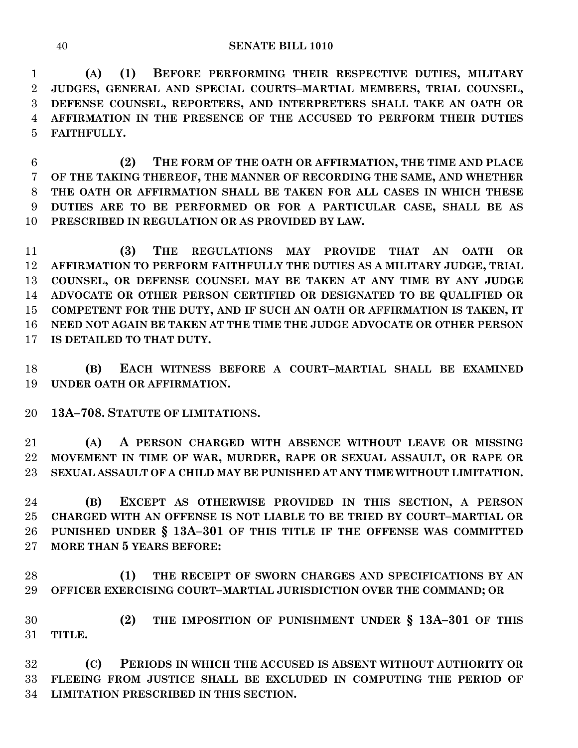**(A) (1) BEFORE PERFORMING THEIR RESPECTIVE DUTIES, MILITARY JUDGES, GENERAL AND SPECIAL COURTS–MARTIAL MEMBERS, TRIAL COUNSEL, DEFENSE COUNSEL, REPORTERS, AND INTERPRETERS SHALL TAKE AN OATH OR AFFIRMATION IN THE PRESENCE OF THE ACCUSED TO PERFORM THEIR DUTIES FAITHFULLY.**

 **(2) THE FORM OF THE OATH OR AFFIRMATION, THE TIME AND PLACE OF THE TAKING THEREOF, THE MANNER OF RECORDING THE SAME, AND WHETHER THE OATH OR AFFIRMATION SHALL BE TAKEN FOR ALL CASES IN WHICH THESE DUTIES ARE TO BE PERFORMED OR FOR A PARTICULAR CASE, SHALL BE AS PRESCRIBED IN REGULATION OR AS PROVIDED BY LAW.**

 **(3) THE REGULATIONS MAY PROVIDE THAT AN OATH OR AFFIRMATION TO PERFORM FAITHFULLY THE DUTIES AS A MILITARY JUDGE, TRIAL COUNSEL, OR DEFENSE COUNSEL MAY BE TAKEN AT ANY TIME BY ANY JUDGE ADVOCATE OR OTHER PERSON CERTIFIED OR DESIGNATED TO BE QUALIFIED OR COMPETENT FOR THE DUTY, AND IF SUCH AN OATH OR AFFIRMATION IS TAKEN, IT NEED NOT AGAIN BE TAKEN AT THE TIME THE JUDGE ADVOCATE OR OTHER PERSON IS DETAILED TO THAT DUTY.**

 **(B) EACH WITNESS BEFORE A COURT–MARTIAL SHALL BE EXAMINED UNDER OATH OR AFFIRMATION.**

**13A–708. STATUTE OF LIMITATIONS.**

 **(A) A PERSON CHARGED WITH ABSENCE WITHOUT LEAVE OR MISSING MOVEMENT IN TIME OF WAR, MURDER, RAPE OR SEXUAL ASSAULT, OR RAPE OR SEXUAL ASSAULT OF A CHILD MAY BE PUNISHED AT ANY TIME WITHOUT LIMITATION.**

 **(B) EXCEPT AS OTHERWISE PROVIDED IN THIS SECTION, A PERSON CHARGED WITH AN OFFENSE IS NOT LIABLE TO BE TRIED BY COURT–MARTIAL OR PUNISHED UNDER § 13A–301 OF THIS TITLE IF THE OFFENSE WAS COMMITTED MORE THAN 5 YEARS BEFORE:**

 **(1) THE RECEIPT OF SWORN CHARGES AND SPECIFICATIONS BY AN OFFICER EXERCISING COURT–MARTIAL JURISDICTION OVER THE COMMAND; OR** 

 **(2) THE IMPOSITION OF PUNISHMENT UNDER § 13A–301 OF THIS TITLE.**

 **(C) PERIODS IN WHICH THE ACCUSED IS ABSENT WITHOUT AUTHORITY OR FLEEING FROM JUSTICE SHALL BE EXCLUDED IN COMPUTING THE PERIOD OF LIMITATION PRESCRIBED IN THIS SECTION.**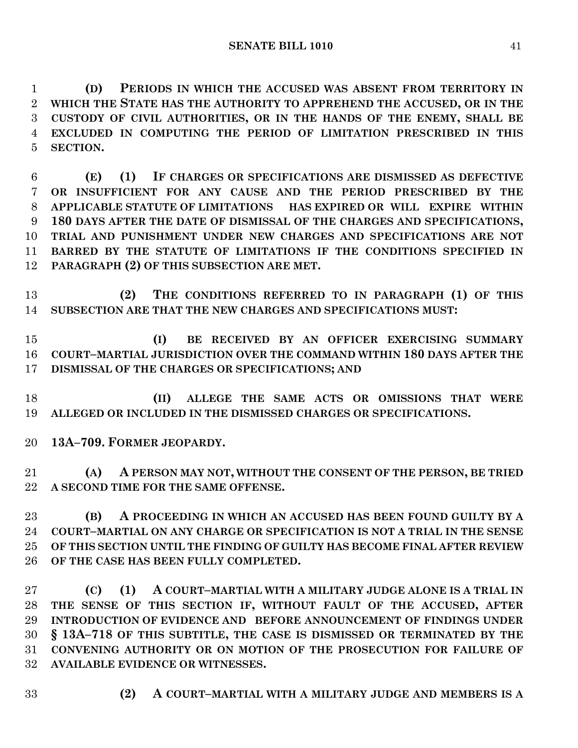**(D) PERIODS IN WHICH THE ACCUSED WAS ABSENT FROM TERRITORY IN WHICH THE STATE HAS THE AUTHORITY TO APPREHEND THE ACCUSED, OR IN THE CUSTODY OF CIVIL AUTHORITIES, OR IN THE HANDS OF THE ENEMY, SHALL BE EXCLUDED IN COMPUTING THE PERIOD OF LIMITATION PRESCRIBED IN THIS SECTION.**

 **(E) (1) IF CHARGES OR SPECIFICATIONS ARE DISMISSED AS DEFECTIVE OR INSUFFICIENT FOR ANY CAUSE AND THE PERIOD PRESCRIBED BY THE APPLICABLE STATUTE OF LIMITATIONS HAS EXPIRED OR WILL EXPIRE WITHIN 180 DAYS AFTER THE DATE OF DISMISSAL OF THE CHARGES AND SPECIFICATIONS, TRIAL AND PUNISHMENT UNDER NEW CHARGES AND SPECIFICATIONS ARE NOT BARRED BY THE STATUTE OF LIMITATIONS IF THE CONDITIONS SPECIFIED IN PARAGRAPH (2) OF THIS SUBSECTION ARE MET.**

 **(2) THE CONDITIONS REFERRED TO IN PARAGRAPH (1) OF THIS SUBSECTION ARE THAT THE NEW CHARGES AND SPECIFICATIONS MUST:**

 **(I) BE RECEIVED BY AN OFFICER EXERCISING SUMMARY COURT–MARTIAL JURISDICTION OVER THE COMMAND WITHIN 180 DAYS AFTER THE DISMISSAL OF THE CHARGES OR SPECIFICATIONS; AND**

 **(II) ALLEGE THE SAME ACTS OR OMISSIONS THAT WERE ALLEGED OR INCLUDED IN THE DISMISSED CHARGES OR SPECIFICATIONS.**

**13A–709. FORMER JEOPARDY.**

 **(A) A PERSON MAY NOT, WITHOUT THE CONSENT OF THE PERSON, BE TRIED A SECOND TIME FOR THE SAME OFFENSE.**

 **(B) A PROCEEDING IN WHICH AN ACCUSED HAS BEEN FOUND GUILTY BY A COURT–MARTIAL ON ANY CHARGE OR SPECIFICATION IS NOT A TRIAL IN THE SENSE OF THIS SECTION UNTIL THE FINDING OF GUILTY HAS BECOME FINAL AFTER REVIEW OF THE CASE HAS BEEN FULLY COMPLETED.**

 **(C) (1) A COURT–MARTIAL WITH A MILITARY JUDGE ALONE IS A TRIAL IN THE SENSE OF THIS SECTION IF, WITHOUT FAULT OF THE ACCUSED, AFTER INTRODUCTION OF EVIDENCE AND BEFORE ANNOUNCEMENT OF FINDINGS UNDER § 13A–718 OF THIS SUBTITLE, THE CASE IS DISMISSED OR TERMINATED BY THE CONVENING AUTHORITY OR ON MOTION OF THE PROSECUTION FOR FAILURE OF AVAILABLE EVIDENCE OR WITNESSES.**

- 
- **(2) A COURT–MARTIAL WITH A MILITARY JUDGE AND MEMBERS IS A**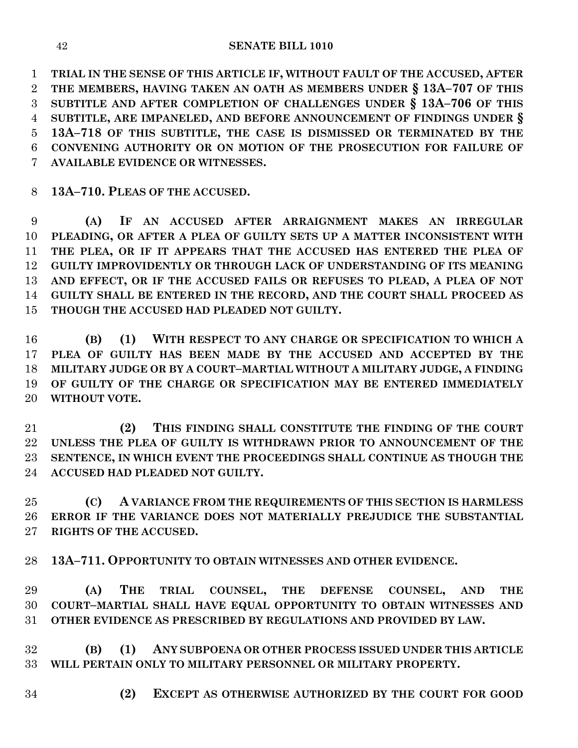**TRIAL IN THE SENSE OF THIS ARTICLE IF, WITHOUT FAULT OF THE ACCUSED, AFTER THE MEMBERS, HAVING TAKEN AN OATH AS MEMBERS UNDER § 13A–707 OF THIS SUBTITLE AND AFTER COMPLETION OF CHALLENGES UNDER § 13A–706 OF THIS SUBTITLE, ARE IMPANELED, AND BEFORE ANNOUNCEMENT OF FINDINGS UNDER § 13A–718 OF THIS SUBTITLE, THE CASE IS DISMISSED OR TERMINATED BY THE CONVENING AUTHORITY OR ON MOTION OF THE PROSECUTION FOR FAILURE OF AVAILABLE EVIDENCE OR WITNESSES.**

**13A–710. PLEAS OF THE ACCUSED.**

 **(A) IF AN ACCUSED AFTER ARRAIGNMENT MAKES AN IRREGULAR PLEADING, OR AFTER A PLEA OF GUILTY SETS UP A MATTER INCONSISTENT WITH THE PLEA, OR IF IT APPEARS THAT THE ACCUSED HAS ENTERED THE PLEA OF GUILTY IMPROVIDENTLY OR THROUGH LACK OF UNDERSTANDING OF ITS MEANING AND EFFECT, OR IF THE ACCUSED FAILS OR REFUSES TO PLEAD, A PLEA OF NOT GUILTY SHALL BE ENTERED IN THE RECORD, AND THE COURT SHALL PROCEED AS THOUGH THE ACCUSED HAD PLEADED NOT GUILTY.**

 **(B) (1) WITH RESPECT TO ANY CHARGE OR SPECIFICATION TO WHICH A PLEA OF GUILTY HAS BEEN MADE BY THE ACCUSED AND ACCEPTED BY THE MILITARY JUDGE OR BY A COURT–MARTIAL WITHOUT A MILITARY JUDGE, A FINDING OF GUILTY OF THE CHARGE OR SPECIFICATION MAY BE ENTERED IMMEDIATELY WITHOUT VOTE.**

 **(2) THIS FINDING SHALL CONSTITUTE THE FINDING OF THE COURT UNLESS THE PLEA OF GUILTY IS WITHDRAWN PRIOR TO ANNOUNCEMENT OF THE SENTENCE, IN WHICH EVENT THE PROCEEDINGS SHALL CONTINUE AS THOUGH THE ACCUSED HAD PLEADED NOT GUILTY.**

 **(C) A VARIANCE FROM THE REQUIREMENTS OF THIS SECTION IS HARMLESS ERROR IF THE VARIANCE DOES NOT MATERIALLY PREJUDICE THE SUBSTANTIAL RIGHTS OF THE ACCUSED.**

**13A–711. OPPORTUNITY TO OBTAIN WITNESSES AND OTHER EVIDENCE.**

 **(A) THE TRIAL COUNSEL, THE DEFENSE COUNSEL, AND THE COURT–MARTIAL SHALL HAVE EQUAL OPPORTUNITY TO OBTAIN WITNESSES AND OTHER EVIDENCE AS PRESCRIBED BY REGULATIONS AND PROVIDED BY LAW.**

 **(B) (1) ANY SUBPOENA OR OTHER PROCESS ISSUED UNDER THIS ARTICLE WILL PERTAIN ONLY TO MILITARY PERSONNEL OR MILITARY PROPERTY.**

**(2) EXCEPT AS OTHERWISE AUTHORIZED BY THE COURT FOR GOOD**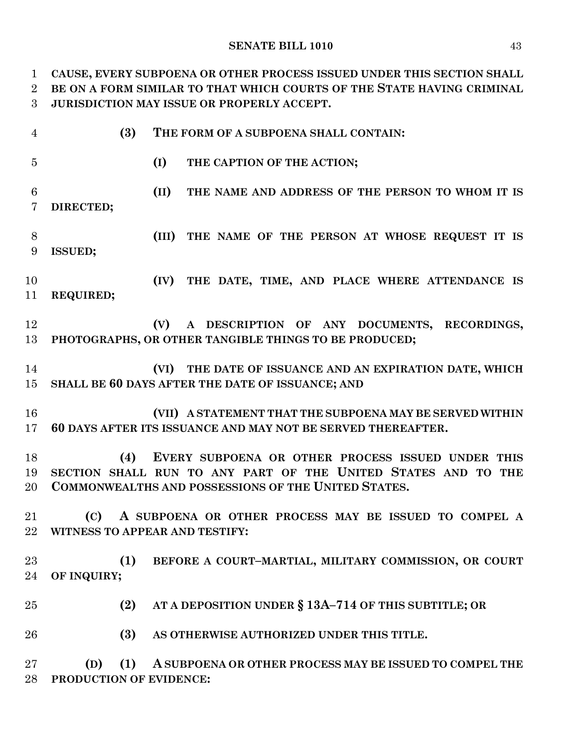#### **SENATE BILL 1010** 43

 **CAUSE, EVERY SUBPOENA OR OTHER PROCESS ISSUED UNDER THIS SECTION SHALL BE ON A FORM SIMILAR TO THAT WHICH COURTS OF THE STATE HAVING CRIMINAL JURISDICTION MAY ISSUE OR PROPERLY ACCEPT.**

| $\overline{4}$       | (3)<br>THE FORM OF A SUBPOENA SHALL CONTAIN:                                                                                                                                            |
|----------------------|-----------------------------------------------------------------------------------------------------------------------------------------------------------------------------------------|
| $\overline{5}$       | (I)<br>THE CAPTION OF THE ACTION;                                                                                                                                                       |
| $6\phantom{.}6$<br>7 | (II)<br>THE NAME AND ADDRESS OF THE PERSON TO WHOM IT IS<br>DIRECTED;                                                                                                                   |
| 8<br>9               | (III)<br>THE NAME OF THE PERSON AT WHOSE REQUEST IT IS<br><b>ISSUED;</b>                                                                                                                |
| 10<br>11             | (IV)<br>THE DATE, TIME, AND PLACE WHERE ATTENDANCE IS<br>REQUIRED;                                                                                                                      |
| 12<br>13             | (V)<br>A DESCRIPTION OF ANY DOCUMENTS, RECORDINGS,<br>PHOTOGRAPHS, OR OTHER TANGIBLE THINGS TO BE PRODUCED;                                                                             |
| 14<br>15             | THE DATE OF ISSUANCE AND AN EXPIRATION DATE, WHICH<br>(VI)<br>SHALL BE 60 DAYS AFTER THE DATE OF ISSUANCE; AND                                                                          |
| 16<br>17             | (VII) A STATEMENT THAT THE SUBPOENA MAY BE SERVED WITHIN<br>60 DAYS AFTER ITS ISSUANCE AND MAY NOT BE SERVED THEREAFTER.                                                                |
| 18<br>19<br>20       | (4)<br>EVERY SUBPOENA OR OTHER PROCESS ISSUED UNDER THIS<br>SECTION SHALL RUN TO ANY PART OF THE UNITED STATES AND TO THE<br><b>COMMONWEALTHS AND POSSESSIONS OF THE UNITED STATES.</b> |
| 21<br>22             | A SUBPOENA OR OTHER PROCESS MAY BE ISSUED TO COMPEL A<br>(C)<br>WITNESS TO APPEAR AND TESTIFY:                                                                                          |
| 23<br>24             | (1)<br>BEFORE A COURT-MARTIAL, MILITARY COMMISSION, OR COURT<br>OF INQUIRY;                                                                                                             |
| 25                   | (2)<br>AT A DEPOSITION UNDER § 13A-714 OF THIS SUBTITLE; OR                                                                                                                             |
| 26                   | (3)<br>AS OTHERWISE AUTHORIZED UNDER THIS TITLE.                                                                                                                                        |
| 27<br>28             | (1)<br>(D)<br>A SUBPOENA OR OTHER PROCESS MAY BE ISSUED TO COMPEL THE<br>PRODUCTION OF EVIDENCE:                                                                                        |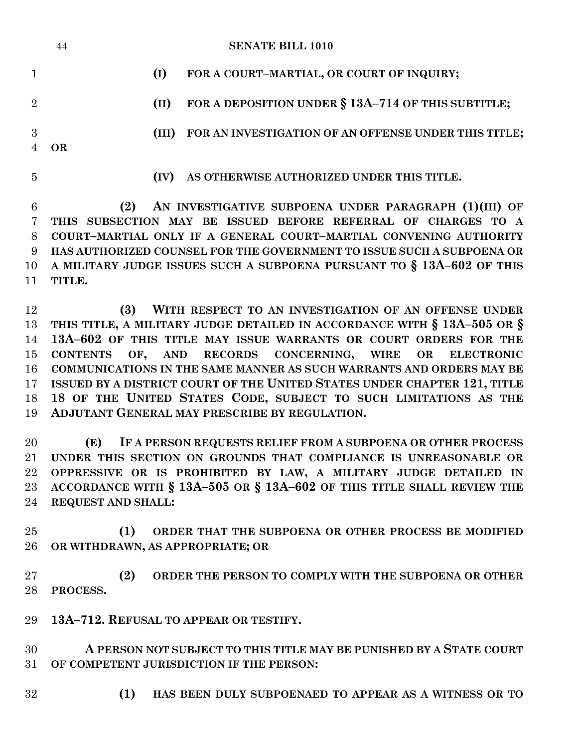|                | 44        |       | <b>SENATE BILL 1010</b>                                               |
|----------------|-----------|-------|-----------------------------------------------------------------------|
|                |           | (I)   | FOR A COURT-MARTIAL, OR COURT OF INQUIRY;                             |
| $\overline{2}$ |           | (II)  | FOR A DEPOSITION UNDER § 13A-714 OF THIS SUBTITLE;                    |
| 3              | <b>OR</b> | (III) | FOR AN INVESTIGATION OF AN OFFENSE UNDER THIS TITLE;                  |
| 5              |           | (IV)  | AS OTHERWISE AUTHORIZED UNDER THIS TITLE.                             |
| 6              | (2)       |       | AN INVESTIGATIVE SUBPOENA UNDER PARAGRAPH (1)(III) OF                 |
|                |           |       | THIS SUBSECTION MAY BE ISSUED BEFORE REFERRAL OF CHARGES TO A         |
| 8              |           |       | COURT-MARTIAL ONLY IF A GENERAL COURT-MARTIAL CONVENING AUTHORITY     |
| 9              |           |       | HAS AUTHORIZED COUNSEL FOR THE GOVERNMENT TO ISSUE SUCH A SUBPOENA OR |
| 10             |           |       | A MILITARY JUDGE ISSUES SUCH A SUBPOENA PURSUANT TO § 13A-602 OF THIS |
| 11             | TITLE.    |       |                                                                       |
|                |           |       |                                                                       |

 **(3) WITH RESPECT TO AN INVESTIGATION OF AN OFFENSE UNDER THIS TITLE, A MILITARY JUDGE DETAILED IN ACCORDANCE WITH § 13A–505 OR § 13A–602 OF THIS TITLE MAY ISSUE WARRANTS OR COURT ORDERS FOR THE CONTENTS OF, AND RECORDS CONCERNING, WIRE OR ELECTRONIC COMMUNICATIONS IN THE SAME MANNER AS SUCH WARRANTS AND ORDERS MAY BE ISSUED BY A DISTRICT COURT OF THE UNITED STATES UNDER CHAPTER 121, TITLE 18 OF THE UNITED STATES CODE, SUBJECT TO SUCH LIMITATIONS AS THE ADJUTANT GENERAL MAY PRESCRIBE BY REGULATION.**

 **(E) IF A PERSON REQUESTS RELIEF FROM A SUBPOENA OR OTHER PROCESS UNDER THIS SECTION ON GROUNDS THAT COMPLIANCE IS UNREASONABLE OR OPPRESSIVE OR IS PROHIBITED BY LAW, A MILITARY JUDGE DETAILED IN ACCORDANCE WITH § 13A–505 OR § 13A–602 OF THIS TITLE SHALL REVIEW THE REQUEST AND SHALL:**

 **(1) ORDER THAT THE SUBPOENA OR OTHER PROCESS BE MODIFIED OR WITHDRAWN, AS APPROPRIATE; OR** 

 **(2) ORDER THE PERSON TO COMPLY WITH THE SUBPOENA OR OTHER PROCESS.**

**13A–712. REFUSAL TO APPEAR OR TESTIFY.**

 **A PERSON NOT SUBJECT TO THIS TITLE MAY BE PUNISHED BY A STATE COURT OF COMPETENT JURISDICTION IF THE PERSON:**

**(1) HAS BEEN DULY SUBPOENAED TO APPEAR AS A WITNESS OR TO**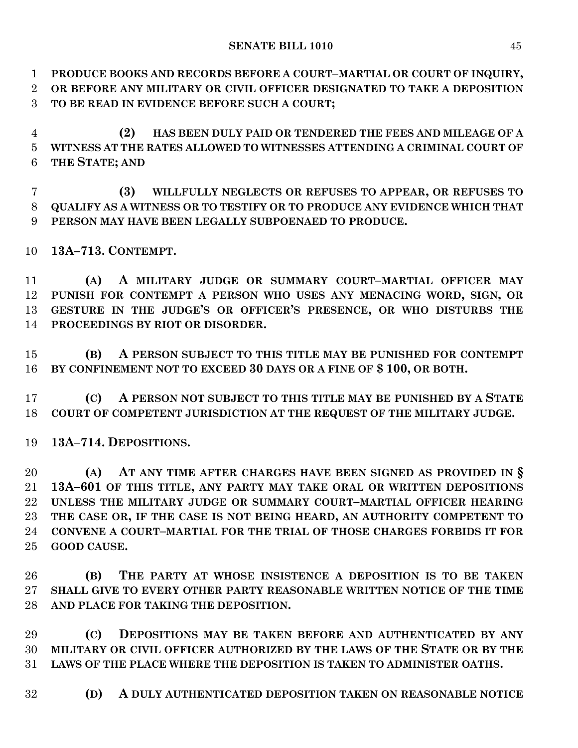**PRODUCE BOOKS AND RECORDS BEFORE A COURT–MARTIAL OR COURT OF INQUIRY,**

 **OR BEFORE ANY MILITARY OR CIVIL OFFICER DESIGNATED TO TAKE A DEPOSITION TO BE READ IN EVIDENCE BEFORE SUCH A COURT;**

 **(2) HAS BEEN DULY PAID OR TENDERED THE FEES AND MILEAGE OF A WITNESS AT THE RATES ALLOWED TO WITNESSES ATTENDING A CRIMINAL COURT OF THE STATE; AND**

 **(3) WILLFULLY NEGLECTS OR REFUSES TO APPEAR, OR REFUSES TO QUALIFY AS A WITNESS OR TO TESTIFY OR TO PRODUCE ANY EVIDENCE WHICH THAT PERSON MAY HAVE BEEN LEGALLY SUBPOENAED TO PRODUCE.**

**13A–713. CONTEMPT.**

 **(A) A MILITARY JUDGE OR SUMMARY COURT–MARTIAL OFFICER MAY PUNISH FOR CONTEMPT A PERSON WHO USES ANY MENACING WORD, SIGN, OR GESTURE IN THE JUDGE'S OR OFFICER'S PRESENCE, OR WHO DISTURBS THE PROCEEDINGS BY RIOT OR DISORDER.**

 **(B) A PERSON SUBJECT TO THIS TITLE MAY BE PUNISHED FOR CONTEMPT BY CONFINEMENT NOT TO EXCEED 30 DAYS OR A FINE OF \$ 100, OR BOTH.**

 **(C) A PERSON NOT SUBJECT TO THIS TITLE MAY BE PUNISHED BY A STATE COURT OF COMPETENT JURISDICTION AT THE REQUEST OF THE MILITARY JUDGE.**

**13A–714. DEPOSITIONS.**

 **(A) AT ANY TIME AFTER CHARGES HAVE BEEN SIGNED AS PROVIDED IN § 13A–601 OF THIS TITLE, ANY PARTY MAY TAKE ORAL OR WRITTEN DEPOSITIONS UNLESS THE MILITARY JUDGE OR SUMMARY COURT–MARTIAL OFFICER HEARING THE CASE OR, IF THE CASE IS NOT BEING HEARD, AN AUTHORITY COMPETENT TO CONVENE A COURT–MARTIAL FOR THE TRIAL OF THOSE CHARGES FORBIDS IT FOR GOOD CAUSE.**

 **(B) THE PARTY AT WHOSE INSISTENCE A DEPOSITION IS TO BE TAKEN SHALL GIVE TO EVERY OTHER PARTY REASONABLE WRITTEN NOTICE OF THE TIME AND PLACE FOR TAKING THE DEPOSITION.**

 **(C) DEPOSITIONS MAY BE TAKEN BEFORE AND AUTHENTICATED BY ANY MILITARY OR CIVIL OFFICER AUTHORIZED BY THE LAWS OF THE STATE OR BY THE LAWS OF THE PLACE WHERE THE DEPOSITION IS TAKEN TO ADMINISTER OATHS.**

**(D) A DULY AUTHENTICATED DEPOSITION TAKEN ON REASONABLE NOTICE**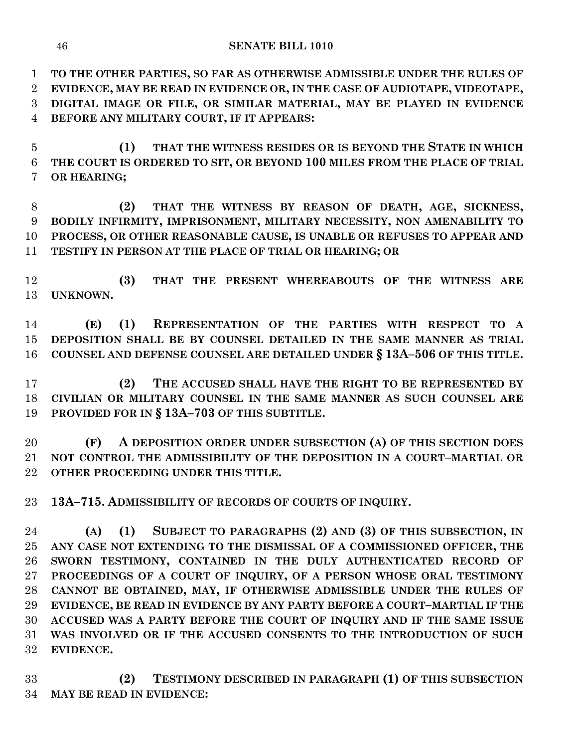**TO THE OTHER PARTIES, SO FAR AS OTHERWISE ADMISSIBLE UNDER THE RULES OF EVIDENCE, MAY BE READ IN EVIDENCE OR, IN THE CASE OF AUDIOTAPE, VIDEOTAPE, DIGITAL IMAGE OR FILE, OR SIMILAR MATERIAL, MAY BE PLAYED IN EVIDENCE BEFORE ANY MILITARY COURT, IF IT APPEARS:**

 **(1) THAT THE WITNESS RESIDES OR IS BEYOND THE STATE IN WHICH THE COURT IS ORDERED TO SIT, OR BEYOND 100 MILES FROM THE PLACE OF TRIAL OR HEARING;**

 **(2) THAT THE WITNESS BY REASON OF DEATH, AGE, SICKNESS, BODILY INFIRMITY, IMPRISONMENT, MILITARY NECESSITY, NON AMENABILITY TO PROCESS, OR OTHER REASONABLE CAUSE, IS UNABLE OR REFUSES TO APPEAR AND TESTIFY IN PERSON AT THE PLACE OF TRIAL OR HEARING; OR**

 **(3) THAT THE PRESENT WHEREABOUTS OF THE WITNESS ARE UNKNOWN.**

 **(E) (1) REPRESENTATION OF THE PARTIES WITH RESPECT TO A DEPOSITION SHALL BE BY COUNSEL DETAILED IN THE SAME MANNER AS TRIAL COUNSEL AND DEFENSE COUNSEL ARE DETAILED UNDER § 13A–506 OF THIS TITLE.**

 **(2) THE ACCUSED SHALL HAVE THE RIGHT TO BE REPRESENTED BY CIVILIAN OR MILITARY COUNSEL IN THE SAME MANNER AS SUCH COUNSEL ARE PROVIDED FOR IN § 13A–703 OF THIS SUBTITLE.**

 **(F) A DEPOSITION ORDER UNDER SUBSECTION (A) OF THIS SECTION DOES NOT CONTROL THE ADMISSIBILITY OF THE DEPOSITION IN A COURT–MARTIAL OR OTHER PROCEEDING UNDER THIS TITLE.**

**13A–715. ADMISSIBILITY OF RECORDS OF COURTS OF INQUIRY.**

 **(A) (1) SUBJECT TO PARAGRAPHS (2) AND (3) OF THIS SUBSECTION, IN ANY CASE NOT EXTENDING TO THE DISMISSAL OF A COMMISSIONED OFFICER, THE SWORN TESTIMONY, CONTAINED IN THE DULY AUTHENTICATED RECORD OF PROCEEDINGS OF A COURT OF INQUIRY, OF A PERSON WHOSE ORAL TESTIMONY CANNOT BE OBTAINED, MAY, IF OTHERWISE ADMISSIBLE UNDER THE RULES OF EVIDENCE, BE READ IN EVIDENCE BY ANY PARTY BEFORE A COURT–MARTIAL IF THE ACCUSED WAS A PARTY BEFORE THE COURT OF INQUIRY AND IF THE SAME ISSUE WAS INVOLVED OR IF THE ACCUSED CONSENTS TO THE INTRODUCTION OF SUCH EVIDENCE.**

 **(2) TESTIMONY DESCRIBED IN PARAGRAPH (1) OF THIS SUBSECTION MAY BE READ IN EVIDENCE:**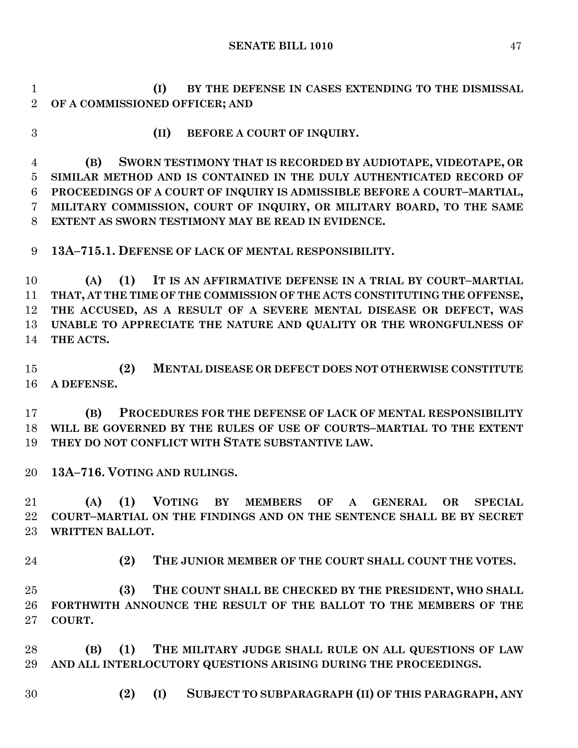**(I) BY THE DEFENSE IN CASES EXTENDING TO THE DISMISSAL OF A COMMISSIONED OFFICER; AND**

- 
- **(II) BEFORE A COURT OF INQUIRY.**

 **(B) SWORN TESTIMONY THAT IS RECORDED BY AUDIOTAPE, VIDEOTAPE, OR SIMILAR METHOD AND IS CONTAINED IN THE DULY AUTHENTICATED RECORD OF PROCEEDINGS OF A COURT OF INQUIRY IS ADMISSIBLE BEFORE A COURT–MARTIAL, MILITARY COMMISSION, COURT OF INQUIRY, OR MILITARY BOARD, TO THE SAME EXTENT AS SWORN TESTIMONY MAY BE READ IN EVIDENCE.**

**13A–715.1. DEFENSE OF LACK OF MENTAL RESPONSIBILITY.**

 **(A) (1) IT IS AN AFFIRMATIVE DEFENSE IN A TRIAL BY COURT–MARTIAL THAT, AT THE TIME OF THE COMMISSION OF THE ACTS CONSTITUTING THE OFFENSE, THE ACCUSED, AS A RESULT OF A SEVERE MENTAL DISEASE OR DEFECT, WAS UNABLE TO APPRECIATE THE NATURE AND QUALITY OR THE WRONGFULNESS OF THE ACTS.**

 **(2) MENTAL DISEASE OR DEFECT DOES NOT OTHERWISE CONSTITUTE A DEFENSE.**

 **(B) PROCEDURES FOR THE DEFENSE OF LACK OF MENTAL RESPONSIBILITY WILL BE GOVERNED BY THE RULES OF USE OF COURTS–MARTIAL TO THE EXTENT THEY DO NOT CONFLICT WITH STATE SUBSTANTIVE LAW.**

**13A–716. VOTING AND RULINGS.**

 **(A) (1) VOTING BY MEMBERS OF A GENERAL OR SPECIAL COURT–MARTIAL ON THE FINDINGS AND ON THE SENTENCE SHALL BE BY SECRET WRITTEN BALLOT.**

**(2) THE JUNIOR MEMBER OF THE COURT SHALL COUNT THE VOTES.**

 **(3) THE COUNT SHALL BE CHECKED BY THE PRESIDENT, WHO SHALL FORTHWITH ANNOUNCE THE RESULT OF THE BALLOT TO THE MEMBERS OF THE COURT.**

 **(B) (1) THE MILITARY JUDGE SHALL RULE ON ALL QUESTIONS OF LAW AND ALL INTERLOCUTORY QUESTIONS ARISING DURING THE PROCEEDINGS.**

**(2) (I) SUBJECT TO SUBPARAGRAPH (II) OF THIS PARAGRAPH, ANY**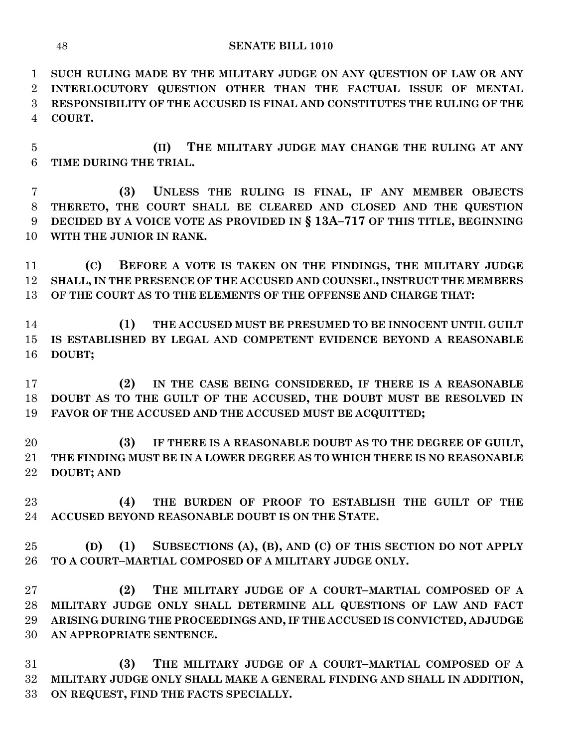**SUCH RULING MADE BY THE MILITARY JUDGE ON ANY QUESTION OF LAW OR ANY INTERLOCUTORY QUESTION OTHER THAN THE FACTUAL ISSUE OF MENTAL RESPONSIBILITY OF THE ACCUSED IS FINAL AND CONSTITUTES THE RULING OF THE COURT.**

 **(II) THE MILITARY JUDGE MAY CHANGE THE RULING AT ANY TIME DURING THE TRIAL.**

 **(3) UNLESS THE RULING IS FINAL, IF ANY MEMBER OBJECTS THERETO, THE COURT SHALL BE CLEARED AND CLOSED AND THE QUESTION DECIDED BY A VOICE VOTE AS PROVIDED IN § 13A–717 OF THIS TITLE, BEGINNING WITH THE JUNIOR IN RANK.**

 **(C) BEFORE A VOTE IS TAKEN ON THE FINDINGS, THE MILITARY JUDGE SHALL, IN THE PRESENCE OF THE ACCUSED AND COUNSEL, INSTRUCT THE MEMBERS OF THE COURT AS TO THE ELEMENTS OF THE OFFENSE AND CHARGE THAT:**

 **(1) THE ACCUSED MUST BE PRESUMED TO BE INNOCENT UNTIL GUILT IS ESTABLISHED BY LEGAL AND COMPETENT EVIDENCE BEYOND A REASONABLE DOUBT;**

 **(2) IN THE CASE BEING CONSIDERED, IF THERE IS A REASONABLE DOUBT AS TO THE GUILT OF THE ACCUSED, THE DOUBT MUST BE RESOLVED IN FAVOR OF THE ACCUSED AND THE ACCUSED MUST BE ACQUITTED;**

 **(3) IF THERE IS A REASONABLE DOUBT AS TO THE DEGREE OF GUILT, THE FINDING MUST BE IN A LOWER DEGREE AS TO WHICH THERE IS NO REASONABLE DOUBT; AND**

 **(4) THE BURDEN OF PROOF TO ESTABLISH THE GUILT OF THE ACCUSED BEYOND REASONABLE DOUBT IS ON THE STATE.**

 **(D) (1) SUBSECTIONS (A), (B), AND (C) OF THIS SECTION DO NOT APPLY TO A COURT–MARTIAL COMPOSED OF A MILITARY JUDGE ONLY.**

 **(2) THE MILITARY JUDGE OF A COURT–MARTIAL COMPOSED OF A MILITARY JUDGE ONLY SHALL DETERMINE ALL QUESTIONS OF LAW AND FACT ARISING DURING THE PROCEEDINGS AND, IF THE ACCUSED IS CONVICTED, ADJUDGE AN APPROPRIATE SENTENCE.**

 **(3) THE MILITARY JUDGE OF A COURT–MARTIAL COMPOSED OF A MILITARY JUDGE ONLY SHALL MAKE A GENERAL FINDING AND SHALL IN ADDITION, ON REQUEST, FIND THE FACTS SPECIALLY.**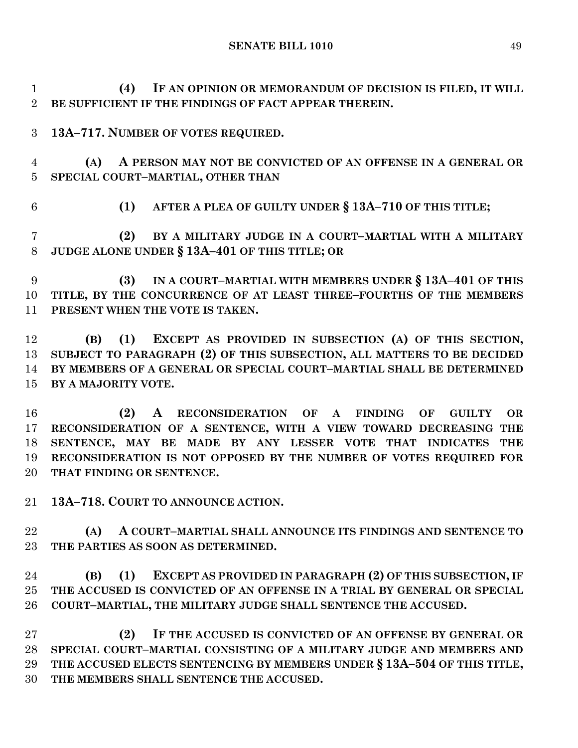**(4) IF AN OPINION OR MEMORANDUM OF DECISION IS FILED, IT WILL BE SUFFICIENT IF THE FINDINGS OF FACT APPEAR THEREIN.**

**13A–717. NUMBER OF VOTES REQUIRED.**

 **(A) A PERSON MAY NOT BE CONVICTED OF AN OFFENSE IN A GENERAL OR SPECIAL COURT–MARTIAL, OTHER THAN**

**(1) AFTER A PLEA OF GUILTY UNDER § 13A–710 OF THIS TITLE;**

 **(2) BY A MILITARY JUDGE IN A COURT–MARTIAL WITH A MILITARY JUDGE ALONE UNDER § 13A–401 OF THIS TITLE; OR** 

 **(3) IN A COURT–MARTIAL WITH MEMBERS UNDER § 13A–401 OF THIS TITLE, BY THE CONCURRENCE OF AT LEAST THREE–FOURTHS OF THE MEMBERS PRESENT WHEN THE VOTE IS TAKEN.**

 **(B) (1) EXCEPT AS PROVIDED IN SUBSECTION (A) OF THIS SECTION, SUBJECT TO PARAGRAPH (2) OF THIS SUBSECTION, ALL MATTERS TO BE DECIDED BY MEMBERS OF A GENERAL OR SPECIAL COURT–MARTIAL SHALL BE DETERMINED BY A MAJORITY VOTE.**

 **(2) A RECONSIDERATION OF A FINDING OF GUILTY OR RECONSIDERATION OF A SENTENCE, WITH A VIEW TOWARD DECREASING THE SENTENCE, MAY BE MADE BY ANY LESSER VOTE THAT INDICATES THE RECONSIDERATION IS NOT OPPOSED BY THE NUMBER OF VOTES REQUIRED FOR THAT FINDING OR SENTENCE.**

**13A–718. COURT TO ANNOUNCE ACTION.**

 **(A) A COURT–MARTIAL SHALL ANNOUNCE ITS FINDINGS AND SENTENCE TO THE PARTIES AS SOON AS DETERMINED.**

 **(B) (1) EXCEPT AS PROVIDED IN PARAGRAPH (2) OF THIS SUBSECTION, IF THE ACCUSED IS CONVICTED OF AN OFFENSE IN A TRIAL BY GENERAL OR SPECIAL COURT–MARTIAL, THE MILITARY JUDGE SHALL SENTENCE THE ACCUSED.**

 **(2) IF THE ACCUSED IS CONVICTED OF AN OFFENSE BY GENERAL OR SPECIAL COURT–MARTIAL CONSISTING OF A MILITARY JUDGE AND MEMBERS AND THE ACCUSED ELECTS SENTENCING BY MEMBERS UNDER § 13A–504 OF THIS TITLE, THE MEMBERS SHALL SENTENCE THE ACCUSED.**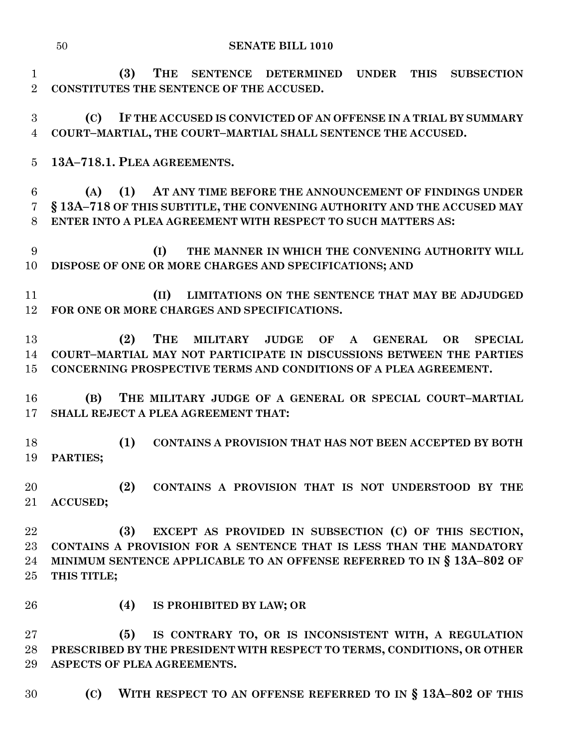**(3) THE SENTENCE DETERMINED UNDER THIS SUBSECTION CONSTITUTES THE SENTENCE OF THE ACCUSED.**

 **(C) IF THE ACCUSED IS CONVICTED OF AN OFFENSE IN A TRIAL BY SUMMARY COURT–MARTIAL, THE COURT–MARTIAL SHALL SENTENCE THE ACCUSED.**

**13A–718.1. PLEA AGREEMENTS.**

 **(A) (1) AT ANY TIME BEFORE THE ANNOUNCEMENT OF FINDINGS UNDER § 13A–718 OF THIS SUBTITLE, THE CONVENING AUTHORITY AND THE ACCUSED MAY ENTER INTO A PLEA AGREEMENT WITH RESPECT TO SUCH MATTERS AS:**

 **(I) THE MANNER IN WHICH THE CONVENING AUTHORITY WILL DISPOSE OF ONE OR MORE CHARGES AND SPECIFICATIONS; AND** 

 **(II) LIMITATIONS ON THE SENTENCE THAT MAY BE ADJUDGED FOR ONE OR MORE CHARGES AND SPECIFICATIONS.**

 **(2) THE MILITARY JUDGE OF A GENERAL OR SPECIAL COURT–MARTIAL MAY NOT PARTICIPATE IN DISCUSSIONS BETWEEN THE PARTIES CONCERNING PROSPECTIVE TERMS AND CONDITIONS OF A PLEA AGREEMENT.**

 **(B) THE MILITARY JUDGE OF A GENERAL OR SPECIAL COURT–MARTIAL SHALL REJECT A PLEA AGREEMENT THAT:**

 **(1) CONTAINS A PROVISION THAT HAS NOT BEEN ACCEPTED BY BOTH PARTIES;**

 **(2) CONTAINS A PROVISION THAT IS NOT UNDERSTOOD BY THE ACCUSED;**

 **(3) EXCEPT AS PROVIDED IN SUBSECTION (C) OF THIS SECTION, CONTAINS A PROVISION FOR A SENTENCE THAT IS LESS THAN THE MANDATORY MINIMUM SENTENCE APPLICABLE TO AN OFFENSE REFERRED TO IN § 13A–802 OF THIS TITLE;**

- 
- **(4) IS PROHIBITED BY LAW; OR**

 **(5) IS CONTRARY TO, OR IS INCONSISTENT WITH, A REGULATION PRESCRIBED BY THE PRESIDENT WITH RESPECT TO TERMS, CONDITIONS, OR OTHER ASPECTS OF PLEA AGREEMENTS.**

**(C) WITH RESPECT TO AN OFFENSE REFERRED TO IN § 13A–802 OF THIS**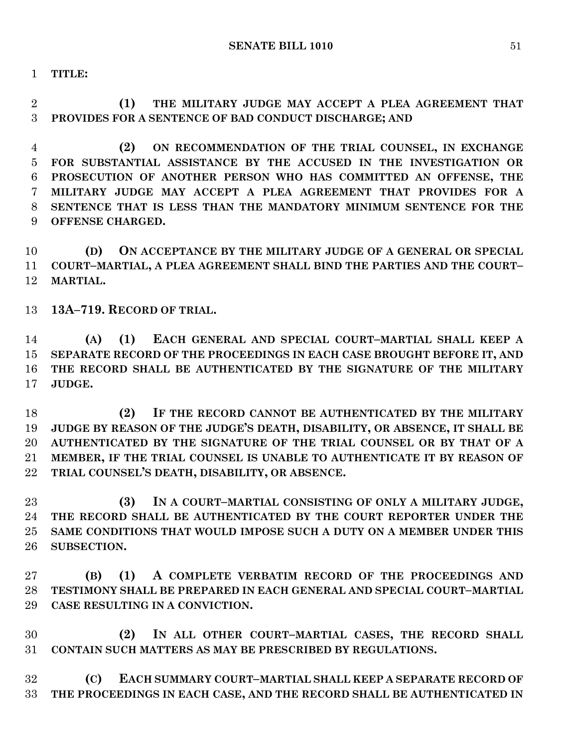**TITLE:**

 **(1) THE MILITARY JUDGE MAY ACCEPT A PLEA AGREEMENT THAT PROVIDES FOR A SENTENCE OF BAD CONDUCT DISCHARGE; AND** 

 **(2) ON RECOMMENDATION OF THE TRIAL COUNSEL, IN EXCHANGE FOR SUBSTANTIAL ASSISTANCE BY THE ACCUSED IN THE INVESTIGATION OR PROSECUTION OF ANOTHER PERSON WHO HAS COMMITTED AN OFFENSE, THE MILITARY JUDGE MAY ACCEPT A PLEA AGREEMENT THAT PROVIDES FOR A SENTENCE THAT IS LESS THAN THE MANDATORY MINIMUM SENTENCE FOR THE OFFENSE CHARGED.**

 **(D) ON ACCEPTANCE BY THE MILITARY JUDGE OF A GENERAL OR SPECIAL COURT–MARTIAL, A PLEA AGREEMENT SHALL BIND THE PARTIES AND THE COURT– MARTIAL.**

**13A–719. RECORD OF TRIAL.**

 **(A) (1) EACH GENERAL AND SPECIAL COURT–MARTIAL SHALL KEEP A SEPARATE RECORD OF THE PROCEEDINGS IN EACH CASE BROUGHT BEFORE IT, AND THE RECORD SHALL BE AUTHENTICATED BY THE SIGNATURE OF THE MILITARY JUDGE.**

 **(2) IF THE RECORD CANNOT BE AUTHENTICATED BY THE MILITARY JUDGE BY REASON OF THE JUDGE'S DEATH, DISABILITY, OR ABSENCE, IT SHALL BE AUTHENTICATED BY THE SIGNATURE OF THE TRIAL COUNSEL OR BY THAT OF A MEMBER, IF THE TRIAL COUNSEL IS UNABLE TO AUTHENTICATE IT BY REASON OF TRIAL COUNSEL'S DEATH, DISABILITY, OR ABSENCE.**

 **(3) IN A COURT–MARTIAL CONSISTING OF ONLY A MILITARY JUDGE, THE RECORD SHALL BE AUTHENTICATED BY THE COURT REPORTER UNDER THE SAME CONDITIONS THAT WOULD IMPOSE SUCH A DUTY ON A MEMBER UNDER THIS SUBSECTION.**

 **(B) (1) A COMPLETE VERBATIM RECORD OF THE PROCEEDINGS AND TESTIMONY SHALL BE PREPARED IN EACH GENERAL AND SPECIAL COURT–MARTIAL CASE RESULTING IN A CONVICTION.**

 **(2) IN ALL OTHER COURT–MARTIAL CASES, THE RECORD SHALL CONTAIN SUCH MATTERS AS MAY BE PRESCRIBED BY REGULATIONS.**

 **(C) EACH SUMMARY COURT–MARTIAL SHALL KEEP A SEPARATE RECORD OF THE PROCEEDINGS IN EACH CASE, AND THE RECORD SHALL BE AUTHENTICATED IN**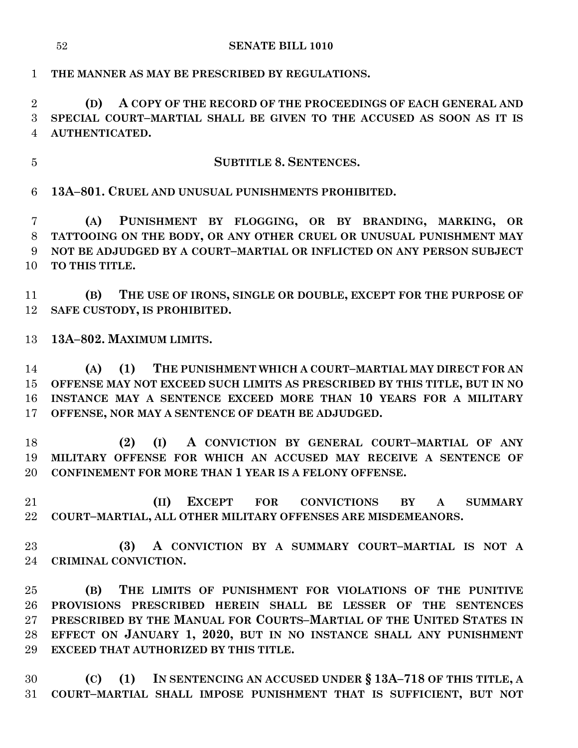**THE MANNER AS MAY BE PRESCRIBED BY REGULATIONS.**

 **(D) A COPY OF THE RECORD OF THE PROCEEDINGS OF EACH GENERAL AND SPECIAL COURT–MARTIAL SHALL BE GIVEN TO THE ACCUSED AS SOON AS IT IS AUTHENTICATED.**

**SUBTITLE 8. SENTENCES.**

**13A–801. CRUEL AND UNUSUAL PUNISHMENTS PROHIBITED.**

 **(A) PUNISHMENT BY FLOGGING, OR BY BRANDING, MARKING, OR TATTOOING ON THE BODY, OR ANY OTHER CRUEL OR UNUSUAL PUNISHMENT MAY NOT BE ADJUDGED BY A COURT–MARTIAL OR INFLICTED ON ANY PERSON SUBJECT TO THIS TITLE.**

 **(B) THE USE OF IRONS, SINGLE OR DOUBLE, EXCEPT FOR THE PURPOSE OF SAFE CUSTODY, IS PROHIBITED.**

**13A–802. MAXIMUM LIMITS.**

 **(A) (1) THE PUNISHMENT WHICH A COURT–MARTIAL MAY DIRECT FOR AN OFFENSE MAY NOT EXCEED SUCH LIMITS AS PRESCRIBED BY THIS TITLE, BUT IN NO INSTANCE MAY A SENTENCE EXCEED MORE THAN 10 YEARS FOR A MILITARY OFFENSE, NOR MAY A SENTENCE OF DEATH BE ADJUDGED.**

 **(2) (I) A CONVICTION BY GENERAL COURT–MARTIAL OF ANY MILITARY OFFENSE FOR WHICH AN ACCUSED MAY RECEIVE A SENTENCE OF CONFINEMENT FOR MORE THAN 1 YEAR IS A FELONY OFFENSE.**

 **(II) EXCEPT FOR CONVICTIONS BY A SUMMARY COURT–MARTIAL, ALL OTHER MILITARY OFFENSES ARE MISDEMEANORS.**

 **(3) A CONVICTION BY A SUMMARY COURT–MARTIAL IS NOT A CRIMINAL CONVICTION.**

 **(B) THE LIMITS OF PUNISHMENT FOR VIOLATIONS OF THE PUNITIVE PROVISIONS PRESCRIBED HEREIN SHALL BE LESSER OF THE SENTENCES PRESCRIBED BY THE MANUAL FOR COURTS–MARTIAL OF THE UNITED STATES IN EFFECT ON JANUARY 1, 2020, BUT IN NO INSTANCE SHALL ANY PUNISHMENT EXCEED THAT AUTHORIZED BY THIS TITLE.**

 **(C) (1) IN SENTENCING AN ACCUSED UNDER § 13A–718 OF THIS TITLE, A COURT–MARTIAL SHALL IMPOSE PUNISHMENT THAT IS SUFFICIENT, BUT NOT**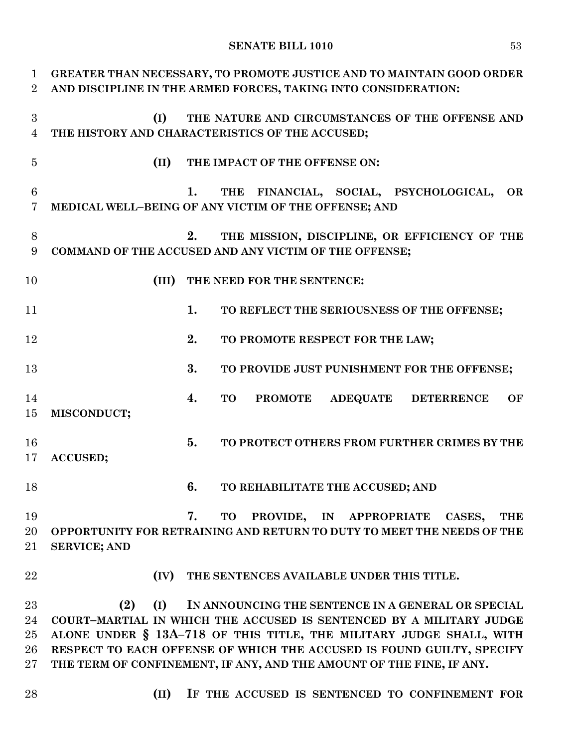### **SENATE BILL 1010** 53

| $\mathbf{1}$     |                     | GREATER THAN NECESSARY, TO PROMOTE JUSTICE AND TO MAINTAIN GOOD ORDER  |
|------------------|---------------------|------------------------------------------------------------------------|
| $\overline{2}$   |                     | AND DISCIPLINE IN THE ARMED FORCES, TAKING INTO CONSIDERATION:         |
|                  |                     |                                                                        |
| 3                | (I)                 | THE NATURE AND CIRCUMSTANCES OF THE OFFENSE AND                        |
| $\overline{4}$   |                     | THE HISTORY AND CHARACTERISTICS OF THE ACCUSED;                        |
| $\overline{5}$   | (II)                | THE IMPACT OF THE OFFENSE ON:                                          |
|                  |                     |                                                                        |
| $6\phantom{1}6$  |                     | 1.<br>THE FINANCIAL, SOCIAL, PSYCHOLOGICAL,<br>OR                      |
| 7                |                     | MEDICAL WELL-BEING OF ANY VICTIM OF THE OFFENSE; AND                   |
|                  |                     |                                                                        |
| $8\,$            |                     | THE MISSION, DISCIPLINE, OR EFFICIENCY OF THE<br>2.                    |
| $\boldsymbol{9}$ |                     | COMMAND OF THE ACCUSED AND ANY VICTIM OF THE OFFENSE;                  |
|                  |                     |                                                                        |
| 10               | (III)               | THE NEED FOR THE SENTENCE:                                             |
|                  |                     | 1.                                                                     |
| 11               |                     | TO REFLECT THE SERIOUSNESS OF THE OFFENSE;                             |
| 12               |                     | 2.<br>TO PROMOTE RESPECT FOR THE LAW;                                  |
|                  |                     |                                                                        |
| 13               |                     | 3.<br>TO PROVIDE JUST PUNISHMENT FOR THE OFFENSE;                      |
|                  |                     |                                                                        |
| 14               |                     | 4.<br><b>TO</b><br>ADEQUATE DETERRENCE<br><b>PROMOTE</b><br>OF         |
| 15               | MISCONDUCT;         |                                                                        |
|                  |                     |                                                                        |
| 16               |                     | 5.<br>TO PROTECT OTHERS FROM FURTHER CRIMES BY THE                     |
| 17               | ACCUSED;            |                                                                        |
|                  |                     |                                                                        |
| 18               |                     | 6.<br>TO REHABILITATE THE ACCUSED; AND                                 |
| 19               |                     | 7.<br>PROVIDE,<br>IN APPROPRIATE<br><b>THE</b><br><b>TO</b><br>CASES,  |
| 20               |                     | OPPORTUNITY FOR RETRAINING AND RETURN TO DUTY TO MEET THE NEEDS OF THE |
| 21               | <b>SERVICE; AND</b> |                                                                        |
|                  |                     |                                                                        |
| 22               | (IV)                | THE SENTENCES AVAILABLE UNDER THIS TITLE.                              |
|                  |                     |                                                                        |
| 23               | (2)<br>(I)          | IN ANNOUNCING THE SENTENCE IN A GENERAL OR SPECIAL                     |
| 24               |                     | COURT-MARTIAL IN WHICH THE ACCUSED IS SENTENCED BY A MILITARY JUDGE    |
| 25               |                     | ALONE UNDER § 13A-718 OF THIS TITLE, THE MILITARY JUDGE SHALL, WITH    |
| 26               |                     | RESPECT TO EACH OFFENSE OF WHICH THE ACCUSED IS FOUND GUILTY, SPECIFY  |
| 27               |                     | THE TERM OF CONFINEMENT, IF ANY, AND THE AMOUNT OF THE FINE, IF ANY.   |
|                  |                     |                                                                        |
| 28               | (II)                | IF THE ACCUSED IS SENTENCED TO CONFINEMENT FOR                         |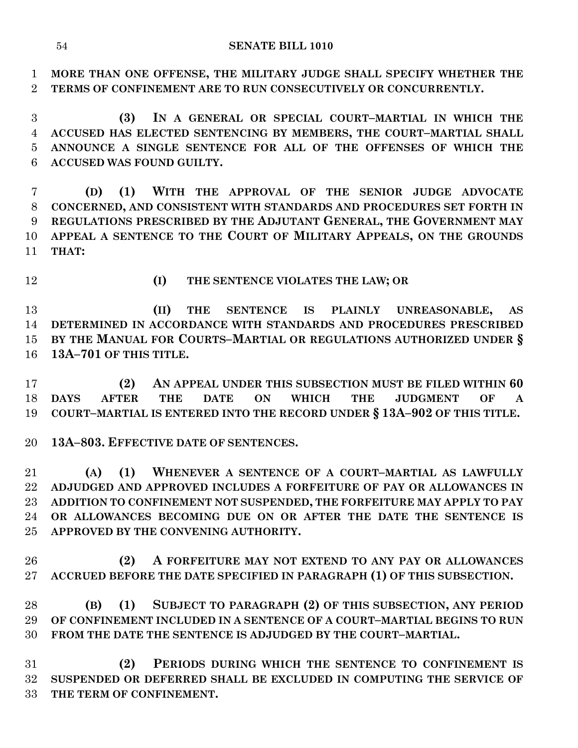**MORE THAN ONE OFFENSE, THE MILITARY JUDGE SHALL SPECIFY WHETHER THE TERMS OF CONFINEMENT ARE TO RUN CONSECUTIVELY OR CONCURRENTLY.**

 **(3) IN A GENERAL OR SPECIAL COURT–MARTIAL IN WHICH THE ACCUSED HAS ELECTED SENTENCING BY MEMBERS, THE COURT–MARTIAL SHALL ANNOUNCE A SINGLE SENTENCE FOR ALL OF THE OFFENSES OF WHICH THE ACCUSED WAS FOUND GUILTY.**

 **(D) (1) WITH THE APPROVAL OF THE SENIOR JUDGE ADVOCATE CONCERNED, AND CONSISTENT WITH STANDARDS AND PROCEDURES SET FORTH IN REGULATIONS PRESCRIBED BY THE ADJUTANT GENERAL, THE GOVERNMENT MAY APPEAL A SENTENCE TO THE COURT OF MILITARY APPEALS, ON THE GROUNDS THAT:**

- 
- **(I) THE SENTENCE VIOLATES THE LAW; OR**

 **(II) THE SENTENCE IS PLAINLY UNREASONABLE, AS DETERMINED IN ACCORDANCE WITH STANDARDS AND PROCEDURES PRESCRIBED BY THE MANUAL FOR COURTS–MARTIAL OR REGULATIONS AUTHORIZED UNDER § 13A–701 OF THIS TITLE.**

 **(2) AN APPEAL UNDER THIS SUBSECTION MUST BE FILED WITHIN 60 DAYS AFTER THE DATE ON WHICH THE JUDGMENT OF A COURT–MARTIAL IS ENTERED INTO THE RECORD UNDER § 13A–902 OF THIS TITLE.**

**13A–803. EFFECTIVE DATE OF SENTENCES.**

 **(A) (1) WHENEVER A SENTENCE OF A COURT–MARTIAL AS LAWFULLY ADJUDGED AND APPROVED INCLUDES A FORFEITURE OF PAY OR ALLOWANCES IN ADDITION TO CONFINEMENT NOT SUSPENDED, THE FORFEITURE MAY APPLY TO PAY OR ALLOWANCES BECOMING DUE ON OR AFTER THE DATE THE SENTENCE IS APPROVED BY THE CONVENING AUTHORITY.**

 **(2) A FORFEITURE MAY NOT EXTEND TO ANY PAY OR ALLOWANCES ACCRUED BEFORE THE DATE SPECIFIED IN PARAGRAPH (1) OF THIS SUBSECTION.**

 **(B) (1) SUBJECT TO PARAGRAPH (2) OF THIS SUBSECTION, ANY PERIOD OF CONFINEMENT INCLUDED IN A SENTENCE OF A COURT–MARTIAL BEGINS TO RUN FROM THE DATE THE SENTENCE IS ADJUDGED BY THE COURT–MARTIAL.**

 **(2) PERIODS DURING WHICH THE SENTENCE TO CONFINEMENT IS SUSPENDED OR DEFERRED SHALL BE EXCLUDED IN COMPUTING THE SERVICE OF THE TERM OF CONFINEMENT.**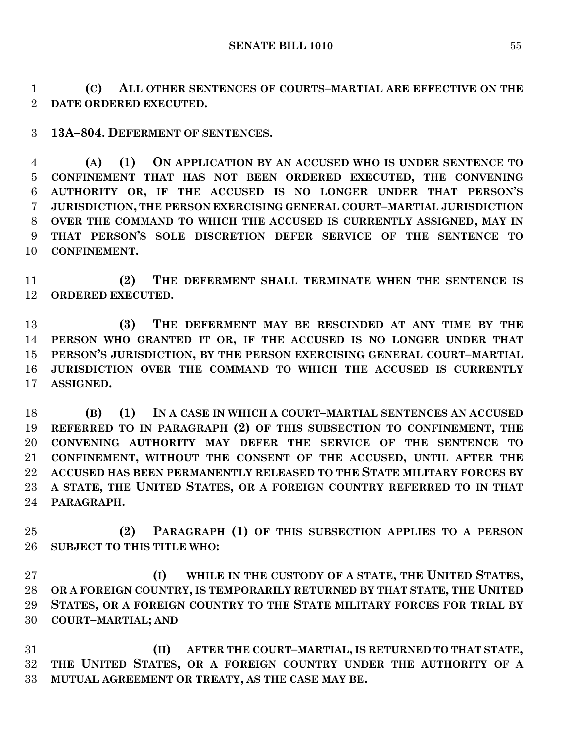**(C) ALL OTHER SENTENCES OF COURTS–MARTIAL ARE EFFECTIVE ON THE DATE ORDERED EXECUTED.**

**13A–804. DEFERMENT OF SENTENCES.**

 **(A) (1) ON APPLICATION BY AN ACCUSED WHO IS UNDER SENTENCE TO CONFINEMENT THAT HAS NOT BEEN ORDERED EXECUTED, THE CONVENING AUTHORITY OR, IF THE ACCUSED IS NO LONGER UNDER THAT PERSON'S JURISDICTION, THE PERSON EXERCISING GENERAL COURT–MARTIAL JURISDICTION OVER THE COMMAND TO WHICH THE ACCUSED IS CURRENTLY ASSIGNED, MAY IN THAT PERSON'S SOLE DISCRETION DEFER SERVICE OF THE SENTENCE TO CONFINEMENT.**

 **(2) THE DEFERMENT SHALL TERMINATE WHEN THE SENTENCE IS ORDERED EXECUTED.**

 **(3) THE DEFERMENT MAY BE RESCINDED AT ANY TIME BY THE PERSON WHO GRANTED IT OR, IF THE ACCUSED IS NO LONGER UNDER THAT PERSON'S JURISDICTION, BY THE PERSON EXERCISING GENERAL COURT–MARTIAL JURISDICTION OVER THE COMMAND TO WHICH THE ACCUSED IS CURRENTLY ASSIGNED.**

 **(B) (1) IN A CASE IN WHICH A COURT–MARTIAL SENTENCES AN ACCUSED REFERRED TO IN PARAGRAPH (2) OF THIS SUBSECTION TO CONFINEMENT, THE CONVENING AUTHORITY MAY DEFER THE SERVICE OF THE SENTENCE TO CONFINEMENT, WITHOUT THE CONSENT OF THE ACCUSED, UNTIL AFTER THE ACCUSED HAS BEEN PERMANENTLY RELEASED TO THE STATE MILITARY FORCES BY A STATE, THE UNITED STATES, OR A FOREIGN COUNTRY REFERRED TO IN THAT PARAGRAPH.**

 **(2) PARAGRAPH (1) OF THIS SUBSECTION APPLIES TO A PERSON SUBJECT TO THIS TITLE WHO:**

 **(I) WHILE IN THE CUSTODY OF A STATE, THE UNITED STATES, OR A FOREIGN COUNTRY, IS TEMPORARILY RETURNED BY THAT STATE, THE UNITED STATES, OR A FOREIGN COUNTRY TO THE STATE MILITARY FORCES FOR TRIAL BY COURT–MARTIAL; AND**

 **(II) AFTER THE COURT–MARTIAL, IS RETURNED TO THAT STATE, THE UNITED STATES, OR A FOREIGN COUNTRY UNDER THE AUTHORITY OF A MUTUAL AGREEMENT OR TREATY, AS THE CASE MAY BE.**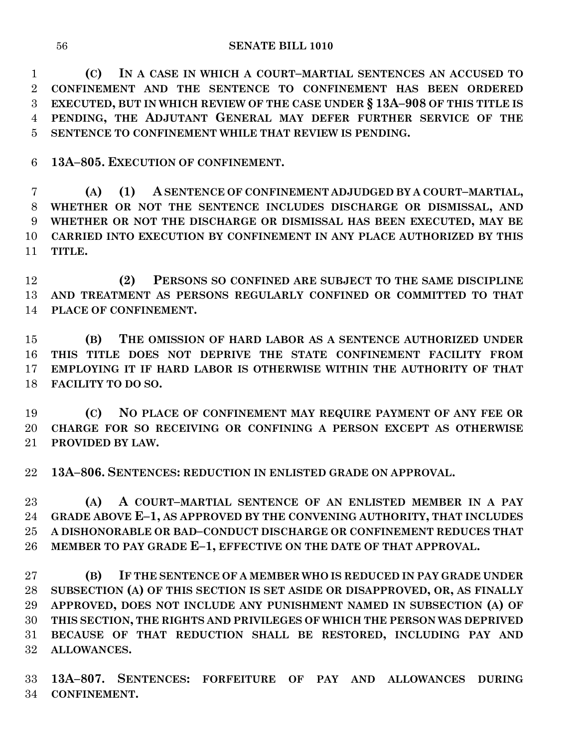**(C) IN A CASE IN WHICH A COURT–MARTIAL SENTENCES AN ACCUSED TO CONFINEMENT AND THE SENTENCE TO CONFINEMENT HAS BEEN ORDERED EXECUTED, BUT IN WHICH REVIEW OF THE CASE UNDER § 13A–908 OF THIS TITLE IS PENDING, THE ADJUTANT GENERAL MAY DEFER FURTHER SERVICE OF THE SENTENCE TO CONFINEMENT WHILE THAT REVIEW IS PENDING.**

**13A–805. EXECUTION OF CONFINEMENT.**

 **(A) (1) A SENTENCE OF CONFINEMENT ADJUDGED BY A COURT–MARTIAL, WHETHER OR NOT THE SENTENCE INCLUDES DISCHARGE OR DISMISSAL, AND WHETHER OR NOT THE DISCHARGE OR DISMISSAL HAS BEEN EXECUTED, MAY BE CARRIED INTO EXECUTION BY CONFINEMENT IN ANY PLACE AUTHORIZED BY THIS TITLE.**

 **(2) PERSONS SO CONFINED ARE SUBJECT TO THE SAME DISCIPLINE AND TREATMENT AS PERSONS REGULARLY CONFINED OR COMMITTED TO THAT PLACE OF CONFINEMENT.**

 **(B) THE OMISSION OF HARD LABOR AS A SENTENCE AUTHORIZED UNDER THIS TITLE DOES NOT DEPRIVE THE STATE CONFINEMENT FACILITY FROM EMPLOYING IT IF HARD LABOR IS OTHERWISE WITHIN THE AUTHORITY OF THAT FACILITY TO DO SO.**

 **(C) NO PLACE OF CONFINEMENT MAY REQUIRE PAYMENT OF ANY FEE OR CHARGE FOR SO RECEIVING OR CONFINING A PERSON EXCEPT AS OTHERWISE PROVIDED BY LAW.**

**13A–806. SENTENCES: REDUCTION IN ENLISTED GRADE ON APPROVAL.**

 **(A) A COURT–MARTIAL SENTENCE OF AN ENLISTED MEMBER IN A PAY GRADE ABOVE E–1, AS APPROVED BY THE CONVENING AUTHORITY, THAT INCLUDES A DISHONORABLE OR BAD–CONDUCT DISCHARGE OR CONFINEMENT REDUCES THAT MEMBER TO PAY GRADE E–1, EFFECTIVE ON THE DATE OF THAT APPROVAL.**

 **(B) IF THE SENTENCE OF A MEMBER WHO IS REDUCED IN PAY GRADE UNDER SUBSECTION (A) OF THIS SECTION IS SET ASIDE OR DISAPPROVED, OR, AS FINALLY APPROVED, DOES NOT INCLUDE ANY PUNISHMENT NAMED IN SUBSECTION (A) OF THIS SECTION, THE RIGHTS AND PRIVILEGES OF WHICH THE PERSON WAS DEPRIVED BECAUSE OF THAT REDUCTION SHALL BE RESTORED, INCLUDING PAY AND ALLOWANCES.**

 **13A–807. SENTENCES: FORFEITURE OF PAY AND ALLOWANCES DURING CONFINEMENT.**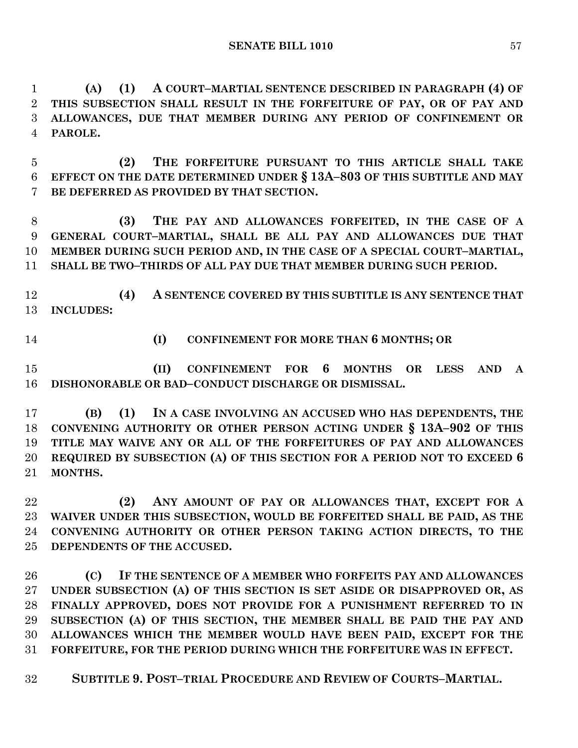**(A) (1) A COURT–MARTIAL SENTENCE DESCRIBED IN PARAGRAPH (4) OF THIS SUBSECTION SHALL RESULT IN THE FORFEITURE OF PAY, OR OF PAY AND ALLOWANCES, DUE THAT MEMBER DURING ANY PERIOD OF CONFINEMENT OR PAROLE.**

 **(2) THE FORFEITURE PURSUANT TO THIS ARTICLE SHALL TAKE EFFECT ON THE DATE DETERMINED UNDER § 13A–803 OF THIS SUBTITLE AND MAY BE DEFERRED AS PROVIDED BY THAT SECTION.**

 **(3) THE PAY AND ALLOWANCES FORFEITED, IN THE CASE OF A GENERAL COURT–MARTIAL, SHALL BE ALL PAY AND ALLOWANCES DUE THAT MEMBER DURING SUCH PERIOD AND, IN THE CASE OF A SPECIAL COURT–MARTIAL, SHALL BE TWO–THIRDS OF ALL PAY DUE THAT MEMBER DURING SUCH PERIOD.**

 **(4) A SENTENCE COVERED BY THIS SUBTITLE IS ANY SENTENCE THAT INCLUDES:**

**(I) CONFINEMENT FOR MORE THAN 6 MONTHS; OR**

 **(II) CONFINEMENT FOR 6 MONTHS OR LESS AND A DISHONORABLE OR BAD–CONDUCT DISCHARGE OR DISMISSAL.**

 **(B) (1) IN A CASE INVOLVING AN ACCUSED WHO HAS DEPENDENTS, THE CONVENING AUTHORITY OR OTHER PERSON ACTING UNDER § 13A–902 OF THIS TITLE MAY WAIVE ANY OR ALL OF THE FORFEITURES OF PAY AND ALLOWANCES REQUIRED BY SUBSECTION (A) OF THIS SECTION FOR A PERIOD NOT TO EXCEED 6 MONTHS.**

 **(2) ANY AMOUNT OF PAY OR ALLOWANCES THAT, EXCEPT FOR A WAIVER UNDER THIS SUBSECTION, WOULD BE FORFEITED SHALL BE PAID, AS THE CONVENING AUTHORITY OR OTHER PERSON TAKING ACTION DIRECTS, TO THE DEPENDENTS OF THE ACCUSED.**

 **(C) IF THE SENTENCE OF A MEMBER WHO FORFEITS PAY AND ALLOWANCES UNDER SUBSECTION (A) OF THIS SECTION IS SET ASIDE OR DISAPPROVED OR, AS FINALLY APPROVED, DOES NOT PROVIDE FOR A PUNISHMENT REFERRED TO IN SUBSECTION (A) OF THIS SECTION, THE MEMBER SHALL BE PAID THE PAY AND ALLOWANCES WHICH THE MEMBER WOULD HAVE BEEN PAID, EXCEPT FOR THE FORFEITURE, FOR THE PERIOD DURING WHICH THE FORFEITURE WAS IN EFFECT.**

**SUBTITLE 9. POST–TRIAL PROCEDURE AND REVIEW OF COURTS–MARTIAL.**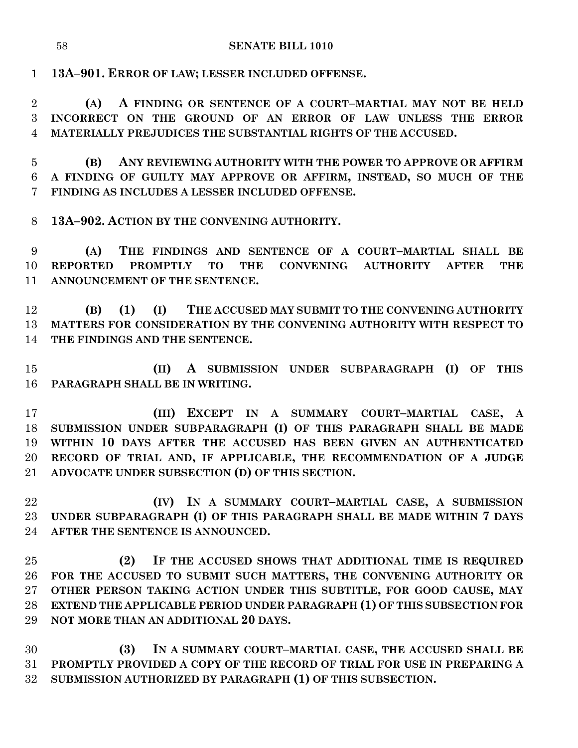**13A–901. ERROR OF LAW; LESSER INCLUDED OFFENSE.**

 **(A) A FINDING OR SENTENCE OF A COURT–MARTIAL MAY NOT BE HELD INCORRECT ON THE GROUND OF AN ERROR OF LAW UNLESS THE ERROR MATERIALLY PREJUDICES THE SUBSTANTIAL RIGHTS OF THE ACCUSED.**

 **(B) ANY REVIEWING AUTHORITY WITH THE POWER TO APPROVE OR AFFIRM A FINDING OF GUILTY MAY APPROVE OR AFFIRM, INSTEAD, SO MUCH OF THE FINDING AS INCLUDES A LESSER INCLUDED OFFENSE.**

**13A–902. ACTION BY THE CONVENING AUTHORITY.**

 **(A) THE FINDINGS AND SENTENCE OF A COURT–MARTIAL SHALL BE REPORTED PROMPTLY TO THE CONVENING AUTHORITY AFTER THE ANNOUNCEMENT OF THE SENTENCE.**

 **(B) (1) (I) THE ACCUSED MAY SUBMIT TO THE CONVENING AUTHORITY MATTERS FOR CONSIDERATION BY THE CONVENING AUTHORITY WITH RESPECT TO THE FINDINGS AND THE SENTENCE.**

 **(II) A SUBMISSION UNDER SUBPARAGRAPH (I) OF THIS PARAGRAPH SHALL BE IN WRITING.**

 **(III) EXCEPT IN A SUMMARY COURT–MARTIAL CASE, A SUBMISSION UNDER SUBPARAGRAPH (I) OF THIS PARAGRAPH SHALL BE MADE WITHIN 10 DAYS AFTER THE ACCUSED HAS BEEN GIVEN AN AUTHENTICATED RECORD OF TRIAL AND, IF APPLICABLE, THE RECOMMENDATION OF A JUDGE ADVOCATE UNDER SUBSECTION (D) OF THIS SECTION.**

 **(IV) IN A SUMMARY COURT–MARTIAL CASE, A SUBMISSION UNDER SUBPARAGRAPH (I) OF THIS PARAGRAPH SHALL BE MADE WITHIN 7 DAYS AFTER THE SENTENCE IS ANNOUNCED.**

 **(2) IF THE ACCUSED SHOWS THAT ADDITIONAL TIME IS REQUIRED FOR THE ACCUSED TO SUBMIT SUCH MATTERS, THE CONVENING AUTHORITY OR OTHER PERSON TAKING ACTION UNDER THIS SUBTITLE, FOR GOOD CAUSE, MAY EXTEND THE APPLICABLE PERIOD UNDER PARAGRAPH (1) OF THIS SUBSECTION FOR NOT MORE THAN AN ADDITIONAL 20 DAYS.**

 **(3) IN A SUMMARY COURT–MARTIAL CASE, THE ACCUSED SHALL BE PROMPTLY PROVIDED A COPY OF THE RECORD OF TRIAL FOR USE IN PREPARING A SUBMISSION AUTHORIZED BY PARAGRAPH (1) OF THIS SUBSECTION.**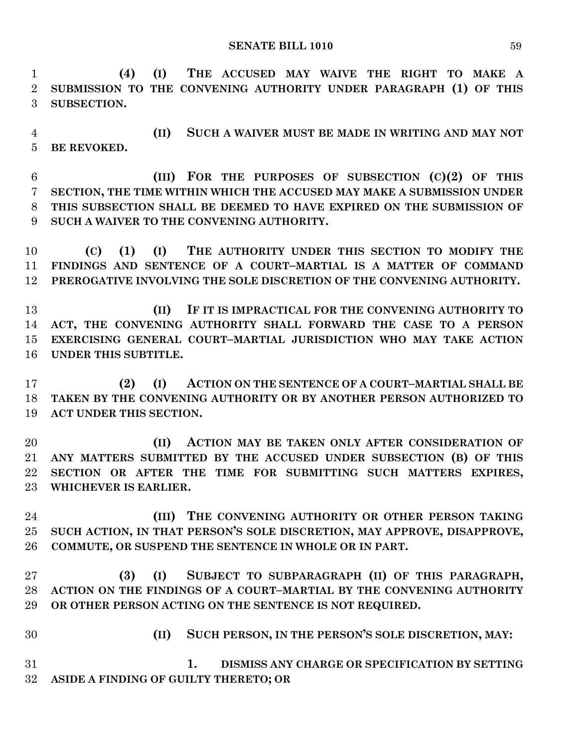**SENATE BILL 1010** 59

 **(4) (I) THE ACCUSED MAY WAIVE THE RIGHT TO MAKE A SUBMISSION TO THE CONVENING AUTHORITY UNDER PARAGRAPH (1) OF THIS SUBSECTION.**

 **(II) SUCH A WAIVER MUST BE MADE IN WRITING AND MAY NOT BE REVOKED.**

 **(III) FOR THE PURPOSES OF SUBSECTION (C)(2) OF THIS SECTION, THE TIME WITHIN WHICH THE ACCUSED MAY MAKE A SUBMISSION UNDER THIS SUBSECTION SHALL BE DEEMED TO HAVE EXPIRED ON THE SUBMISSION OF SUCH A WAIVER TO THE CONVENING AUTHORITY.**

 **(C) (1) (I) THE AUTHORITY UNDER THIS SECTION TO MODIFY THE FINDINGS AND SENTENCE OF A COURT–MARTIAL IS A MATTER OF COMMAND PREROGATIVE INVOLVING THE SOLE DISCRETION OF THE CONVENING AUTHORITY.**

 **(II) IF IT IS IMPRACTICAL FOR THE CONVENING AUTHORITY TO ACT, THE CONVENING AUTHORITY SHALL FORWARD THE CASE TO A PERSON EXERCISING GENERAL COURT–MARTIAL JURISDICTION WHO MAY TAKE ACTION UNDER THIS SUBTITLE.**

 **(2) (I) ACTION ON THE SENTENCE OF A COURT–MARTIAL SHALL BE TAKEN BY THE CONVENING AUTHORITY OR BY ANOTHER PERSON AUTHORIZED TO ACT UNDER THIS SECTION.**

 **(II) ACTION MAY BE TAKEN ONLY AFTER CONSIDERATION OF ANY MATTERS SUBMITTED BY THE ACCUSED UNDER SUBSECTION (B) OF THIS SECTION OR AFTER THE TIME FOR SUBMITTING SUCH MATTERS EXPIRES, WHICHEVER IS EARLIER.**

 **(III) THE CONVENING AUTHORITY OR OTHER PERSON TAKING SUCH ACTION, IN THAT PERSON'S SOLE DISCRETION, MAY APPROVE, DISAPPROVE, COMMUTE, OR SUSPEND THE SENTENCE IN WHOLE OR IN PART.**

 **(3) (I) SUBJECT TO SUBPARAGRAPH (II) OF THIS PARAGRAPH, ACTION ON THE FINDINGS OF A COURT–MARTIAL BY THE CONVENING AUTHORITY OR OTHER PERSON ACTING ON THE SENTENCE IS NOT REQUIRED.**

 **(II) SUCH PERSON, IN THE PERSON'S SOLE DISCRETION, MAY: 1. DISMISS ANY CHARGE OR SPECIFICATION BY SETTING ASIDE A FINDING OF GUILTY THERETO; OR**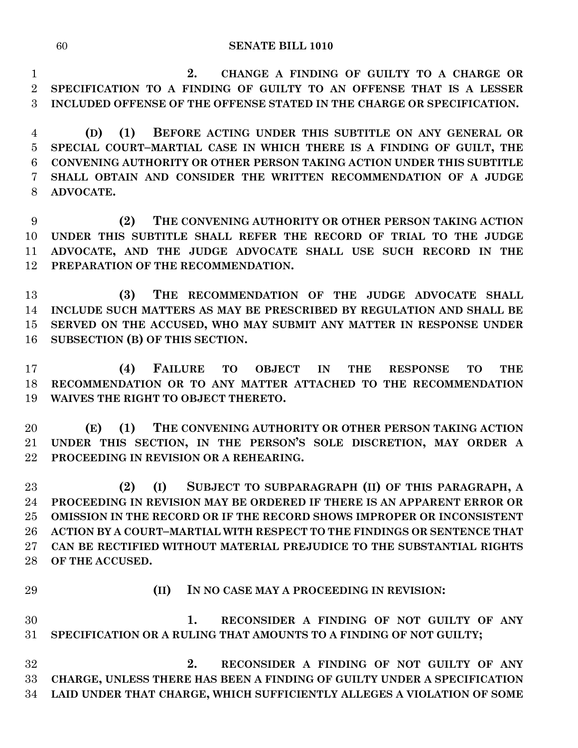#### **SENATE BILL 1010**

 **2. CHANGE A FINDING OF GUILTY TO A CHARGE OR SPECIFICATION TO A FINDING OF GUILTY TO AN OFFENSE THAT IS A LESSER INCLUDED OFFENSE OF THE OFFENSE STATED IN THE CHARGE OR SPECIFICATION.**

 **(D) (1) BEFORE ACTING UNDER THIS SUBTITLE ON ANY GENERAL OR SPECIAL COURT–MARTIAL CASE IN WHICH THERE IS A FINDING OF GUILT, THE CONVENING AUTHORITY OR OTHER PERSON TAKING ACTION UNDER THIS SUBTITLE SHALL OBTAIN AND CONSIDER THE WRITTEN RECOMMENDATION OF A JUDGE ADVOCATE.**

 **(2) THE CONVENING AUTHORITY OR OTHER PERSON TAKING ACTION UNDER THIS SUBTITLE SHALL REFER THE RECORD OF TRIAL TO THE JUDGE ADVOCATE, AND THE JUDGE ADVOCATE SHALL USE SUCH RECORD IN THE PREPARATION OF THE RECOMMENDATION.**

 **(3) THE RECOMMENDATION OF THE JUDGE ADVOCATE SHALL INCLUDE SUCH MATTERS AS MAY BE PRESCRIBED BY REGULATION AND SHALL BE SERVED ON THE ACCUSED, WHO MAY SUBMIT ANY MATTER IN RESPONSE UNDER SUBSECTION (B) OF THIS SECTION.**

 **(4) FAILURE TO OBJECT IN THE RESPONSE TO THE RECOMMENDATION OR TO ANY MATTER ATTACHED TO THE RECOMMENDATION WAIVES THE RIGHT TO OBJECT THERETO.**

 **(E) (1) THE CONVENING AUTHORITY OR OTHER PERSON TAKING ACTION UNDER THIS SECTION, IN THE PERSON'S SOLE DISCRETION, MAY ORDER A PROCEEDING IN REVISION OR A REHEARING.**

 **(2) (I) SUBJECT TO SUBPARAGRAPH (II) OF THIS PARAGRAPH, A PROCEEDING IN REVISION MAY BE ORDERED IF THERE IS AN APPARENT ERROR OR OMISSION IN THE RECORD OR IF THE RECORD SHOWS IMPROPER OR INCONSISTENT ACTION BY A COURT–MARTIAL WITH RESPECT TO THE FINDINGS OR SENTENCE THAT CAN BE RECTIFIED WITHOUT MATERIAL PREJUDICE TO THE SUBSTANTIAL RIGHTS OF THE ACCUSED.**

# **(II) IN NO CASE MAY A PROCEEDING IN REVISION:**

 **1. RECONSIDER A FINDING OF NOT GUILTY OF ANY SPECIFICATION OR A RULING THAT AMOUNTS TO A FINDING OF NOT GUILTY;**

 **2. RECONSIDER A FINDING OF NOT GUILTY OF ANY CHARGE, UNLESS THERE HAS BEEN A FINDING OF GUILTY UNDER A SPECIFICATION LAID UNDER THAT CHARGE, WHICH SUFFICIENTLY ALLEGES A VIOLATION OF SOME**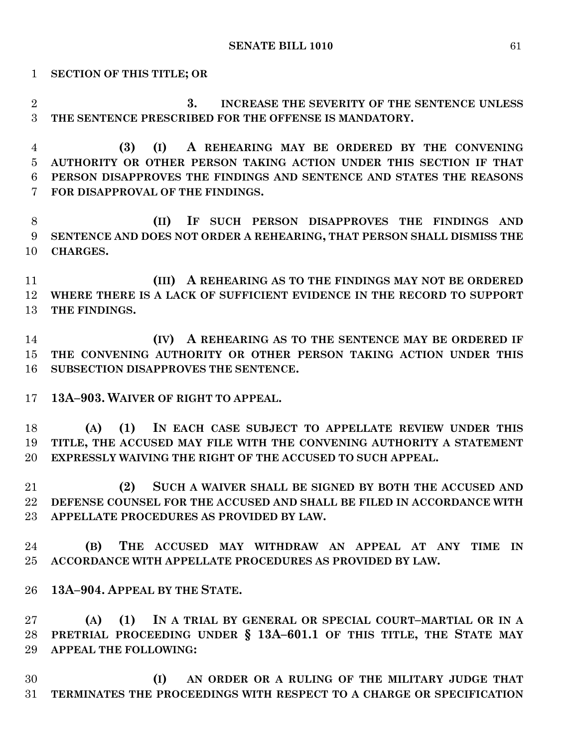**SECTION OF THIS TITLE; OR**

 **3. INCREASE THE SEVERITY OF THE SENTENCE UNLESS THE SENTENCE PRESCRIBED FOR THE OFFENSE IS MANDATORY.**

 **(3) (I) A REHEARING MAY BE ORDERED BY THE CONVENING AUTHORITY OR OTHER PERSON TAKING ACTION UNDER THIS SECTION IF THAT PERSON DISAPPROVES THE FINDINGS AND SENTENCE AND STATES THE REASONS FOR DISAPPROVAL OF THE FINDINGS.**

 **(II) IF SUCH PERSON DISAPPROVES THE FINDINGS AND SENTENCE AND DOES NOT ORDER A REHEARING, THAT PERSON SHALL DISMISS THE CHARGES.**

 **(III) A REHEARING AS TO THE FINDINGS MAY NOT BE ORDERED WHERE THERE IS A LACK OF SUFFICIENT EVIDENCE IN THE RECORD TO SUPPORT THE FINDINGS.**

 **(IV) A REHEARING AS TO THE SENTENCE MAY BE ORDERED IF THE CONVENING AUTHORITY OR OTHER PERSON TAKING ACTION UNDER THIS SUBSECTION DISAPPROVES THE SENTENCE.**

**13A–903. WAIVER OF RIGHT TO APPEAL.**

 **(A) (1) IN EACH CASE SUBJECT TO APPELLATE REVIEW UNDER THIS TITLE, THE ACCUSED MAY FILE WITH THE CONVENING AUTHORITY A STATEMENT EXPRESSLY WAIVING THE RIGHT OF THE ACCUSED TO SUCH APPEAL.**

 **(2) SUCH A WAIVER SHALL BE SIGNED BY BOTH THE ACCUSED AND DEFENSE COUNSEL FOR THE ACCUSED AND SHALL BE FILED IN ACCORDANCE WITH APPELLATE PROCEDURES AS PROVIDED BY LAW.**

 **(B) THE ACCUSED MAY WITHDRAW AN APPEAL AT ANY TIME IN ACCORDANCE WITH APPELLATE PROCEDURES AS PROVIDED BY LAW.**

**13A–904. APPEAL BY THE STATE.**

 **(A) (1) IN A TRIAL BY GENERAL OR SPECIAL COURT–MARTIAL OR IN A PRETRIAL PROCEEDING UNDER § 13A–601.1 OF THIS TITLE, THE STATE MAY APPEAL THE FOLLOWING:**

 **(I) AN ORDER OR A RULING OF THE MILITARY JUDGE THAT TERMINATES THE PROCEEDINGS WITH RESPECT TO A CHARGE OR SPECIFICATION**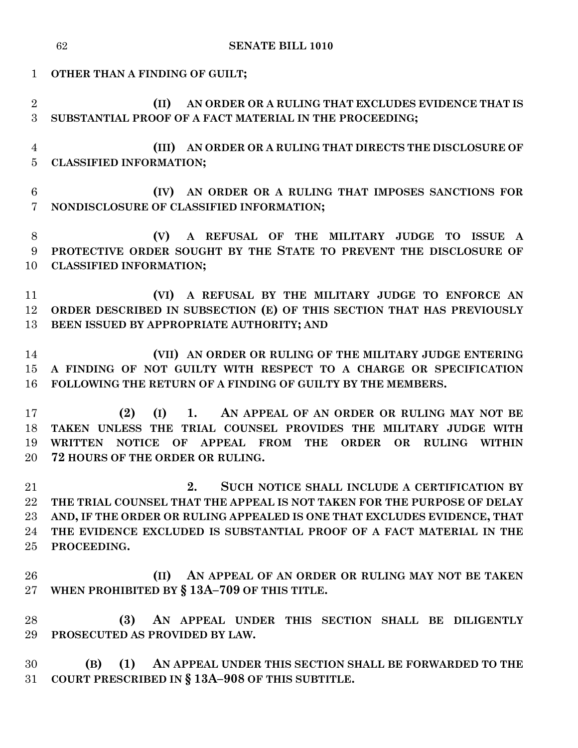|                                   | <b>SENATE BILL 1010</b><br>62                                                                                                                                                                                                                                                                                  |
|-----------------------------------|----------------------------------------------------------------------------------------------------------------------------------------------------------------------------------------------------------------------------------------------------------------------------------------------------------------|
| $\mathbf{1}$                      | OTHER THAN A FINDING OF GUILT;                                                                                                                                                                                                                                                                                 |
| $\overline{2}$<br>3               | AN ORDER OR A RULING THAT EXCLUDES EVIDENCE THAT IS<br>(II)<br>SUBSTANTIAL PROOF OF A FACT MATERIAL IN THE PROCEEDING;                                                                                                                                                                                         |
| $\overline{4}$<br>$\overline{5}$  | (III) AN ORDER OR A RULING THAT DIRECTS THE DISCLOSURE OF<br><b>CLASSIFIED INFORMATION;</b>                                                                                                                                                                                                                    |
| $6\phantom{.}6$<br>$\overline{7}$ | (IV) AN ORDER OR A RULING THAT IMPOSES SANCTIONS FOR<br>NONDISCLOSURE OF CLASSIFIED INFORMATION;                                                                                                                                                                                                               |
| $8\,$<br>9<br>10                  | A REFUSAL OF THE MILITARY JUDGE TO ISSUE A<br>(V)<br>PROTECTIVE ORDER SOUGHT BY THE STATE TO PREVENT THE DISCLOSURE OF<br><b>CLASSIFIED INFORMATION;</b>                                                                                                                                                       |
| 11<br>12<br>13                    | A REFUSAL BY THE MILITARY JUDGE TO ENFORCE AN<br>(VI)<br>ORDER DESCRIBED IN SUBSECTION (E) OF THIS SECTION THAT HAS PREVIOUSLY<br>BEEN ISSUED BY APPROPRIATE AUTHORITY; AND                                                                                                                                    |
| 14<br>15<br>16                    | (VII) AN ORDER OR RULING OF THE MILITARY JUDGE ENTERING<br>A FINDING OF NOT GUILTY WITH RESPECT TO A CHARGE OR SPECIFICATION<br>FOLLOWING THE RETURN OF A FINDING OF GUILTY BY THE MEMBERS.                                                                                                                    |
| 17<br>18<br>19<br>20              | (2)<br>(I)<br>1. AN APPEAL OF AN ORDER OR RULING MAY NOT BE<br>TAKEN UNLESS THE TRIAL COUNSEL PROVIDES THE MILITARY JUDGE WITH<br><b>NOTICE</b><br>OF<br><b>APPEAL FROM</b><br><b>WRITTEN</b><br><b>THE</b><br><b>ORDER</b><br><b>OR</b><br><b>RULING</b><br><b>WITHIN</b><br>72 HOURS OF THE ORDER OR RULING. |
| 21<br>22<br>23<br>24<br>25        | 2.<br>SUCH NOTICE SHALL INCLUDE A CERTIFICATION BY<br>THE TRIAL COUNSEL THAT THE APPEAL IS NOT TAKEN FOR THE PURPOSE OF DELAY<br>AND, IF THE ORDER OR RULING APPEALED IS ONE THAT EXCLUDES EVIDENCE, THAT<br>THE EVIDENCE EXCLUDED IS SUBSTANTIAL PROOF OF A FACT MATERIAL IN THE<br>PROCEEDING.               |
| 26<br>27                          | (II)<br>AN APPEAL OF AN ORDER OR RULING MAY NOT BE TAKEN<br>WHEN PROHIBITED BY § 13A-709 OF THIS TITLE.                                                                                                                                                                                                        |
| 28<br>29                          | AN APPEAL UNDER THIS SECTION SHALL BE DILIGENTLY<br>(3)<br>PROSECUTED AS PROVIDED BY LAW.                                                                                                                                                                                                                      |
| 30<br>31                          | (1)<br>AN APPEAL UNDER THIS SECTION SHALL BE FORWARDED TO THE<br>(B)<br>COURT PRESCRIBED IN § 13A-908 OF THIS SUBTITLE.                                                                                                                                                                                        |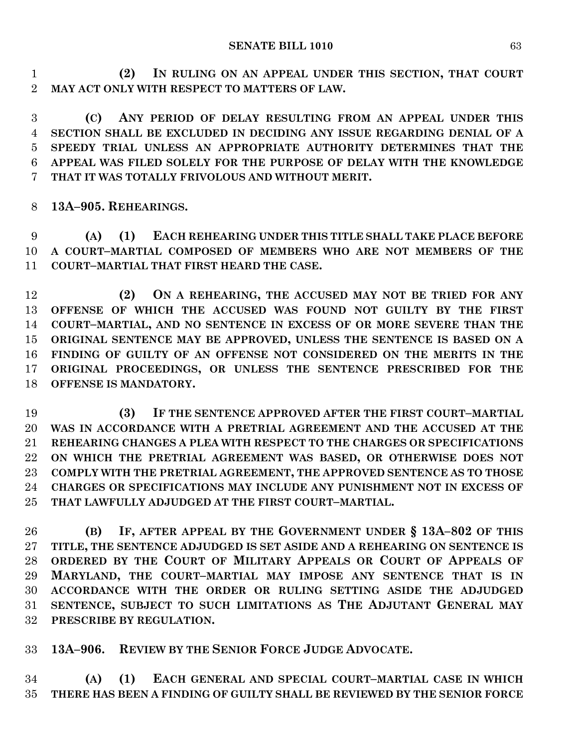**(2) IN RULING ON AN APPEAL UNDER THIS SECTION, THAT COURT MAY ACT ONLY WITH RESPECT TO MATTERS OF LAW.**

 **(C) ANY PERIOD OF DELAY RESULTING FROM AN APPEAL UNDER THIS SECTION SHALL BE EXCLUDED IN DECIDING ANY ISSUE REGARDING DENIAL OF A SPEEDY TRIAL UNLESS AN APPROPRIATE AUTHORITY DETERMINES THAT THE APPEAL WAS FILED SOLELY FOR THE PURPOSE OF DELAY WITH THE KNOWLEDGE THAT IT WAS TOTALLY FRIVOLOUS AND WITHOUT MERIT.**

**13A–905. REHEARINGS.**

 **(A) (1) EACH REHEARING UNDER THIS TITLE SHALL TAKE PLACE BEFORE A COURT–MARTIAL COMPOSED OF MEMBERS WHO ARE NOT MEMBERS OF THE COURT–MARTIAL THAT FIRST HEARD THE CASE.**

 **(2) ON A REHEARING, THE ACCUSED MAY NOT BE TRIED FOR ANY OFFENSE OF WHICH THE ACCUSED WAS FOUND NOT GUILTY BY THE FIRST COURT–MARTIAL, AND NO SENTENCE IN EXCESS OF OR MORE SEVERE THAN THE ORIGINAL SENTENCE MAY BE APPROVED, UNLESS THE SENTENCE IS BASED ON A FINDING OF GUILTY OF AN OFFENSE NOT CONSIDERED ON THE MERITS IN THE ORIGINAL PROCEEDINGS, OR UNLESS THE SENTENCE PRESCRIBED FOR THE OFFENSE IS MANDATORY.**

**(3) IF THE SENTENCE APPROVED AFTER THE FIRST COURT-MARTIAL WAS IN ACCORDANCE WITH A PRETRIAL AGREEMENT AND THE ACCUSED AT THE REHEARING CHANGES A PLEA WITH RESPECT TO THE CHARGES OR SPECIFICATIONS ON WHICH THE PRETRIAL AGREEMENT WAS BASED, OR OTHERWISE DOES NOT COMPLY WITH THE PRETRIAL AGREEMENT, THE APPROVED SENTENCE AS TO THOSE CHARGES OR SPECIFICATIONS MAY INCLUDE ANY PUNISHMENT NOT IN EXCESS OF THAT LAWFULLY ADJUDGED AT THE FIRST COURT–MARTIAL.**

 **(B) IF, AFTER APPEAL BY THE GOVERNMENT UNDER § 13A–802 OF THIS TITLE, THE SENTENCE ADJUDGED IS SET ASIDE AND A REHEARING ON SENTENCE IS ORDERED BY THE COURT OF MILITARY APPEALS OR COURT OF APPEALS OF MARYLAND, THE COURT–MARTIAL MAY IMPOSE ANY SENTENCE THAT IS IN ACCORDANCE WITH THE ORDER OR RULING SETTING ASIDE THE ADJUDGED SENTENCE, SUBJECT TO SUCH LIMITATIONS AS THE ADJUTANT GENERAL MAY PRESCRIBE BY REGULATION.**

**13A–906. REVIEW BY THE SENIOR FORCE JUDGE ADVOCATE.**

 **(A) (1) EACH GENERAL AND SPECIAL COURT–MARTIAL CASE IN WHICH THERE HAS BEEN A FINDING OF GUILTY SHALL BE REVIEWED BY THE SENIOR FORCE**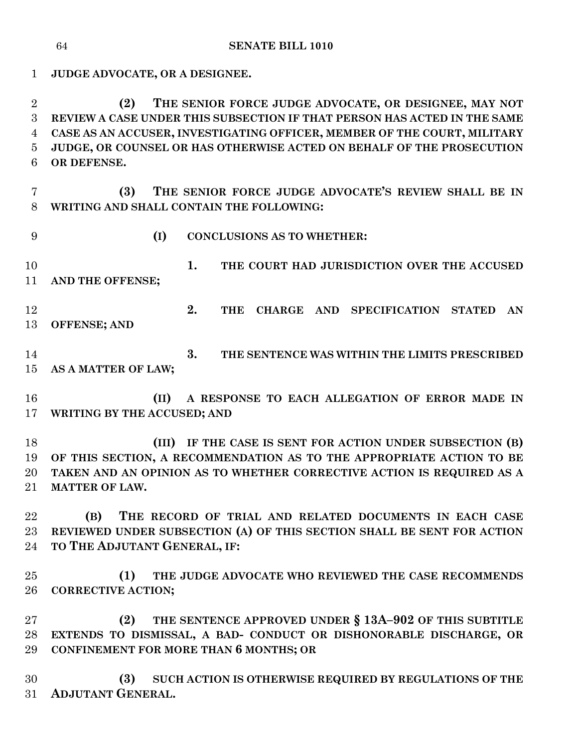**JUDGE ADVOCATE, OR A DESIGNEE. (2) THE SENIOR FORCE JUDGE ADVOCATE, OR DESIGNEE, MAY NOT REVIEW A CASE UNDER THIS SUBSECTION IF THAT PERSON HAS ACTED IN THE SAME CASE AS AN ACCUSER, INVESTIGATING OFFICER, MEMBER OF THE COURT, MILITARY JUDGE, OR COUNSEL OR HAS OTHERWISE ACTED ON BEHALF OF THE PROSECUTION OR DEFENSE. (3) THE SENIOR FORCE JUDGE ADVOCATE'S REVIEW SHALL BE IN WRITING AND SHALL CONTAIN THE FOLLOWING: (I) CONCLUSIONS AS TO WHETHER: 1. THE COURT HAD JURISDICTION OVER THE ACCUSED AND THE OFFENSE; 2. THE CHARGE AND SPECIFICATION STATED AN OFFENSE; AND 3. THE SENTENCE WAS WITHIN THE LIMITS PRESCRIBED AS A MATTER OF LAW; (II) A RESPONSE TO EACH ALLEGATION OF ERROR MADE IN WRITING BY THE ACCUSED; AND (III) IF THE CASE IS SENT FOR ACTION UNDER SUBSECTION (B) OF THIS SECTION, A RECOMMENDATION AS TO THE APPROPRIATE ACTION TO BE TAKEN AND AN OPINION AS TO WHETHER CORRECTIVE ACTION IS REQUIRED AS A MATTER OF LAW. (B) THE RECORD OF TRIAL AND RELATED DOCUMENTS IN EACH CASE REVIEWED UNDER SUBSECTION (A) OF THIS SECTION SHALL BE SENT FOR ACTION TO THE ADJUTANT GENERAL, IF: (1) THE JUDGE ADVOCATE WHO REVIEWED THE CASE RECOMMENDS CORRECTIVE ACTION; (2) THE SENTENCE APPROVED UNDER § 13A–902 OF THIS SUBTITLE EXTENDS TO DISMISSAL, A BAD- CONDUCT OR DISHONORABLE DISCHARGE, OR CONFINEMENT FOR MORE THAN 6 MONTHS; OR**

 **(3) SUCH ACTION IS OTHERWISE REQUIRED BY REGULATIONS OF THE ADJUTANT GENERAL.**

**SENATE BILL 1010**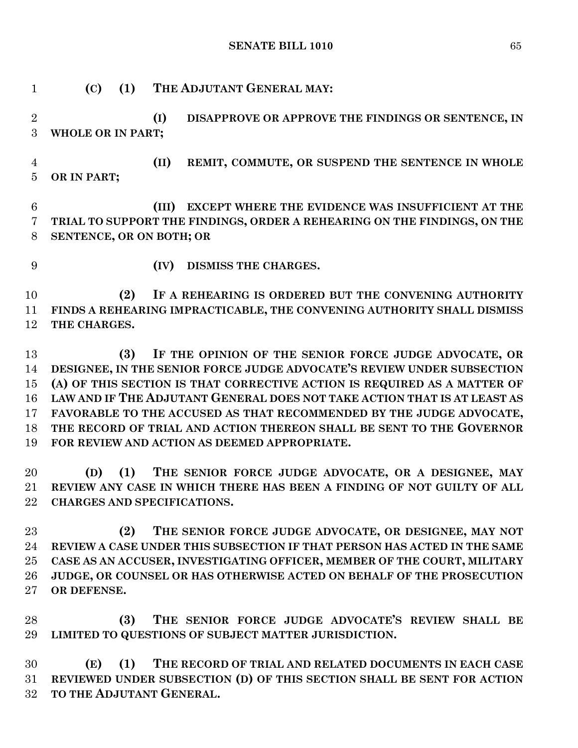**SENATE BILL 1010** 65

- **(C) (1) THE ADJUTANT GENERAL MAY: (I) DISAPPROVE OR APPROVE THE FINDINGS OR SENTENCE, IN WHOLE OR IN PART; (II) REMIT, COMMUTE, OR SUSPEND THE SENTENCE IN WHOLE OR IN PART; (III) EXCEPT WHERE THE EVIDENCE WAS INSUFFICIENT AT THE TRIAL TO SUPPORT THE FINDINGS, ORDER A REHEARING ON THE FINDINGS, ON THE SENTENCE, OR ON BOTH; OR (IV) DISMISS THE CHARGES. (2) IF A REHEARING IS ORDERED BUT THE CONVENING AUTHORITY FINDS A REHEARING IMPRACTICABLE, THE CONVENING AUTHORITY SHALL DISMISS THE CHARGES. (3) IF THE OPINION OF THE SENIOR FORCE JUDGE ADVOCATE, OR DESIGNEE, IN THE SENIOR FORCE JUDGE ADVOCATE'S REVIEW UNDER SUBSECTION (A) OF THIS SECTION IS THAT CORRECTIVE ACTION IS REQUIRED AS A MATTER OF LAW AND IF THE ADJUTANT GENERAL DOES NOT TAKE ACTION THAT IS AT LEAST AS FAVORABLE TO THE ACCUSED AS THAT RECOMMENDED BY THE JUDGE ADVOCATE, THE RECORD OF TRIAL AND ACTION THEREON SHALL BE SENT TO THE GOVERNOR FOR REVIEW AND ACTION AS DEEMED APPROPRIATE. (D) (1) THE SENIOR FORCE JUDGE ADVOCATE, OR A DESIGNEE, MAY REVIEW ANY CASE IN WHICH THERE HAS BEEN A FINDING OF NOT GUILTY OF ALL CHARGES AND SPECIFICATIONS. (2) THE SENIOR FORCE JUDGE ADVOCATE, OR DESIGNEE, MAY NOT REVIEW A CASE UNDER THIS SUBSECTION IF THAT PERSON HAS ACTED IN THE SAME CASE AS AN ACCUSER, INVESTIGATING OFFICER, MEMBER OF THE COURT, MILITARY JUDGE, OR COUNSEL OR HAS OTHERWISE ACTED ON BEHALF OF THE PROSECUTION**
- **OR DEFENSE.**

 **(3) THE SENIOR FORCE JUDGE ADVOCATE'S REVIEW SHALL BE LIMITED TO QUESTIONS OF SUBJECT MATTER JURISDICTION.**

 **(E) (1) THE RECORD OF TRIAL AND RELATED DOCUMENTS IN EACH CASE REVIEWED UNDER SUBSECTION (D) OF THIS SECTION SHALL BE SENT FOR ACTION TO THE ADJUTANT GENERAL.**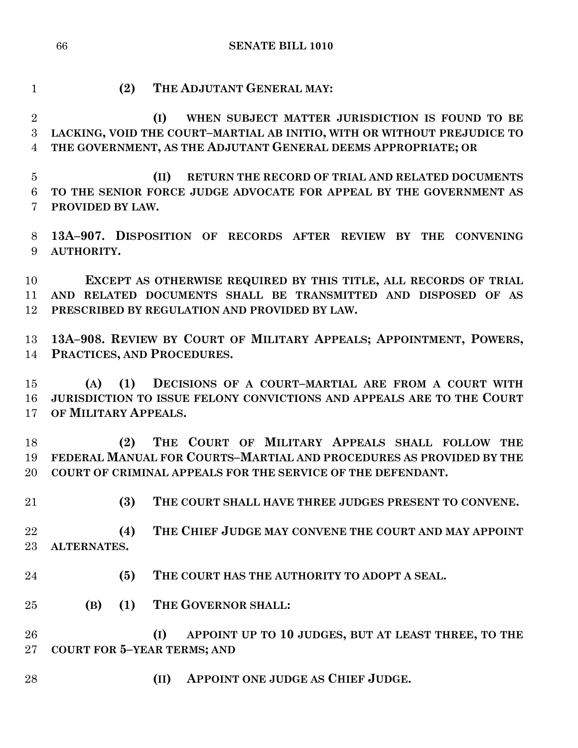**SENATE BILL 1010**

**(2) THE ADJUTANT GENERAL MAY:**

 **(I) WHEN SUBJECT MATTER JURISDICTION IS FOUND TO BE LACKING, VOID THE COURT–MARTIAL AB INITIO, WITH OR WITHOUT PREJUDICE TO THE GOVERNMENT, AS THE ADJUTANT GENERAL DEEMS APPROPRIATE; OR**

 **(II) RETURN THE RECORD OF TRIAL AND RELATED DOCUMENTS TO THE SENIOR FORCE JUDGE ADVOCATE FOR APPEAL BY THE GOVERNMENT AS PROVIDED BY LAW.**

 **13A–907. DISPOSITION OF RECORDS AFTER REVIEW BY THE CONVENING AUTHORITY.**

 **EXCEPT AS OTHERWISE REQUIRED BY THIS TITLE, ALL RECORDS OF TRIAL AND RELATED DOCUMENTS SHALL BE TRANSMITTED AND DISPOSED OF AS PRESCRIBED BY REGULATION AND PROVIDED BY LAW.**

 **13A–908. REVIEW BY COURT OF MILITARY APPEALS; APPOINTMENT, POWERS, PRACTICES, AND PROCEDURES.**

 **(A) (1) DECISIONS OF A COURT–MARTIAL ARE FROM A COURT WITH JURISDICTION TO ISSUE FELONY CONVICTIONS AND APPEALS ARE TO THE COURT OF MILITARY APPEALS.**

 **(2) THE COURT OF MILITARY APPEALS SHALL FOLLOW THE FEDERAL MANUAL FOR COURTS–MARTIAL AND PROCEDURES AS PROVIDED BY THE COURT OF CRIMINAL APPEALS FOR THE SERVICE OF THE DEFENDANT.**

**(3) THE COURT SHALL HAVE THREE JUDGES PRESENT TO CONVENE.**

 **(4) THE CHIEF JUDGE MAY CONVENE THE COURT AND MAY APPOINT ALTERNATES.**

- **(5) THE COURT HAS THE AUTHORITY TO ADOPT A SEAL.**
- **(B) (1) THE GOVERNOR SHALL:**

 **(I) APPOINT UP TO 10 JUDGES, BUT AT LEAST THREE, TO THE COURT FOR 5–YEAR TERMS; AND**

**(II) APPOINT ONE JUDGE AS CHIEF JUDGE.**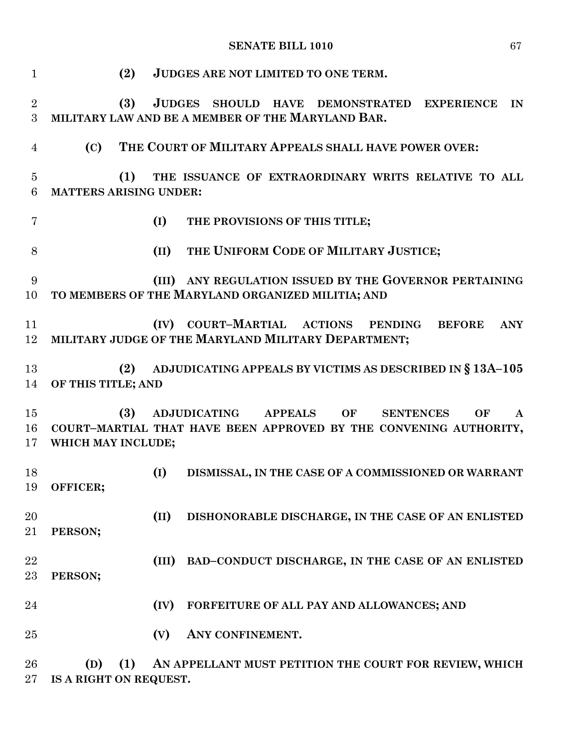## **SENATE BILL 1010** 67

| $\mathbf 1$         | (2)                                  |               | JUDGES ARE NOT LIMITED TO ONE TERM.                               |
|---------------------|--------------------------------------|---------------|-------------------------------------------------------------------|
| $\boldsymbol{2}$    | (3)                                  | <b>JUDGES</b> | SHOULD HAVE DEMONSTRATED EXPERIENCE<br>IN                         |
| $\boldsymbol{3}$    |                                      |               | MILITARY LAW AND BE A MEMBER OF THE MARYLAND BAR.                 |
| $\overline{4}$      | (C)                                  |               | THE COURT OF MILITARY APPEALS SHALL HAVE POWER OVER:              |
| $\overline{5}$<br>6 | (1)<br><b>MATTERS ARISING UNDER:</b> |               | THE ISSUANCE OF EXTRAORDINARY WRITS RELATIVE TO ALL               |
| 7                   |                                      | (I)           | THE PROVISIONS OF THIS TITLE;                                     |
| 8                   |                                      | (II)          | THE UNIFORM CODE OF MILITARY JUSTICE;                             |
| 9                   |                                      |               | (III) ANY REGULATION ISSUED BY THE GOVERNOR PERTAINING            |
| 10                  |                                      |               | TO MEMBERS OF THE MARYLAND ORGANIZED MILITIA; AND                 |
| 11                  |                                      |               | (IV) COURT-MARTIAL ACTIONS PENDING<br><b>ANY</b><br><b>BEFORE</b> |
| 12                  |                                      |               | MILITARY JUDGE OF THE MARYLAND MILITARY DEPARTMENT;               |
| 13                  | (2)                                  |               | ADJUDICATING APPEALS BY VICTIMS AS DESCRIBED IN § 13A-105         |
| 14                  | OF THIS TITLE; AND                   |               |                                                                   |
| 15                  | (3)                                  |               | ADJUDICATING APPEALS OF<br><b>SENTENCES</b><br>OF<br>$\mathbf{A}$ |
| 16                  |                                      |               | COURT-MARTIAL THAT HAVE BEEN APPROVED BY THE CONVENING AUTHORITY, |
| 17                  | WHICH MAY INCLUDE;                   |               |                                                                   |
| 18                  |                                      | (I)           | DISMISSAL, IN THE CASE OF A COMMISSIONED OR WARRANT               |
| 19                  | OFFICER;                             |               |                                                                   |
| 20                  |                                      | (II)          | DISHONORABLE DISCHARGE, IN THE CASE OF AN ENLISTED                |
| 21                  | PERSON;                              |               |                                                                   |
| 22                  |                                      | (III)         | BAD-CONDUCT DISCHARGE, IN THE CASE OF AN ENLISTED                 |
| 23                  | PERSON;                              |               |                                                                   |
| 24                  |                                      | (IV)          | FORFEITURE OF ALL PAY AND ALLOWANCES; AND                         |
| 25                  |                                      | (V)           | ANY CONFINEMENT.                                                  |
| 26                  | (1)<br>(D)                           |               | AN APPELLANT MUST PETITION THE COURT FOR REVIEW, WHICH            |

**IS A RIGHT ON REQUEST.**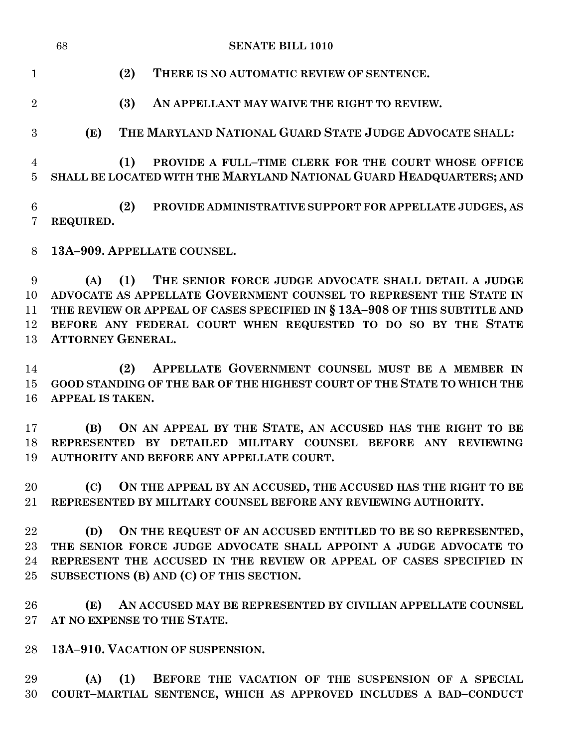|                              | 68<br><b>SENATE BILL 1010</b>                                                                                                                                                                                                                                                                                      |
|------------------------------|--------------------------------------------------------------------------------------------------------------------------------------------------------------------------------------------------------------------------------------------------------------------------------------------------------------------|
| $\mathbf{1}$                 | (2)<br>THERE IS NO AUTOMATIC REVIEW OF SENTENCE.                                                                                                                                                                                                                                                                   |
| $\overline{2}$               | (3)<br>AN APPELLANT MAY WAIVE THE RIGHT TO REVIEW.                                                                                                                                                                                                                                                                 |
| 3                            | THE MARYLAND NATIONAL GUARD STATE JUDGE ADVOCATE SHALL:<br>(E)                                                                                                                                                                                                                                                     |
| 4<br>$\overline{5}$          | PROVIDE A FULL-TIME CLERK FOR THE COURT WHOSE OFFICE<br>(1)<br>SHALL BE LOCATED WITH THE MARYLAND NATIONAL GUARD HEADQUARTERS; AND                                                                                                                                                                                 |
| $6\phantom{.}6$<br>7         | (2)<br>PROVIDE ADMINISTRATIVE SUPPORT FOR APPELLATE JUDGES, AS<br>REQUIRED.                                                                                                                                                                                                                                        |
| 8                            | 13A-909. APPELLATE COUNSEL.                                                                                                                                                                                                                                                                                        |
| 9<br>10<br>11<br>12<br>13    | THE SENIOR FORCE JUDGE ADVOCATE SHALL DETAIL A JUDGE<br>(1)<br>(A)<br>ADVOCATE AS APPELLATE GOVERNMENT COUNSEL TO REPRESENT THE STATE IN<br>THE REVIEW OR APPEAL OF CASES SPECIFIED IN § 13A-908 OF THIS SUBTITLE AND<br>BEFORE ANY FEDERAL COURT WHEN REQUESTED TO DO SO BY THE STATE<br><b>ATTORNEY GENERAL.</b> |
| 14<br>15<br>16               | APPELLATE GOVERNMENT COUNSEL MUST BE A MEMBER IN<br>(2)<br>GOOD STANDING OF THE BAR OF THE HIGHEST COURT OF THE STATE TO WHICH THE<br><b>APPEAL IS TAKEN.</b>                                                                                                                                                      |
| 17<br>18<br>19               | ON AN APPEAL BY THE STATE, AN ACCUSED HAS THE RIGHT TO BE<br>(B)<br>REPRESENTED BY DETAILED MILITARY COUNSEL BEFORE ANY REVIEWING<br>AUTHORITY AND BEFORE ANY APPELLATE COURT.                                                                                                                                     |
| 20<br>$21\,$                 | (C)<br>ON THE APPEAL BY AN ACCUSED, THE ACCUSED HAS THE RIGHT TO BE<br>REPRESENTED BY MILITARY COUNSEL BEFORE ANY REVIEWING AUTHORITY.                                                                                                                                                                             |
| 22<br>$23\,$<br>24<br>$25\,$ | ON THE REQUEST OF AN ACCUSED ENTITLED TO BE SO REPRESENTED,<br>(D)<br>THE SENIOR FORCE JUDGE ADVOCATE SHALL APPOINT A JUDGE ADVOCATE TO<br>REPRESENT THE ACCUSED IN THE REVIEW OR APPEAL OF CASES SPECIFIED IN<br>SUBSECTIONS (B) AND (C) OF THIS SECTION.                                                         |

 **(E) AN ACCUSED MAY BE REPRESENTED BY CIVILIAN APPELLATE COUNSEL AT NO EXPENSE TO THE STATE.**

**13A–910. VACATION OF SUSPENSION.**

 **(A) (1) BEFORE THE VACATION OF THE SUSPENSION OF A SPECIAL COURT–MARTIAL SENTENCE, WHICH AS APPROVED INCLUDES A BAD–CONDUCT**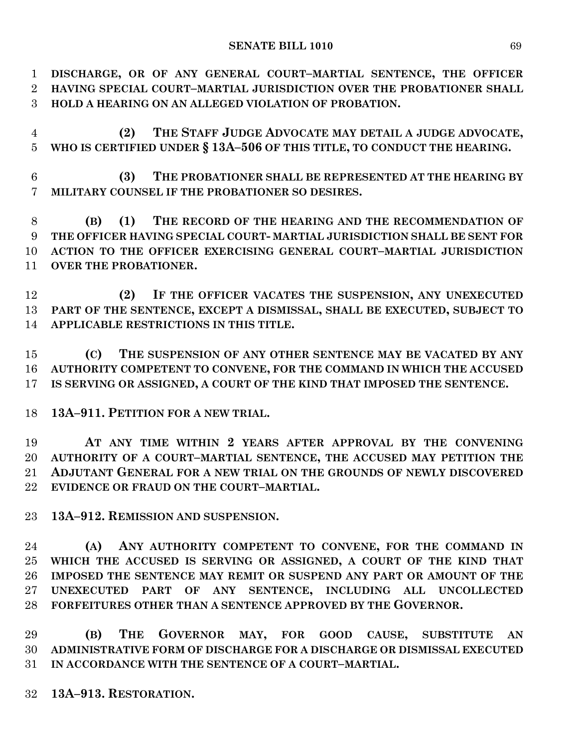**DISCHARGE, OR OF ANY GENERAL COURT–MARTIAL SENTENCE, THE OFFICER HAVING SPECIAL COURT–MARTIAL JURISDICTION OVER THE PROBATIONER SHALL HOLD A HEARING ON AN ALLEGED VIOLATION OF PROBATION.**

 **(2) THE STAFF JUDGE ADVOCATE MAY DETAIL A JUDGE ADVOCATE, WHO IS CERTIFIED UNDER § 13A–506 OF THIS TITLE, TO CONDUCT THE HEARING.**

 **(3) THE PROBATIONER SHALL BE REPRESENTED AT THE HEARING BY MILITARY COUNSEL IF THE PROBATIONER SO DESIRES.**

 **(B) (1) THE RECORD OF THE HEARING AND THE RECOMMENDATION OF THE OFFICER HAVING SPECIAL COURT- MARTIAL JURISDICTION SHALL BE SENT FOR ACTION TO THE OFFICER EXERCISING GENERAL COURT–MARTIAL JURISDICTION OVER THE PROBATIONER.**

 **(2) IF THE OFFICER VACATES THE SUSPENSION, ANY UNEXECUTED PART OF THE SENTENCE, EXCEPT A DISMISSAL, SHALL BE EXECUTED, SUBJECT TO APPLICABLE RESTRICTIONS IN THIS TITLE.**

 **(C) THE SUSPENSION OF ANY OTHER SENTENCE MAY BE VACATED BY ANY AUTHORITY COMPETENT TO CONVENE, FOR THE COMMAND IN WHICH THE ACCUSED IS SERVING OR ASSIGNED, A COURT OF THE KIND THAT IMPOSED THE SENTENCE.**

**13A–911. PETITION FOR A NEW TRIAL.**

 **AT ANY TIME WITHIN 2 YEARS AFTER APPROVAL BY THE CONVENING AUTHORITY OF A COURT–MARTIAL SENTENCE, THE ACCUSED MAY PETITION THE ADJUTANT GENERAL FOR A NEW TRIAL ON THE GROUNDS OF NEWLY DISCOVERED EVIDENCE OR FRAUD ON THE COURT–MARTIAL.**

**13A–912. REMISSION AND SUSPENSION.**

 **(A) ANY AUTHORITY COMPETENT TO CONVENE, FOR THE COMMAND IN WHICH THE ACCUSED IS SERVING OR ASSIGNED, A COURT OF THE KIND THAT IMPOSED THE SENTENCE MAY REMIT OR SUSPEND ANY PART OR AMOUNT OF THE UNEXECUTED PART OF ANY SENTENCE, INCLUDING ALL UNCOLLECTED FORFEITURES OTHER THAN A SENTENCE APPROVED BY THE GOVERNOR.**

 **(B) THE GOVERNOR MAY, FOR GOOD CAUSE, SUBSTITUTE AN ADMINISTRATIVE FORM OF DISCHARGE FOR A DISCHARGE OR DISMISSAL EXECUTED IN ACCORDANCE WITH THE SENTENCE OF A COURT–MARTIAL.**

**13A–913. RESTORATION.**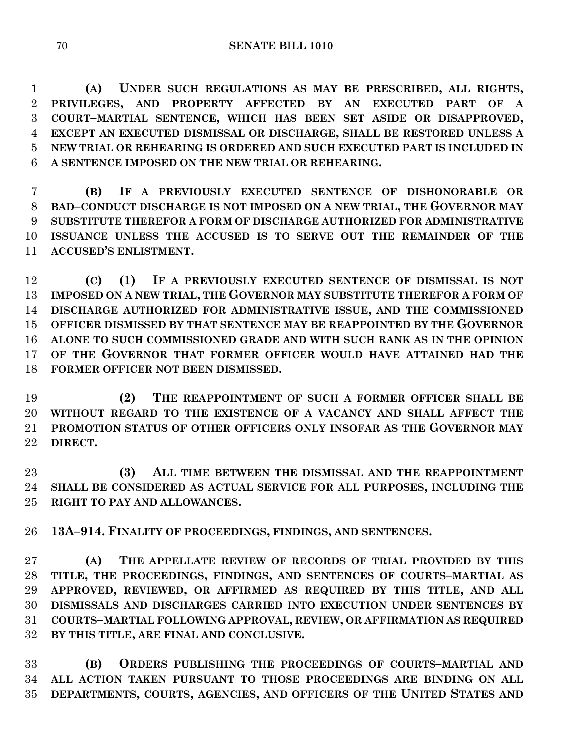**(A) UNDER SUCH REGULATIONS AS MAY BE PRESCRIBED, ALL RIGHTS, PRIVILEGES, AND PROPERTY AFFECTED BY AN EXECUTED PART OF A COURT–MARTIAL SENTENCE, WHICH HAS BEEN SET ASIDE OR DISAPPROVED, EXCEPT AN EXECUTED DISMISSAL OR DISCHARGE, SHALL BE RESTORED UNLESS A NEW TRIAL OR REHEARING IS ORDERED AND SUCH EXECUTED PART IS INCLUDED IN A SENTENCE IMPOSED ON THE NEW TRIAL OR REHEARING.**

 **(B) IF A PREVIOUSLY EXECUTED SENTENCE OF DISHONORABLE OR BAD–CONDUCT DISCHARGE IS NOT IMPOSED ON A NEW TRIAL, THE GOVERNOR MAY SUBSTITUTE THEREFOR A FORM OF DISCHARGE AUTHORIZED FOR ADMINISTRATIVE ISSUANCE UNLESS THE ACCUSED IS TO SERVE OUT THE REMAINDER OF THE ACCUSED'S ENLISTMENT.**

 **(C) (1) IF A PREVIOUSLY EXECUTED SENTENCE OF DISMISSAL IS NOT IMPOSED ON A NEW TRIAL, THE GOVERNOR MAY SUBSTITUTE THEREFOR A FORM OF DISCHARGE AUTHORIZED FOR ADMINISTRATIVE ISSUE, AND THE COMMISSIONED OFFICER DISMISSED BY THAT SENTENCE MAY BE REAPPOINTED BY THE GOVERNOR ALONE TO SUCH COMMISSIONED GRADE AND WITH SUCH RANK AS IN THE OPINION OF THE GOVERNOR THAT FORMER OFFICER WOULD HAVE ATTAINED HAD THE FORMER OFFICER NOT BEEN DISMISSED.**

 **(2) THE REAPPOINTMENT OF SUCH A FORMER OFFICER SHALL BE WITHOUT REGARD TO THE EXISTENCE OF A VACANCY AND SHALL AFFECT THE PROMOTION STATUS OF OTHER OFFICERS ONLY INSOFAR AS THE GOVERNOR MAY DIRECT.**

 **(3) ALL TIME BETWEEN THE DISMISSAL AND THE REAPPOINTMENT SHALL BE CONSIDERED AS ACTUAL SERVICE FOR ALL PURPOSES, INCLUDING THE RIGHT TO PAY AND ALLOWANCES.**

**13A–914. FINALITY OF PROCEEDINGS, FINDINGS, AND SENTENCES.**

 **(A) THE APPELLATE REVIEW OF RECORDS OF TRIAL PROVIDED BY THIS TITLE, THE PROCEEDINGS, FINDINGS, AND SENTENCES OF COURTS–MARTIAL AS APPROVED, REVIEWED, OR AFFIRMED AS REQUIRED BY THIS TITLE, AND ALL DISMISSALS AND DISCHARGES CARRIED INTO EXECUTION UNDER SENTENCES BY COURTS–MARTIAL FOLLOWING APPROVAL, REVIEW, OR AFFIRMATION AS REQUIRED BY THIS TITLE, ARE FINAL AND CONCLUSIVE.**

 **(B) ORDERS PUBLISHING THE PROCEEDINGS OF COURTS–MARTIAL AND ALL ACTION TAKEN PURSUANT TO THOSE PROCEEDINGS ARE BINDING ON ALL DEPARTMENTS, COURTS, AGENCIES, AND OFFICERS OF THE UNITED STATES AND**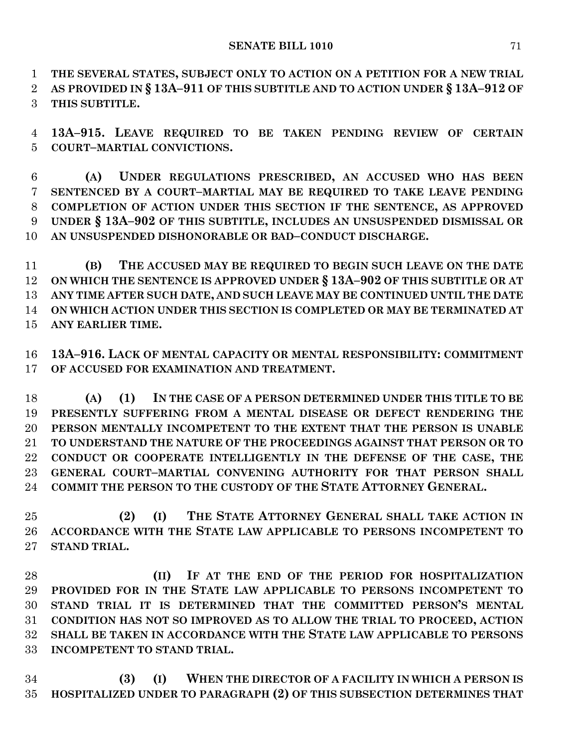**THE SEVERAL STATES, SUBJECT ONLY TO ACTION ON A PETITION FOR A NEW TRIAL** 

**AS PROVIDED IN § 13A–911 OF THIS SUBTITLE AND TO ACTION UNDER § 13A–912 OF** 

**THIS SUBTITLE.**

 **13A–915. LEAVE REQUIRED TO BE TAKEN PENDING REVIEW OF CERTAIN COURT–MARTIAL CONVICTIONS.**

 **(A) UNDER REGULATIONS PRESCRIBED, AN ACCUSED WHO HAS BEEN SENTENCED BY A COURT–MARTIAL MAY BE REQUIRED TO TAKE LEAVE PENDING COMPLETION OF ACTION UNDER THIS SECTION IF THE SENTENCE, AS APPROVED UNDER § 13A–902 OF THIS SUBTITLE, INCLUDES AN UNSUSPENDED DISMISSAL OR AN UNSUSPENDED DISHONORABLE OR BAD–CONDUCT DISCHARGE.**

 **(B) THE ACCUSED MAY BE REQUIRED TO BEGIN SUCH LEAVE ON THE DATE ON WHICH THE SENTENCE IS APPROVED UNDER § 13A–902 OF THIS SUBTITLE OR AT ANY TIME AFTER SUCH DATE, AND SUCH LEAVE MAY BE CONTINUED UNTIL THE DATE ON WHICH ACTION UNDER THIS SECTION IS COMPLETED OR MAY BE TERMINATED AT ANY EARLIER TIME.**

 **13A–916. LACK OF MENTAL CAPACITY OR MENTAL RESPONSIBILITY: COMMITMENT OF ACCUSED FOR EXAMINATION AND TREATMENT.**

 **(A) (1) IN THE CASE OF A PERSON DETERMINED UNDER THIS TITLE TO BE PRESENTLY SUFFERING FROM A MENTAL DISEASE OR DEFECT RENDERING THE PERSON MENTALLY INCOMPETENT TO THE EXTENT THAT THE PERSON IS UNABLE TO UNDERSTAND THE NATURE OF THE PROCEEDINGS AGAINST THAT PERSON OR TO CONDUCT OR COOPERATE INTELLIGENTLY IN THE DEFENSE OF THE CASE, THE GENERAL COURT–MARTIAL CONVENING AUTHORITY FOR THAT PERSON SHALL COMMIT THE PERSON TO THE CUSTODY OF THE STATE ATTORNEY GENERAL.**

 **(2) (I) THE STATE ATTORNEY GENERAL SHALL TAKE ACTION IN ACCORDANCE WITH THE STATE LAW APPLICABLE TO PERSONS INCOMPETENT TO STAND TRIAL.**

 **(II) IF AT THE END OF THE PERIOD FOR HOSPITALIZATION PROVIDED FOR IN THE STATE LAW APPLICABLE TO PERSONS INCOMPETENT TO STAND TRIAL IT IS DETERMINED THAT THE COMMITTED PERSON'S MENTAL CONDITION HAS NOT SO IMPROVED AS TO ALLOW THE TRIAL TO PROCEED, ACTION SHALL BE TAKEN IN ACCORDANCE WITH THE STATE LAW APPLICABLE TO PERSONS INCOMPETENT TO STAND TRIAL.**

 **(3) (I) WHEN THE DIRECTOR OF A FACILITY IN WHICH A PERSON IS HOSPITALIZED UNDER TO PARAGRAPH (2) OF THIS SUBSECTION DETERMINES THAT**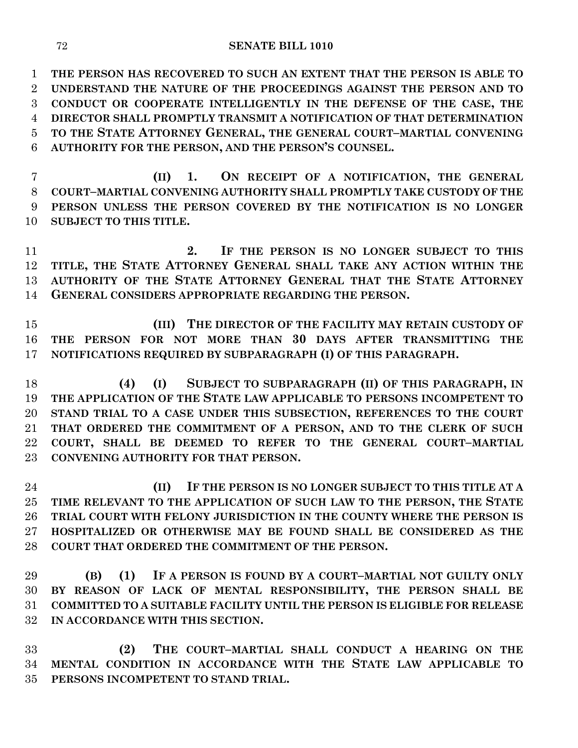**THE PERSON HAS RECOVERED TO SUCH AN EXTENT THAT THE PERSON IS ABLE TO UNDERSTAND THE NATURE OF THE PROCEEDINGS AGAINST THE PERSON AND TO CONDUCT OR COOPERATE INTELLIGENTLY IN THE DEFENSE OF THE CASE, THE DIRECTOR SHALL PROMPTLY TRANSMIT A NOTIFICATION OF THAT DETERMINATION TO THE STATE ATTORNEY GENERAL, THE GENERAL COURT–MARTIAL CONVENING AUTHORITY FOR THE PERSON, AND THE PERSON'S COUNSEL.**

 **(II) 1. ON RECEIPT OF A NOTIFICATION, THE GENERAL COURT–MARTIAL CONVENING AUTHORITY SHALL PROMPTLY TAKE CUSTODY OF THE PERSON UNLESS THE PERSON COVERED BY THE NOTIFICATION IS NO LONGER SUBJECT TO THIS TITLE.**

 **2. IF THE PERSON IS NO LONGER SUBJECT TO THIS TITLE, THE STATE ATTORNEY GENERAL SHALL TAKE ANY ACTION WITHIN THE AUTHORITY OF THE STATE ATTORNEY GENERAL THAT THE STATE ATTORNEY GENERAL CONSIDERS APPROPRIATE REGARDING THE PERSON.**

 **(III) THE DIRECTOR OF THE FACILITY MAY RETAIN CUSTODY OF THE PERSON FOR NOT MORE THAN 30 DAYS AFTER TRANSMITTING THE NOTIFICATIONS REQUIRED BY SUBPARAGRAPH (I) OF THIS PARAGRAPH.**

 **(4) (I) SUBJECT TO SUBPARAGRAPH (II) OF THIS PARAGRAPH, IN THE APPLICATION OF THE STATE LAW APPLICABLE TO PERSONS INCOMPETENT TO STAND TRIAL TO A CASE UNDER THIS SUBSECTION, REFERENCES TO THE COURT THAT ORDERED THE COMMITMENT OF A PERSON, AND TO THE CLERK OF SUCH COURT, SHALL BE DEEMED TO REFER TO THE GENERAL COURT–MARTIAL CONVENING AUTHORITY FOR THAT PERSON.**

 **(II) IF THE PERSON IS NO LONGER SUBJECT TO THIS TITLE AT A TIME RELEVANT TO THE APPLICATION OF SUCH LAW TO THE PERSON, THE STATE TRIAL COURT WITH FELONY JURISDICTION IN THE COUNTY WHERE THE PERSON IS HOSPITALIZED OR OTHERWISE MAY BE FOUND SHALL BE CONSIDERED AS THE COURT THAT ORDERED THE COMMITMENT OF THE PERSON.**

 **(B) (1) IF A PERSON IS FOUND BY A COURT–MARTIAL NOT GUILTY ONLY BY REASON OF LACK OF MENTAL RESPONSIBILITY, THE PERSON SHALL BE COMMITTED TO A SUITABLE FACILITY UNTIL THE PERSON IS ELIGIBLE FOR RELEASE IN ACCORDANCE WITH THIS SECTION.**

 **(2) THE COURT–MARTIAL SHALL CONDUCT A HEARING ON THE MENTAL CONDITION IN ACCORDANCE WITH THE STATE LAW APPLICABLE TO PERSONS INCOMPETENT TO STAND TRIAL.**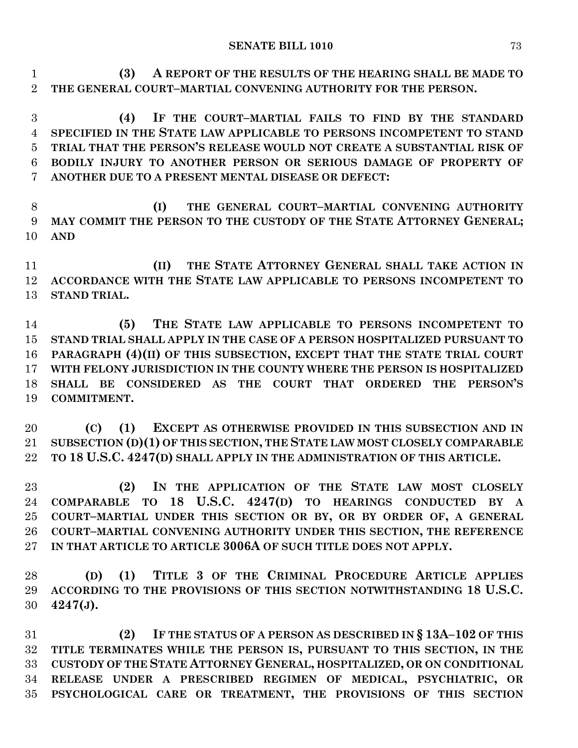**(3) A REPORT OF THE RESULTS OF THE HEARING SHALL BE MADE TO THE GENERAL COURT–MARTIAL CONVENING AUTHORITY FOR THE PERSON.**

 **(4) IF THE COURT–MARTIAL FAILS TO FIND BY THE STANDARD SPECIFIED IN THE STATE LAW APPLICABLE TO PERSONS INCOMPETENT TO STAND TRIAL THAT THE PERSON'S RELEASE WOULD NOT CREATE A SUBSTANTIAL RISK OF BODILY INJURY TO ANOTHER PERSON OR SERIOUS DAMAGE OF PROPERTY OF ANOTHER DUE TO A PRESENT MENTAL DISEASE OR DEFECT:**

 **(I) THE GENERAL COURT–MARTIAL CONVENING AUTHORITY MAY COMMIT THE PERSON TO THE CUSTODY OF THE STATE ATTORNEY GENERAL; AND**

 **(II) THE STATE ATTORNEY GENERAL SHALL TAKE ACTION IN ACCORDANCE WITH THE STATE LAW APPLICABLE TO PERSONS INCOMPETENT TO STAND TRIAL.**

 **(5) THE STATE LAW APPLICABLE TO PERSONS INCOMPETENT TO STAND TRIAL SHALL APPLY IN THE CASE OF A PERSON HOSPITALIZED PURSUANT TO PARAGRAPH (4)(II) OF THIS SUBSECTION, EXCEPT THAT THE STATE TRIAL COURT WITH FELONY JURISDICTION IN THE COUNTY WHERE THE PERSON IS HOSPITALIZED SHALL BE CONSIDERED AS THE COURT THAT ORDERED THE PERSON'S COMMITMENT.**

 **(C) (1) EXCEPT AS OTHERWISE PROVIDED IN THIS SUBSECTION AND IN SUBSECTION (D)(1) OF THIS SECTION, THE STATE LAW MOST CLOSELY COMPARABLE TO 18 U.S.C. 4247(D) SHALL APPLY IN THE ADMINISTRATION OF THIS ARTICLE.**

 **(2) IN THE APPLICATION OF THE STATE LAW MOST CLOSELY COMPARABLE TO 18 U.S.C. 4247(D) TO HEARINGS CONDUCTED BY A COURT–MARTIAL UNDER THIS SECTION OR BY, OR BY ORDER OF, A GENERAL COURT–MARTIAL CONVENING AUTHORITY UNDER THIS SECTION, THE REFERENCE IN THAT ARTICLE TO ARTICLE 3006A OF SUCH TITLE DOES NOT APPLY.**

 **(D) (1) TITLE 3 OF THE CRIMINAL PROCEDURE ARTICLE APPLIES ACCORDING TO THE PROVISIONS OF THIS SECTION NOTWITHSTANDING 18 U.S.C. 4247(J).**

 **(2) IF THE STATUS OF A PERSON AS DESCRIBED IN § 13A–102 OF THIS TITLE TERMINATES WHILE THE PERSON IS, PURSUANT TO THIS SECTION, IN THE CUSTODY OF THE STATE ATTORNEY GENERAL, HOSPITALIZED, OR ON CONDITIONAL RELEASE UNDER A PRESCRIBED REGIMEN OF MEDICAL, PSYCHIATRIC, OR PSYCHOLOGICAL CARE OR TREATMENT, THE PROVISIONS OF THIS SECTION**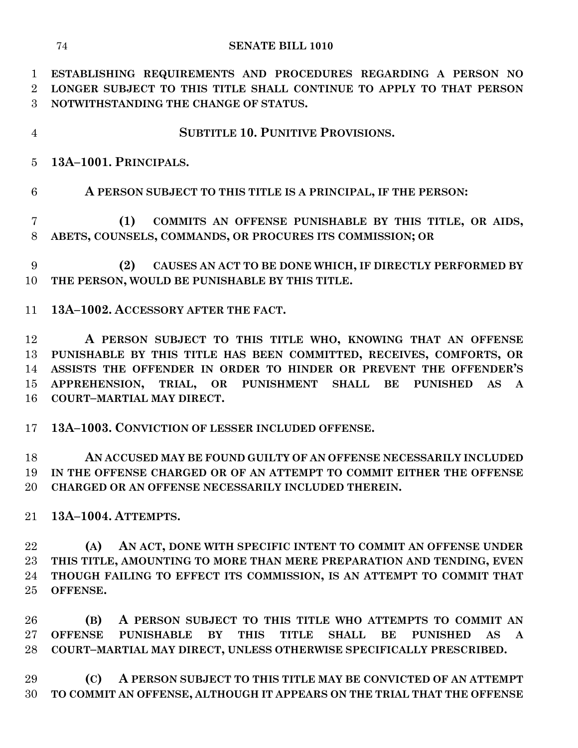- **SUBTITLE 10. PUNITIVE PROVISIONS.**
- **13A–1001. PRINCIPALS.**

## **A PERSON SUBJECT TO THIS TITLE IS A PRINCIPAL, IF THE PERSON:**

 **(1) COMMITS AN OFFENSE PUNISHABLE BY THIS TITLE, OR AIDS, ABETS, COUNSELS, COMMANDS, OR PROCURES ITS COMMISSION; OR**

 **(2) CAUSES AN ACT TO BE DONE WHICH, IF DIRECTLY PERFORMED BY THE PERSON, WOULD BE PUNISHABLE BY THIS TITLE.**

**13A–1002. ACCESSORY AFTER THE FACT.**

 **A PERSON SUBJECT TO THIS TITLE WHO, KNOWING THAT AN OFFENSE PUNISHABLE BY THIS TITLE HAS BEEN COMMITTED, RECEIVES, COMFORTS, OR ASSISTS THE OFFENDER IN ORDER TO HINDER OR PREVENT THE OFFENDER'S APPREHENSION, TRIAL, OR PUNISHMENT SHALL BE PUNISHED AS A COURT–MARTIAL MAY DIRECT.**

**13A–1003. CONVICTION OF LESSER INCLUDED OFFENSE.**

 **AN ACCUSED MAY BE FOUND GUILTY OF AN OFFENSE NECESSARILY INCLUDED IN THE OFFENSE CHARGED OR OF AN ATTEMPT TO COMMIT EITHER THE OFFENSE CHARGED OR AN OFFENSE NECESSARILY INCLUDED THEREIN.**

**13A–1004. ATTEMPTS.**

 **(A) AN ACT, DONE WITH SPECIFIC INTENT TO COMMIT AN OFFENSE UNDER THIS TITLE, AMOUNTING TO MORE THAN MERE PREPARATION AND TENDING, EVEN THOUGH FAILING TO EFFECT ITS COMMISSION, IS AN ATTEMPT TO COMMIT THAT OFFENSE.**

 **(B) A PERSON SUBJECT TO THIS TITLE WHO ATTEMPTS TO COMMIT AN OFFENSE PUNISHABLE BY THIS TITLE SHALL BE PUNISHED AS A COURT–MARTIAL MAY DIRECT, UNLESS OTHERWISE SPECIFICALLY PRESCRIBED.**

 **(C) A PERSON SUBJECT TO THIS TITLE MAY BE CONVICTED OF AN ATTEMPT TO COMMIT AN OFFENSE, ALTHOUGH IT APPEARS ON THE TRIAL THAT THE OFFENSE**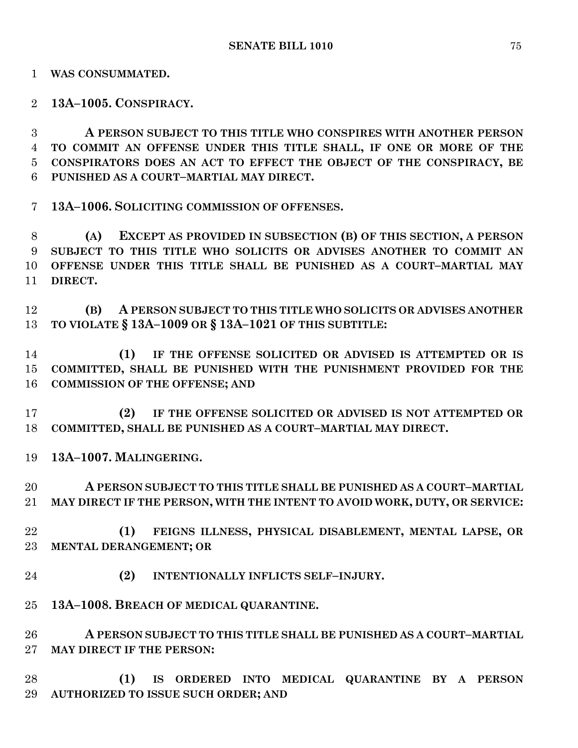**WAS CONSUMMATED.**

**13A–1005. CONSPIRACY.**

 **A PERSON SUBJECT TO THIS TITLE WHO CONSPIRES WITH ANOTHER PERSON TO COMMIT AN OFFENSE UNDER THIS TITLE SHALL, IF ONE OR MORE OF THE CONSPIRATORS DOES AN ACT TO EFFECT THE OBJECT OF THE CONSPIRACY, BE PUNISHED AS A COURT–MARTIAL MAY DIRECT.**

**13A–1006. SOLICITING COMMISSION OF OFFENSES.**

 **(A) EXCEPT AS PROVIDED IN SUBSECTION (B) OF THIS SECTION, A PERSON SUBJECT TO THIS TITLE WHO SOLICITS OR ADVISES ANOTHER TO COMMIT AN OFFENSE UNDER THIS TITLE SHALL BE PUNISHED AS A COURT–MARTIAL MAY DIRECT.**

 **(B) A PERSON SUBJECT TO THIS TITLE WHO SOLICITS OR ADVISES ANOTHER TO VIOLATE § 13A–1009 OR § 13A–1021 OF THIS SUBTITLE:**

 **(1) IF THE OFFENSE SOLICITED OR ADVISED IS ATTEMPTED OR IS COMMITTED, SHALL BE PUNISHED WITH THE PUNISHMENT PROVIDED FOR THE COMMISSION OF THE OFFENSE; AND** 

 **(2) IF THE OFFENSE SOLICITED OR ADVISED IS NOT ATTEMPTED OR COMMITTED, SHALL BE PUNISHED AS A COURT–MARTIAL MAY DIRECT.**

**13A–1007. MALINGERING.**

 **A PERSON SUBJECT TO THIS TITLE SHALL BE PUNISHED AS A COURT–MARTIAL MAY DIRECT IF THE PERSON, WITH THE INTENT TO AVOID WORK, DUTY, OR SERVICE:**

- **(1) FEIGNS ILLNESS, PHYSICAL DISABLEMENT, MENTAL LAPSE, OR MENTAL DERANGEMENT; OR**
- **(2) INTENTIONALLY INFLICTS SELF–INJURY.**
- **13A–1008. BREACH OF MEDICAL QUARANTINE.**

 **A PERSON SUBJECT TO THIS TITLE SHALL BE PUNISHED AS A COURT–MARTIAL MAY DIRECT IF THE PERSON:**

 **(1) IS ORDERED INTO MEDICAL QUARANTINE BY A PERSON AUTHORIZED TO ISSUE SUCH ORDER; AND**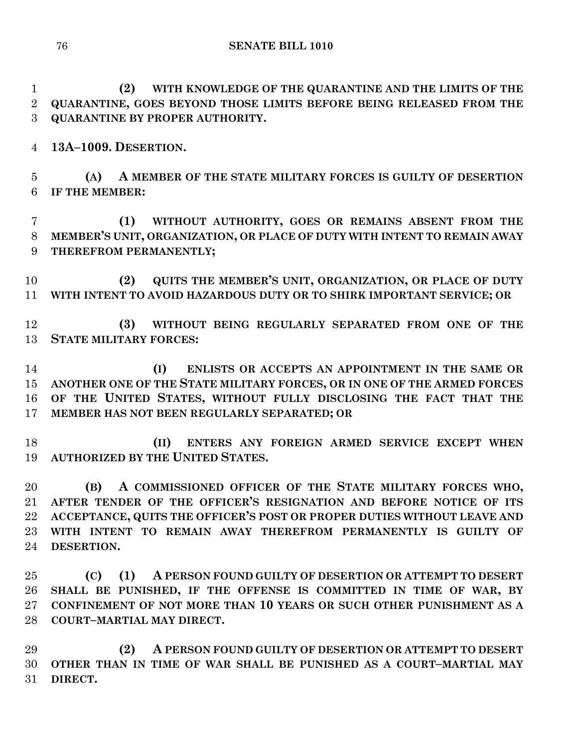**(2) WITH KNOWLEDGE OF THE QUARANTINE AND THE LIMITS OF THE QUARANTINE, GOES BEYOND THOSE LIMITS BEFORE BEING RELEASED FROM THE QUARANTINE BY PROPER AUTHORITY.**

**13A–1009. DESERTION.**

 **(A) A MEMBER OF THE STATE MILITARY FORCES IS GUILTY OF DESERTION IF THE MEMBER:**

 **(1) WITHOUT AUTHORITY, GOES OR REMAINS ABSENT FROM THE MEMBER'S UNIT, ORGANIZATION, OR PLACE OF DUTY WITH INTENT TO REMAIN AWAY THEREFROM PERMANENTLY;**

 **(2) QUITS THE MEMBER'S UNIT, ORGANIZATION, OR PLACE OF DUTY WITH INTENT TO AVOID HAZARDOUS DUTY OR TO SHIRK IMPORTANT SERVICE; OR**

 **(3) WITHOUT BEING REGULARLY SEPARATED FROM ONE OF THE STATE MILITARY FORCES:**

 **(I) ENLISTS OR ACCEPTS AN APPOINTMENT IN THE SAME OR ANOTHER ONE OF THE STATE MILITARY FORCES, OR IN ONE OF THE ARMED FORCES OF THE UNITED STATES, WITHOUT FULLY DISCLOSING THE FACT THAT THE MEMBER HAS NOT BEEN REGULARLY SEPARATED; OR** 

 **(II) ENTERS ANY FOREIGN ARMED SERVICE EXCEPT WHEN AUTHORIZED BY THE UNITED STATES.**

 **(B) A COMMISSIONED OFFICER OF THE STATE MILITARY FORCES WHO, AFTER TENDER OF THE OFFICER'S RESIGNATION AND BEFORE NOTICE OF ITS ACCEPTANCE, QUITS THE OFFICER'S POST OR PROPER DUTIES WITHOUT LEAVE AND WITH INTENT TO REMAIN AWAY THEREFROM PERMANENTLY IS GUILTY OF DESERTION.**

 **(C) (1) A PERSON FOUND GUILTY OF DESERTION OR ATTEMPT TO DESERT SHALL BE PUNISHED, IF THE OFFENSE IS COMMITTED IN TIME OF WAR, BY CONFINEMENT OF NOT MORE THAN 10 YEARS OR SUCH OTHER PUNISHMENT AS A COURT–MARTIAL MAY DIRECT.**

 **(2) A PERSON FOUND GUILTY OF DESERTION OR ATTEMPT TO DESERT OTHER THAN IN TIME OF WAR SHALL BE PUNISHED AS A COURT–MARTIAL MAY DIRECT.**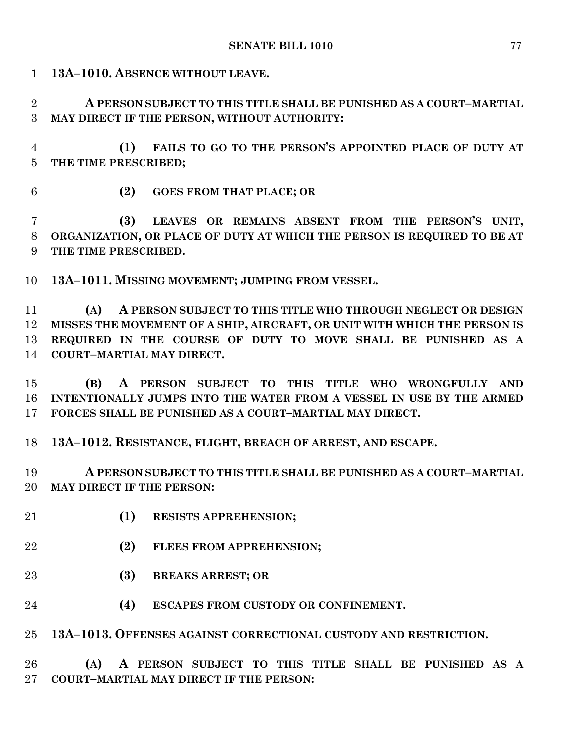**13A–1010. ABSENCE WITHOUT LEAVE.**

 **A PERSON SUBJECT TO THIS TITLE SHALL BE PUNISHED AS A COURT–MARTIAL MAY DIRECT IF THE PERSON, WITHOUT AUTHORITY:**

 **(1) FAILS TO GO TO THE PERSON'S APPOINTED PLACE OF DUTY AT THE TIME PRESCRIBED;**

- 
- **(2) GOES FROM THAT PLACE; OR**

 **(3) LEAVES OR REMAINS ABSENT FROM THE PERSON'S UNIT, ORGANIZATION, OR PLACE OF DUTY AT WHICH THE PERSON IS REQUIRED TO BE AT THE TIME PRESCRIBED.**

**13A–1011. MISSING MOVEMENT; JUMPING FROM VESSEL.**

 **(A) A PERSON SUBJECT TO THIS TITLE WHO THROUGH NEGLECT OR DESIGN MISSES THE MOVEMENT OF A SHIP, AIRCRAFT, OR UNIT WITH WHICH THE PERSON IS REQUIRED IN THE COURSE OF DUTY TO MOVE SHALL BE PUNISHED AS A COURT–MARTIAL MAY DIRECT.**

 **(B) A PERSON SUBJECT TO THIS TITLE WHO WRONGFULLY AND INTENTIONALLY JUMPS INTO THE WATER FROM A VESSEL IN USE BY THE ARMED FORCES SHALL BE PUNISHED AS A COURT–MARTIAL MAY DIRECT.**

**13A–1012. RESISTANCE, FLIGHT, BREACH OF ARREST, AND ESCAPE.**

 **A PERSON SUBJECT TO THIS TITLE SHALL BE PUNISHED AS A COURT–MARTIAL MAY DIRECT IF THE PERSON:**

- **(1) RESISTS APPREHENSION;**
- **(2) FLEES FROM APPREHENSION;**
- **(3) BREAKS ARREST; OR**
- **(4) ESCAPES FROM CUSTODY OR CONFINEMENT.**

**13A–1013. OFFENSES AGAINST CORRECTIONAL CUSTODY AND RESTRICTION.**

 **(A) A PERSON SUBJECT TO THIS TITLE SHALL BE PUNISHED AS A COURT–MARTIAL MAY DIRECT IF THE PERSON:**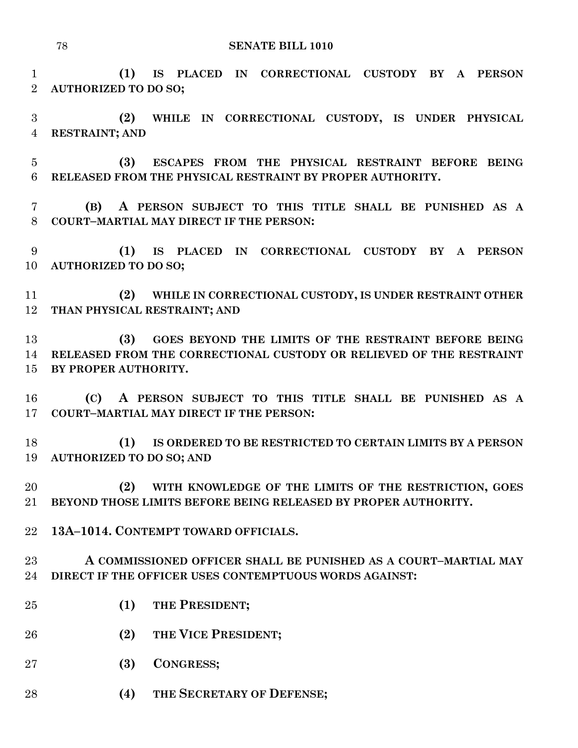**(1) IS PLACED IN CORRECTIONAL CUSTODY BY A PERSON AUTHORIZED TO DO SO;**

 **(2) WHILE IN CORRECTIONAL CUSTODY, IS UNDER PHYSICAL RESTRAINT; AND**

 **(3) ESCAPES FROM THE PHYSICAL RESTRAINT BEFORE BEING RELEASED FROM THE PHYSICAL RESTRAINT BY PROPER AUTHORITY.**

 **(B) A PERSON SUBJECT TO THIS TITLE SHALL BE PUNISHED AS A COURT–MARTIAL MAY DIRECT IF THE PERSON:**

 **(1) IS PLACED IN CORRECTIONAL CUSTODY BY A PERSON AUTHORIZED TO DO SO;**

 **(2) WHILE IN CORRECTIONAL CUSTODY, IS UNDER RESTRAINT OTHER THAN PHYSICAL RESTRAINT; AND** 

 **(3) GOES BEYOND THE LIMITS OF THE RESTRAINT BEFORE BEING RELEASED FROM THE CORRECTIONAL CUSTODY OR RELIEVED OF THE RESTRAINT BY PROPER AUTHORITY.**

 **(C) A PERSON SUBJECT TO THIS TITLE SHALL BE PUNISHED AS A COURT–MARTIAL MAY DIRECT IF THE PERSON:**

 **(1) IS ORDERED TO BE RESTRICTED TO CERTAIN LIMITS BY A PERSON AUTHORIZED TO DO SO; AND** 

 **(2) WITH KNOWLEDGE OF THE LIMITS OF THE RESTRICTION, GOES BEYOND THOSE LIMITS BEFORE BEING RELEASED BY PROPER AUTHORITY.**

**13A–1014. CONTEMPT TOWARD OFFICIALS.**

 **A COMMISSIONED OFFICER SHALL BE PUNISHED AS A COURT–MARTIAL MAY DIRECT IF THE OFFICER USES CONTEMPTUOUS WORDS AGAINST:**

- **(1) THE PRESIDENT;**
- **(2) THE VICE PRESIDENT**;
- **(3) CONGRESS;**
- 28 (4) THE **SECRETARY OF DEFENSE**;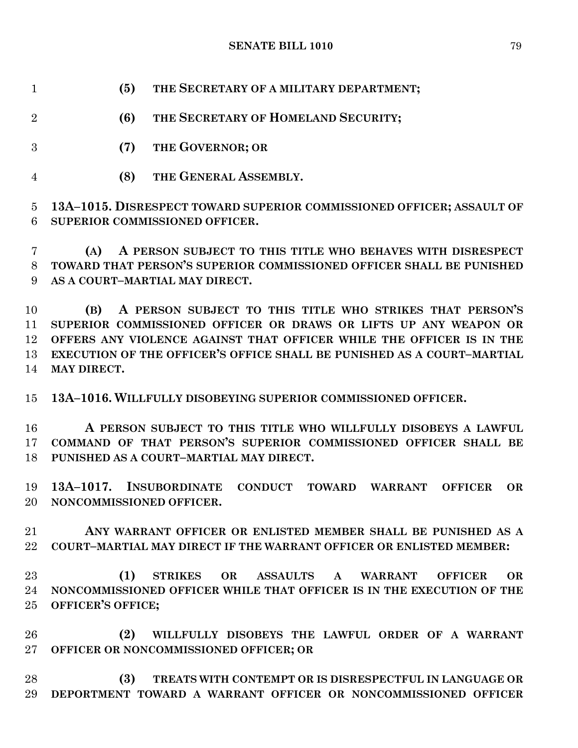**SENATE BILL 1010** 79

**(5) THE SECRETARY OF A MILITARY DEPARTMENT;**

**(6) THE SECRETARY OF HOMELAND SECURITY;**

- **(7) THE GOVERNOR; OR**
- **(8) THE GENERAL ASSEMBLY.**

 **13A–1015. DISRESPECT TOWARD SUPERIOR COMMISSIONED OFFICER; ASSAULT OF SUPERIOR COMMISSIONED OFFICER.**

 **(A) A PERSON SUBJECT TO THIS TITLE WHO BEHAVES WITH DISRESPECT TOWARD THAT PERSON'S SUPERIOR COMMISSIONED OFFICER SHALL BE PUNISHED AS A COURT–MARTIAL MAY DIRECT.**

 **(B) A PERSON SUBJECT TO THIS TITLE WHO STRIKES THAT PERSON'S SUPERIOR COMMISSIONED OFFICER OR DRAWS OR LIFTS UP ANY WEAPON OR OFFERS ANY VIOLENCE AGAINST THAT OFFICER WHILE THE OFFICER IS IN THE EXECUTION OF THE OFFICER'S OFFICE SHALL BE PUNISHED AS A COURT–MARTIAL MAY DIRECT.**

**13A–1016. WILLFULLY DISOBEYING SUPERIOR COMMISSIONED OFFICER.**

 **A PERSON SUBJECT TO THIS TITLE WHO WILLFULLY DISOBEYS A LAWFUL COMMAND OF THAT PERSON'S SUPERIOR COMMISSIONED OFFICER SHALL BE PUNISHED AS A COURT–MARTIAL MAY DIRECT.**

 **13A–1017. INSUBORDINATE CONDUCT TOWARD WARRANT OFFICER OR NONCOMMISSIONED OFFICER.**

 **ANY WARRANT OFFICER OR ENLISTED MEMBER SHALL BE PUNISHED AS A COURT–MARTIAL MAY DIRECT IF THE WARRANT OFFICER OR ENLISTED MEMBER:**

 **(1) STRIKES OR ASSAULTS A WARRANT OFFICER OR NONCOMMISSIONED OFFICER WHILE THAT OFFICER IS IN THE EXECUTION OF THE OFFICER'S OFFICE;**

 **(2) WILLFULLY DISOBEYS THE LAWFUL ORDER OF A WARRANT OFFICER OR NONCOMMISSIONED OFFICER; OR**

 **(3) TREATS WITH CONTEMPT OR IS DISRESPECTFUL IN LANGUAGE OR DEPORTMENT TOWARD A WARRANT OFFICER OR NONCOMMISSIONED OFFICER**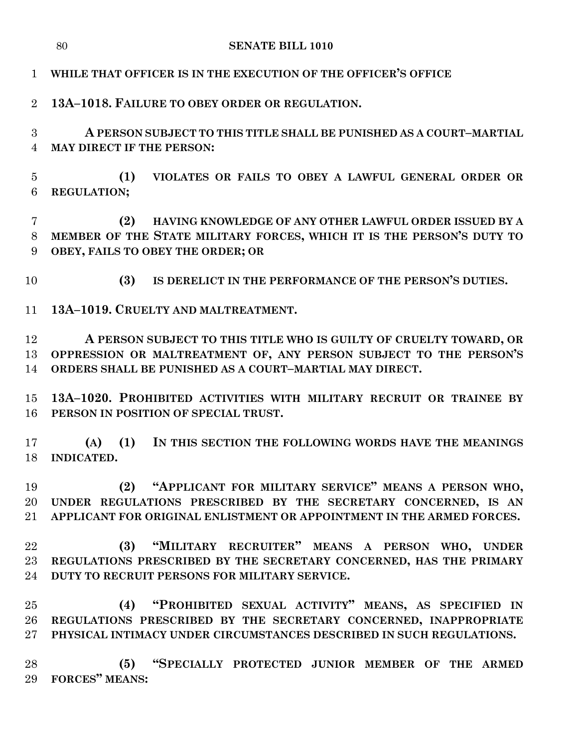**13A–1018. FAILURE TO OBEY ORDER OR REGULATION.**

 **A PERSON SUBJECT TO THIS TITLE SHALL BE PUNISHED AS A COURT–MARTIAL MAY DIRECT IF THE PERSON:**

 **(1) VIOLATES OR FAILS TO OBEY A LAWFUL GENERAL ORDER OR REGULATION;**

 **(2) HAVING KNOWLEDGE OF ANY OTHER LAWFUL ORDER ISSUED BY A MEMBER OF THE STATE MILITARY FORCES, WHICH IT IS THE PERSON'S DUTY TO OBEY, FAILS TO OBEY THE ORDER; OR**

**(3) IS DERELICT IN THE PERFORMANCE OF THE PERSON'S DUTIES.**

**13A–1019. CRUELTY AND MALTREATMENT.**

 **A PERSON SUBJECT TO THIS TITLE WHO IS GUILTY OF CRUELTY TOWARD, OR OPPRESSION OR MALTREATMENT OF, ANY PERSON SUBJECT TO THE PERSON'S ORDERS SHALL BE PUNISHED AS A COURT–MARTIAL MAY DIRECT.**

 **13A–1020. PROHIBITED ACTIVITIES WITH MILITARY RECRUIT OR TRAINEE BY PERSON IN POSITION OF SPECIAL TRUST.**

 **(A) (1) IN THIS SECTION THE FOLLOWING WORDS HAVE THE MEANINGS INDICATED.**

 **(2) "APPLICANT FOR MILITARY SERVICE" MEANS A PERSON WHO, UNDER REGULATIONS PRESCRIBED BY THE SECRETARY CONCERNED, IS AN APPLICANT FOR ORIGINAL ENLISTMENT OR APPOINTMENT IN THE ARMED FORCES.**

 **(3) "MILITARY RECRUITER" MEANS A PERSON WHO, UNDER REGULATIONS PRESCRIBED BY THE SECRETARY CONCERNED, HAS THE PRIMARY DUTY TO RECRUIT PERSONS FOR MILITARY SERVICE.**

 **(4) "PROHIBITED SEXUAL ACTIVITY" MEANS, AS SPECIFIED IN REGULATIONS PRESCRIBED BY THE SECRETARY CONCERNED, INAPPROPRIATE PHYSICAL INTIMACY UNDER CIRCUMSTANCES DESCRIBED IN SUCH REGULATIONS.**

 **(5) "SPECIALLY PROTECTED JUNIOR MEMBER OF THE ARMED FORCES" MEANS:**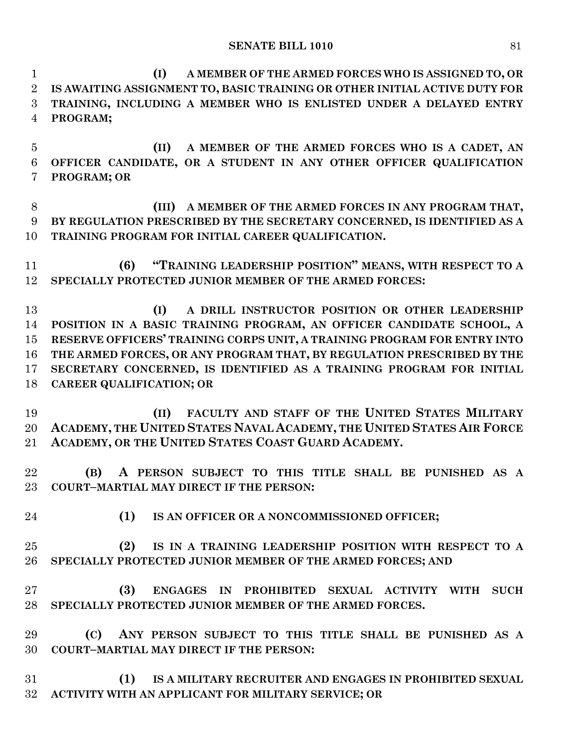**(I) A MEMBER OF THE ARMED FORCES WHO IS ASSIGNED TO, OR IS AWAITING ASSIGNMENT TO, BASIC TRAINING OR OTHER INITIAL ACTIVE DUTY FOR TRAINING, INCLUDING A MEMBER WHO IS ENLISTED UNDER A DELAYED ENTRY PROGRAM;**

 **(II) A MEMBER OF THE ARMED FORCES WHO IS A CADET, AN OFFICER CANDIDATE, OR A STUDENT IN ANY OTHER OFFICER QUALIFICATION PROGRAM; OR** 

 **(III) A MEMBER OF THE ARMED FORCES IN ANY PROGRAM THAT, BY REGULATION PRESCRIBED BY THE SECRETARY CONCERNED, IS IDENTIFIED AS A TRAINING PROGRAM FOR INITIAL CAREER QUALIFICATION.**

 **(6) "TRAINING LEADERSHIP POSITION" MEANS, WITH RESPECT TO A SPECIALLY PROTECTED JUNIOR MEMBER OF THE ARMED FORCES:**

 **(I) A DRILL INSTRUCTOR POSITION OR OTHER LEADERSHIP POSITION IN A BASIC TRAINING PROGRAM, AN OFFICER CANDIDATE SCHOOL, A RESERVE OFFICERS' TRAINING CORPS UNIT, A TRAINING PROGRAM FOR ENTRY INTO THE ARMED FORCES, OR ANY PROGRAM THAT, BY REGULATION PRESCRIBED BY THE SECRETARY CONCERNED, IS IDENTIFIED AS A TRAINING PROGRAM FOR INITIAL CAREER QUALIFICATION; OR**

 **(II) FACULTY AND STAFF OF THE UNITED STATES MILITARY**  20 ACADEMY, THE UNITED STATES NAVAL ACADEMY, THE UNITED STATES AIR FORCE **ACADEMY, OR THE UNITED STATES COAST GUARD ACADEMY.**

 **(B) A PERSON SUBJECT TO THIS TITLE SHALL BE PUNISHED AS A COURT–MARTIAL MAY DIRECT IF THE PERSON:**

**(1) IS AN OFFICER OR A NONCOMMISSIONED OFFICER;**

 **(2) IS IN A TRAINING LEADERSHIP POSITION WITH RESPECT TO A SPECIALLY PROTECTED JUNIOR MEMBER OF THE ARMED FORCES; AND** 

 **(3) ENGAGES IN PROHIBITED SEXUAL ACTIVITY WITH SUCH SPECIALLY PROTECTED JUNIOR MEMBER OF THE ARMED FORCES.**

 **(C) ANY PERSON SUBJECT TO THIS TITLE SHALL BE PUNISHED AS A COURT–MARTIAL MAY DIRECT IF THE PERSON:**

 **(1) IS A MILITARY RECRUITER AND ENGAGES IN PROHIBITED SEXUAL ACTIVITY WITH AN APPLICANT FOR MILITARY SERVICE; OR**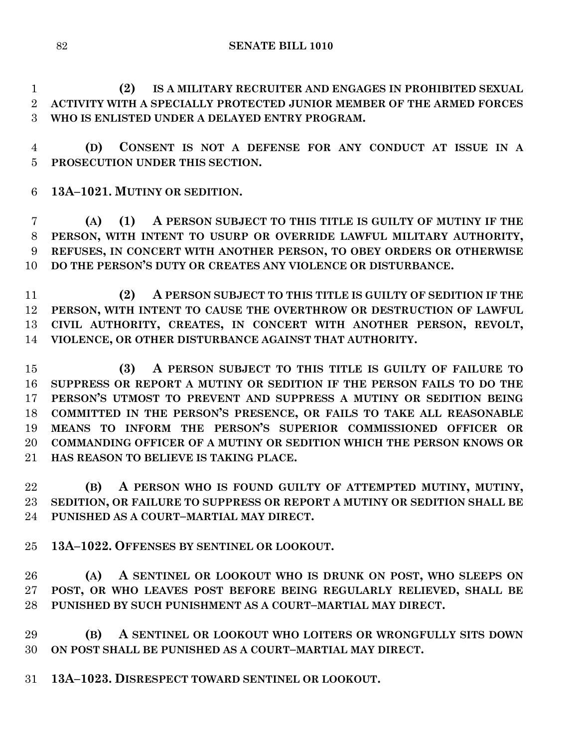**SENATE BILL 1010**

 **(2) IS A MILITARY RECRUITER AND ENGAGES IN PROHIBITED SEXUAL ACTIVITY WITH A SPECIALLY PROTECTED JUNIOR MEMBER OF THE ARMED FORCES WHO IS ENLISTED UNDER A DELAYED ENTRY PROGRAM.**

 **(D) CONSENT IS NOT A DEFENSE FOR ANY CONDUCT AT ISSUE IN A PROSECUTION UNDER THIS SECTION.**

**13A–1021. MUTINY OR SEDITION.**

 **(A) (1) A PERSON SUBJECT TO THIS TITLE IS GUILTY OF MUTINY IF THE PERSON, WITH INTENT TO USURP OR OVERRIDE LAWFUL MILITARY AUTHORITY, REFUSES, IN CONCERT WITH ANOTHER PERSON, TO OBEY ORDERS OR OTHERWISE DO THE PERSON'S DUTY OR CREATES ANY VIOLENCE OR DISTURBANCE.**

 **(2) A PERSON SUBJECT TO THIS TITLE IS GUILTY OF SEDITION IF THE PERSON, WITH INTENT TO CAUSE THE OVERTHROW OR DESTRUCTION OF LAWFUL CIVIL AUTHORITY, CREATES, IN CONCERT WITH ANOTHER PERSON, REVOLT, VIOLENCE, OR OTHER DISTURBANCE AGAINST THAT AUTHORITY.**

 **(3) A PERSON SUBJECT TO THIS TITLE IS GUILTY OF FAILURE TO SUPPRESS OR REPORT A MUTINY OR SEDITION IF THE PERSON FAILS TO DO THE PERSON'S UTMOST TO PREVENT AND SUPPRESS A MUTINY OR SEDITION BEING COMMITTED IN THE PERSON'S PRESENCE, OR FAILS TO TAKE ALL REASONABLE MEANS TO INFORM THE PERSON'S SUPERIOR COMMISSIONED OFFICER OR COMMANDING OFFICER OF A MUTINY OR SEDITION WHICH THE PERSON KNOWS OR HAS REASON TO BELIEVE IS TAKING PLACE.**

 **(B) A PERSON WHO IS FOUND GUILTY OF ATTEMPTED MUTINY, MUTINY, SEDITION, OR FAILURE TO SUPPRESS OR REPORT A MUTINY OR SEDITION SHALL BE PUNISHED AS A COURT–MARTIAL MAY DIRECT.**

**13A–1022. OFFENSES BY SENTINEL OR LOOKOUT.**

 **(A) A SENTINEL OR LOOKOUT WHO IS DRUNK ON POST, WHO SLEEPS ON POST, OR WHO LEAVES POST BEFORE BEING REGULARLY RELIEVED, SHALL BE PUNISHED BY SUCH PUNISHMENT AS A COURT–MARTIAL MAY DIRECT.**

 **(B) A SENTINEL OR LOOKOUT WHO LOITERS OR WRONGFULLY SITS DOWN ON POST SHALL BE PUNISHED AS A COURT–MARTIAL MAY DIRECT.**

**13A–1023. DISRESPECT TOWARD SENTINEL OR LOOKOUT.**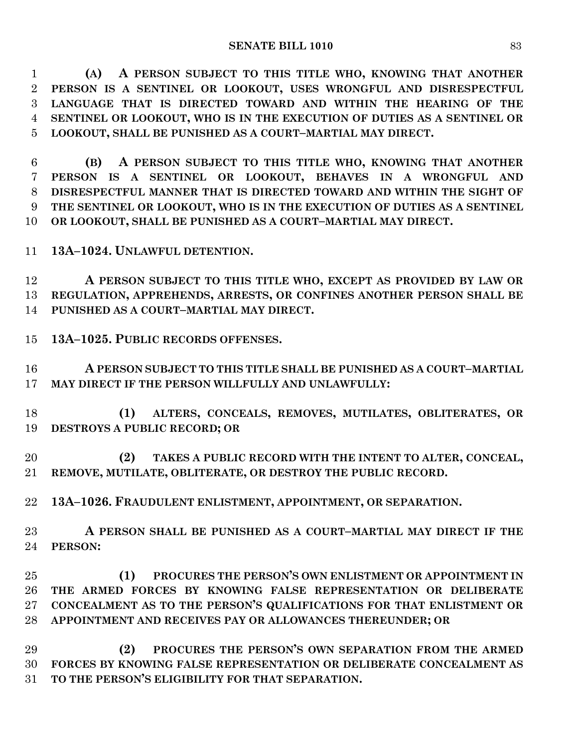**(A) A PERSON SUBJECT TO THIS TITLE WHO, KNOWING THAT ANOTHER PERSON IS A SENTINEL OR LOOKOUT, USES WRONGFUL AND DISRESPECTFUL LANGUAGE THAT IS DIRECTED TOWARD AND WITHIN THE HEARING OF THE SENTINEL OR LOOKOUT, WHO IS IN THE EXECUTION OF DUTIES AS A SENTINEL OR LOOKOUT, SHALL BE PUNISHED AS A COURT–MARTIAL MAY DIRECT.**

 **(B) A PERSON SUBJECT TO THIS TITLE WHO, KNOWING THAT ANOTHER PERSON IS A SENTINEL OR LOOKOUT, BEHAVES IN A WRONGFUL AND DISRESPECTFUL MANNER THAT IS DIRECTED TOWARD AND WITHIN THE SIGHT OF THE SENTINEL OR LOOKOUT, WHO IS IN THE EXECUTION OF DUTIES AS A SENTINEL OR LOOKOUT, SHALL BE PUNISHED AS A COURT–MARTIAL MAY DIRECT.**

**13A–1024. UNLAWFUL DETENTION.**

 **A PERSON SUBJECT TO THIS TITLE WHO, EXCEPT AS PROVIDED BY LAW OR REGULATION, APPREHENDS, ARRESTS, OR CONFINES ANOTHER PERSON SHALL BE PUNISHED AS A COURT–MARTIAL MAY DIRECT.**

**13A–1025. PUBLIC RECORDS OFFENSES.**

 **A PERSON SUBJECT TO THIS TITLE SHALL BE PUNISHED AS A COURT–MARTIAL MAY DIRECT IF THE PERSON WILLFULLY AND UNLAWFULLY:**

 **(1) ALTERS, CONCEALS, REMOVES, MUTILATES, OBLITERATES, OR DESTROYS A PUBLIC RECORD; OR** 

 **(2) TAKES A PUBLIC RECORD WITH THE INTENT TO ALTER, CONCEAL, REMOVE, MUTILATE, OBLITERATE, OR DESTROY THE PUBLIC RECORD.**

**13A–1026. FRAUDULENT ENLISTMENT, APPOINTMENT, OR SEPARATION.**

 **A PERSON SHALL BE PUNISHED AS A COURT–MARTIAL MAY DIRECT IF THE PERSON:**

 **(1) PROCURES THE PERSON'S OWN ENLISTMENT OR APPOINTMENT IN THE ARMED FORCES BY KNOWING FALSE REPRESENTATION OR DELIBERATE CONCEALMENT AS TO THE PERSON'S QUALIFICATIONS FOR THAT ENLISTMENT OR APPOINTMENT AND RECEIVES PAY OR ALLOWANCES THEREUNDER; OR** 

 **(2) PROCURES THE PERSON'S OWN SEPARATION FROM THE ARMED FORCES BY KNOWING FALSE REPRESENTATION OR DELIBERATE CONCEALMENT AS TO THE PERSON'S ELIGIBILITY FOR THAT SEPARATION.**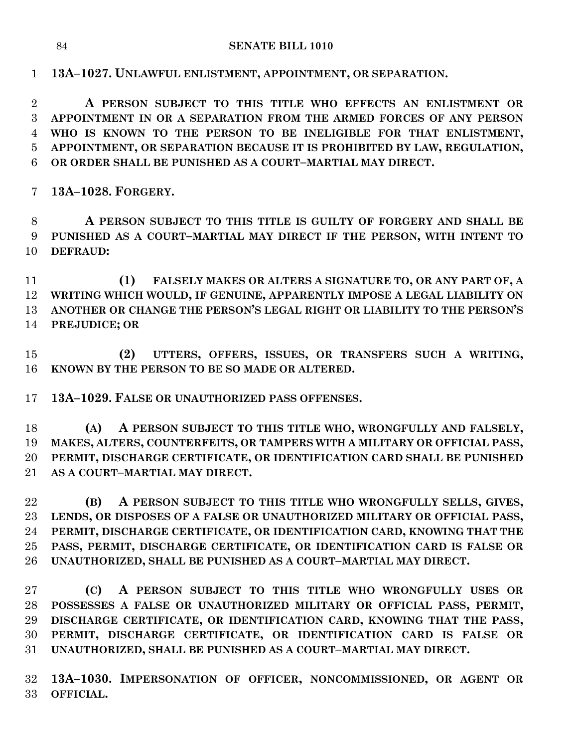**13A–1027. UNLAWFUL ENLISTMENT, APPOINTMENT, OR SEPARATION.**

 **A PERSON SUBJECT TO THIS TITLE WHO EFFECTS AN ENLISTMENT OR APPOINTMENT IN OR A SEPARATION FROM THE ARMED FORCES OF ANY PERSON WHO IS KNOWN TO THE PERSON TO BE INELIGIBLE FOR THAT ENLISTMENT, APPOINTMENT, OR SEPARATION BECAUSE IT IS PROHIBITED BY LAW, REGULATION, OR ORDER SHALL BE PUNISHED AS A COURT–MARTIAL MAY DIRECT.**

**13A–1028. FORGERY.**

 **A PERSON SUBJECT TO THIS TITLE IS GUILTY OF FORGERY AND SHALL BE PUNISHED AS A COURT–MARTIAL MAY DIRECT IF THE PERSON, WITH INTENT TO DEFRAUD:**

 **(1) FALSELY MAKES OR ALTERS A SIGNATURE TO, OR ANY PART OF, A WRITING WHICH WOULD, IF GENUINE, APPARENTLY IMPOSE A LEGAL LIABILITY ON ANOTHER OR CHANGE THE PERSON'S LEGAL RIGHT OR LIABILITY TO THE PERSON'S PREJUDICE; OR** 

 **(2) UTTERS, OFFERS, ISSUES, OR TRANSFERS SUCH A WRITING, KNOWN BY THE PERSON TO BE SO MADE OR ALTERED.**

**13A–1029. FALSE OR UNAUTHORIZED PASS OFFENSES.**

 **(A) A PERSON SUBJECT TO THIS TITLE WHO, WRONGFULLY AND FALSELY, MAKES, ALTERS, COUNTERFEITS, OR TAMPERS WITH A MILITARY OR OFFICIAL PASS, PERMIT, DISCHARGE CERTIFICATE, OR IDENTIFICATION CARD SHALL BE PUNISHED AS A COURT–MARTIAL MAY DIRECT.**

 **(B) A PERSON SUBJECT TO THIS TITLE WHO WRONGFULLY SELLS, GIVES, LENDS, OR DISPOSES OF A FALSE OR UNAUTHORIZED MILITARY OR OFFICIAL PASS, PERMIT, DISCHARGE CERTIFICATE, OR IDENTIFICATION CARD, KNOWING THAT THE PASS, PERMIT, DISCHARGE CERTIFICATE, OR IDENTIFICATION CARD IS FALSE OR UNAUTHORIZED, SHALL BE PUNISHED AS A COURT–MARTIAL MAY DIRECT.**

 **(C) A PERSON SUBJECT TO THIS TITLE WHO WRONGFULLY USES OR POSSESSES A FALSE OR UNAUTHORIZED MILITARY OR OFFICIAL PASS, PERMIT, DISCHARGE CERTIFICATE, OR IDENTIFICATION CARD, KNOWING THAT THE PASS, PERMIT, DISCHARGE CERTIFICATE, OR IDENTIFICATION CARD IS FALSE OR UNAUTHORIZED, SHALL BE PUNISHED AS A COURT–MARTIAL MAY DIRECT.**

 **13A–1030. IMPERSONATION OF OFFICER, NONCOMMISSIONED, OR AGENT OR OFFICIAL.**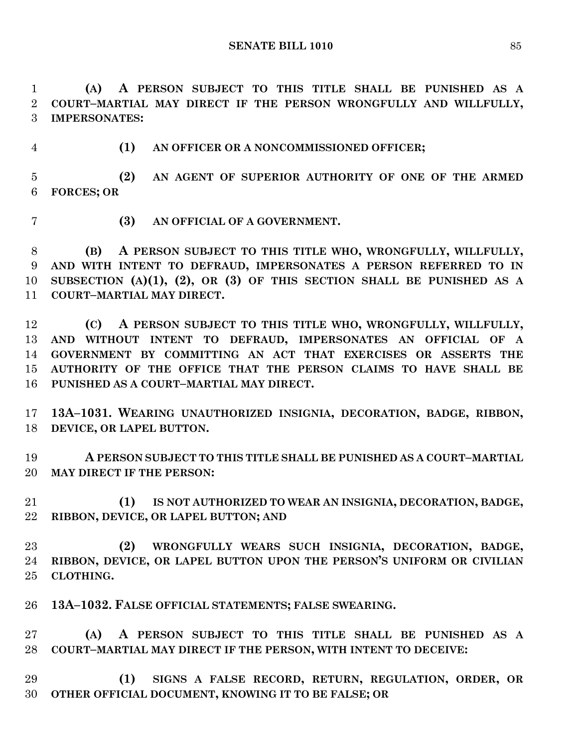**(A) A PERSON SUBJECT TO THIS TITLE SHALL BE PUNISHED AS A COURT–MARTIAL MAY DIRECT IF THE PERSON WRONGFULLY AND WILLFULLY, IMPERSONATES:**

**(1) AN OFFICER OR A NONCOMMISSIONED OFFICER;**

 **(2) AN AGENT OF SUPERIOR AUTHORITY OF ONE OF THE ARMED FORCES; OR** 

**(3) AN OFFICIAL OF A GOVERNMENT.**

 **(B) A PERSON SUBJECT TO THIS TITLE WHO, WRONGFULLY, WILLFULLY, AND WITH INTENT TO DEFRAUD, IMPERSONATES A PERSON REFERRED TO IN SUBSECTION (A)(1), (2), OR (3) OF THIS SECTION SHALL BE PUNISHED AS A COURT–MARTIAL MAY DIRECT.**

 **(C) A PERSON SUBJECT TO THIS TITLE WHO, WRONGFULLY, WILLFULLY, AND WITHOUT INTENT TO DEFRAUD, IMPERSONATES AN OFFICIAL OF A GOVERNMENT BY COMMITTING AN ACT THAT EXERCISES OR ASSERTS THE AUTHORITY OF THE OFFICE THAT THE PERSON CLAIMS TO HAVE SHALL BE PUNISHED AS A COURT–MARTIAL MAY DIRECT.**

 **13A–1031. WEARING UNAUTHORIZED INSIGNIA, DECORATION, BADGE, RIBBON, DEVICE, OR LAPEL BUTTON.**

 **A PERSON SUBJECT TO THIS TITLE SHALL BE PUNISHED AS A COURT–MARTIAL MAY DIRECT IF THE PERSON:**

 **(1) IS NOT AUTHORIZED TO WEAR AN INSIGNIA, DECORATION, BADGE, RIBBON, DEVICE, OR LAPEL BUTTON; AND** 

 **(2) WRONGFULLY WEARS SUCH INSIGNIA, DECORATION, BADGE, RIBBON, DEVICE, OR LAPEL BUTTON UPON THE PERSON'S UNIFORM OR CIVILIAN CLOTHING.**

**13A–1032. FALSE OFFICIAL STATEMENTS; FALSE SWEARING.**

 **(A) A PERSON SUBJECT TO THIS TITLE SHALL BE PUNISHED AS A COURT–MARTIAL MAY DIRECT IF THE PERSON, WITH INTENT TO DECEIVE:**

 **(1) SIGNS A FALSE RECORD, RETURN, REGULATION, ORDER, OR OTHER OFFICIAL DOCUMENT, KNOWING IT TO BE FALSE; OR**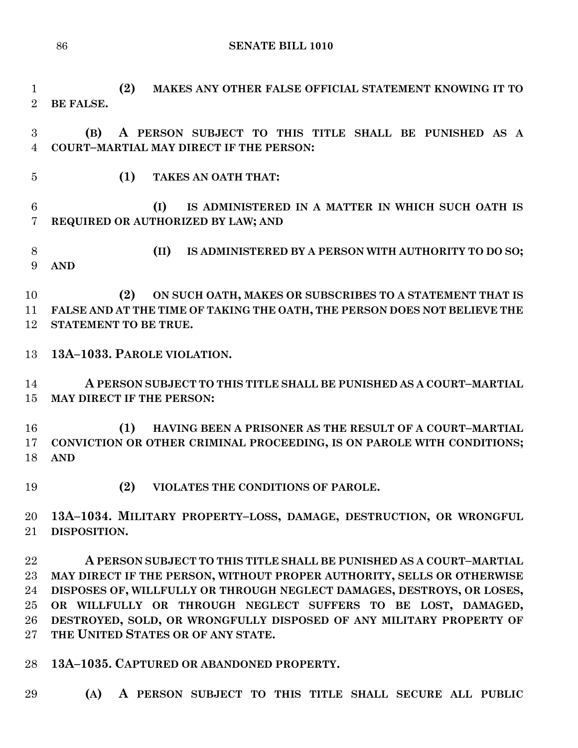**SENATE BILL 1010**

 **(2) MAKES ANY OTHER FALSE OFFICIAL STATEMENT KNOWING IT TO BE FALSE.**

 **(B) A PERSON SUBJECT TO THIS TITLE SHALL BE PUNISHED AS A COURT–MARTIAL MAY DIRECT IF THE PERSON:**

**(1) TAKES AN OATH THAT:**

 **(I) IS ADMINISTERED IN A MATTER IN WHICH SUCH OATH IS REQUIRED OR AUTHORIZED BY LAW; AND** 

 **(II) IS ADMINISTERED BY A PERSON WITH AUTHORITY TO DO SO; AND** 

 **(2) ON SUCH OATH, MAKES OR SUBSCRIBES TO A STATEMENT THAT IS FALSE AND AT THE TIME OF TAKING THE OATH, THE PERSON DOES NOT BELIEVE THE STATEMENT TO BE TRUE.**

**13A–1033. PAROLE VIOLATION.**

 **A PERSON SUBJECT TO THIS TITLE SHALL BE PUNISHED AS A COURT–MARTIAL MAY DIRECT IF THE PERSON:**

 **(1) HAVING BEEN A PRISONER AS THE RESULT OF A COURT–MARTIAL CONVICTION OR OTHER CRIMINAL PROCEEDING, IS ON PAROLE WITH CONDITIONS; AND** 

**(2) VIOLATES THE CONDITIONS OF PAROLE.**

 **13A–1034. MILITARY PROPERTY–LOSS, DAMAGE, DESTRUCTION, OR WRONGFUL DISPOSITION.**

 **A PERSON SUBJECT TO THIS TITLE SHALL BE PUNISHED AS A COURT–MARTIAL MAY DIRECT IF THE PERSON, WITHOUT PROPER AUTHORITY, SELLS OR OTHERWISE DISPOSES OF, WILLFULLY OR THROUGH NEGLECT DAMAGES, DESTROYS, OR LOSES, OR WILLFULLY OR THROUGH NEGLECT SUFFERS TO BE LOST, DAMAGED, DESTROYED, SOLD, OR WRONGFULLY DISPOSED OF ANY MILITARY PROPERTY OF THE UNITED STATES OR OF ANY STATE.**

**13A–1035. CAPTURED OR ABANDONED PROPERTY.**

**(A) A PERSON SUBJECT TO THIS TITLE SHALL SECURE ALL PUBLIC**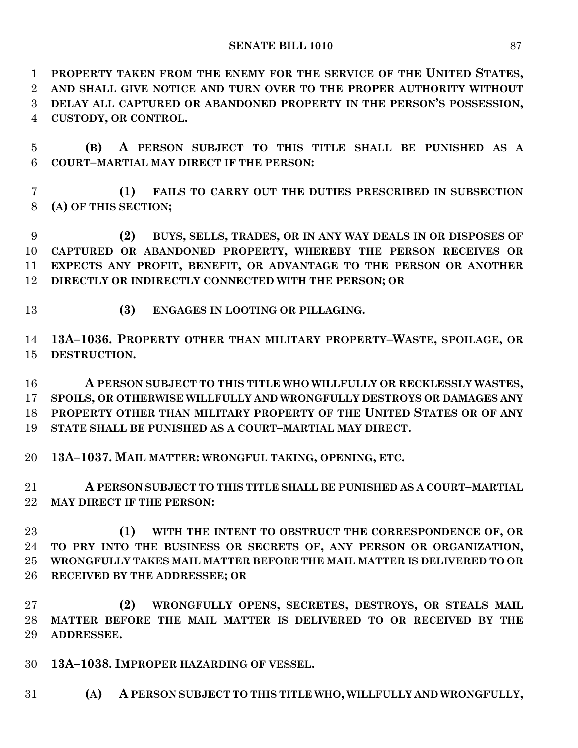## **SENATE BILL 1010** 87

 **PROPERTY TAKEN FROM THE ENEMY FOR THE SERVICE OF THE UNITED STATES, AND SHALL GIVE NOTICE AND TURN OVER TO THE PROPER AUTHORITY WITHOUT DELAY ALL CAPTURED OR ABANDONED PROPERTY IN THE PERSON'S POSSESSION, CUSTODY, OR CONTROL.**

 **(B) A PERSON SUBJECT TO THIS TITLE SHALL BE PUNISHED AS A COURT–MARTIAL MAY DIRECT IF THE PERSON:**

 **(1) FAILS TO CARRY OUT THE DUTIES PRESCRIBED IN SUBSECTION (A) OF THIS SECTION;**

 **(2) BUYS, SELLS, TRADES, OR IN ANY WAY DEALS IN OR DISPOSES OF CAPTURED OR ABANDONED PROPERTY, WHEREBY THE PERSON RECEIVES OR EXPECTS ANY PROFIT, BENEFIT, OR ADVANTAGE TO THE PERSON OR ANOTHER DIRECTLY OR INDIRECTLY CONNECTED WITH THE PERSON; OR** 

**(3) ENGAGES IN LOOTING OR PILLAGING.**

 **13A–1036. PROPERTY OTHER THAN MILITARY PROPERTY–WASTE, SPOILAGE, OR DESTRUCTION.**

 **A PERSON SUBJECT TO THIS TITLE WHO WILLFULLY OR RECKLESSLY WASTES, SPOILS, OR OTHERWISE WILLFULLY AND WRONGFULLY DESTROYS OR DAMAGES ANY PROPERTY OTHER THAN MILITARY PROPERTY OF THE UNITED STATES OR OF ANY STATE SHALL BE PUNISHED AS A COURT–MARTIAL MAY DIRECT.**

**13A–1037. MAIL MATTER: WRONGFUL TAKING, OPENING, ETC.**

 **A PERSON SUBJECT TO THIS TITLE SHALL BE PUNISHED AS A COURT–MARTIAL MAY DIRECT IF THE PERSON:**

 **(1) WITH THE INTENT TO OBSTRUCT THE CORRESPONDENCE OF, OR TO PRY INTO THE BUSINESS OR SECRETS OF, ANY PERSON OR ORGANIZATION, WRONGFULLY TAKES MAIL MATTER BEFORE THE MAIL MATTER IS DELIVERED TO OR RECEIVED BY THE ADDRESSEE; OR** 

 **(2) WRONGFULLY OPENS, SECRETES, DESTROYS, OR STEALS MAIL MATTER BEFORE THE MAIL MATTER IS DELIVERED TO OR RECEIVED BY THE ADDRESSEE.**

- **13A–1038. IMPROPER HAZARDING OF VESSEL.**
- **(A) A PERSON SUBJECT TO THIS TITLE WHO, WILLFULLY AND WRONGFULLY,**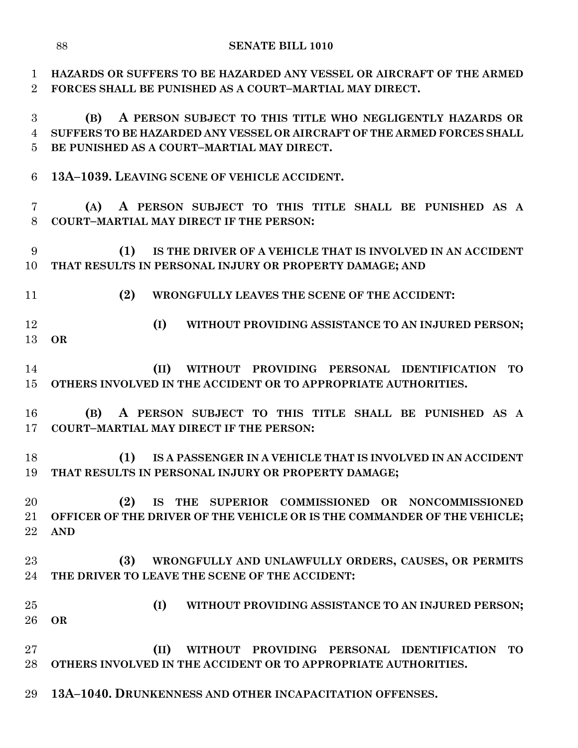**HAZARDS OR SUFFERS TO BE HAZARDED ANY VESSEL OR AIRCRAFT OF THE ARMED FORCES SHALL BE PUNISHED AS A COURT–MARTIAL MAY DIRECT. (B) A PERSON SUBJECT TO THIS TITLE WHO NEGLIGENTLY HAZARDS OR SUFFERS TO BE HAZARDED ANY VESSEL OR AIRCRAFT OF THE ARMED FORCES SHALL BE PUNISHED AS A COURT–MARTIAL MAY DIRECT. 13A–1039. LEAVING SCENE OF VEHICLE ACCIDENT. (A) A PERSON SUBJECT TO THIS TITLE SHALL BE PUNISHED AS A COURT–MARTIAL MAY DIRECT IF THE PERSON: (1) IS THE DRIVER OF A VEHICLE THAT IS INVOLVED IN AN ACCIDENT THAT RESULTS IN PERSONAL INJURY OR PROPERTY DAMAGE; AND (2) WRONGFULLY LEAVES THE SCENE OF THE ACCIDENT: (I) WITHOUT PROVIDING ASSISTANCE TO AN INJURED PERSON; OR (II) WITHOUT PROVIDING PERSONAL IDENTIFICATION TO OTHERS INVOLVED IN THE ACCIDENT OR TO APPROPRIATE AUTHORITIES. (B) A PERSON SUBJECT TO THIS TITLE SHALL BE PUNISHED AS A COURT–MARTIAL MAY DIRECT IF THE PERSON: (1) IS A PASSENGER IN A VEHICLE THAT IS INVOLVED IN AN ACCIDENT THAT RESULTS IN PERSONAL INJURY OR PROPERTY DAMAGE; (2) IS THE SUPERIOR COMMISSIONED OR NONCOMMISSIONED OFFICER OF THE DRIVER OF THE VEHICLE OR IS THE COMMANDER OF THE VEHICLE; AND (3) WRONGFULLY AND UNLAWFULLY ORDERS, CAUSES, OR PERMITS THE DRIVER TO LEAVE THE SCENE OF THE ACCIDENT: (I) WITHOUT PROVIDING ASSISTANCE TO AN INJURED PERSON; OR (II) WITHOUT PROVIDING PERSONAL IDENTIFICATION TO OTHERS INVOLVED IN THE ACCIDENT OR TO APPROPRIATE AUTHORITIES. 13A–1040. DRUNKENNESS AND OTHER INCAPACITATION OFFENSES.**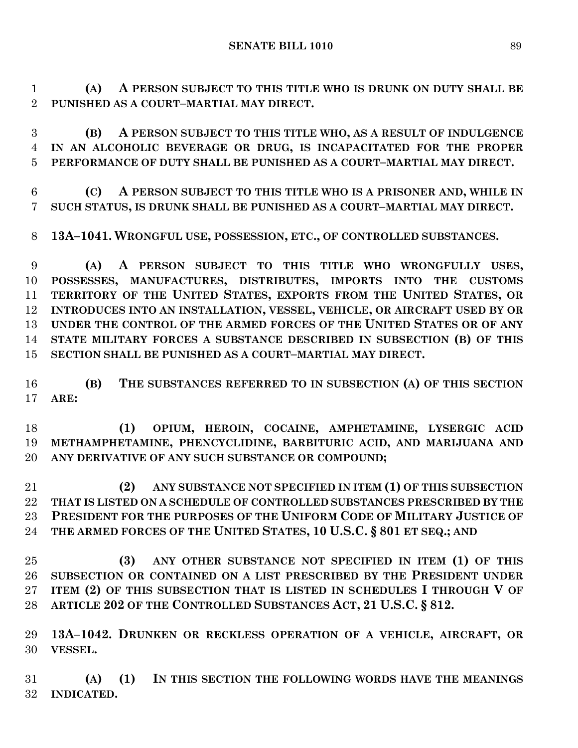**(A) A PERSON SUBJECT TO THIS TITLE WHO IS DRUNK ON DUTY SHALL BE PUNISHED AS A COURT–MARTIAL MAY DIRECT.**

 **(B) A PERSON SUBJECT TO THIS TITLE WHO, AS A RESULT OF INDULGENCE IN AN ALCOHOLIC BEVERAGE OR DRUG, IS INCAPACITATED FOR THE PROPER PERFORMANCE OF DUTY SHALL BE PUNISHED AS A COURT–MARTIAL MAY DIRECT.**

 **(C) A PERSON SUBJECT TO THIS TITLE WHO IS A PRISONER AND, WHILE IN SUCH STATUS, IS DRUNK SHALL BE PUNISHED AS A COURT–MARTIAL MAY DIRECT.**

**13A–1041. WRONGFUL USE, POSSESSION, ETC., OF CONTROLLED SUBSTANCES.**

 **(A) A PERSON SUBJECT TO THIS TITLE WHO WRONGFULLY USES, POSSESSES, MANUFACTURES, DISTRIBUTES, IMPORTS INTO THE CUSTOMS TERRITORY OF THE UNITED STATES, EXPORTS FROM THE UNITED STATES, OR INTRODUCES INTO AN INSTALLATION, VESSEL, VEHICLE, OR AIRCRAFT USED BY OR UNDER THE CONTROL OF THE ARMED FORCES OF THE UNITED STATES OR OF ANY STATE MILITARY FORCES A SUBSTANCE DESCRIBED IN SUBSECTION (B) OF THIS SECTION SHALL BE PUNISHED AS A COURT–MARTIAL MAY DIRECT.**

 **(B) THE SUBSTANCES REFERRED TO IN SUBSECTION (A) OF THIS SECTION ARE:**

 **(1) OPIUM, HEROIN, COCAINE, AMPHETAMINE, LYSERGIC ACID METHAMPHETAMINE, PHENCYCLIDINE, BARBITURIC ACID, AND MARIJUANA AND ANY DERIVATIVE OF ANY SUCH SUBSTANCE OR COMPOUND;**

 **(2) ANY SUBSTANCE NOT SPECIFIED IN ITEM (1) OF THIS SUBSECTION THAT IS LISTED ON A SCHEDULE OF CONTROLLED SUBSTANCES PRESCRIBED BY THE PRESIDENT FOR THE PURPOSES OF THE UNIFORM CODE OF MILITARY JUSTICE OF THE ARMED FORCES OF THE UNITED STATES, 10 U.S.C. § 801 ET SEQ.; AND** 

 **(3) ANY OTHER SUBSTANCE NOT SPECIFIED IN ITEM (1) OF THIS SUBSECTION OR CONTAINED ON A LIST PRESCRIBED BY THE PRESIDENT UNDER ITEM (2) OF THIS SUBSECTION THAT IS LISTED IN SCHEDULES I THROUGH V OF ARTICLE 202 OF THE CONTROLLED SUBSTANCES ACT, 21 U.S.C. § 812.**

 **13A–1042. DRUNKEN OR RECKLESS OPERATION OF A VEHICLE, AIRCRAFT, OR VESSEL.**

 **(A) (1) IN THIS SECTION THE FOLLOWING WORDS HAVE THE MEANINGS INDICATED.**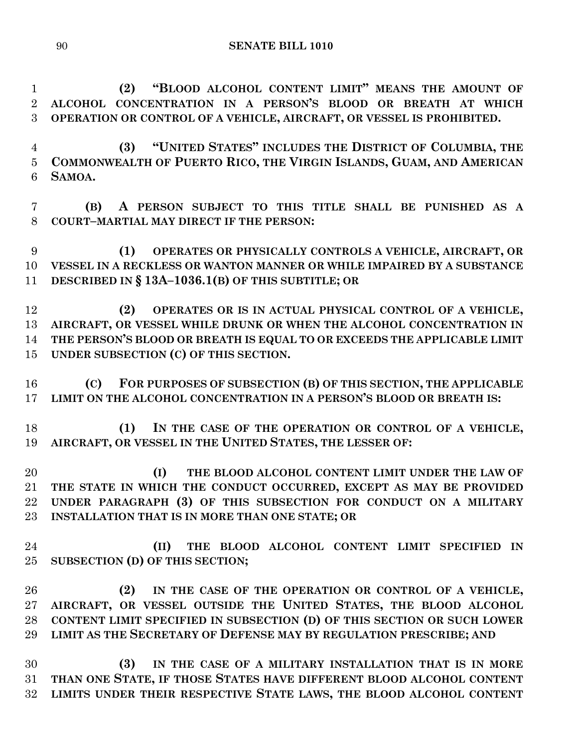**(2) "BLOOD ALCOHOL CONTENT LIMIT" MEANS THE AMOUNT OF ALCOHOL CONCENTRATION IN A PERSON'S BLOOD OR BREATH AT WHICH OPERATION OR CONTROL OF A VEHICLE, AIRCRAFT, OR VESSEL IS PROHIBITED.**

 **(3) "UNITED STATES" INCLUDES THE DISTRICT OF COLUMBIA, THE COMMONWEALTH OF PUERTO RICO, THE VIRGIN ISLANDS, GUAM, AND AMERICAN SAMOA.**

 **(B) A PERSON SUBJECT TO THIS TITLE SHALL BE PUNISHED AS A COURT–MARTIAL MAY DIRECT IF THE PERSON:**

 **(1) OPERATES OR PHYSICALLY CONTROLS A VEHICLE, AIRCRAFT, OR VESSEL IN A RECKLESS OR WANTON MANNER OR WHILE IMPAIRED BY A SUBSTANCE DESCRIBED IN § 13A–1036.1(B) OF THIS SUBTITLE; OR** 

 **(2) OPERATES OR IS IN ACTUAL PHYSICAL CONTROL OF A VEHICLE, AIRCRAFT, OR VESSEL WHILE DRUNK OR WHEN THE ALCOHOL CONCENTRATION IN THE PERSON'S BLOOD OR BREATH IS EQUAL TO OR EXCEEDS THE APPLICABLE LIMIT UNDER SUBSECTION (C) OF THIS SECTION.**

 **(C) FOR PURPOSES OF SUBSECTION (B) OF THIS SECTION, THE APPLICABLE LIMIT ON THE ALCOHOL CONCENTRATION IN A PERSON'S BLOOD OR BREATH IS:**

 **(1) IN THE CASE OF THE OPERATION OR CONTROL OF A VEHICLE, AIRCRAFT, OR VESSEL IN THE UNITED STATES, THE LESSER OF:**

 **(I) THE BLOOD ALCOHOL CONTENT LIMIT UNDER THE LAW OF THE STATE IN WHICH THE CONDUCT OCCURRED, EXCEPT AS MAY BE PROVIDED UNDER PARAGRAPH (3) OF THIS SUBSECTION FOR CONDUCT ON A MILITARY INSTALLATION THAT IS IN MORE THAN ONE STATE; OR** 

 **(II) THE BLOOD ALCOHOL CONTENT LIMIT SPECIFIED IN SUBSECTION (D) OF THIS SECTION;**

 **(2) IN THE CASE OF THE OPERATION OR CONTROL OF A VEHICLE, AIRCRAFT, OR VESSEL OUTSIDE THE UNITED STATES, THE BLOOD ALCOHOL CONTENT LIMIT SPECIFIED IN SUBSECTION (D) OF THIS SECTION OR SUCH LOWER LIMIT AS THE SECRETARY OF DEFENSE MAY BY REGULATION PRESCRIBE; AND**

 **(3) IN THE CASE OF A MILITARY INSTALLATION THAT IS IN MORE THAN ONE STATE, IF THOSE STATES HAVE DIFFERENT BLOOD ALCOHOL CONTENT LIMITS UNDER THEIR RESPECTIVE STATE LAWS, THE BLOOD ALCOHOL CONTENT**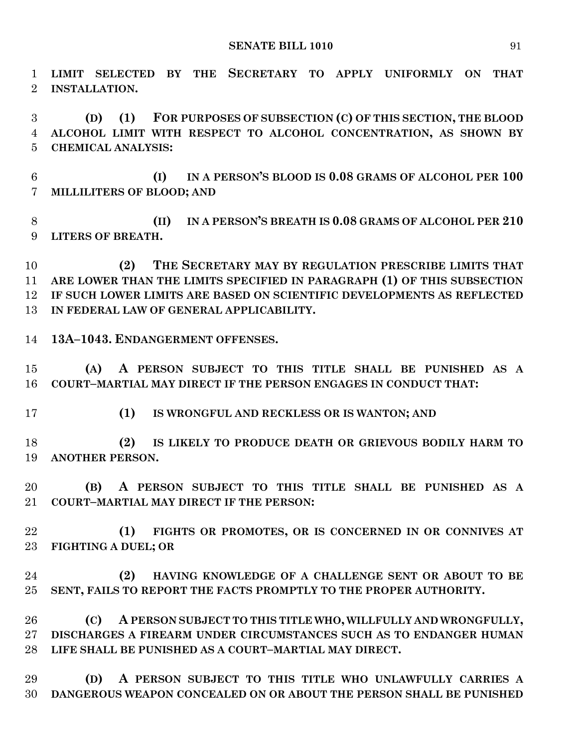**LIMIT SELECTED BY THE SECRETARY TO APPLY UNIFORMLY ON THAT INSTALLATION.**

 **(D) (1) FOR PURPOSES OF SUBSECTION (C) OF THIS SECTION, THE BLOOD ALCOHOL LIMIT WITH RESPECT TO ALCOHOL CONCENTRATION, AS SHOWN BY CHEMICAL ANALYSIS:**

 **(I) IN A PERSON'S BLOOD IS 0.08 GRAMS OF ALCOHOL PER 100 MILLILITERS OF BLOOD; AND**

 **(II) IN A PERSON'S BREATH IS 0.08 GRAMS OF ALCOHOL PER 210 LITERS OF BREATH.**

 **(2) THE SECRETARY MAY BY REGULATION PRESCRIBE LIMITS THAT ARE LOWER THAN THE LIMITS SPECIFIED IN PARAGRAPH (1) OF THIS SUBSECTION IF SUCH LOWER LIMITS ARE BASED ON SCIENTIFIC DEVELOPMENTS AS REFLECTED IN FEDERAL LAW OF GENERAL APPLICABILITY.**

**13A–1043. ENDANGERMENT OFFENSES.**

 **(A) A PERSON SUBJECT TO THIS TITLE SHALL BE PUNISHED AS A COURT–MARTIAL MAY DIRECT IF THE PERSON ENGAGES IN CONDUCT THAT:**

**(1) IS WRONGFUL AND RECKLESS OR IS WANTON; AND** 

 **(2) IS LIKELY TO PRODUCE DEATH OR GRIEVOUS BODILY HARM TO ANOTHER PERSON.**

 **(B) A PERSON SUBJECT TO THIS TITLE SHALL BE PUNISHED AS A COURT–MARTIAL MAY DIRECT IF THE PERSON:**

 **(1) FIGHTS OR PROMOTES, OR IS CONCERNED IN OR CONNIVES AT FIGHTING A DUEL; OR** 

 **(2) HAVING KNOWLEDGE OF A CHALLENGE SENT OR ABOUT TO BE SENT, FAILS TO REPORT THE FACTS PROMPTLY TO THE PROPER AUTHORITY.**

 **(C) A PERSON SUBJECT TO THIS TITLE WHO, WILLFULLY AND WRONGFULLY, DISCHARGES A FIREARM UNDER CIRCUMSTANCES SUCH AS TO ENDANGER HUMAN LIFE SHALL BE PUNISHED AS A COURT–MARTIAL MAY DIRECT.**

 **(D) A PERSON SUBJECT TO THIS TITLE WHO UNLAWFULLY CARRIES A DANGEROUS WEAPON CONCEALED ON OR ABOUT THE PERSON SHALL BE PUNISHED**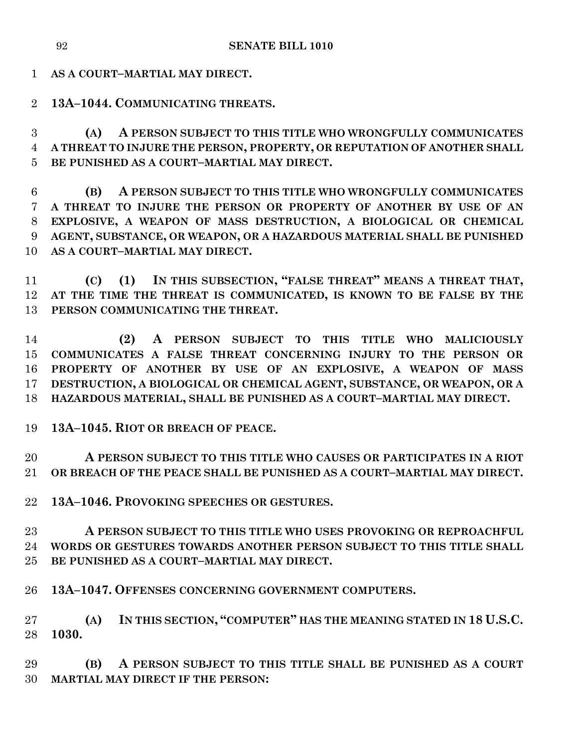**AS A COURT–MARTIAL MAY DIRECT.**

**13A–1044. COMMUNICATING THREATS.**

 **(A) A PERSON SUBJECT TO THIS TITLE WHO WRONGFULLY COMMUNICATES A THREAT TO INJURE THE PERSON, PROPERTY, OR REPUTATION OF ANOTHER SHALL BE PUNISHED AS A COURT–MARTIAL MAY DIRECT.**

 **(B) A PERSON SUBJECT TO THIS TITLE WHO WRONGFULLY COMMUNICATES A THREAT TO INJURE THE PERSON OR PROPERTY OF ANOTHER BY USE OF AN EXPLOSIVE, A WEAPON OF MASS DESTRUCTION, A BIOLOGICAL OR CHEMICAL AGENT, SUBSTANCE, OR WEAPON, OR A HAZARDOUS MATERIAL SHALL BE PUNISHED AS A COURT–MARTIAL MAY DIRECT.**

 **(C) (1) IN THIS SUBSECTION, "FALSE THREAT" MEANS A THREAT THAT, AT THE TIME THE THREAT IS COMMUNICATED, IS KNOWN TO BE FALSE BY THE PERSON COMMUNICATING THE THREAT.**

 **(2) A PERSON SUBJECT TO THIS TITLE WHO MALICIOUSLY COMMUNICATES A FALSE THREAT CONCERNING INJURY TO THE PERSON OR PROPERTY OF ANOTHER BY USE OF AN EXPLOSIVE, A WEAPON OF MASS DESTRUCTION, A BIOLOGICAL OR CHEMICAL AGENT, SUBSTANCE, OR WEAPON, OR A HAZARDOUS MATERIAL, SHALL BE PUNISHED AS A COURT–MARTIAL MAY DIRECT.**

**13A–1045. RIOT OR BREACH OF PEACE.**

 **A PERSON SUBJECT TO THIS TITLE WHO CAUSES OR PARTICIPATES IN A RIOT OR BREACH OF THE PEACE SHALL BE PUNISHED AS A COURT–MARTIAL MAY DIRECT.**

**13A–1046. PROVOKING SPEECHES OR GESTURES.**

 **A PERSON SUBJECT TO THIS TITLE WHO USES PROVOKING OR REPROACHFUL WORDS OR GESTURES TOWARDS ANOTHER PERSON SUBJECT TO THIS TITLE SHALL BE PUNISHED AS A COURT–MARTIAL MAY DIRECT.**

**13A–1047. OFFENSES CONCERNING GOVERNMENT COMPUTERS.**

 **(A) IN THIS SECTION, "COMPUTER" HAS THE MEANING STATED IN 18 U.S.C. 1030.**

 **(B) A PERSON SUBJECT TO THIS TITLE SHALL BE PUNISHED AS A COURT MARTIAL MAY DIRECT IF THE PERSON:**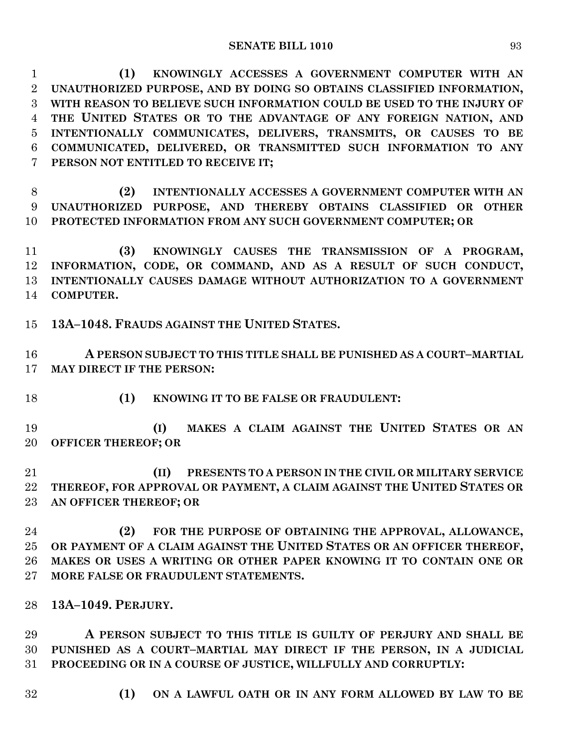**(1) KNOWINGLY ACCESSES A GOVERNMENT COMPUTER WITH AN UNAUTHORIZED PURPOSE, AND BY DOING SO OBTAINS CLASSIFIED INFORMATION, WITH REASON TO BELIEVE SUCH INFORMATION COULD BE USED TO THE INJURY OF THE UNITED STATES OR TO THE ADVANTAGE OF ANY FOREIGN NATION, AND INTENTIONALLY COMMUNICATES, DELIVERS, TRANSMITS, OR CAUSES TO BE COMMUNICATED, DELIVERED, OR TRANSMITTED SUCH INFORMATION TO ANY PERSON NOT ENTITLED TO RECEIVE IT;**

 **(2) INTENTIONALLY ACCESSES A GOVERNMENT COMPUTER WITH AN UNAUTHORIZED PURPOSE, AND THEREBY OBTAINS CLASSIFIED OR OTHER PROTECTED INFORMATION FROM ANY SUCH GOVERNMENT COMPUTER; OR** 

 **(3) KNOWINGLY CAUSES THE TRANSMISSION OF A PROGRAM, INFORMATION, CODE, OR COMMAND, AND AS A RESULT OF SUCH CONDUCT, INTENTIONALLY CAUSES DAMAGE WITHOUT AUTHORIZATION TO A GOVERNMENT COMPUTER.**

**13A–1048. FRAUDS AGAINST THE UNITED STATES.**

 **A PERSON SUBJECT TO THIS TITLE SHALL BE PUNISHED AS A COURT–MARTIAL MAY DIRECT IF THE PERSON:**

**(1) KNOWING IT TO BE FALSE OR FRAUDULENT:**

 **(I) MAKES A CLAIM AGAINST THE UNITED STATES OR AN OFFICER THEREOF; OR** 

 **(II) PRESENTS TO A PERSON IN THE CIVIL OR MILITARY SERVICE THEREOF, FOR APPROVAL OR PAYMENT, A CLAIM AGAINST THE UNITED STATES OR AN OFFICER THEREOF; OR**

 **(2) FOR THE PURPOSE OF OBTAINING THE APPROVAL, ALLOWANCE, OR PAYMENT OF A CLAIM AGAINST THE UNITED STATES OR AN OFFICER THEREOF, MAKES OR USES A WRITING OR OTHER PAPER KNOWING IT TO CONTAIN ONE OR MORE FALSE OR FRAUDULENT STATEMENTS.**

**13A–1049. PERJURY.**

 **A PERSON SUBJECT TO THIS TITLE IS GUILTY OF PERJURY AND SHALL BE PUNISHED AS A COURT–MARTIAL MAY DIRECT IF THE PERSON, IN A JUDICIAL PROCEEDING OR IN A COURSE OF JUSTICE, WILLFULLY AND CORRUPTLY:**

- 
- **(1) ON A LAWFUL OATH OR IN ANY FORM ALLOWED BY LAW TO BE**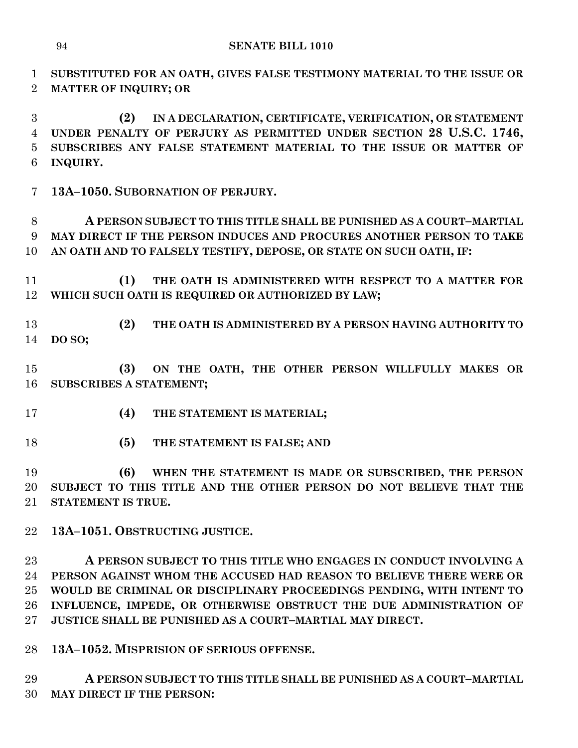**SUBSTITUTED FOR AN OATH, GIVES FALSE TESTIMONY MATERIAL TO THE ISSUE OR MATTER OF INQUIRY; OR** 

 **(2) IN A DECLARATION, CERTIFICATE, VERIFICATION, OR STATEMENT UNDER PENALTY OF PERJURY AS PERMITTED UNDER SECTION 28 U.S.C. 1746, SUBSCRIBES ANY FALSE STATEMENT MATERIAL TO THE ISSUE OR MATTER OF INQUIRY.**

**13A–1050. SUBORNATION OF PERJURY.**

 **A PERSON SUBJECT TO THIS TITLE SHALL BE PUNISHED AS A COURT–MARTIAL MAY DIRECT IF THE PERSON INDUCES AND PROCURES ANOTHER PERSON TO TAKE AN OATH AND TO FALSELY TESTIFY, DEPOSE, OR STATE ON SUCH OATH, IF:**

 **(1) THE OATH IS ADMINISTERED WITH RESPECT TO A MATTER FOR WHICH SUCH OATH IS REQUIRED OR AUTHORIZED BY LAW;**

 **(2) THE OATH IS ADMINISTERED BY A PERSON HAVING AUTHORITY TO DO SO;**

 **(3) ON THE OATH, THE OTHER PERSON WILLFULLY MAKES OR SUBSCRIBES A STATEMENT;**

- **(4) THE STATEMENT IS MATERIAL;**
- **(5) THE STATEMENT IS FALSE; AND**

 **(6) WHEN THE STATEMENT IS MADE OR SUBSCRIBED, THE PERSON SUBJECT TO THIS TITLE AND THE OTHER PERSON DO NOT BELIEVE THAT THE STATEMENT IS TRUE.**

**13A–1051. OBSTRUCTING JUSTICE.**

 **A PERSON SUBJECT TO THIS TITLE WHO ENGAGES IN CONDUCT INVOLVING A PERSON AGAINST WHOM THE ACCUSED HAD REASON TO BELIEVE THERE WERE OR WOULD BE CRIMINAL OR DISCIPLINARY PROCEEDINGS PENDING, WITH INTENT TO INFLUENCE, IMPEDE, OR OTHERWISE OBSTRUCT THE DUE ADMINISTRATION OF JUSTICE SHALL BE PUNISHED AS A COURT–MARTIAL MAY DIRECT.**

**13A–1052. MISPRISION OF SERIOUS OFFENSE.**

 **A PERSON SUBJECT TO THIS TITLE SHALL BE PUNISHED AS A COURT–MARTIAL MAY DIRECT IF THE PERSON:**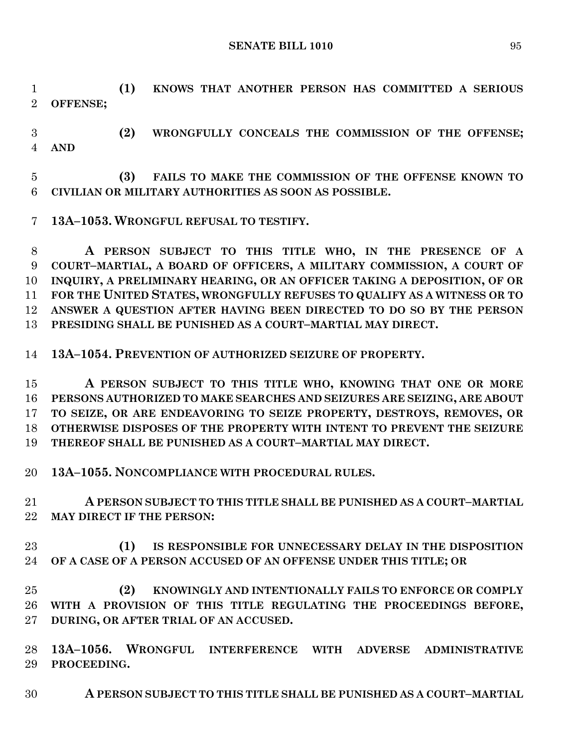**SENATE BILL 1010** 95

 **(1) KNOWS THAT ANOTHER PERSON HAS COMMITTED A SERIOUS OFFENSE;**

 **(2) WRONGFULLY CONCEALS THE COMMISSION OF THE OFFENSE; AND**

 **(3) FAILS TO MAKE THE COMMISSION OF THE OFFENSE KNOWN TO CIVILIAN OR MILITARY AUTHORITIES AS SOON AS POSSIBLE.**

**13A–1053. WRONGFUL REFUSAL TO TESTIFY.**

 **A PERSON SUBJECT TO THIS TITLE WHO, IN THE PRESENCE OF A COURT–MARTIAL, A BOARD OF OFFICERS, A MILITARY COMMISSION, A COURT OF INQUIRY, A PRELIMINARY HEARING, OR AN OFFICER TAKING A DEPOSITION, OF OR FOR THE UNITED STATES, WRONGFULLY REFUSES TO QUALIFY AS A WITNESS OR TO ANSWER A QUESTION AFTER HAVING BEEN DIRECTED TO DO SO BY THE PERSON PRESIDING SHALL BE PUNISHED AS A COURT–MARTIAL MAY DIRECT.**

**13A–1054. PREVENTION OF AUTHORIZED SEIZURE OF PROPERTY.**

 **A PERSON SUBJECT TO THIS TITLE WHO, KNOWING THAT ONE OR MORE PERSONS AUTHORIZED TO MAKE SEARCHES AND SEIZURES ARE SEIZING, ARE ABOUT TO SEIZE, OR ARE ENDEAVORING TO SEIZE PROPERTY, DESTROYS, REMOVES, OR OTHERWISE DISPOSES OF THE PROPERTY WITH INTENT TO PREVENT THE SEIZURE THEREOF SHALL BE PUNISHED AS A COURT–MARTIAL MAY DIRECT.**

**13A–1055. NONCOMPLIANCE WITH PROCEDURAL RULES.**

 **A PERSON SUBJECT TO THIS TITLE SHALL BE PUNISHED AS A COURT–MARTIAL MAY DIRECT IF THE PERSON:**

 **(1) IS RESPONSIBLE FOR UNNECESSARY DELAY IN THE DISPOSITION OF A CASE OF A PERSON ACCUSED OF AN OFFENSE UNDER THIS TITLE; OR** 

 **(2) KNOWINGLY AND INTENTIONALLY FAILS TO ENFORCE OR COMPLY WITH A PROVISION OF THIS TITLE REGULATING THE PROCEEDINGS BEFORE, DURING, OR AFTER TRIAL OF AN ACCUSED.**

 **13A–1056. WRONGFUL INTERFERENCE WITH ADVERSE ADMINISTRATIVE PROCEEDING.**

**A PERSON SUBJECT TO THIS TITLE SHALL BE PUNISHED AS A COURT–MARTIAL**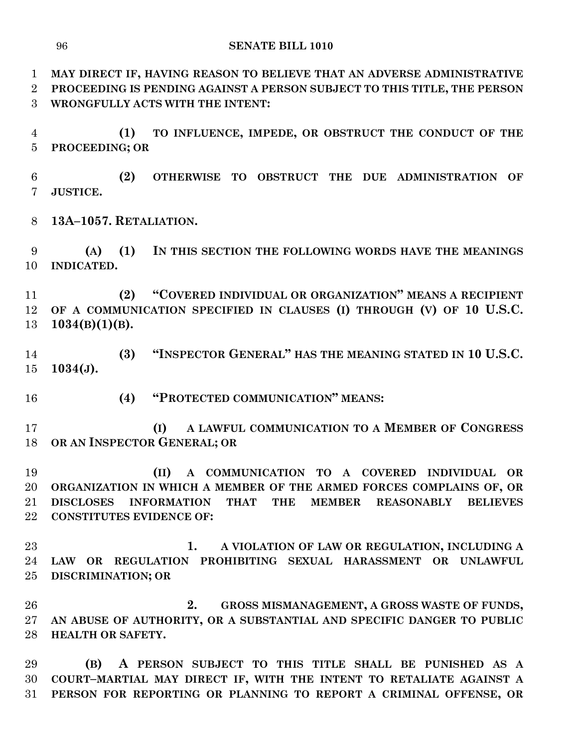**MAY DIRECT IF, HAVING REASON TO BELIEVE THAT AN ADVERSE ADMINISTRATIVE PROCEEDING IS PENDING AGAINST A PERSON SUBJECT TO THIS TITLE, THE PERSON WRONGFULLY ACTS WITH THE INTENT:**

 **(1) TO INFLUENCE, IMPEDE, OR OBSTRUCT THE CONDUCT OF THE PROCEEDING; OR** 

 **(2) OTHERWISE TO OBSTRUCT THE DUE ADMINISTRATION OF JUSTICE.**

**13A–1057. RETALIATION.**

 **(A) (1) IN THIS SECTION THE FOLLOWING WORDS HAVE THE MEANINGS INDICATED.**

 **(2) "COVERED INDIVIDUAL OR ORGANIZATION" MEANS A RECIPIENT OF A COMMUNICATION SPECIFIED IN CLAUSES (I) THROUGH (V) OF 10 U.S.C. 1034(B)(1)(B).**

 **(3) "INSPECTOR GENERAL" HAS THE MEANING STATED IN 10 U.S.C. 1034(J).**

**(4) "PROTECTED COMMUNICATION" MEANS:**

 **(I) A LAWFUL COMMUNICATION TO A MEMBER OF CONGRESS OR AN INSPECTOR GENERAL; OR** 

 **(II) A COMMUNICATION TO A COVERED INDIVIDUAL OR ORGANIZATION IN WHICH A MEMBER OF THE ARMED FORCES COMPLAINS OF, OR DISCLOSES INFORMATION THAT THE MEMBER REASONABLY BELIEVES CONSTITUTES EVIDENCE OF:**

 **1. A VIOLATION OF LAW OR REGULATION, INCLUDING A LAW OR REGULATION PROHIBITING SEXUAL HARASSMENT OR UNLAWFUL DISCRIMINATION; OR** 

 **2. GROSS MISMANAGEMENT, A GROSS WASTE OF FUNDS, AN ABUSE OF AUTHORITY, OR A SUBSTANTIAL AND SPECIFIC DANGER TO PUBLIC HEALTH OR SAFETY.**

 **(B) A PERSON SUBJECT TO THIS TITLE SHALL BE PUNISHED AS A COURT–MARTIAL MAY DIRECT IF, WITH THE INTENT TO RETALIATE AGAINST A PERSON FOR REPORTING OR PLANNING TO REPORT A CRIMINAL OFFENSE, OR**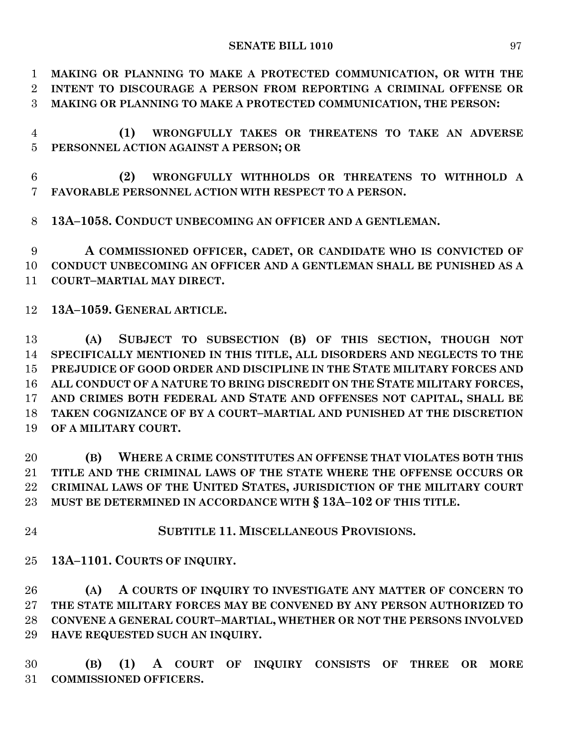**MAKING OR PLANNING TO MAKE A PROTECTED COMMUNICATION, OR WITH THE INTENT TO DISCOURAGE A PERSON FROM REPORTING A CRIMINAL OFFENSE OR MAKING OR PLANNING TO MAKE A PROTECTED COMMUNICATION, THE PERSON:**

 **(1) WRONGFULLY TAKES OR THREATENS TO TAKE AN ADVERSE PERSONNEL ACTION AGAINST A PERSON; OR** 

 **(2) WRONGFULLY WITHHOLDS OR THREATENS TO WITHHOLD A FAVORABLE PERSONNEL ACTION WITH RESPECT TO A PERSON.**

**13A–1058. CONDUCT UNBECOMING AN OFFICER AND A GENTLEMAN.**

 **A COMMISSIONED OFFICER, CADET, OR CANDIDATE WHO IS CONVICTED OF CONDUCT UNBECOMING AN OFFICER AND A GENTLEMAN SHALL BE PUNISHED AS A COURT–MARTIAL MAY DIRECT.**

**13A–1059. GENERAL ARTICLE.**

 **(A) SUBJECT TO SUBSECTION (B) OF THIS SECTION, THOUGH NOT SPECIFICALLY MENTIONED IN THIS TITLE, ALL DISORDERS AND NEGLECTS TO THE PREJUDICE OF GOOD ORDER AND DISCIPLINE IN THE STATE MILITARY FORCES AND ALL CONDUCT OF A NATURE TO BRING DISCREDIT ON THE STATE MILITARY FORCES, AND CRIMES BOTH FEDERAL AND STATE AND OFFENSES NOT CAPITAL, SHALL BE TAKEN COGNIZANCE OF BY A COURT–MARTIAL AND PUNISHED AT THE DISCRETION OF A MILITARY COURT.**

 **(B) WHERE A CRIME CONSTITUTES AN OFFENSE THAT VIOLATES BOTH THIS TITLE AND THE CRIMINAL LAWS OF THE STATE WHERE THE OFFENSE OCCURS OR CRIMINAL LAWS OF THE UNITED STATES, JURISDICTION OF THE MILITARY COURT MUST BE DETERMINED IN ACCORDANCE WITH § 13A–102 OF THIS TITLE.**

**SUBTITLE 11. MISCELLANEOUS PROVISIONS.**

**13A–1101. COURTS OF INQUIRY.**

 **(A) A COURTS OF INQUIRY TO INVESTIGATE ANY MATTER OF CONCERN TO THE STATE MILITARY FORCES MAY BE CONVENED BY ANY PERSON AUTHORIZED TO CONVENE A GENERAL COURT–MARTIAL, WHETHER OR NOT THE PERSONS INVOLVED HAVE REQUESTED SUCH AN INQUIRY.**

 **(B) (1) A COURT OF INQUIRY CONSISTS OF THREE OR MORE COMMISSIONED OFFICERS.**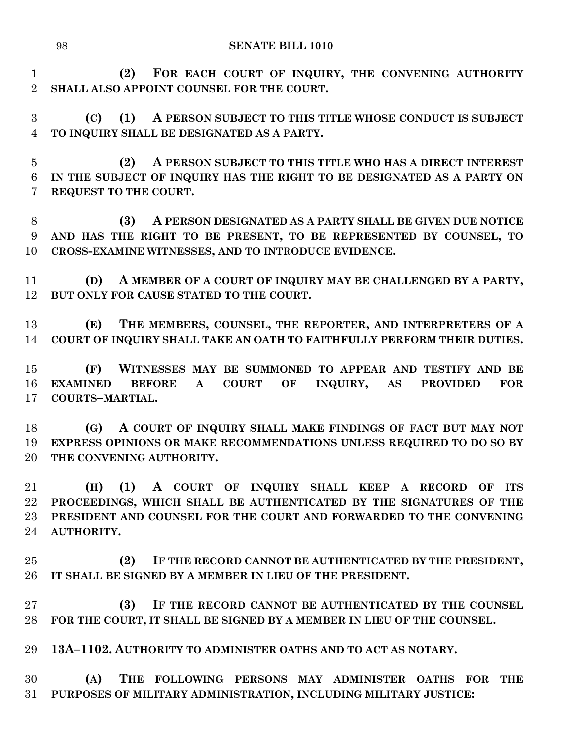**(2) FOR EACH COURT OF INQUIRY, THE CONVENING AUTHORITY SHALL ALSO APPOINT COUNSEL FOR THE COURT.**

 **(C) (1) A PERSON SUBJECT TO THIS TITLE WHOSE CONDUCT IS SUBJECT TO INQUIRY SHALL BE DESIGNATED AS A PARTY.**

 **(2) A PERSON SUBJECT TO THIS TITLE WHO HAS A DIRECT INTEREST IN THE SUBJECT OF INQUIRY HAS THE RIGHT TO BE DESIGNATED AS A PARTY ON REQUEST TO THE COURT.**

 **(3) A PERSON DESIGNATED AS A PARTY SHALL BE GIVEN DUE NOTICE AND HAS THE RIGHT TO BE PRESENT, TO BE REPRESENTED BY COUNSEL, TO CROSS-EXAMINE WITNESSES, AND TO INTRODUCE EVIDENCE.**

 **(D) A MEMBER OF A COURT OF INQUIRY MAY BE CHALLENGED BY A PARTY, BUT ONLY FOR CAUSE STATED TO THE COURT.**

 **(E) THE MEMBERS, COUNSEL, THE REPORTER, AND INTERPRETERS OF A COURT OF INQUIRY SHALL TAKE AN OATH TO FAITHFULLY PERFORM THEIR DUTIES.**

 **(F) WITNESSES MAY BE SUMMONED TO APPEAR AND TESTIFY AND BE EXAMINED BEFORE A COURT OF INQUIRY, AS PROVIDED FOR COURTS–MARTIAL.**

 **(G) A COURT OF INQUIRY SHALL MAKE FINDINGS OF FACT BUT MAY NOT EXPRESS OPINIONS OR MAKE RECOMMENDATIONS UNLESS REQUIRED TO DO SO BY THE CONVENING AUTHORITY.**

 **(H) (1) A COURT OF INQUIRY SHALL KEEP A RECORD OF ITS PROCEEDINGS, WHICH SHALL BE AUTHENTICATED BY THE SIGNATURES OF THE PRESIDENT AND COUNSEL FOR THE COURT AND FORWARDED TO THE CONVENING AUTHORITY.**

 **(2) IF THE RECORD CANNOT BE AUTHENTICATED BY THE PRESIDENT, IT SHALL BE SIGNED BY A MEMBER IN LIEU OF THE PRESIDENT.**

 **(3) IF THE RECORD CANNOT BE AUTHENTICATED BY THE COUNSEL FOR THE COURT, IT SHALL BE SIGNED BY A MEMBER IN LIEU OF THE COUNSEL.**

**13A–1102. AUTHORITY TO ADMINISTER OATHS AND TO ACT AS NOTARY.**

 **(A) THE FOLLOWING PERSONS MAY ADMINISTER OATHS FOR THE PURPOSES OF MILITARY ADMINISTRATION, INCLUDING MILITARY JUSTICE:**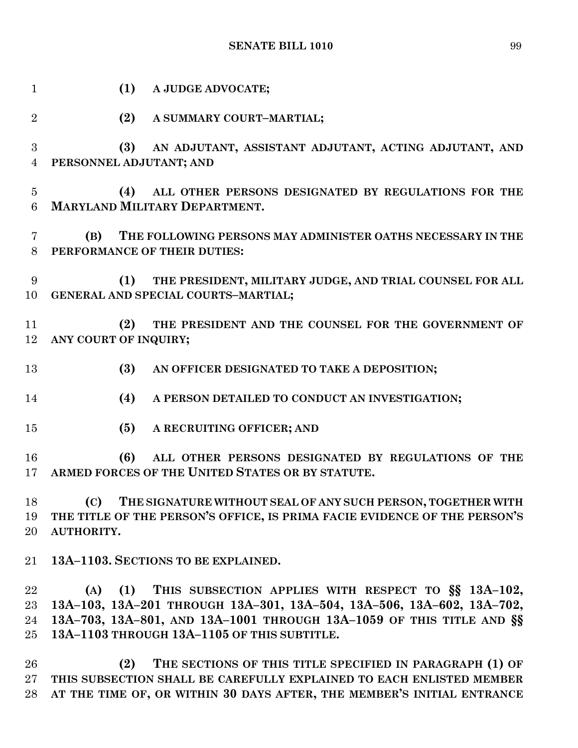| $\mathbf{1}$             | (1)<br>A JUDGE ADVOCATE;                                                                                                                                                                                                                                          |
|--------------------------|-------------------------------------------------------------------------------------------------------------------------------------------------------------------------------------------------------------------------------------------------------------------|
| $\overline{2}$           | (2)<br>A SUMMARY COURT-MARTIAL;                                                                                                                                                                                                                                   |
| 3<br>$\overline{4}$      | (3)<br>AN ADJUTANT, ASSISTANT ADJUTANT, ACTING ADJUTANT, AND<br>PERSONNEL ADJUTANT; AND                                                                                                                                                                           |
| $\overline{5}$<br>6      | (4)<br>ALL OTHER PERSONS DESIGNATED BY REGULATIONS FOR THE<br><b>MARYLAND MILITARY DEPARTMENT.</b>                                                                                                                                                                |
| 7<br>8                   | (B)<br>THE FOLLOWING PERSONS MAY ADMINISTER OATHS NECESSARY IN THE<br>PERFORMANCE OF THEIR DUTIES:                                                                                                                                                                |
| 9<br>10                  | THE PRESIDENT, MILITARY JUDGE, AND TRIAL COUNSEL FOR ALL<br>(1)<br>GENERAL AND SPECIAL COURTS-MARTIAL;                                                                                                                                                            |
| 11<br>12                 | THE PRESIDENT AND THE COUNSEL FOR THE GOVERNMENT OF<br>(2)<br>ANY COURT OF INQUIRY;                                                                                                                                                                               |
| 13                       | (3)<br>AN OFFICER DESIGNATED TO TAKE A DEPOSITION;                                                                                                                                                                                                                |
| 14                       | (4)<br>A PERSON DETAILED TO CONDUCT AN INVESTIGATION;                                                                                                                                                                                                             |
| 15                       | (5)<br>A RECRUITING OFFICER; AND                                                                                                                                                                                                                                  |
| 16<br>17                 | (6)<br>ALL OTHER PERSONS DESIGNATED BY REGULATIONS OF THE<br>ARMED FORCES OF THE UNITED STATES OR BY STATUTE.                                                                                                                                                     |
| 18<br>19<br>20           | (C) THE SIGNATURE WITHOUT SEAL OF ANY SUCH PERSON, TOGETHER WITH<br>THE TITLE OF THE PERSON'S OFFICE, IS PRIMA FACIE EVIDENCE OF THE PERSON'S<br>AUTHORITY.                                                                                                       |
| $21\,$                   | 13A-1103. SECTIONS TO BE EXPLAINED.                                                                                                                                                                                                                               |
| 22<br>23<br>24<br>$25\,$ | THIS SUBSECTION APPLIES WITH RESPECT TO SS 13A-102,<br>(A)<br>(1)<br>13A-103, 13A-201 THROUGH 13A-301, 13A-504, 13A-506, 13A-602, 13A-702,<br>13A-703, 13A-801, AND 13A-1001 THROUGH 13A-1059 OF THIS TITLE AND §§<br>13A-1103 THROUGH 13A-1105 OF THIS SUBTITLE. |

 **(2) THE SECTIONS OF THIS TITLE SPECIFIED IN PARAGRAPH (1) OF THIS SUBSECTION SHALL BE CAREFULLY EXPLAINED TO EACH ENLISTED MEMBER AT THE TIME OF, OR WITHIN 30 DAYS AFTER, THE MEMBER'S INITIAL ENTRANCE**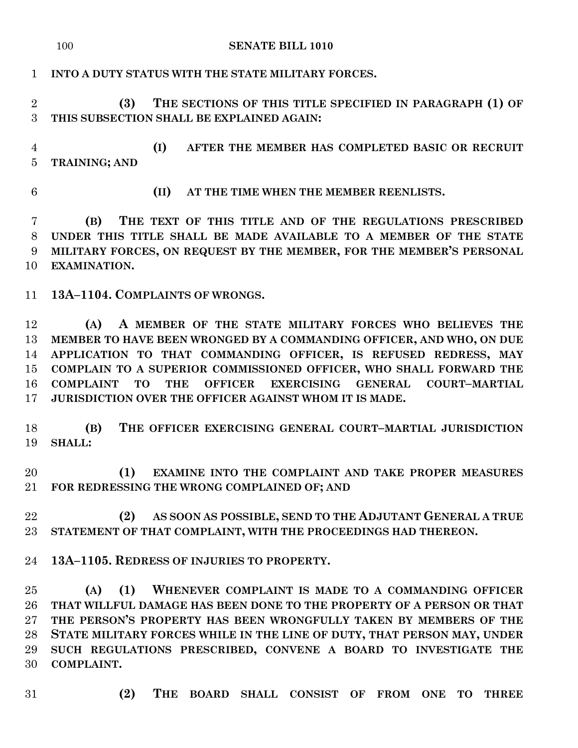## **SENATE BILL 1010**

## **INTO A DUTY STATUS WITH THE STATE MILITARY FORCES.**

 **(3) THE SECTIONS OF THIS TITLE SPECIFIED IN PARAGRAPH (1) OF THIS SUBSECTION SHALL BE EXPLAINED AGAIN:**

 **(I) AFTER THE MEMBER HAS COMPLETED BASIC OR RECRUIT TRAINING; AND**

- 
- **(II) AT THE TIME WHEN THE MEMBER REENLISTS.**

 **(B) THE TEXT OF THIS TITLE AND OF THE REGULATIONS PRESCRIBED UNDER THIS TITLE SHALL BE MADE AVAILABLE TO A MEMBER OF THE STATE MILITARY FORCES, ON REQUEST BY THE MEMBER, FOR THE MEMBER'S PERSONAL EXAMINATION.**

**13A–1104. COMPLAINTS OF WRONGS.**

 **(A) A MEMBER OF THE STATE MILITARY FORCES WHO BELIEVES THE MEMBER TO HAVE BEEN WRONGED BY A COMMANDING OFFICER, AND WHO, ON DUE APPLICATION TO THAT COMMANDING OFFICER, IS REFUSED REDRESS, MAY COMPLAIN TO A SUPERIOR COMMISSIONED OFFICER, WHO SHALL FORWARD THE COMPLAINT TO THE OFFICER EXERCISING GENERAL COURT–MARTIAL JURISDICTION OVER THE OFFICER AGAINST WHOM IT IS MADE.**

 **(B) THE OFFICER EXERCISING GENERAL COURT–MARTIAL JURISDICTION SHALL:**

 **(1) EXAMINE INTO THE COMPLAINT AND TAKE PROPER MEASURES FOR REDRESSING THE WRONG COMPLAINED OF; AND** 

 **(2) AS SOON AS POSSIBLE, SEND TO THE ADJUTANT GENERAL A TRUE STATEMENT OF THAT COMPLAINT, WITH THE PROCEEDINGS HAD THEREON.**

**13A–1105. REDRESS OF INJURIES TO PROPERTY.**

 **(A) (1) WHENEVER COMPLAINT IS MADE TO A COMMANDING OFFICER THAT WILLFUL DAMAGE HAS BEEN DONE TO THE PROPERTY OF A PERSON OR THAT THE PERSON'S PROPERTY HAS BEEN WRONGFULLY TAKEN BY MEMBERS OF THE STATE MILITARY FORCES WHILE IN THE LINE OF DUTY, THAT PERSON MAY, UNDER SUCH REGULATIONS PRESCRIBED, CONVENE A BOARD TO INVESTIGATE THE COMPLAINT.**

- 
- **(2) THE BOARD SHALL CONSIST OF FROM ONE TO THREE**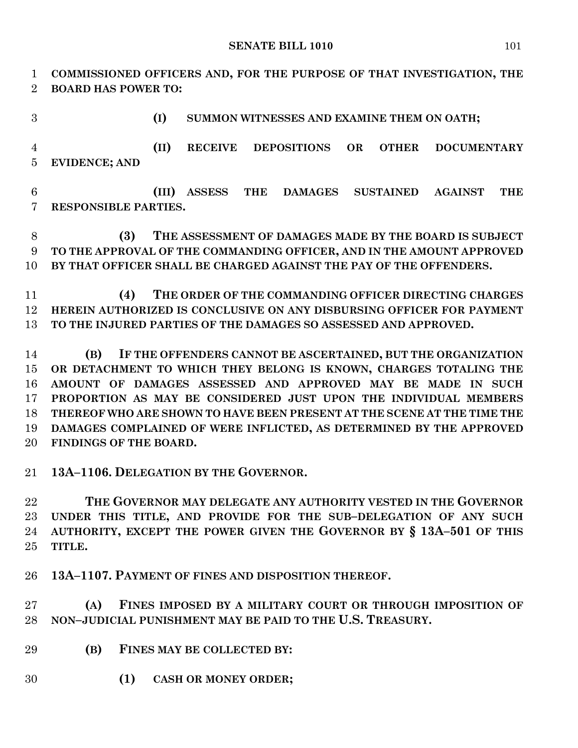**SENATE BILL 1010** 101

 **COMMISSIONED OFFICERS AND, FOR THE PURPOSE OF THAT INVESTIGATION, THE BOARD HAS POWER TO:**

**(I) SUMMON WITNESSES AND EXAMINE THEM ON OATH;**

 **(II) RECEIVE DEPOSITIONS OR OTHER DOCUMENTARY EVIDENCE; AND** 

 **(III) ASSESS THE DAMAGES SUSTAINED AGAINST THE RESPONSIBLE PARTIES.**

 **(3) THE ASSESSMENT OF DAMAGES MADE BY THE BOARD IS SUBJECT TO THE APPROVAL OF THE COMMANDING OFFICER, AND IN THE AMOUNT APPROVED BY THAT OFFICER SHALL BE CHARGED AGAINST THE PAY OF THE OFFENDERS.**

 **(4) THE ORDER OF THE COMMANDING OFFICER DIRECTING CHARGES HEREIN AUTHORIZED IS CONCLUSIVE ON ANY DISBURSING OFFICER FOR PAYMENT TO THE INJURED PARTIES OF THE DAMAGES SO ASSESSED AND APPROVED.**

 **(B) IF THE OFFENDERS CANNOT BE ASCERTAINED, BUT THE ORGANIZATION OR DETACHMENT TO WHICH THEY BELONG IS KNOWN, CHARGES TOTALING THE AMOUNT OF DAMAGES ASSESSED AND APPROVED MAY BE MADE IN SUCH PROPORTION AS MAY BE CONSIDERED JUST UPON THE INDIVIDUAL MEMBERS THEREOF WHO ARE SHOWN TO HAVE BEEN PRESENT AT THE SCENE AT THE TIME THE DAMAGES COMPLAINED OF WERE INFLICTED, AS DETERMINED BY THE APPROVED FINDINGS OF THE BOARD.**

**13A–1106. DELEGATION BY THE GOVERNOR.**

 **THE GOVERNOR MAY DELEGATE ANY AUTHORITY VESTED IN THE GOVERNOR UNDER THIS TITLE, AND PROVIDE FOR THE SUB–DELEGATION OF ANY SUCH AUTHORITY, EXCEPT THE POWER GIVEN THE GOVERNOR BY § 13A–501 OF THIS TITLE.**

**13A–1107. PAYMENT OF FINES AND DISPOSITION THEREOF.**

 **(A) FINES IMPOSED BY A MILITARY COURT OR THROUGH IMPOSITION OF NON–JUDICIAL PUNISHMENT MAY BE PAID TO THE U.S. TREASURY.**

- **(B) FINES MAY BE COLLECTED BY:**
- **(1) CASH OR MONEY ORDER;**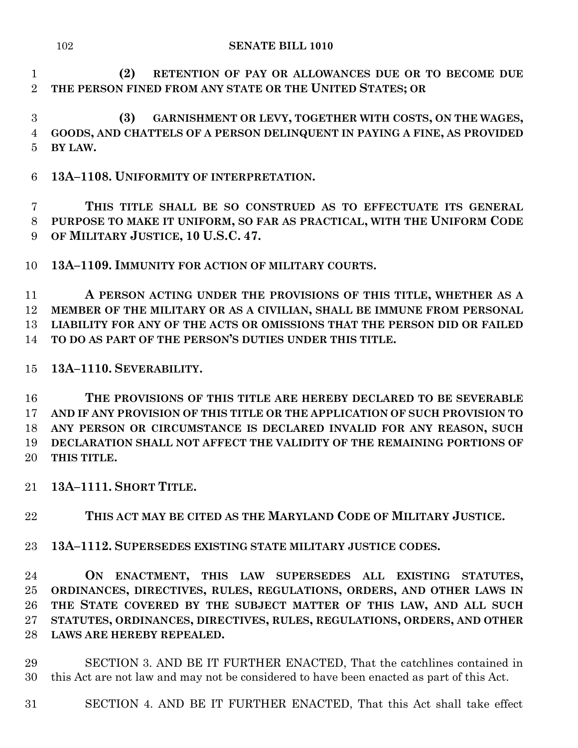**(2) RETENTION OF PAY OR ALLOWANCES DUE OR TO BECOME DUE THE PERSON FINED FROM ANY STATE OR THE UNITED STATES; OR**

 **(3) GARNISHMENT OR LEVY, TOGETHER WITH COSTS, ON THE WAGES, GOODS, AND CHATTELS OF A PERSON DELINQUENT IN PAYING A FINE, AS PROVIDED BY LAW.**

**13A–1108. UNIFORMITY OF INTERPRETATION.**

 **THIS TITLE SHALL BE SO CONSTRUED AS TO EFFECTUATE ITS GENERAL PURPOSE TO MAKE IT UNIFORM, SO FAR AS PRACTICAL, WITH THE UNIFORM CODE OF MILITARY JUSTICE, 10 U.S.C. 47.**

**13A–1109. IMMUNITY FOR ACTION OF MILITARY COURTS.**

 **A PERSON ACTING UNDER THE PROVISIONS OF THIS TITLE, WHETHER AS A MEMBER OF THE MILITARY OR AS A CIVILIAN, SHALL BE IMMUNE FROM PERSONAL LIABILITY FOR ANY OF THE ACTS OR OMISSIONS THAT THE PERSON DID OR FAILED TO DO AS PART OF THE PERSON'S DUTIES UNDER THIS TITLE.**

**13A–1110. SEVERABILITY.**

 **THE PROVISIONS OF THIS TITLE ARE HEREBY DECLARED TO BE SEVERABLE AND IF ANY PROVISION OF THIS TITLE OR THE APPLICATION OF SUCH PROVISION TO ANY PERSON OR CIRCUMSTANCE IS DECLARED INVALID FOR ANY REASON, SUCH DECLARATION SHALL NOT AFFECT THE VALIDITY OF THE REMAINING PORTIONS OF THIS TITLE.**

**13A–1111. SHORT TITLE.**

**THIS ACT MAY BE CITED AS THE MARYLAND CODE OF MILITARY JUSTICE.**

**13A–1112. SUPERSEDES EXISTING STATE MILITARY JUSTICE CODES.**

 **ON ENACTMENT, THIS LAW SUPERSEDES ALL EXISTING STATUTES, ORDINANCES, DIRECTIVES, RULES, REGULATIONS, ORDERS, AND OTHER LAWS IN THE STATE COVERED BY THE SUBJECT MATTER OF THIS LAW, AND ALL SUCH STATUTES, ORDINANCES, DIRECTIVES, RULES, REGULATIONS, ORDERS, AND OTHER LAWS ARE HEREBY REPEALED.**

 SECTION 3. AND BE IT FURTHER ENACTED, That the catchlines contained in this Act are not law and may not be considered to have been enacted as part of this Act.

SECTION 4. AND BE IT FURTHER ENACTED, That this Act shall take effect